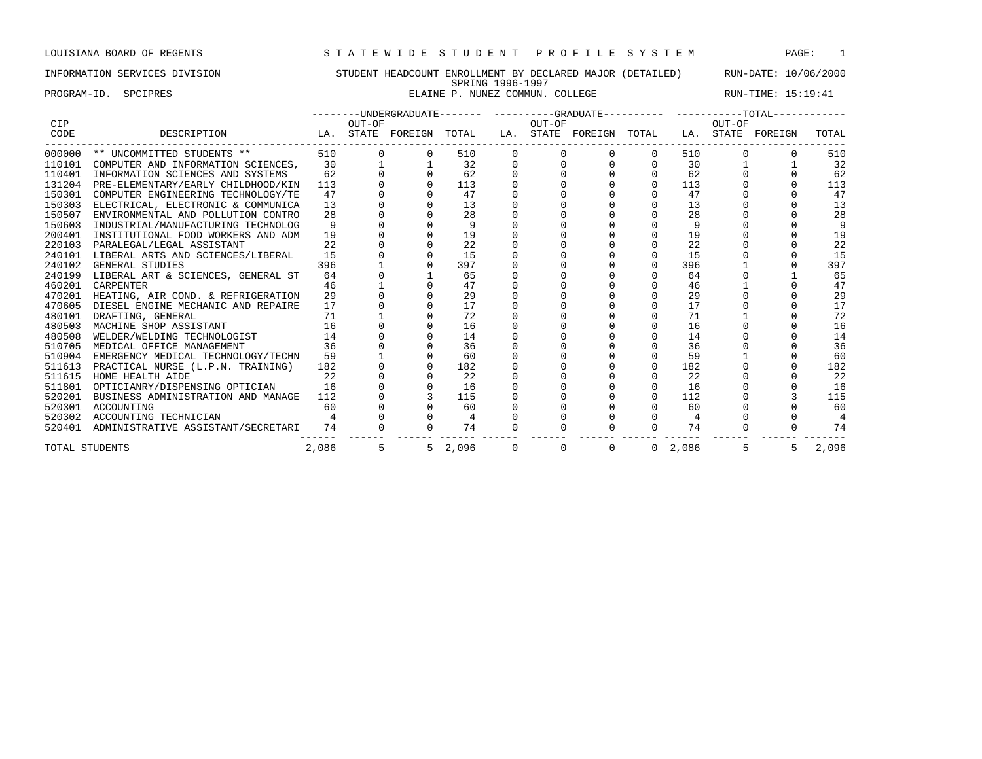PROGRAM-ID. SPCIPRES **ELAINE P. NUNEZ COMMUN. COLLEGE** RUN-TIME: 15:19:41

| <b>CIP</b>     |                                    |       | OUT-OF |                         |                |          | OUT-OF   |                         |                |       | OUT-OF | --------UNDERGRADUATE------- ---------GRADUATE---------- ----------TOTAL---------- |       |
|----------------|------------------------------------|-------|--------|-------------------------|----------------|----------|----------|-------------------------|----------------|-------|--------|------------------------------------------------------------------------------------|-------|
| CODE           | DESCRIPTION                        |       |        | LA. STATE FOREIGN TOTAL |                |          |          | LA. STATE FOREIGN TOTAL |                |       |        | LA. STATE FOREIGN                                                                  | TOTAL |
| 000000         | ** UNCOMMITTED STUDENTS **         | 510   |        |                         | 510            | $\Omega$ | $\Omega$ |                         | $\Omega$       | 510   |        |                                                                                    | 510   |
| 110101         | COMPUTER AND INFORMATION SCIENCES, | 30    |        |                         | 32             |          |          | $\Omega$                | $\Omega$       | 30    |        |                                                                                    | 32    |
| 110401         | INFORMATION SCIENCES AND SYSTEMS   | 62    |        |                         | 62             |          |          |                         | $\mathbf 0$    | 62    |        |                                                                                    | 62    |
| 131204         | PRE-ELEMENTARY/EARLY CHILDHOOD/KIN | 113   |        |                         | 113            |          |          |                         | $\Omega$       | 113   |        |                                                                                    | 113   |
| 150301         | COMPUTER ENGINEERING TECHNOLOGY/TE | 47    |        |                         | 47             |          |          |                         | $\Omega$       | 47    |        |                                                                                    | 47    |
| 150303         | ELECTRICAL, ELECTRONIC & COMMUNICA | 13    |        |                         | 13             |          |          |                         |                | 13    |        |                                                                                    | 13    |
| 150507         | ENVIRONMENTAL AND POLLUTION CONTRO | 28    |        |                         | 28             |          |          |                         |                | 28    |        |                                                                                    | 28    |
| 150603         | INDUSTRIAL/MANUFACTURING TECHNOLOG | 9     |        |                         | 9              |          |          |                         |                | 9     |        |                                                                                    | q     |
| 200401         | INSTITUTIONAL FOOD WORKERS AND ADM | 19    |        |                         | 19             |          |          |                         |                | 19    |        |                                                                                    | 19    |
| 220103         | PARALEGAL/LEGAL ASSISTANT          | 22    |        |                         | 22             |          |          |                         |                | 22    |        |                                                                                    | 22    |
| 240101         | LIBERAL ARTS AND SCIENCES/LIBERAL  | 15    |        |                         | 15             |          |          |                         | $\Omega$       | 15    |        |                                                                                    | 15    |
| 240102         | GENERAL STUDIES                    | 396   |        |                         | 397            |          |          |                         |                | 396   |        |                                                                                    | 397   |
| 240199         | LIBERAL ART & SCIENCES, GENERAL ST | 64    |        |                         | 65             |          |          |                         |                | 64    |        |                                                                                    | 65    |
| 460201         | <b>CARPENTER</b>                   | 46    |        |                         | 47             |          |          |                         |                | 46    |        |                                                                                    | 47    |
| 470201         | HEATING, AIR COND. & REFRIGERATION | 29    |        |                         | 29             |          |          |                         |                | 29    |        |                                                                                    | 29    |
| 470605         | DIESEL ENGINE MECHANIC AND REPAIRE | 17    |        |                         | 17             |          |          |                         | $\Omega$       | 17    |        |                                                                                    | 17    |
| 480101         | DRAFTING, GENERAL                  | 71    |        |                         | 72             |          |          |                         | $\Omega$       | 71    |        |                                                                                    | 72    |
| 480503         | MACHINE SHOP ASSISTANT             | 16    |        |                         | 16             |          |          |                         | $\Omega$       | 16    |        |                                                                                    | 16    |
| 480508         | WELDER/WELDING TECHNOLOGIST        | 14    |        |                         | 14             |          |          |                         |                | 14    |        |                                                                                    | 14    |
| 510705         | MEDICAL OFFICE MANAGEMENT          | 36    |        |                         | 36             |          |          |                         | $\Omega$       | 36    |        |                                                                                    | 36    |
| 510904         | EMERGENCY MEDICAL TECHNOLOGY/TECHN | 59    |        |                         | 60             |          |          |                         | $\Omega$       | 59    |        |                                                                                    | 60    |
| 511613         | PRACTICAL NURSE (L.P.N. TRAINING)  | 182   |        |                         | 182            |          |          |                         | $\Omega$       | 182   |        |                                                                                    | 182   |
| 511615         | HOME HEALTH AIDE                   | 22    |        |                         | 22             |          |          |                         | $\Omega$       | 22    |        |                                                                                    | 22    |
| 511801         | OPTICIANRY/DISPENSING OPTICIAN     | 16    |        |                         | 16             |          |          |                         |                | 16    |        |                                                                                    | 16    |
| 520201         | BUSINESS ADMINISTRATION AND MANAGE | 112   |        |                         | 115            |          |          |                         | $\Omega$       | 112   |        |                                                                                    | 115   |
| 520301         | ACCOUNTING                         | 60    |        |                         | 60             |          |          |                         | $\Omega$       | 60    |        |                                                                                    | 60    |
| 520302         | ACCOUNTING TECHNICIAN              |       |        |                         | $\overline{4}$ |          |          |                         | $\Omega$       | 4     |        |                                                                                    |       |
| 520401         | ADMINISTRATIVE ASSISTANT/SECRETARI | 74    |        |                         | 74             |          |          |                         | $\Omega$       | 74    |        |                                                                                    | 74    |
| TOTAL STUDENTS |                                    | 2,086 | 5      |                         | 5, 2,096       |          | 0        | $\mathbf 0$             | $\overline{0}$ | 2,086 | 5      | 5                                                                                  | 2,096 |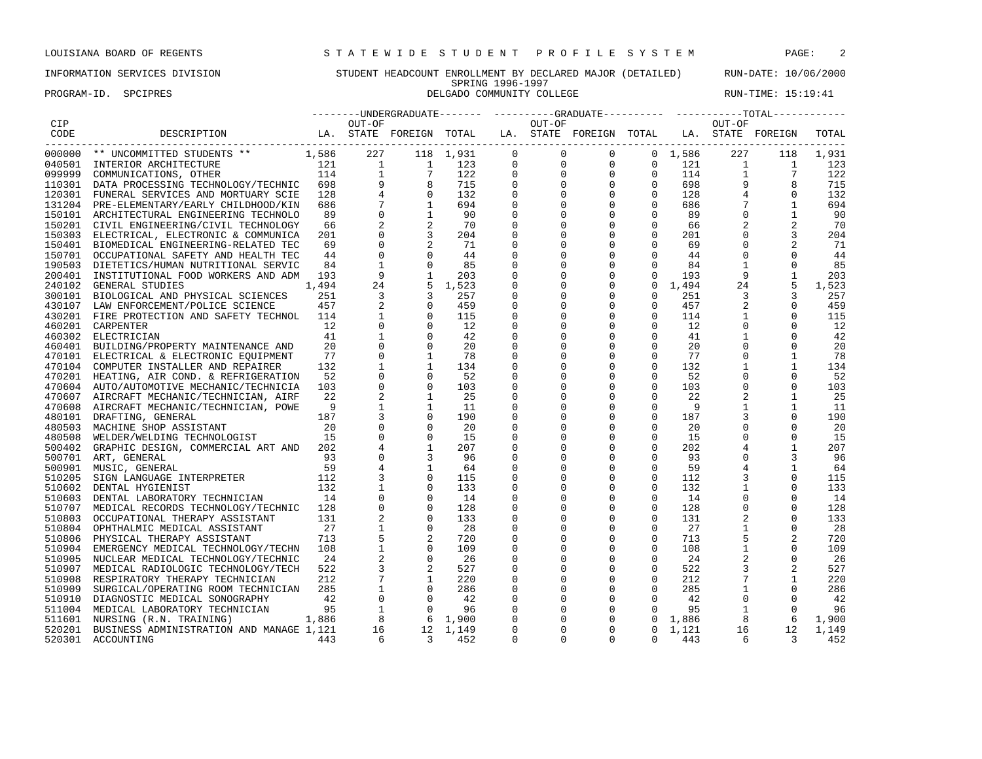PROGRAM-ID. SPCIPRES **DELGADO COMMUNITY COLLEGE** RUN-TIME: 15:19:41

|              |                                                                      |       |                         |                                                                                                    |           |                |              | --------UNDERGRADUATE------- ----------GRADUATE---------- -----------TOTAL------------                          |              |                 |                 |                               |       |
|--------------|----------------------------------------------------------------------|-------|-------------------------|----------------------------------------------------------------------------------------------------|-----------|----------------|--------------|-----------------------------------------------------------------------------------------------------------------|--------------|-----------------|-----------------|-------------------------------|-------|
| CIP          |                                                                      |       | OUT-OF                  |                                                                                                    |           |                | OUT-OF       |                                                                                                                 |              |                 | OUT-OF          |                               |       |
| CODE         | DESCRIPTION                                                          |       |                         |                                                                                                    |           |                |              | LA. STATE FOREIGN TOTAL LA. STATE FOREIGN TOTAL LA. STATE FOREIGN                                               |              |                 |                 |                               | TOTAL |
| . <u>.</u> . |                                                                      |       |                         |                                                                                                    |           |                |              |                                                                                                                 |              |                 |                 |                               |       |
| 000000       | ** UNCOMMITTED STUDENTS **                                           | 1,586 | 227                     |                                                                                                    | 118 1,931 | $\Omega$       | $\Omega$     | $\mathbf{0}$                                                                                                    |              | 0, 1, 586       | 227             | 118                           | 1,931 |
|              | 1 121 1<br>114 1<br>3Y/TECHNIC 698 9<br>040501 INTERIOR ARCHITECTURE |       |                         | $\frac{1}{2}$                                                                                      | 123       | $\overline{0}$ |              |                                                                                                                 |              | $0 \t 121$      | 1               | $\overline{1}$                | 123   |
| 099999       | COMMUNICATIONS, OTHER                                                |       |                         |                                                                                                    | 122       | $\mathbf 0$    |              |                                                                                                                 |              | 114             |                 | 1<br>$7\phantom{.0}$          | 122   |
|              | 110301 DATA PROCESSING TECHNOLOGY/TECHNIC 698                        |       |                         |                                                                                                    | 715       | 0              |              |                                                                                                                 |              | 698             |                 | 9                             | 715   |
|              | 120301 FUNERAL SERVICES AND MORTUARY SCIE                            | 128   |                         |                                                                                                    | 132       | 0              |              |                                                                                                                 |              | 128             | $\overline{4}$  | 0                             | 132   |
|              | 131204 PRE-ELEMENTARY/EARLY CHILDHOOD/KIN                            | 686   |                         | $\begin{array}{ccccc} 1 & & & 7 \\ 9 & & & 8 \\ 4 & & & 0 \\ 7 & & & 1 \\ 0 & & & 1 \end{array}$   | 694       | 0              |              | $\begin{array}{cccc} 0 & 0 & 0 & 0 \ 0 & 0 & 0 & 0 \ 0 & 0 & 0 & 0 \ 0 & 0 & 0 & 0 \ 0 & 0 & 0 & 0 \end{array}$ |              | 686             |                 | $\frac{4}{7}$<br>$\mathbf{1}$ | 694   |
|              | 150101 ARCHITECTURAL ENGINEERING TECHNOLO                            | 89    |                         |                                                                                                    | 90        | $\Omega$       | $\Omega$     | $\Omega$                                                                                                        | $\Omega$     | 89              | $\Omega$        | $\mathbf{1}$                  | 90    |
| 150201       | CIVIL ENGINEERING/CIVIL TECHNOLOGY                                   | 66    |                         |                                                                                                    | 70        | 0              | $\mathbf 0$  | $\mathbf 0$                                                                                                     | $\mathbf 0$  | 66              |                 |                               | 70    |
| 150303       | ELECTRICAL, ELECTRONIC & COMMUNICA                                   | 201   |                         |                                                                                                    | 204       | $\mathbf 0$    | $\mathbf 0$  | $\mathbf 0$                                                                                                     | $\mathbf 0$  | 201             | $\mathbf 0$     |                               | 204   |
| 150401       | BIOMEDICAL ENGINEERING-RELATED TEC                                   | 69    | $\overline{0}$          |                                                                                                    | 71        | 0              | $\mathbf{0}$ | $\mathbf 0$                                                                                                     | $\mathbf{0}$ | 69              | $\mathbf{0}$    |                               | 71    |
| 150701       | OCCUPATIONAL SAFETY AND HEALTH TEC                                   | 44    | $\overline{0}$          |                                                                                                    | 44        | 0              | $\Omega$     | $\mathbf 0$                                                                                                     | $\mathbf 0$  | 44              | $\mathbf 0$     | $\Omega$                      | 44    |
| 190503       | DIETETICS/HUMAN NUTRITIONAL SERVIC                                   | 84    | <sup>1</sup>            |                                                                                                    | 85        | $\mathbf 0$    | $\Omega$     | $\mathbf 0$                                                                                                     | $\Omega$     | 84              | $\mathbf{1}$    | $\Omega$                      | 85    |
|              | 200401 INSTITUTIONAL FOOD WORKERS AND ADM                            | 193   | 9                       |                                                                                                    | 203       | 0              | $\mathbf{0}$ | $\overline{0}$                                                                                                  | $\circ$      | 193             |                 | 9<br>1                        | 203   |
|              | 240102 GENERAL STUDIES                                               | 1,494 | 24                      |                                                                                                    | 1,523     | $\mathsf 0$    | $\mathbf 0$  | $\mathsf 0$                                                                                                     |              | $0 \quad 1,494$ | 24              | 5                             | 1,523 |
|              | 300101 BIOLOGICAL AND PHYSICAL SCIENCES                              | 251   | $\overline{\mathbf{3}}$ | $\begin{array}{c} 2 \\ 0 \\ 0 \\ 1 \\ 5 \\ 3 \end{array}$                                          | 257       | $\mathbf 0$    | $\mathbf 0$  | $\mathbf 0$                                                                                                     | $\mathsf{O}$ | 251             | 3               | 3                             | 257   |
|              | 430107 LAW ENFORCEMENT/POLICE SCIENCE                                | 457   |                         | $\overline{0}$                                                                                     | 459       | 0              | $\Omega$     | $\mathbf{0}$                                                                                                    | $\mathbf{0}$ | 457             |                 | $\Omega$                      | 459   |
|              | 430201 FIRE PROTECTION AND SAFETY TECHNOL                            | 114   | 1                       | $\Omega$                                                                                           | 115       | 0              | $\Omega$     | $\mathbf{0}$                                                                                                    | $\circ$      | 114             | 1               | $\Omega$                      | 115   |
| 460201       | CARPENTER                                                            | 12    | $\Omega$                | $\Omega$                                                                                           | 12        | 0              | $\Omega$     | $\mathbf{0}$                                                                                                    | $\mathbf{0}$ | 12              | $\Omega$        | $\Omega$                      | 12    |
|              | 460302 ELECTRICIAN                                                   | 41    | $\mathbf{1}$            | $\mathbf 0$                                                                                        | 42        | $\mathbf 0$    | 0            | $\mathbf 0$                                                                                                     | $\mathbf 0$  | 41              | $\mathbf{1}$    | $\mathbf 0$                   | 42    |
|              | 460401 BUILDING/PROPERTY MAINTENANCE AND                             | 20    | $\mathbf 0$             | $\overline{0}$                                                                                     | 20        | $\mathbf 0$    | $\mathbf 0$  | $\mathbf 0$                                                                                                     | $\mathsf{O}$ | 20              | $\mathbf 0$     | $\mathbf 0$                   | 20    |
|              | 470101 ELECTRICAL & ELECTRONIC EQUIPMENT                             | 77    | $\mathbf 0$             |                                                                                                    | 78        | $\mathbf 0$    | $\Omega$     | $\mathbf 0$                                                                                                     | $\mathbf 0$  | 77              | $\mathbf 0$     |                               | 78    |
|              | 470104 COMPUTER INSTALLER AND REPAIRER                               | 132   | $\mathbf{1}$            | 1                                                                                                  | 134       | 0              | 0            | $\mathbf 0$                                                                                                     | $\mathbf{0}$ | 132             | $\mathbf{1}$    | 1                             | 134   |
|              | 470201 HEATING, AIR COND. & REFRIGERATION                            | 52    | $\Omega$                | $\Omega$                                                                                           | 52        | $\mathbf 0$    | $\Omega$     | $\mathbf{0}$                                                                                                    | $\mathbf 0$  | 52              | $\Omega$        | $\Omega$                      | - 52  |
|              | 470604 AUTO/AUTOMOTIVE MECHANIC/TECHNICIA                            | 103   | $\Omega$                | $\Omega$                                                                                           | 103       | $\mathbf 0$    | $\Omega$     | $\Omega$                                                                                                        | $\Omega$     | 103             | $\mathbf 0$     | $\Omega$                      | 103   |
|              |                                                                      | 22    |                         | 1                                                                                                  | 25        | 0              | 0            | $\mathbf 0$                                                                                                     | $\mathbf 0$  | 22              | 2               | 1                             | -25   |
|              | 470607 AIRCRAFT MECHANIC/TECHNICIAN, AIRF                            | - 9   | $\mathbf{1}$            | $\mathbf{1}$                                                                                       | 11        | $\mathbf 0$    | $\mathbf 0$  | $\mathbf 0$                                                                                                     | $\mathbf 0$  | 9               | $\mathbf{1}$    | 1                             |       |
|              | 470608 AIRCRAFT MECHANIC/TECHNICIAN, POWE                            |       |                         |                                                                                                    | 190       |                |              |                                                                                                                 |              |                 |                 |                               | 11    |
| 480101       | DRAFTING, GENERAL                                                    | 187   |                         | $\mathbf 0$                                                                                        |           | $\mathbf 0$    | $\mathbf 0$  | $\mathbf 0$                                                                                                     | $\mathsf{O}$ | 187             |                 | $\mathbf 0$                   | 190   |
| 480503       | MACHINE SHOP ASSISTANT                                               | 20    | $\Omega$                | $\overline{0}$                                                                                     | 20        | 0              | $\Omega$     | $\mathbf{0}$                                                                                                    | $\mathbf 0$  | 20              | $\mathbf 0$     | $\mathbf 0$                   | 20    |
| 480508       | WELDER/WELDING TECHNOLOGIST                                          | 15    |                         | $\Omega$                                                                                           | 15        | $\mathbf 0$    | $\Omega$     | $\mathbf{0}$                                                                                                    | $\Omega$     | 15              | $\Omega$        | $\Omega$                      | 15    |
| 500402       | GRAPHIC DESIGN, COMMERCIAL ART AND 202                               |       |                         | $\mathbf{1}$                                                                                       | 207       | 0              | $\Omega$     | $\mathbf{0}$                                                                                                    | $\mathbf 0$  | 202             |                 | $\mathbf{1}$                  | 207   |
|              | 500701 ART, GENERAL                                                  | 93    |                         |                                                                                                    | 96        | $\mathbf 0$    | 0            | $\mathsf 0$                                                                                                     | $\mathbf 0$  | 93              | $\mathsf{O}$    |                               | 96    |
| 500901       | MUSIC, GENERAL<br>SIGN LANGUAGE INTERPRETER 112                      | 59    |                         | $\mathbf{1}$                                                                                       | 64        | $\mathbf 0$    | $\mathbf 0$  | $\mathsf 0$                                                                                                     | $\mathsf{O}$ | 59              | $\overline{4}$  | 1                             | 64    |
| 510205       |                                                                      |       |                         | $\overline{0}$                                                                                     | 115       | $\mathbf 0$    | $\Omega$     | $\mathbf{0}$                                                                                                    | $\mathbf 0$  | 112             | 3               | $\Omega$                      | 115   |
| 510602       | DENTAL HYGIENIST                                                     | 132   | 1                       | $\Omega$                                                                                           | 133       | 0              | 0            | $\mathbf{0}$                                                                                                    | $\Omega$     | 132             |                 | $\Omega$                      | 133   |
|              | 510603 DENTAL LABORATORY TECHNICIAN                                  | 14    | $\overline{0}$          | $\Omega$                                                                                           | 14        | 0              | $\Omega$     | $\mathbf{0}$                                                                                                    | $\Omega$     | 14              | $\mathbf 0$     | $\Omega$                      | 14    |
|              | 510707 MEDICAL RECORDS TECHNOLOGY/TECHNIC 128                        |       | $\mathbf 0$             | $\Omega$                                                                                           | 128       | $\mathbf 0$    | $\Omega$     | $\mathbf 0$                                                                                                     | $\mathbf{0}$ | 128             | $\mathbf 0$     | $\Omega$                      | 128   |
| 510803       | OCCUPATIONAL THERAPY ASSISTANT                                       | 131   |                         | $\overline{0}$                                                                                     | 133       | 0              | $\mathbf 0$  | $\mathbf 0$                                                                                                     | $\mathbf 0$  | 131             |                 | 0                             | 133   |
|              | 510804 OPHTHALMIC MEDICAL ASSISTANT                                  | 27    | $\mathbf{1}$            | $\overline{0}$                                                                                     | 28        | $\mathbf 0$    | $\mathbf 0$  | $\mathbf 0$                                                                                                     | $\mathbf 0$  | 27              | $\mathbf{1}$    | $\mathbf 0$                   | 28    |
| 510806       | PHYSICAL THERAPY ASSISTANT                                           | 713   | $5^{\circ}$             |                                                                                                    | 720       | 0              | $\mathbf{0}$ | $\mathbf 0$                                                                                                     | $\mathbf 0$  | 713             |                 |                               | 720   |
|              | 510904 EMERGENCY MEDICAL TECHNOLOGY/TECHN 108                        |       | $\mathbf{1}$            | $\overline{0}$                                                                                     | 109       | 0              | $\Omega$     | $\mathbf 0$                                                                                                     | $\mathbf{0}$ | 108             | $\mathbf{1}$    | $\Omega$                      | 109   |
| 510905       | NUCLEAR MEDICAL TECHNOLOGY/TECHNIC                                   | 2.4   |                         | $\begin{array}{ccc} 2 & \hspace{.2cm} 0 \\ 3 & \hspace{.2cm} 2 \\ 7 & \hspace{.2cm} 1 \end{array}$ | 26        | $\mathbf 0$    | $\Omega$     | $\mathbf 0$                                                                                                     | $\Omega$     | 2.4             |                 | $\Omega$                      | - 26  |
|              | 510907 MEDICAL RADIOLOGIC TECHNOLOGY/TECH                            | 522   |                         |                                                                                                    | 527       | 0              | $\mathbf{0}$ | $\mathbf 0$                                                                                                     | $\mathbf{0}$ | 522             |                 |                               | 527   |
|              | 510908 RESPIRATORY THERAPY TECHNICIAN                                | 212   |                         |                                                                                                    | 220       | $\mathbf 0$    | $\mathbf 0$  | $\mathbf 0$                                                                                                     | $\mathsf{O}$ | 212             | $7\phantom{.0}$ |                               | 220   |
| 510909       | SURGICAL/OPERATING ROOM TECHNICIAN                                   | 285   | $\overline{1}$          |                                                                                                    | 286       | $\mathbf 0$    | $\mathbf 0$  | $\mathbf 0$                                                                                                     | $\circ$      | 285             | $\mathbf{1}$    | $\mathbf 0$                   | 286   |
|              | 510910 DIAGNOSTIC MEDICAL SONOGRAPHY                                 | 42    |                         | $\begin{matrix}0\\0\end{matrix}$                                                                   |           | 0              | $\mathbf{0}$ | $\mathbf 0$                                                                                                     | $\mathbf{0}$ | 42              | $\mathbf{0}$    | $\Omega$                      | -42   |
|              | 511004 MEDICAL LABORATORY TECHNICIAN                                 | 95    |                         |                                                                                                    |           | 0              | $\mathbf{0}$ | $\mathbf 0$                                                                                                     | $\Omega$     | 95              | $\mathbf{1}$    | $\Omega$                      | 96    |
|              | 511601 NURSING (R.N. TRAINING)                                       | 1,886 |                         | $\begin{array}{cccc} 0 & 0 & 42 \\ 1 & 0 & 96 \\ 8 & 6 & 1,900 \\ 16 & 12 & 1,149 \\ \end{array}$  |           | $\mathbf{0}$   | 0            | $\mathbf{0}$                                                                                                    |              | $0 \quad 1,886$ | 8 <sup>1</sup>  | 6                             | 1,900 |
|              | 520201 BUSINESS ADMINISTRATION AND MANAGE 1,121                      |       |                         |                                                                                                    |           | $\mathbf 0$    | $\mathbf 0$  | $\mathbf 0$                                                                                                     | $\mathbf{0}$ | 1,121           | 16              | 12                            | 1,149 |
|              | 520301 ACCOUNTING                                                    | 443   | 6                       | $\overline{\mathbf{3}}$                                                                            | 452       | $\Omega$       | $\Omega$     | $\Omega$                                                                                                        | $\Omega$     | 443             | 6               | $\overline{\mathbf{3}}$       | 452   |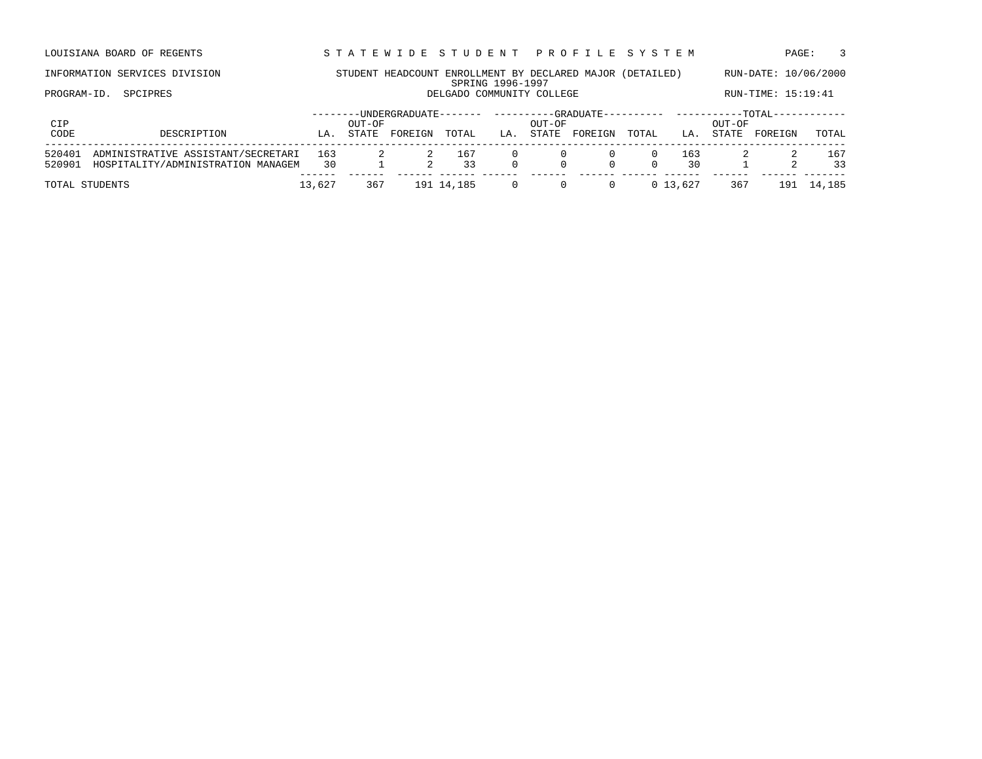LOUISIANA BOARD OF REGENTS STA TEWIDE STUDENT PROFILE SYSTEM PAGE: 3

PROGRAM-ID. SPCIPRES **DELGADO COMMUNITY COLLEGE** RUN-TIME: 15:19:41

| CIP<br>CODE      | DESCRIPTION                                                              | LA        | OUT-OF<br>STATE | -UNDERGRADUATE--<br>FOREIGN | TOTAL      | LA. | OUT-OF<br>STATE | -GRADUATE--<br>FOREIGN | TOTAL | LA.       | OUT-OF<br>STATE | $-$ TOTAL<br>FOREIGN | TOTAL     |
|------------------|--------------------------------------------------------------------------|-----------|-----------------|-----------------------------|------------|-----|-----------------|------------------------|-------|-----------|-----------------|----------------------|-----------|
| 520401<br>520901 | ADMINISTRATIVE ASSISTANT/SECRETARI<br>HOSPITALITY/ADMINISTRATION MANAGEM | 163<br>30 |                 |                             | 167<br>२२  |     | $\Omega$        | n.                     |       | 163<br>30 |                 |                      | 167<br>33 |
|                  | TOTAL STUDENTS                                                           | 13,627    | 36.             |                             | 191 14,185 |     |                 |                        |       | 0 13.627  | 367             |                      | 14,185    |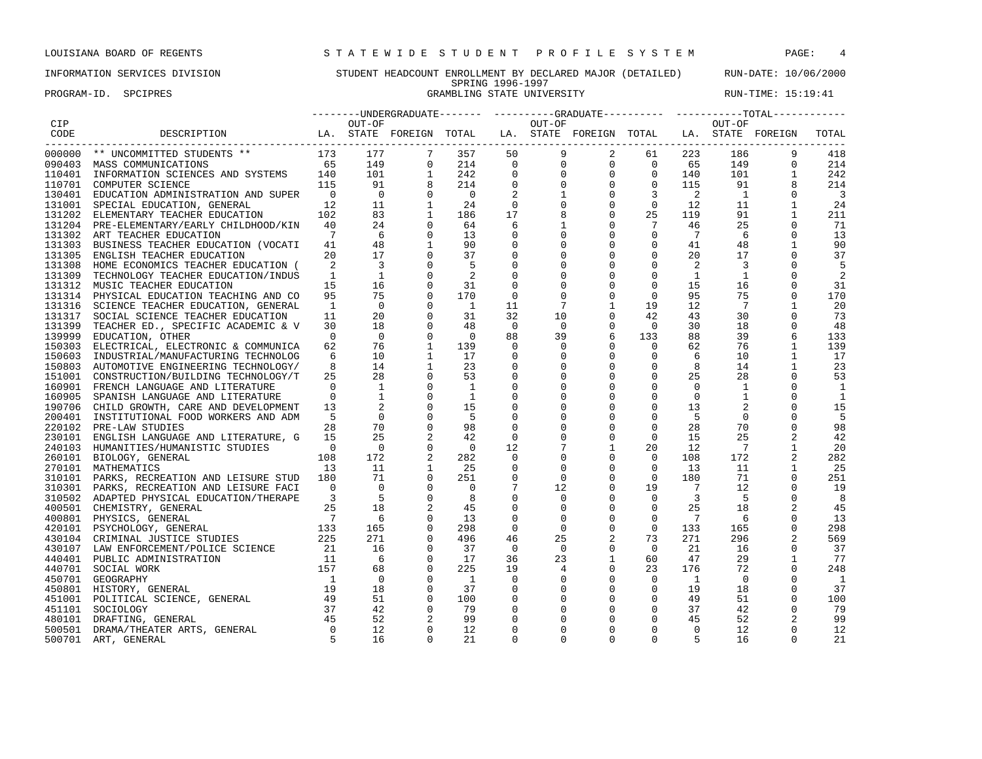### INFORMATION SERVICES DIVISION STUDENT HEADCOUNT ENROLLMENT BY DECLARED MAJOR (DETAILED) RUN-DATE: 10/06/2000 SPRING 1996-1997 SPRING 1996-1997<br>GRAMBLING STATE UNIVERSITY FROGRAM-ID. SPCIPRES STATE: 15:19:41

|             |                                                                                                                                                                                          |                          |                                                                 |                |                          |                |              |                                                                   |                |                 |                | --------UNDERGRADUATE------- ---------GRADUATE---------- -----------TOTAL------------ |                         |
|-------------|------------------------------------------------------------------------------------------------------------------------------------------------------------------------------------------|--------------------------|-----------------------------------------------------------------|----------------|--------------------------|----------------|--------------|-------------------------------------------------------------------|----------------|-----------------|----------------|---------------------------------------------------------------------------------------|-------------------------|
| CIP         |                                                                                                                                                                                          |                          | OUT-OF                                                          |                |                          |                | OUT-OF       |                                                                   |                |                 | OUT-OF         |                                                                                       |                         |
| CODE        | DESCRIPTION                                                                                                                                                                              |                          |                                                                 |                |                          |                |              | LA. STATE FOREIGN TOTAL LA. STATE FOREIGN TOTAL LA. STATE FOREIGN |                |                 |                |                                                                                       | TOTAL                   |
| $- - - - -$ | 000000 ** UNCOMMITTED STUDENTS **                                                                                                                                                        | 173                      | 177                                                             |                | 357                      | 50             | 9            | $\overline{2}$                                                    | 61             | 223             | 186            |                                                                                       | 418                     |
|             | 090403 MASS COMMUNICATIONS                                                                                                                                                               | 65                       |                                                                 | $\mathbf{0}$   | 214                      | $\mathbf{0}$   | $\mathsf{O}$ |                                                                   | 0              | $0\qquad 65$    | 149            | $\Omega$                                                                              | 214                     |
|             | 110401 INFORMATION SCIENCES AND SYSTEMS 140                                                                                                                                              |                          | $\begin{array}{cc} & 17 \\ 5 & 149 \\ & 101 \\ 0.7 \end{array}$ | 1              | 242                      | $\mathbf 0$    | $\mathbf 0$  | $\overline{0}$                                                    |                | 0<br>140        | 101            |                                                                                       | 242                     |
|             | 115<br>110701 COMPUTER SCIENCE                                                                                                                                                           |                          |                                                                 |                | 214                      | $\mathbf 0$    | $\mathbf 0$  | $\overline{0}$                                                    | $\circ$        | 115             | 91             |                                                                                       | 214                     |
|             | 130401 EDUCATION ADMINISTRATION AND SUPER                                                                                                                                                | $\overline{0}$           | $\overline{0}$                                                  | $\Omega$       | $\bigcirc$               |                | 1            | $\mathbf{0}$                                                      | 3              | -2              | $\overline{1}$ | $\Omega$                                                                              | $\overline{\mathbf{3}}$ |
|             | 131001 SPECIAL EDUCATION, GENERAL                                                                                                                                                        | 12                       | 11                                                              | 1              | 24                       | $\mathbf 0$    | $\mathbf 0$  | $\mathbf 0$                                                       | $\mathbf 0$    | 12              | 11             |                                                                                       | 24                      |
|             | 131202 ELEMENTARY TEACHER EDUCATION                                                                                                                                                      | 102                      | 83                                                              | 1              | 186                      | 17             | 8            | $\overline{0}$                                                    | 25             | 119             | 91             | 1                                                                                     | 211                     |
|             | 131204 PRE-ELEMENTARY/EARLY CHILDHOOD/KIN                                                                                                                                                | 40                       | 24                                                              | $\mathbf 0$    | 64                       | 6              | $\mathbf{1}$ | $\mathbf 0$                                                       | $\overline{7}$ | 46              | 25             |                                                                                       | 71                      |
|             | 131302 ART TEACHER EDUCATION                                                                                                                                                             | $7\phantom{.0}$          | 6                                                               | $\mathbf 0$    | 13                       | 0              | $\mathbf 0$  | $\overline{0}$                                                    | $\mathbf{0}$   | $7\phantom{.0}$ | 6              | $\Omega$                                                                              | 13                      |
|             | 131303 BUSINESS TEACHER EDUCATION (VOCATI                                                                                                                                                | 41                       | 48                                                              | 1              | 90                       | 0              | $\mathbf{0}$ | $\mathbf 0$                                                       | $\mathsf{O}$   | 41              | 48             | 1                                                                                     | 90                      |
|             | 131305 ENGLISH TEACHER EDUCATION                                                                                                                                                         | 20                       | 17                                                              | $\mathbf 0$    | 37                       | $\mathbf 0$    | 0            | $\mathbf 0$                                                       | $\mathbf 0$    | 20              | 17             |                                                                                       | 37                      |
|             | 131308 HOME ECONOMICS TEACHER EDUCATION (                                                                                                                                                | 2                        | $\overline{\phantom{a}}$                                        | $\mathbf 0$    | -5                       |                | $\Omega$     | $\mathbf 0$                                                       | $\mathbf 0$    | 2               | $\overline{3}$ |                                                                                       | 5                       |
|             | 131309 TECHNOLOGY TEACHER EDUCATION/INDUS                                                                                                                                                | $\mathbf{1}$             | $\overline{1}$                                                  | $\Omega$       | -2                       | $\Omega$       | $\Omega$     | $\Omega$                                                          | $\Omega$       | 1               | <sup>1</sup>   |                                                                                       | 2                       |
|             | 131312 MUSIC TEACHER EDUCATION                                                                                                                                                           | 15                       | 16                                                              | 0              | 31                       | 0              | $\Omega$     | $\mathbf 0$                                                       | $\mathbf 0$    | 15              | 16             | $\Omega$                                                                              | 31                      |
|             | 131314 PHYSICAL EDUCATION TEACHING AND CO                                                                                                                                                | 95                       | 75                                                              | $\mathbf 0$    | 170                      | $\mathbf 0$    | $\mathbf 0$  | $\mathbf 0$                                                       | $\mathbf 0$    | 95              | 75             | $\Omega$                                                                              | 170                     |
|             | 131316 SCIENCE TEACHER EDUCATION, GENERAL                                                                                                                                                | $\mathbf{1}$             | $\overline{0}$                                                  | $\mathbf 0$    | $\overline{1}$           | 11             | 7            | $\mathbf{1}$                                                      | 19             | 12              | 7              |                                                                                       | 20                      |
|             | 131317 SOCIAL SCIENCE TEACHER EDUCATION                                                                                                                                                  | 11                       | 20                                                              | $\mathbf 0$    | 31                       | 32             | 10           | $\mathbf 0$                                                       | 42             | 43              | 30             |                                                                                       | 73                      |
|             | 131399 TEACHER ED., SPECIFIC ACADEMIC & V                                                                                                                                                | 30                       | 18                                                              | $\mathbf 0$    | 48                       | $\mathbf 0$    | $\mathbf{0}$ | $\mathbf 0$                                                       | $\circ$        | 30              | 18             | 0                                                                                     | 48                      |
|             | 139999 EDUCATION, OTHER                                                                                                                                                                  | $\Omega$                 | $\overline{0}$                                                  | $\mathbf 0$    | $\overline{0}$           | 88             | 39           | 6                                                                 | 133            | 88              | 39             | 6                                                                                     | 133                     |
|             | 150303 ELECTRICAL, ELECTRONIC & COMMUNICA                                                                                                                                                | 62                       | 76                                                              | $\mathbf{1}$   | 139                      | $\Omega$       | $\mathbf 0$  | $\mathbf{0}$                                                      | $\Omega$       | 62              | 76             | $\mathbf{1}$                                                                          | 139                     |
|             | 150603 INDUSTRIAL/MANUFACTURING TECHNOLOG                                                                                                                                                | 6                        | 10                                                              | 1              | 17                       | $\Omega$       | $\Omega$     | $\mathbf 0$                                                       | $\mathbf{0}$   | 6               | 10             |                                                                                       | 17                      |
|             | 150803 AUTOMOTIVE ENGINEERING TECHNOLOGY/                                                                                                                                                | 8                        | 14                                                              | 1              | 23                       | $\mathbf 0$    | $\mathbf 0$  | $\mathbf 0$                                                       | $\mathbf 0$    | 8               | 14             |                                                                                       | 23                      |
|             |                                                                                                                                                                                          | 25                       | 28                                                              | 0              | 53                       | 0              | $\mathbf 0$  | $\mathbf 0$                                                       | $\mathbf 0$    | 25              | 28             | $\Omega$                                                                              | 53                      |
|             | 160901 FRENCH LANGUAGE AND LITERATURE                                                                                                                                                    | $\Omega$                 | $\overline{1}$                                                  | $\mathbf 0$    | $\overline{1}$           | 0              | $\mathbf 0$  | $\mathbf 0$                                                       | $\mathbf 0$    | $\overline{0}$  | <sup>1</sup>   |                                                                                       | 1                       |
| 160905      | SPANISH LANGUAGE AND LITERATURE                                                                                                                                                          | $\Omega$                 | $\mathbf{1}$                                                    | $\mathbf 0$    | 1                        | $\mathbf 0$    | $\Omega$     | $\mathbf{0}$                                                      | $\mathbf 0$    | $\Omega$        | $\mathbf{1}$   | $\Omega$                                                                              | 1                       |
|             | 190706 CHILD GROWTH, CARE AND DEVELOPMENT                                                                                                                                                | 13                       |                                                                 | $\mathbf 0$    | 15                       | $\mathbf 0$    | $\Omega$     | $\mathbf 0$                                                       | $\mathbf 0$    | 13              |                | $\Omega$                                                                              | 15                      |
|             | 200401 INSTITUTIONAL FOOD WORKERS AND ADM                                                                                                                                                | 5                        | $\Omega$                                                        | $\mathbf 0$    | -5                       | $\mathbf 0$    | $\mathbf 0$  | $\mathbf 0$                                                       | $\Omega$       | - 5             | $\mathbf 0$    |                                                                                       | 5                       |
|             | 220102 PRE-LAW STUDIES                                                                                                                                                                   | 28                       | 70                                                              | $\mathbf 0$    | 98                       | 0              | $\Omega$     | $\mathbf 0$                                                       | $\mathbf 0$    | 28              | 70             | $\Omega$                                                                              | 98                      |
|             | 230101 ENGLISH LANGUAGE AND LITERATURE, G                                                                                                                                                | 1.5                      | 25                                                              |                | 42                       | $\Omega$       | $\Omega$     | $\mathbf 0$                                                       | $\Omega$       | 15              | 25             |                                                                                       | 42                      |
|             | 240103 HUMANITIES/HUMANISTIC STUDIES                                                                                                                                                     | $\overline{0}$           | $\overline{0}$                                                  | $\mathbf 0$    | $\overline{\phantom{0}}$ | 12             | 7            | $\mathbf{1}$                                                      | 20             | 12              | $\overline{7}$ | 1                                                                                     | 20                      |
|             | 260101 BIOLOGY, GENERAL                                                                                                                                                                  | 108                      | 172                                                             |                | 282                      | $\mathbf 0$    | 0            | $\mathbf 0$                                                       | $\Omega$       | 108             | 172            | $\overline{c}$                                                                        | 282                     |
|             | 270101 MATHEMATICS                                                                                                                                                                       | 13                       | 11                                                              | $\mathbf{1}$   | 25                       | 0              | 0            | $\mathbf 0$                                                       | $\mathbf{0}$   | 13              | 11             | 1                                                                                     | 25                      |
|             | 310101 PARKS, RECREATION AND LEISURE STUD 180                                                                                                                                            |                          | 71                                                              | $\mathbf 0$    | 251                      | $\Omega$       | $\Omega$     | $\mathbf 0$                                                       | $\Omega$       | 180             | 71             |                                                                                       | 251                     |
|             | 310301 PARKS, RECREATION AND LEISURE FACI                                                                                                                                                | $\overline{0}$           | $\overline{0}$                                                  | 0              | $\overline{0}$           |                | 12           | $\mathbf 0$                                                       | 19             | 7               | 12             |                                                                                       | 19                      |
|             | 310502 ADAPTED PHYSICAL EDUCATION/THERAPE                                                                                                                                                | $\overline{\phantom{a}}$ | 5                                                               | $\mathbf 0$    | 8                        | $\mathbf 0$    | 0            | $\mathbf 0$                                                       | $\mathbf 0$    | $\overline{3}$  | 5              | $\Omega$                                                                              | 8                       |
|             | 400501 CHEMISTRY, GENERAL                                                                                                                                                                | 25                       | 18                                                              |                | 45                       | $\mathbf 0$    | $\mathbf 0$  | $\mathbf 0$                                                       | $\mathbf 0$    | 25              | 18             |                                                                                       | 45                      |
|             |                                                                                                                                                                                          |                          | 6                                                               | $\Omega$       | 13                       | $\Omega$       | $\Omega$     | $\Omega$                                                          | $\Omega$       | $7\phantom{.0}$ | - 6            |                                                                                       | 13                      |
|             |                                                                                                                                                                                          |                          | 165                                                             | $\mathbf 0$    | 298                      | $\mathbf 0$    | $\mathbf{0}$ | $\mathbf 0$                                                       | $\mathbf 0$    | 133             | 165            | $\Omega$                                                                              | 298                     |
|             |                                                                                                                                                                                          |                          | 271                                                             | 0              | 496                      | 46             | 25           | 2                                                                 | 73             | 271             | 296            | 2                                                                                     | 569                     |
|             | 400801 PHYSICS, GENERAL 7<br>420101 PSYCHOLOGY, GENERAL 133<br>430104 CRIMINAL JUSTICE STUDIES 225<br>430107 LAW ENFORCEMENT/POLICE SCIENCE 21                                           |                          | 16                                                              | $\mathbf 0$    | 37                       | $\overline{0}$ | $\mathbf 0$  | $\mathsf 0$                                                       | $\overline{0}$ | 21              | 16             | $\Omega$                                                                              | 37                      |
|             | 440401 PUBLIC ADMINISTRATION                                                                                                                                                             |                          | -6                                                              | $\mathbf 0$    | 17                       | 36             | 23           | $\mathbf{1}$                                                      | 60             | 47              | 29             | 1                                                                                     | 77                      |
|             | 440701 SOCIAL WORK                                                                                                                                                                       |                          | 68                                                              | $\mathbf 0$    | 225                      | 19             | 4            | $\overline{0}$                                                    | 23             | 176             | 72             | $\Omega$                                                                              | 248                     |
|             |                                                                                                                                                                                          |                          | $\Omega$                                                        | $\mathbf 0$    | $\mathbf{1}$             | $\mathbf 0$    | 0            | $\mathbf 0$                                                       | $\mathbf{0}$   | 1               | $\overline{0}$ | $\Omega$                                                                              | -1                      |
|             | 450701 GEOGRAPHY                                                                                                                                                                         |                          | 18                                                              | $\overline{0}$ | 37                       | 0              | $\Omega$     | $\mathbf 0$                                                       | $\overline{0}$ | 19              | 18             | $\Omega$                                                                              | 37                      |
|             | 450801 HISTORY, GENERAL                                                                                                                                                                  |                          | 51                                                              | $\mathbf 0$    | 100                      | $\mathbf 0$    | $\mathbf 0$  | $\mathbf 0$                                                       | $\mathbf 0$    | 49              | 51             | $\Omega$                                                                              | 100                     |
| 451101      | 451001 POLITICAL SCIENCE, GENERAL<br>SOCIOLOGY                                                                                                                                           |                          | 42                                                              | $\mathbf 0$    | 79                       | 0              | $\Omega$     | $\mathbf 0$                                                       | $\mathbf{0}$   | 37              | 42             | $\Omega$                                                                              | -79                     |
|             | $\begin{tabular}{cc} \bf \texttt{LENCE} & & & & \\ & & 11 & & \\ & & 157 & & \\ & & 19 & & \\ & & 19 & & \\ & & 49 & & \\ & & 37 & & \\ & & & \end{tabular}$<br>480101 DRAFTING, GENERAL | 45                       | 52                                                              | 2              | 99                       | $\Omega$       |              | $\mathbf 0$                                                       | $\Omega$       | 45              | 52             | 2                                                                                     | 99                      |
| 500501      | DRAMA/THEATER ARTS, GENERAL                                                                                                                                                              | $\cap$                   | 12                                                              | $\Omega$       | 12                       | $\Omega$       | $\Omega$     | $\Omega$                                                          | $\Omega$       | $\Omega$        | 12             |                                                                                       | 12                      |
|             |                                                                                                                                                                                          |                          |                                                                 |                |                          |                |              |                                                                   |                |                 |                |                                                                                       |                         |

500701 ART, GENERAL 5 16 0 21 0 0 0 0 5 16 0 21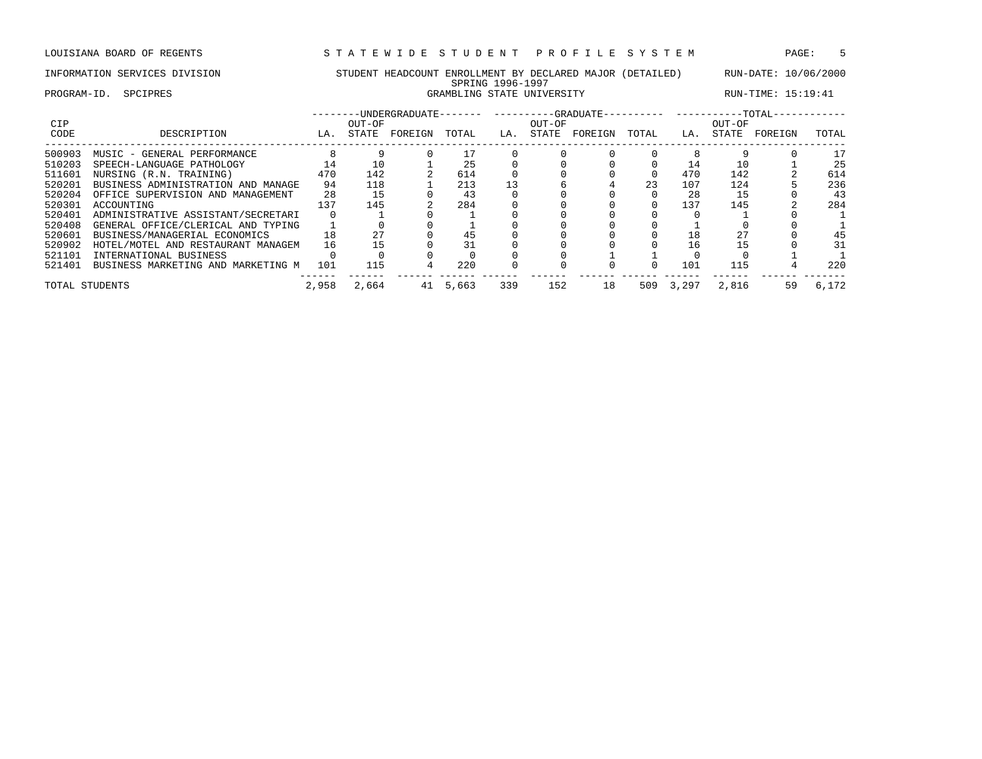PROGRAM-ID. SPCIPRES GRAMBLING STATE UNIVERSITY RUN-TIME: 15:19:41

| <b>CIP</b><br>CODE | DESCRIPTION                        | LA.   | OUT-OF<br>STATE | FOREIGN | TOTAL | LA. | OUT-OF<br>STATE | FOREIGN | TOTAL    | LA.   | OUT-OF<br>STATE | FOREIGN | TOTAL |
|--------------------|------------------------------------|-------|-----------------|---------|-------|-----|-----------------|---------|----------|-------|-----------------|---------|-------|
| 500903             | MUSIC - GENERAL PERFORMANCE        |       |                 |         |       |     |                 |         |          | 8     |                 |         | 17    |
| 510203             | SPEECH-LANGUAGE PATHOLOGY          | 14    | 10              |         | 25    |     |                 |         |          | 14    | 10              |         | 25    |
| 511601             | NURSING (R.N. TRAINING)            | 470   | 142             |         | 614   |     |                 |         | $\Omega$ | 470   | 142             |         | 614   |
| 520201             | BUSINESS ADMINISTRATION AND MANAGE | 94    | 118             |         | 213   |     |                 |         | 23       | 107   | 124             |         | 236   |
| 520204             | OFFICE SUPERVISION AND MANAGEMENT  | 28    | 15              |         | 43    |     |                 |         |          | 28    | 15              |         | 43    |
| 520301             | ACCOUNTING                         | 137   | 145             |         | 284   |     |                 |         | $\Omega$ | 137   | 145             |         | 284   |
| 520401             | ADMINISTRATIVE ASSISTANT/SECRETARI |       |                 |         |       |     |                 |         |          |       |                 |         |       |
| 520408             | GENERAL OFFICE/CLERICAL AND TYPING |       |                 |         |       |     |                 |         |          |       |                 |         |       |
| 520601             | BUSINESS/MANAGERIAL ECONOMICS      | 18    | 27              |         | 45    |     |                 |         |          | 18    |                 |         | 45    |
| 520902             | HOTEL/MOTEL AND RESTAURANT MANAGEM | 16    | 15              |         |       |     |                 |         |          | 16    | 15              |         | 31    |
| 521101             | INTERNATIONAL BUSINESS             |       |                 |         |       |     |                 |         |          |       |                 |         |       |
| 521401             | BUSINESS MARKETING AND MARKETING M | 101   | 115             |         | 220   |     |                 |         | $\Omega$ | 101   | 115             |         | 220   |
| TOTAL STUDENTS     |                                    | 2,958 | 2,664           | 41      | 5,663 | 339 | 152             | 18      | 509      | 3,297 | 2,816           | 59      | 6,172 |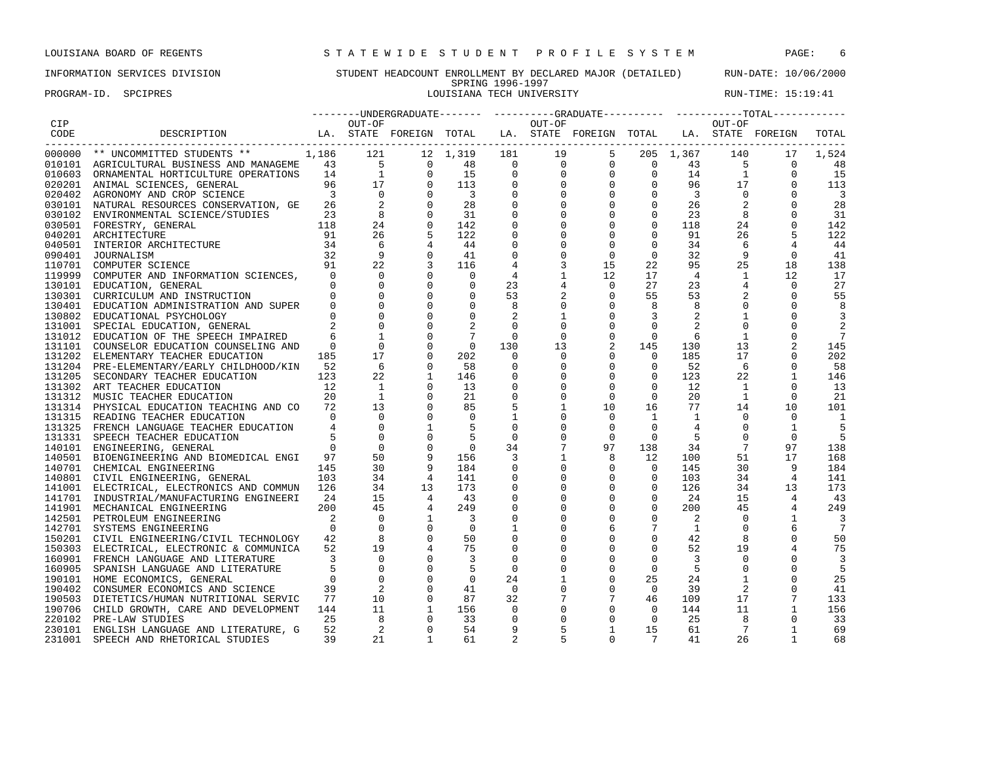PROGRAM-ID. SPCIPRES **LOUISIANA TECH UNIVERSITY** RUN-TIME: 15:19:41

## INFORMATION SERVICES DIVISION STUDENT HEADCOUNT ENROLLMENT BY DECLARED MAJOR (DETAILED) RUN-DATE: 10/06/2000 SPRING 1996-1997<br>LOUISIANA TECH UNIVERSITY

|        |                                                                                                                                                                                                                                                  |                |                |                                                                         |                         |                |                 |                                                                                                                                                                                                                                                   |                                                                                                                                                                                                                                                                                                                                                      |                |                 | --------UNDERGRADUATE------- ---------GRADUATE---------- ----------TOTAL----------- |                         |
|--------|--------------------------------------------------------------------------------------------------------------------------------------------------------------------------------------------------------------------------------------------------|----------------|----------------|-------------------------------------------------------------------------|-------------------------|----------------|-----------------|---------------------------------------------------------------------------------------------------------------------------------------------------------------------------------------------------------------------------------------------------|------------------------------------------------------------------------------------------------------------------------------------------------------------------------------------------------------------------------------------------------------------------------------------------------------------------------------------------------------|----------------|-----------------|-------------------------------------------------------------------------------------|-------------------------|
| CIP    |                                                                                                                                                                                                                                                  |                | OUT-OF         |                                                                         |                         |                | OUT-OF          |                                                                                                                                                                                                                                                   |                                                                                                                                                                                                                                                                                                                                                      |                | OUT-OF          |                                                                                     |                         |
| CODE   | DESCRIPTION LA. STATE FOREIGN TOTAL LA. STATE FOREIGN TOTAL LA. STATE FOREIGN<br>---------------------------------                                                                                                                               |                |                |                                                                         |                         |                |                 | REIGN TOTAL LA. STATE PORT<br>12 1,319 181 19 5 205 1,367 140<br>0 48 0 0 0 0 0 43 5<br>0 113 0 0 0 0 0 14 1<br>0 113 0 0 0 0 96 17<br>0 3 0 0 0 0 3 0<br>0 28 0 0 0 0 3 0<br>0 31 0 0 0 0 26 2<br>0 31 0 0 0 0 26 2<br>0 31 0 0 0 0 26 2<br>0 31 |                                                                                                                                                                                                                                                                                                                                                      |                |                 |                                                                                     | TOTAL                   |
|        | 000000 ** UNCOMMITTED STUDENTS ** 1,186 121                                                                                                                                                                                                      |                |                |                                                                         |                         |                |                 |                                                                                                                                                                                                                                                   |                                                                                                                                                                                                                                                                                                                                                      |                |                 | 17                                                                                  | 1,524                   |
|        |                                                                                                                                                                                                                                                  |                |                |                                                                         |                         |                |                 |                                                                                                                                                                                                                                                   |                                                                                                                                                                                                                                                                                                                                                      |                |                 | $\overline{0}$                                                                      | 48                      |
|        |                                                                                                                                                                                                                                                  |                |                |                                                                         |                         |                |                 |                                                                                                                                                                                                                                                   |                                                                                                                                                                                                                                                                                                                                                      |                |                 | $\mathbf 0$                                                                         | 15                      |
|        |                                                                                                                                                                                                                                                  |                |                |                                                                         |                         |                |                 |                                                                                                                                                                                                                                                   |                                                                                                                                                                                                                                                                                                                                                      |                |                 | $\Omega$                                                                            | 113                     |
|        |                                                                                                                                                                                                                                                  |                |                |                                                                         |                         |                |                 |                                                                                                                                                                                                                                                   |                                                                                                                                                                                                                                                                                                                                                      |                |                 |                                                                                     | $\overline{\mathbf{3}}$ |
|        |                                                                                                                                                                                                                                                  |                |                |                                                                         |                         |                |                 |                                                                                                                                                                                                                                                   |                                                                                                                                                                                                                                                                                                                                                      |                |                 | $\Omega$                                                                            | 28                      |
|        |                                                                                                                                                                                                                                                  |                |                |                                                                         |                         |                |                 |                                                                                                                                                                                                                                                   |                                                                                                                                                                                                                                                                                                                                                      |                |                 | $\Omega$                                                                            | 31                      |
|        | NATURAL RESOURCES CONSERVATION, GE 20<br>ENVIRONMENTAL SCIENCE/STUDIES 23<br>FORESTRY, GENERAL 118<br>ARCHITECTURE 118<br>ARCHITECTURE 91<br>INTERIOR ARCHITECTURE 34<br>JOURNALISM 32<br>COMPUTER SCIENCE 91<br>COMPUTER SCIENCE 91<br>COMPUTER |                |                |                                                                         |                         |                |                 |                                                                                                                                                                                                                                                   |                                                                                                                                                                                                                                                                                                                                                      |                |                 | $\mathbf 0$                                                                         | 142                     |
|        |                                                                                                                                                                                                                                                  |                |                |                                                                         |                         |                |                 |                                                                                                                                                                                                                                                   |                                                                                                                                                                                                                                                                                                                                                      |                |                 | 5                                                                                   | 122                     |
| 040501 |                                                                                                                                                                                                                                                  |                |                |                                                                         |                         |                |                 |                                                                                                                                                                                                                                                   |                                                                                                                                                                                                                                                                                                                                                      |                |                 | 4                                                                                   | 44                      |
| 090401 |                                                                                                                                                                                                                                                  |                | $\overline{9}$ | $\Omega$                                                                | 41                      | $\mathbf 0$    | $\mathbf 0$     | $\mathbf{0}$                                                                                                                                                                                                                                      | $\overline{0}$                                                                                                                                                                                                                                                                                                                                       | 32             | -9              | $\Omega$                                                                            | 41                      |
| 110701 |                                                                                                                                                                                                                                                  |                | 22             |                                                                         | 116                     | 4              | 3               | 15                                                                                                                                                                                                                                                | 22                                                                                                                                                                                                                                                                                                                                                   | 95             | 25              | 18                                                                                  | 138                     |
| 119999 |                                                                                                                                                                                                                                                  |                |                | $\Omega$                                                                | $\overline{0}$          | 4              | $\mathbf{1}$    | 12                                                                                                                                                                                                                                                | 17                                                                                                                                                                                                                                                                                                                                                   | $\overline{4}$ | $\mathbf{1}$    | 12                                                                                  | 17                      |
|        | 130101 EDUCATION, GENERAL                                                                                                                                                                                                                        |                |                |                                                                         | $\overline{0}$          | 23             |                 | $\overline{0}$                                                                                                                                                                                                                                    | 27                                                                                                                                                                                                                                                                                                                                                   | 23             | $\overline{4}$  | $\overline{0}$                                                                      | 27                      |
| 130301 | CURRICULUM AND INSTRUCTION                                                                                                                                                                                                                       |                |                |                                                                         | $\mathbf 0$             | 53             |                 | $\begin{array}{c} 4 \\ 2 \\ 0 \end{array}$<br>$\overline{0}$                                                                                                                                                                                      | 55                                                                                                                                                                                                                                                                                                                                                   | 53             | 2               | $\mathbf 0$                                                                         | 55                      |
| 130401 | EDUCATION ADMINISTRATION AND SUPER 0                                                                                                                                                                                                             |                |                | $\overline{0}$                                                          | $\mathbf 0$             | 8              |                 | $\mathbf 0$                                                                                                                                                                                                                                       | 8                                                                                                                                                                                                                                                                                                                                                    | 8              | $\Omega$        | $\Omega$                                                                            | 8                       |
|        | 130802 EDUCATIONAL PSYCHOLOGY                                                                                                                                                                                                                    | $\Omega$       | $\Omega$       |                                                                         | $\mathbf 0$             | 2              | 1               | $\mathbf 0$                                                                                                                                                                                                                                       | 3                                                                                                                                                                                                                                                                                                                                                    | 2              | 1               | $\Omega$                                                                            | 3                       |
|        | 131001 SPECIAL EDUCATION, GENERAL                                                                                                                                                                                                                |                |                | $\Omega$                                                                | 2                       | $\Omega$       | $\Omega$        | $\Omega$                                                                                                                                                                                                                                          | $\Omega$                                                                                                                                                                                                                                                                                                                                             |                | $\Omega$        |                                                                                     | 2                       |
|        | 131012 EDUCATION OF THE SPEECH IMPAIRED                                                                                                                                                                                                          |                |                | $\mathbf 0$<br>$\begin{array}{c} 1 \\ 0 \\ 17 \\ 6 \end{array}$         | $7\phantom{.0}$         | $\overline{0}$ | $\mathbf{0}$    | $\mathbf 0$                                                                                                                                                                                                                                       | $\mathbf{0}$                                                                                                                                                                                                                                                                                                                                         | - 6            | $\mathbf{1}$    | $\Omega$                                                                            | 7                       |
|        | 131101 COUNSELOR EDUCATION COUNSELING AND                                                                                                                                                                                                        | $\overline{0}$ |                | $\mathbf 0$                                                             | $\overline{0}$          | 130            | 13              | $\overline{a}$                                                                                                                                                                                                                                    | 145                                                                                                                                                                                                                                                                                                                                                  | 130            | 13              | 2                                                                                   | 145                     |
|        | 131202 ELEMENTARY TEACHER EDUCATION                                                                                                                                                                                                              | 185            | 17             | $\mathbf 0$                                                             | 202                     | $\mathbf 0$    | $\mathbf 0$     | $\mathbf 0$                                                                                                                                                                                                                                       |                                                                                                                                                                                                                                                                                                                                                      | 185            | 17              | $\Omega$                                                                            | 202                     |
|        | 131204 PRE-ELEMENTARY/EARLY CHILDHOOD/KIN 52                                                                                                                                                                                                     |                |                | $\overline{0}$                                                          | 58                      | $\mathbf{0}$   | $\mathbf{0}$    | $\overline{0}$                                                                                                                                                                                                                                    |                                                                                                                                                                                                                                                                                                                                                      | 52             | 6               | 0                                                                                   | 58                      |
|        | 131205 SECONDARY TEACHER EDUCATION                                                                                                                                                                                                               | 123            | 22             | <sup>1</sup>                                                            | 146                     | 0              | $\mathbf{0}$    | $\mathbf 0$                                                                                                                                                                                                                                       |                                                                                                                                                                                                                                                                                                                                                      | 123            | 22              | 1                                                                                   | 146                     |
|        | 131302 ART TEACHER EDUCATION                                                                                                                                                                                                                     | 12             | $\mathbf{1}$   | $\Omega$                                                                | 13                      | $\mathbf 0$    | $\Omega$        | $\mathbf 0$                                                                                                                                                                                                                                       |                                                                                                                                                                                                                                                                                                                                                      | 12             | $\mathbf{1}$    | $\Omega$                                                                            | 13                      |
|        | 131312 MUSIC TEACHER EDUCATION                                                                                                                                                                                                                   | 20             | $\overline{1}$ | $\overline{0}$                                                          | 21                      | $\mathbf 0$    | $\mathbf 0$     | $\overline{0}$                                                                                                                                                                                                                                    | $\begin{bmatrix} 1 \\ 0 \\ 0 \\ 0 \\ 0 \\ 0 \\ 0 \end{bmatrix}$                                                                                                                                                                                                                                                                                      | 20             | $\overline{1}$  | $\mathbf 0$                                                                         | 21                      |
|        | 131314 PHYSICAL EDUCATION TEACHING AND CO                                                                                                                                                                                                        | 72             | 13             |                                                                         | 85                      | 5              | $\mathbf{1}$    | 10                                                                                                                                                                                                                                                | 16                                                                                                                                                                                                                                                                                                                                                   | 77             | 14              | 10                                                                                  | 101                     |
|        | 131315 READING TEACHER EDUCATION                                                                                                                                                                                                                 | $\Omega$       | $\Omega$       |                                                                         | $\overline{0}$          | $\mathbf{1}$   | $\mathbf 0$     | $\mathbf 0$                                                                                                                                                                                                                                       | $\mathbf{1}$                                                                                                                                                                                                                                                                                                                                         | $\mathbf{1}$   | $\Omega$        | $\Omega$                                                                            | $\overline{1}$          |
|        | 131325 FRENCH LANGUAGE TEACHER EDUCATION                                                                                                                                                                                                         | $\overline{4}$ | $\Omega$       |                                                                         | 5                       | $\mathbf 0$    | $\Omega$        | $\mathbf 0$                                                                                                                                                                                                                                       | $\Omega$                                                                                                                                                                                                                                                                                                                                             | $\overline{4}$ | $\Omega$        | 1                                                                                   |                         |
|        | 131331 SPEECH TEACHER EDUCATION                                                                                                                                                                                                                  |                | $\Omega$       |                                                                         | -5                      | $\mathbf 0$    | $\Omega$        | $\mathbf{0}$                                                                                                                                                                                                                                      | $\Omega$                                                                                                                                                                                                                                                                                                                                             | -5             | $\Omega$        | $\Omega$                                                                            | 5                       |
|        | 140101 ENGINEERING, GENERAL                                                                                                                                                                                                                      | $\Omega$       | $\overline{0}$ |                                                                         | $\overline{0}$          | 34             | $7\overline{ }$ | 97                                                                                                                                                                                                                                                | 138                                                                                                                                                                                                                                                                                                                                                  | 34             | $7\phantom{.0}$ | 97                                                                                  | 138                     |
|        | 140501 BIOENGINEERING AND BIOMEDICAL ENGI                                                                                                                                                                                                        | 97             | 50             |                                                                         | 156                     | $\overline{3}$ | $\overline{1}$  | 8                                                                                                                                                                                                                                                 | 12                                                                                                                                                                                                                                                                                                                                                   | 100            | 51              | 17                                                                                  | 168                     |
|        | 140701 CHEMICAL ENGINEERING                                                                                                                                                                                                                      | 145            | 30             |                                                                         | 184                     | $\mathbf 0$    |                 | $\begin{array}{ccc} 1 & & 8 \\ 0 & & 0 \\ 0 & & 0 \\ 0 & & 0 \end{array}$                                                                                                                                                                         |                                                                                                                                                                                                                                                                                                                                                      | 145            | 30              | 9                                                                                   | 184                     |
|        | 140801 CIVIL ENGINEERING, GENERAL                                                                                                                                                                                                                | 103            | 34             |                                                                         | 141                     | $\mathbf 0$    |                 |                                                                                                                                                                                                                                                   |                                                                                                                                                                                                                                                                                                                                                      | 103            | 34              | $\overline{4}$                                                                      | 141                     |
|        | 141001 ELECTRICAL, ELECTRONICS AND COMMUN 126                                                                                                                                                                                                    |                | 34             |                                                                         | 173                     | 0              |                 |                                                                                                                                                                                                                                                   |                                                                                                                                                                                                                                                                                                                                                      | 126            | 34              | 13                                                                                  | 173                     |
|        | 141701 INDUSTRIAL/MANUFACTURING ENGINEERI                                                                                                                                                                                                        | 24             | 15             |                                                                         | 43                      | $\mathbf 0$    | $\Omega$        |                                                                                                                                                                                                                                                   |                                                                                                                                                                                                                                                                                                                                                      | 24             | 15              | $\overline{4}$                                                                      | 43                      |
|        | 141901 MECHANICAL ENGINEERING                                                                                                                                                                                                                    | 200            | 45             |                                                                         | 249                     | $\mathbf 0$    | $\Omega$        |                                                                                                                                                                                                                                                   |                                                                                                                                                                                                                                                                                                                                                      | 200            | 45              | 4                                                                                   | 249                     |
|        | 142501 PETROLEUM ENGINEERING                                                                                                                                                                                                                     | $\overline{a}$ | $\overline{0}$ |                                                                         | $\overline{\mathbf{3}}$ | $\mathbf 0$    | $\mathbf 0$     |                                                                                                                                                                                                                                                   |                                                                                                                                                                                                                                                                                                                                                      | 2              | $\overline{0}$  | $\mathbf{1}$                                                                        |                         |
|        | 142701 SYSTEMS ENGINEERING                                                                                                                                                                                                                       | $\Omega$       | $\overline{0}$ |                                                                         | $\overline{0}$          | $\mathbf{1}$   | $\mathbf 0$     |                                                                                                                                                                                                                                                   |                                                                                                                                                                                                                                                                                                                                                      | $\overline{1}$ | $\Omega$        |                                                                                     | $\overline{7}$          |
|        | 150201 CIVIL ENGINEERING/CIVIL TECHNOLOGY                                                                                                                                                                                                        | 42             |                |                                                                         | 50                      | $\mathbf 0$    | $\mathbf 0$     |                                                                                                                                                                                                                                                   |                                                                                                                                                                                                                                                                                                                                                      | 42             | 8               | 0                                                                                   | 50                      |
|        | 150303 ELECTRICAL, ELECTRONIC & COMMUNICA                                                                                                                                                                                                        | 52             | 19             | $\begin{array}{c} 4 \\ 13 \\ 4 \\ 4 \\ 1 \\ 0 \\ 0 \\ 4 \\ \end{array}$ | 75                      | $\mathbf 0$    | 0               | 0                                                                                                                                                                                                                                                 | $\begin{bmatrix} 0 & 0 & 0 \\ 0 & 0 & 0 \\ 0 & 0 & 0 \\ 0 & 0 & 7 \\ 0 & 0 & 0 \\ 0 & 0 & 0 \\ 0 & 0 & 0 \\ 0 & 0 & 0 \\ 0 & 0 & 0 \\ 0 & 0 & 0 \\ 0 & 0 & 0 \\ 0 & 0 & 0 \\ 0 & 0 & 0 \\ 0 & 0 & 0 \\ 0 & 0 & 0 \\ 0 & 0 & 0 \\ 0 & 0 & 0 \\ 0 & 0 & 0 \\ 0 & 0 & 0 \\ 0 & 0 & 0 \\ 0 & 0 & 0 \\ 0 & 0 & 0 \\ 0 & 0 & 0 \\ 0 & 0 & $<br>$\mathbf 0$ | 52             | 19              | 4                                                                                   | 75                      |
|        | 160901 FRENCH LANGUAGE AND LITERATURE                                                                                                                                                                                                            | 3              | $\Omega$       | $\Omega$                                                                | $\overline{3}$          | $\mathbf 0$    | $\Omega$        | $\mathbf 0$                                                                                                                                                                                                                                       | $\Omega$                                                                                                                                                                                                                                                                                                                                             | 3              | $\Omega$        |                                                                                     | 3                       |
|        | 160905 SPANISH LANGUAGE AND LITERATURE                                                                                                                                                                                                           |                | $\Omega$       | $\Omega$                                                                | - 5                     | $\Omega$       | $\Omega$        | $\mathbf 0$                                                                                                                                                                                                                                       | $\mathbf 0$                                                                                                                                                                                                                                                                                                                                          | -5             | $\Omega$        | $\Omega$                                                                            | - 5                     |
|        | 190101 HOME ECONOMICS, GENERAL                                                                                                                                                                                                                   | $\Omega$       | $\overline{0}$ |                                                                         | $\overline{0}$          | 24             | 1               | $\mathsf{O}$                                                                                                                                                                                                                                      | 25                                                                                                                                                                                                                                                                                                                                                   | 24             | $\mathbf{1}$    | $\mathbf 0$                                                                         | 25                      |
|        | 190402 CONSUMER ECONOMICS AND SCIENCE                                                                                                                                                                                                            | 39             |                |                                                                         | 41                      | $\overline{0}$ | $\mathbf 0$     | $\mathbf 0$                                                                                                                                                                                                                                       | $\overline{0}$                                                                                                                                                                                                                                                                                                                                       | 39             | 2               | $\mathbf 0$                                                                         | 41                      |
|        | 190503 DIETETICS/HUMAN NUTRITIONAL SERVIC                                                                                                                                                                                                        | 77             |                | $\overline{0}$                                                          | 87                      | 32             | 7               | $7\phantom{.0}$                                                                                                                                                                                                                                   | 46                                                                                                                                                                                                                                                                                                                                                   | 109            | 17              | 7                                                                                   | 133                     |
|        | 190706 CHILD GROWTH, CARE AND DEVELOPMENT                                                                                                                                                                                                        | 144            |                | 1                                                                       | 156                     | $\mathbf 0$    | $\mathbf 0$     | $\mathbf 0$                                                                                                                                                                                                                                       | $\Omega$                                                                                                                                                                                                                                                                                                                                             | 144            | 11              | $\mathbf{1}$                                                                        | 156                     |
|        | 220102 PRE-LAW STUDIES                                                                                                                                                                                                                           | 25             |                | $\frac{2}{10}$<br>11<br>8<br>2<br>$\Omega$                              | 33                      | $\Omega$       | $\mathbf 0$     | $\mathbf 0$                                                                                                                                                                                                                                       | $\overline{0}$                                                                                                                                                                                                                                                                                                                                       | 25             | - 8             | $\Omega$                                                                            | 33                      |
|        | 230101 ENGLISH LANGUAGE AND LITERATURE, G                                                                                                                                                                                                        | 52             | $\overline{2}$ | $\Omega$                                                                | 54                      | 9              | 5               | $\mathbf{1}$                                                                                                                                                                                                                                      | 15                                                                                                                                                                                                                                                                                                                                                   | 61             | $7\phantom{.0}$ | $\mathbf{1}$                                                                        | 69                      |
| 231001 | SPEECH AND RHETORICAL STUDIES                                                                                                                                                                                                                    | 39             | 21             | $\overline{1}$                                                          | 61                      | $\overline{a}$ |                 | $\Omega$                                                                                                                                                                                                                                          | 7                                                                                                                                                                                                                                                                                                                                                    | 41             | 26              | $\overline{1}$                                                                      | 68                      |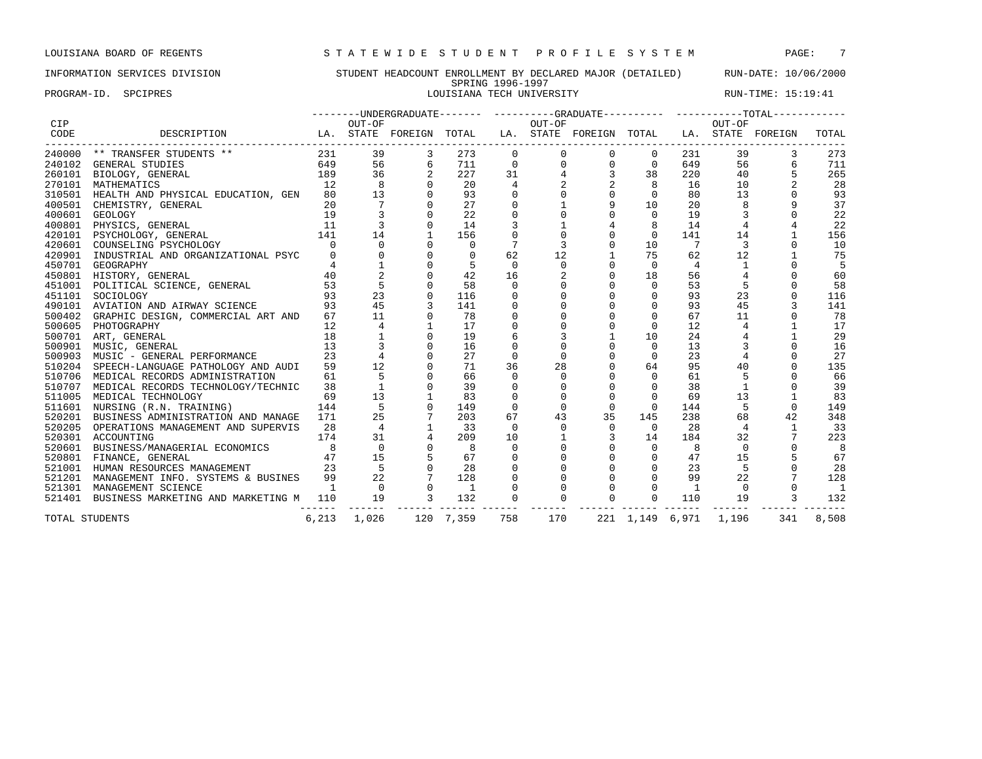PROGRAM-ID. SPCIPRES **EXECUTES** LOUISIANA TECH UNIVERSITY RUN-TIME: 15:19:41

| DESCRIPTION                               |                                                                                                                                                                                                                                                                                                                                                                                          |                                                                                                                                                    |                                                     |                |                                         |                         |                                  |                                                                                                                    |                                                        |                                                     |                    | TOTAL                                                                                                                                     |
|-------------------------------------------|------------------------------------------------------------------------------------------------------------------------------------------------------------------------------------------------------------------------------------------------------------------------------------------------------------------------------------------------------------------------------------------|----------------------------------------------------------------------------------------------------------------------------------------------------|-----------------------------------------------------|----------------|-----------------------------------------|-------------------------|----------------------------------|--------------------------------------------------------------------------------------------------------------------|--------------------------------------------------------|-----------------------------------------------------|--------------------|-------------------------------------------------------------------------------------------------------------------------------------------|
| 240000 ** TRANSFER STUDENTS **            | 231                                                                                                                                                                                                                                                                                                                                                                                      | 39                                                                                                                                                 |                                                     | 273            | $\Omega$                                |                         |                                  | $\Omega$                                                                                                           | 231                                                    | 39                                                  |                    | 273                                                                                                                                       |
| <b>GENERAL STUDIES</b>                    | 649                                                                                                                                                                                                                                                                                                                                                                                      | 56                                                                                                                                                 | 6                                                   | 711            | $\mathbf 0$                             |                         | $\mathbf 0$                      | $\mathbf 0$                                                                                                        | 649                                                    | 56                                                  |                    | 711                                                                                                                                       |
| BIOLOGY, GENERAL                          | 189                                                                                                                                                                                                                                                                                                                                                                                      | 36                                                                                                                                                 |                                                     | 227            | 31                                      |                         |                                  | 38                                                                                                                 | 220                                                    | 40                                                  |                    | 265                                                                                                                                       |
| MATHEMATICS                               | 12                                                                                                                                                                                                                                                                                                                                                                                       | 8                                                                                                                                                  |                                                     | 20             | 4                                       |                         |                                  | 8                                                                                                                  | 16                                                     | 10                                                  |                    | 28                                                                                                                                        |
|                                           | 80                                                                                                                                                                                                                                                                                                                                                                                       | 13                                                                                                                                                 |                                                     | 93             |                                         |                         | $\mathsf 0$                      | 0                                                                                                                  | 80                                                     | 13                                                  |                    | 93                                                                                                                                        |
| CHEMISTRY, GENERAL                        | 20                                                                                                                                                                                                                                                                                                                                                                                       |                                                                                                                                                    |                                                     | 27             |                                         |                         | 9                                | 10                                                                                                                 | 20                                                     |                                                     |                    | 37                                                                                                                                        |
| <b>GEOLOGY</b>                            | 19                                                                                                                                                                                                                                                                                                                                                                                       |                                                                                                                                                    |                                                     | 22             |                                         |                         | $\Omega$                         | $\Omega$                                                                                                           | 19                                                     |                                                     |                    | 22                                                                                                                                        |
|                                           | 11                                                                                                                                                                                                                                                                                                                                                                                       |                                                                                                                                                    |                                                     | 14             |                                         |                         |                                  |                                                                                                                    | 14                                                     |                                                     |                    | 22                                                                                                                                        |
| PSYCHOLOGY, GENERAL                       |                                                                                                                                                                                                                                                                                                                                                                                          | 14                                                                                                                                                 |                                                     | 156            |                                         |                         | $\Omega$                         | $\mathbf{0}$                                                                                                       | 141                                                    | 14                                                  |                    | 156                                                                                                                                       |
| COUNSELING PSYCHOLOGY                     | $\Omega$                                                                                                                                                                                                                                                                                                                                                                                 | $\Omega$                                                                                                                                           |                                                     | $\Omega$       |                                         |                         | $\mathbf 0$                      | 10                                                                                                                 | 7                                                      | 3                                                   |                    | 10                                                                                                                                        |
|                                           | $\Omega$                                                                                                                                                                                                                                                                                                                                                                                 |                                                                                                                                                    |                                                     | $\Omega$       | 62                                      |                         | $\mathbf{1}$                     | 75                                                                                                                 | 62                                                     | 12                                                  |                    | 75                                                                                                                                        |
| GEOGRAPHY                                 |                                                                                                                                                                                                                                                                                                                                                                                          |                                                                                                                                                    |                                                     |                | $\Omega$                                |                         | $\Omega$                         | $\Omega$                                                                                                           | 4                                                      |                                                     |                    | 5                                                                                                                                         |
| HISTORY, GENERAL                          | 40                                                                                                                                                                                                                                                                                                                                                                                       |                                                                                                                                                    |                                                     | 42             | 16                                      |                         | $\Omega$                         | 18                                                                                                                 | 56                                                     |                                                     |                    | 60                                                                                                                                        |
|                                           | 53                                                                                                                                                                                                                                                                                                                                                                                       | 5                                                                                                                                                  |                                                     | 58             | $\Omega$                                |                         |                                  | $\Omega$                                                                                                           | 53                                                     | 5                                                   |                    | 58                                                                                                                                        |
| SOCIOLOGY                                 | 93                                                                                                                                                                                                                                                                                                                                                                                       | 23                                                                                                                                                 |                                                     | 116            |                                         |                         |                                  | $\mathbf 0$                                                                                                        | 93                                                     | 23                                                  |                    | 116                                                                                                                                       |
|                                           | 93                                                                                                                                                                                                                                                                                                                                                                                       | 45                                                                                                                                                 |                                                     | 141            |                                         |                         | $\Omega$                         | $\Omega$                                                                                                           | 93                                                     | 45                                                  |                    | 141                                                                                                                                       |
|                                           | 67                                                                                                                                                                                                                                                                                                                                                                                       | 11                                                                                                                                                 |                                                     | 78             |                                         |                         | $\Omega$                         | 0                                                                                                                  | 67                                                     | 11                                                  |                    | 78                                                                                                                                        |
| PHOTOGRAPHY                               | 12                                                                                                                                                                                                                                                                                                                                                                                       |                                                                                                                                                    |                                                     | 17             |                                         |                         |                                  | $\Omega$                                                                                                           | 12                                                     | $\overline{4}$                                      |                    | 17                                                                                                                                        |
| ART, GENERAL                              | 18                                                                                                                                                                                                                                                                                                                                                                                       |                                                                                                                                                    |                                                     | 19             |                                         |                         |                                  | 10                                                                                                                 | 24                                                     |                                                     |                    | 29                                                                                                                                        |
|                                           | 13                                                                                                                                                                                                                                                                                                                                                                                       |                                                                                                                                                    |                                                     | 16             |                                         |                         |                                  | $\Omega$                                                                                                           | 13                                                     |                                                     |                    | 16                                                                                                                                        |
| MUSIC - GENERAL PERFORMANCE               | 23                                                                                                                                                                                                                                                                                                                                                                                       |                                                                                                                                                    |                                                     | 27             | $\Omega$                                |                         | $\Omega$                         | $\Omega$                                                                                                           | 23                                                     |                                                     |                    | 27                                                                                                                                        |
| SPEECH-LANGUAGE PATHOLOGY AND AUDI        | 59                                                                                                                                                                                                                                                                                                                                                                                       | 12                                                                                                                                                 |                                                     | 71             | 36                                      |                         | $\Omega$                         | 64                                                                                                                 | 95                                                     | 40                                                  |                    | 135                                                                                                                                       |
| MEDICAL RECORDS ADMINISTRATION            | 61                                                                                                                                                                                                                                                                                                                                                                                       | 5                                                                                                                                                  |                                                     | 66             | $\Omega$                                |                         |                                  | $\Omega$                                                                                                           | 61                                                     |                                                     |                    | 66                                                                                                                                        |
|                                           | 38                                                                                                                                                                                                                                                                                                                                                                                       |                                                                                                                                                    |                                                     | 39             | 0                                       |                         |                                  | $\mathbf{0}$                                                                                                       | 38                                                     | $\mathbf{1}$                                        |                    | 39                                                                                                                                        |
| MEDICAL TECHNOLOGY                        | 69                                                                                                                                                                                                                                                                                                                                                                                       | 13                                                                                                                                                 |                                                     | 83             |                                         |                         | $\Omega$                         | $\mathbf 0$                                                                                                        | 69                                                     | 13                                                  |                    | 83                                                                                                                                        |
|                                           | 144                                                                                                                                                                                                                                                                                                                                                                                      | -5                                                                                                                                                 |                                                     | 149            | $\Omega$                                |                         | $\Omega$                         | $\Omega$                                                                                                           |                                                        | 5                                                   | $\Omega$           | 149                                                                                                                                       |
| BUSINESS ADMINISTRATION AND MANAGE        | 171                                                                                                                                                                                                                                                                                                                                                                                      | 25                                                                                                                                                 |                                                     | 203            | 67                                      |                         | 35                               | 145                                                                                                                | 238                                                    | 68                                                  |                    | 348                                                                                                                                       |
|                                           |                                                                                                                                                                                                                                                                                                                                                                                          | $\overline{4}$                                                                                                                                     |                                                     |                | $\Omega$                                |                         | $\Omega$                         | $\Omega$                                                                                                           |                                                        | $\overline{4}$                                      |                    | 33                                                                                                                                        |
|                                           | 174                                                                                                                                                                                                                                                                                                                                                                                      | 31                                                                                                                                                 |                                                     | 209            | 10                                      |                         |                                  | 14                                                                                                                 | 184                                                    | 32                                                  |                    | 223                                                                                                                                       |
|                                           |                                                                                                                                                                                                                                                                                                                                                                                          |                                                                                                                                                    |                                                     |                | $\Omega$                                |                         |                                  |                                                                                                                    |                                                        | $\Omega$                                            |                    | 8                                                                                                                                         |
|                                           |                                                                                                                                                                                                                                                                                                                                                                                          |                                                                                                                                                    |                                                     |                |                                         |                         | $\Omega$                         |                                                                                                                    |                                                        |                                                     |                    | 67                                                                                                                                        |
|                                           |                                                                                                                                                                                                                                                                                                                                                                                          | 5                                                                                                                                                  |                                                     |                |                                         |                         | $\Omega$                         | $\Omega$                                                                                                           |                                                        | 5                                                   |                    | 28                                                                                                                                        |
|                                           |                                                                                                                                                                                                                                                                                                                                                                                          |                                                                                                                                                    |                                                     |                |                                         |                         |                                  |                                                                                                                    |                                                        |                                                     |                    | 128                                                                                                                                       |
|                                           | $\overline{1}$                                                                                                                                                                                                                                                                                                                                                                           |                                                                                                                                                    | $\Omega$                                            | $\overline{1}$ |                                         |                         |                                  |                                                                                                                    | 1                                                      | $\Omega$                                            |                    | $\mathbf{1}$                                                                                                                              |
| 521401 BUSINESS MARKETING AND MARKETING M | 110                                                                                                                                                                                                                                                                                                                                                                                      | 19                                                                                                                                                 | 3                                                   | 132            |                                         |                         | $\mathsf 0$                      | $\Omega$                                                                                                           | 110                                                    | 19                                                  |                    | 132                                                                                                                                       |
| TOTAL STUDENTS                            | 6,213                                                                                                                                                                                                                                                                                                                                                                                    | 1,026                                                                                                                                              |                                                     |                | 758                                     |                         |                                  |                                                                                                                    |                                                        |                                                     | 341                | 8,508                                                                                                                                     |
|                                           | PHYSICS, GENERAL<br>POLITICAL SCIENCE, GENERAL<br>490101 AVIATION AND AIRWAY SCIENCE<br>MUSIC, GENERAL<br>MEDICAL RECORDS TECHNOLOGY/TECHNIC<br>511601 NURSING (R.N. TRAINING)<br>OPERATIONS MANAGEMENT AND SUPERVIS<br>ACCOUNTING<br>BUSINESS/MANAGERIAL ECONOMICS<br>FINANCE, GENERAL<br>HUMAN RESOURCES MANAGEMENT<br>MANAGEMENT INFO. SYSTEMS & BUSINES<br>521301 MANAGEMENT SCIENCE | HEALTH AND PHYSICAL EDUCATION, GEN<br>141<br>INDUSTRIAL AND ORGANIZATIONAL PSYC<br>GRAPHIC DESIGN, COMMERCIAL ART AND<br>28<br>8<br>47<br>23<br>99 | OUT-OF<br>$\mathbf 0$<br>15<br>22<br>$\overline{0}$ |                | 33<br>8<br>67<br>28<br>128<br>120 7,359 | LA. STATE FOREIGN TOTAL | $\Omega$<br>28<br>$\Omega$<br>43 | OUT-OF<br>$\Omega$<br>$\mathbf 0$<br>12<br>$\Omega$<br>$\Omega$<br>$\Omega$<br>3<br>$\Omega$<br>$\mathbf 0$<br>170 | $\mathbf 0$<br>$\mathbf{0}$<br>$\Omega$<br>$\mathbf 0$ | 144<br>28<br>8<br>47<br>23<br>99<br>221 1,149 6,971 | OUT-OF<br>15<br>22 | --------UNDERGRADUATE------- ---------GRADUATE---------- ----------TOTAL-----------<br>LA. STATE FOREIGN TOTAL LA. STATE FOREIGN<br>1,196 |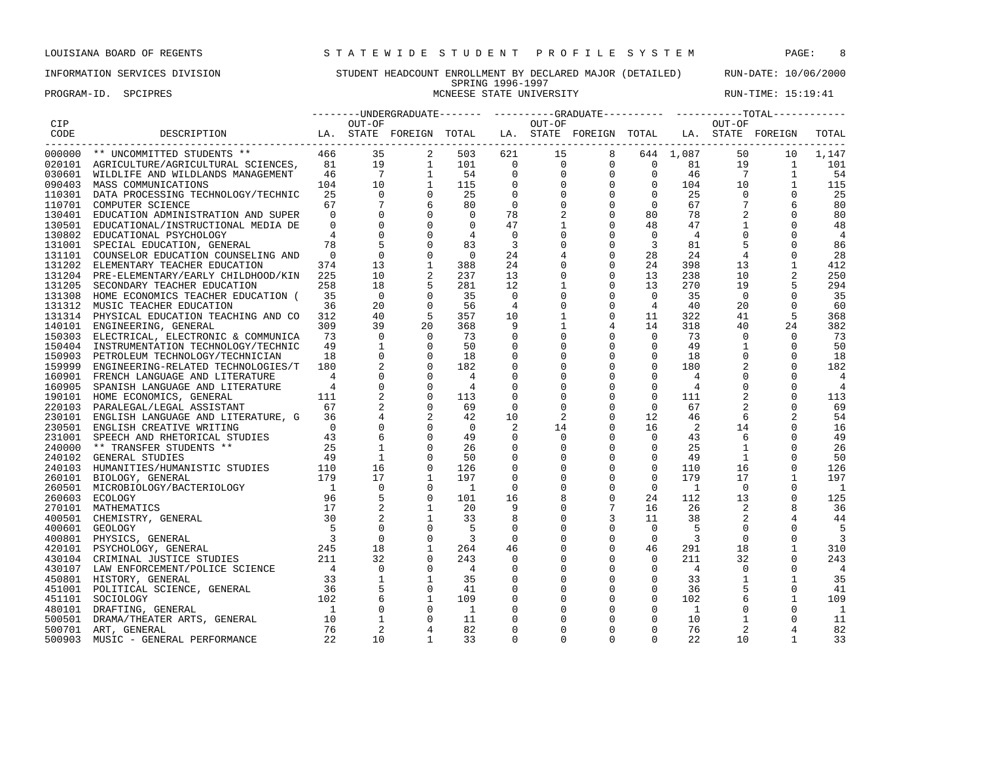# INFORMATION SERVICES DIVISION STUDENT HEADCOUNT ENROLLMENT BY DECLARED MAJOR (DETAILED) RUN-DATE: 10/06/2000

### SPRING 1996-1997<br>MCNEESE STATE UNIVERSITY PROGRAM-ID. SPCIPRES MONEESE STATE UNIVERSITY NONE RUN-TIME: 15:19:41

|            |                                                                                                                                                                                                                                              |                |                |                                                               |                          |                |              | --------UNDERGRADUATE------- ----------GRADUATE---------- ----------TOTAL-----------                                                                                                                                                                                                                                                                |                |                |                |              |                |
|------------|----------------------------------------------------------------------------------------------------------------------------------------------------------------------------------------------------------------------------------------------|----------------|----------------|---------------------------------------------------------------|--------------------------|----------------|--------------|-----------------------------------------------------------------------------------------------------------------------------------------------------------------------------------------------------------------------------------------------------------------------------------------------------------------------------------------------------|----------------|----------------|----------------|--------------|----------------|
| <b>CIP</b> |                                                                                                                                                                                                                                              |                | OUT-OF         |                                                               |                          |                | OUT-OF       |                                                                                                                                                                                                                                                                                                                                                     |                |                | OUT-OF         |              |                |
| CODE       | LA. STATE FOREIGN TOTAL<br>DESCRIPTION                                                                                                                                                                                                       |                |                |                                                               |                          |                |              | LA. STATE FOREIGN TOTAL LA. STATE FOREIGN                                                                                                                                                                                                                                                                                                           |                |                |                |              | TOTAL          |
|            |                                                                                                                                                                                                                                              |                |                |                                                               |                          |                |              |                                                                                                                                                                                                                                                                                                                                                     |                |                |                |              |                |
|            | 000000 ** UNCOMMITTED STUDENTS ** 466 35 2<br>020101 AGRICULTURE/AGRICULTURAL SCIENCES, 81 19 1<br>020601 WILDLIFE AND WILDLANDS MANAGEMENT 46 7 1<br>090403 MASS COMMUNICATIONS MANAGEMENT 104 10 1<br>110201 DATA PROCESSING TECHNOLOGY/   |                |                |                                                               | 503                      |                |              | $\begin{array}{cccccccc} 621 & & 15 & & 8 & & 644 & 1,087 & & 50 & & 10 \\ & 0 & & 0 & & 0 & & 0 & & 81 & & 19 & & 1 \\ & 0 & & 0 & & 0 & & 0 & & 46 & & 7 & & 1 \\ & 0 & & 0 & & 0 & & 0 & & 104 & & 10 & & 1 \\ & 0 & & 0 & & 0 & & 0 & & 25 & & 0 & & 0 \\ & 0 & & 0 & & 0 & & 67 & & 7 & & 6 & & 0 \\ & & 0 & & 0 & & 0 & & 67 & & 7 & & 6 & &$ |                |                |                |              | 1,147          |
|            |                                                                                                                                                                                                                                              |                |                |                                                               | 101                      |                |              |                                                                                                                                                                                                                                                                                                                                                     |                |                |                |              | 101            |
|            |                                                                                                                                                                                                                                              |                |                |                                                               | 54                       |                |              |                                                                                                                                                                                                                                                                                                                                                     |                |                |                |              | 54             |
|            |                                                                                                                                                                                                                                              |                |                |                                                               | 115                      |                |              |                                                                                                                                                                                                                                                                                                                                                     |                |                |                |              | 115            |
|            | 110301 DATA PROCESSING TECHNOLOGY/TECHNIC                                                                                                                                                                                                    |                |                |                                                               | 25                       |                |              |                                                                                                                                                                                                                                                                                                                                                     |                |                |                |              | 25             |
| 110701     | COMPUTER SCIENCE                                                                                                                                                                                                                             | 67             | $\overline{7}$ | 6                                                             | 80                       |                |              |                                                                                                                                                                                                                                                                                                                                                     |                |                |                |              | 80             |
|            | 130401 EDUCATION ADMINISTRATION AND SUPER                                                                                                                                                                                                    | $\overline{0}$ |                |                                                               | $\Omega$                 | 78             | 2            | $\mathsf{O}$                                                                                                                                                                                                                                                                                                                                        | 80             | 78             | 2              | $\mathbf 0$  | 80             |
| 130501     | EDUCATIONAL/INSTRUCTIONAL MEDIA DE                                                                                                                                                                                                           | $\overline{0}$ | $\mathbf 0$    |                                                               | $\Omega$                 | 47             |              | $\mathbf 0$                                                                                                                                                                                                                                                                                                                                         | 48             | 47             |                | $\mathbf 0$  | 48             |
|            | 130802 EDUCATIONAL PSYCHOLOGY                                                                                                                                                                                                                | $\overline{4}$ | $\Omega$       |                                                               | $\overline{4}$           | $\Omega$       | $\Omega$     | $\mathbf 0$                                                                                                                                                                                                                                                                                                                                         | $\Omega$       | $\overline{4}$ | $\Omega$       | $\Omega$     | $\overline{4}$ |
|            |                                                                                                                                                                                                                                              | 78             |                | $\mathbf 0$                                                   | 83                       | $\overline{3}$ |              | $\mathsf{O}\xspace$                                                                                                                                                                                                                                                                                                                                 |                | 81             | 5              | $\mathbf 0$  |                |
|            | 131001 SPECIAL EDUCATION, GENERAL                                                                                                                                                                                                            |                |                |                                                               |                          |                | $\mathbf 0$  |                                                                                                                                                                                                                                                                                                                                                     | $\overline{3}$ |                |                |              | 86             |
|            | 131101 COUNSELOR EDUCATION COUNSELING AND                                                                                                                                                                                                    | $\overline{0}$ | $\mathbf 0$    | $\mathbf 0$                                                   | $\overline{0}$           | 24             | 4            | $\mathsf 0$                                                                                                                                                                                                                                                                                                                                         | 28             | 24             | $\overline{4}$ | $\mathbf 0$  | 28             |
|            | 131202 ELEMENTARY TEACHER EDUCATION                                                                                                                                                                                                          | 374            | 13             | $\mathbf{1}$                                                  | 388                      | 24             | 0            | $\mathbf 0$                                                                                                                                                                                                                                                                                                                                         | 24             | 398            | 13             | $\mathbf{1}$ | 412            |
|            | 131204 PRE-ELEMENTARY/EARLY CHILDHOOD/KIN                                                                                                                                                                                                    | 225            | 10             |                                                               | 237                      | 13             | $\mathbf 0$  | $\mathbf 0$                                                                                                                                                                                                                                                                                                                                         | 13             | 238            | 10             |              | 250            |
|            | 131205 SECONDARY TEACHER EDUCATION                                                                                                                                                                                                           | 258            | 18             |                                                               | 281                      | 12             | 1            | $\mathbf 0$                                                                                                                                                                                                                                                                                                                                         | 13             | 270            | 19             | 5            | 294            |
|            | 131308 HOME ECONOMICS TEACHER EDUCATION (                                                                                                                                                                                                    | 35             | $\overline{0}$ |                                                               | 35                       | $\mathbf 0$    | 0            | $\mathsf{O}$                                                                                                                                                                                                                                                                                                                                        | $\overline{0}$ | 35             | $\overline{0}$ | $\Omega$     | 35             |
|            | 131312 MUSIC TEACHER EDUCATION                                                                                                                                                                                                               | 36             | 20             |                                                               | 56                       | $\overline{4}$ | $\mathbf 0$  | $\mathsf{O}\xspace$                                                                                                                                                                                                                                                                                                                                 | $\overline{4}$ | 40             | 20             | $\mathbf 0$  | 60             |
|            | 131314 PHYSICAL EDUCATION TEACHING AND CO                                                                                                                                                                                                    | 312            | 40             |                                                               | 357                      | 10             | $\mathbf{1}$ | $\mathbf 0$                                                                                                                                                                                                                                                                                                                                         | 11             | 322            | 41             | 5            | 368            |
| 140101     | ENGINEERING, GENERAL                                                                                                                                                                                                                         | 309            | 39             | 20                                                            | 368                      | 9              | $\mathbf{1}$ | 4                                                                                                                                                                                                                                                                                                                                                   | 14             | 318            | 40             | 24           | 382            |
|            | 150303 ELECTRICAL, ELECTRONIC & COMMUNICA                                                                                                                                                                                                    | 73             | $\overline{0}$ | $\overline{0}$                                                | 73                       | $\mathbf 0$    | $\mathbf 0$  | $\mathsf{O}$                                                                                                                                                                                                                                                                                                                                        | $\overline{0}$ | 73             | $\mathbf{0}$   | $\mathbf 0$  | 73             |
| 150404     | INSTRUMENTATION TECHNOLOGY/TECHNIC                                                                                                                                                                                                           | 49             | $\mathbf{1}$   |                                                               | 50                       | $\mathsf 0$    | $\mathbf 0$  | $\mathsf{O}$                                                                                                                                                                                                                                                                                                                                        | $\mathsf{O}$   | 49             | $\mathbf{1}$   | $\mathbf 0$  | 50             |
|            | 150903 PETROLEUM TECHNOLOGY/TECHNICIAN                                                                                                                                                                                                       | 18             | $\mathbf{0}$   |                                                               | 18                       | $\mathbf 0$    | $\mathbf 0$  | $\mathbf 0$                                                                                                                                                                                                                                                                                                                                         | $\mathbf 0$    | 18             | $\mathbf 0$    | $\Omega$     | 18             |
|            | 159999 ENGINEERING-RELATED TECHNOLOGIES/T                                                                                                                                                                                                    | 180            |                |                                                               | 182                      | $\mathbf 0$    | 0            | $\mathbf 0$                                                                                                                                                                                                                                                                                                                                         | $\mathbf 0$    | 180            | 2              | $\Omega$     | 182            |
|            | 160901 FRENCH LANGUAGE AND LITERATURE                                                                                                                                                                                                        | $\overline{4}$ | $\mathbf{0}$   |                                                               | $\overline{4}$           | $\mathbf 0$    | $\mathbf 0$  | $\mathsf{O}$                                                                                                                                                                                                                                                                                                                                        | $\mathbf{0}$   | $\overline{4}$ | $\mathbf 0$    | $\Omega$     | $\overline{4}$ |
|            | 160905 SPANISH LANGUAGE AND LITERATURE                                                                                                                                                                                                       | $\overline{4}$ | $\mathbf 0$    | $\begin{matrix} 0 \\ 0 \\ 0 \\ 0 \end{matrix}$<br>$\mathbf 0$ | $\overline{4}$           | $\mathbf 0$    | $\mathbf 0$  | $\mathsf{O}\xspace$                                                                                                                                                                                                                                                                                                                                 | $\overline{0}$ | $\overline{4}$ | $\mathbf 0$    | $\mathbf 0$  | $\overline{4}$ |
|            | 190101 HOME ECONOMICS, GENERAL                                                                                                                                                                                                               | 111            |                |                                                               | 113                      | $\mathbf 0$    | 0            | $\mathsf{O}\xspace$                                                                                                                                                                                                                                                                                                                                 | $\mathbf 0$    | 111            | $\overline{2}$ | $\mathbf 0$  | 113            |
|            | 67                                                                                                                                                                                                                                           |                |                |                                                               | 69                       | $\Omega$       | 0            | $\mathsf{O}$                                                                                                                                                                                                                                                                                                                                        | $\Omega$       | 67             | 2              | $\Omega$     | 69             |
|            | 220103 PARALEGAL/LEGAL ASSISTANT                                                                                                                                                                                                             |                |                |                                                               |                          |                |              | $\mathbf 0$                                                                                                                                                                                                                                                                                                                                         |                |                |                |              |                |
|            | 230101 ENGLISH LANGUAGE AND LITERATURE, G 36                                                                                                                                                                                                 |                |                |                                                               | 42                       | 10             | 2            |                                                                                                                                                                                                                                                                                                                                                     | 12             | 46             | 6              |              | 54             |
|            |                                                                                                                                                                                                                                              |                | $\mathbf 0$    | $\Omega$                                                      | $\overline{0}$           | 2              | 14           | $\mathbf 0$                                                                                                                                                                                                                                                                                                                                         | 16             | 2              | 14             | $\mathbf 0$  | 16             |
|            |                                                                                                                                                                                                                                              |                |                |                                                               | 49                       | $\mathbf 0$    | $\mathbf 0$  | $\mathbf 0$                                                                                                                                                                                                                                                                                                                                         | $\overline{0}$ | 43             | 6              | $\mathbf 0$  | 49             |
|            |                                                                                                                                                                                                                                              |                | $\mathbf{1}$   |                                                               | 26                       | $\mathbf 0$    | $\mathbf 0$  | $\mathsf{O}\xspace$                                                                                                                                                                                                                                                                                                                                 | $\mathbf 0$    | 25             | $\mathbf{1}$   | $\mathbf 0$  | 26             |
|            |                                                                                                                                                                                                                                              |                | 1              |                                                               | 50                       | $\mathbf 0$    | 0            | $\mathsf{O}$                                                                                                                                                                                                                                                                                                                                        | $\mathbf 0$    | 49             | 1              | $\Omega$     | 50             |
|            |                                                                                                                                                                                                                                              |                | 16             | $\Omega$                                                      | 126                      | $\mathbf 0$    | 0            | $\mathbf 0$                                                                                                                                                                                                                                                                                                                                         | $\mathbf 0$    | 110            | 16             | $\Omega$     | 126            |
|            |                                                                                                                                                                                                                                              |                | 17             | <sup>1</sup>                                                  | 197                      | $\mathbf 0$    | $\Omega$     | $\mathbf 0$                                                                                                                                                                                                                                                                                                                                         | $\Omega$       | 179            | 17             | $\mathbf{1}$ | 197            |
|            |                                                                                                                                                                                                                                              |                | $\overline{0}$ |                                                               | $\overline{\phantom{a}}$ | $\mathbf 0$    | 0            | $\mathsf{O}\xspace$                                                                                                                                                                                                                                                                                                                                 | $\overline{0}$ | $\overline{1}$ | $\mathbf{0}$   | $\mathbf 0$  | $\overline{1}$ |
|            | 230101 ENGLISH LANGUAGE AND LITERATURE, G<br>230501 ENGLISH CREATIVE WRITING 0<br>231001 SPEECH AND RHETORICAL STUDIES 43<br>240000 ** TRANSFER STUDENTS ** 25<br>240102 GENERAL STUDIES 49<br>240103 HUMANITIES/HUMANISTIC STUDIES 110<br>  |                | 5              | $\mathbf 0$                                                   | 101                      | 16             | 8            | $\mathsf{O}\xspace$                                                                                                                                                                                                                                                                                                                                 | 24             | 112            | 13             | $\mathsf 0$  | 125            |
|            |                                                                                                                                                                                                                                              |                | 2              | 1                                                             | 20                       | 9              | $\mathbf 0$  | $7\overline{ }$                                                                                                                                                                                                                                                                                                                                     | 16             | 26             | 2              | 8            | 36             |
|            |                                                                                                                                                                                                                                              |                |                | $\mathbf{1}$                                                  | 33                       | 8              | $\Omega$     | $\overline{3}$                                                                                                                                                                                                                                                                                                                                      | 11             | 38             | 2              | 4            | 44             |
|            | 400601 GEOLOGY                                                                                                                                                                                                                               | 5              | $\mathbf 0$    | $\mathbf 0$                                                   | -5                       | 0              | $\mathbf 0$  | $\mathsf 0$                                                                                                                                                                                                                                                                                                                                         | $\overline{0}$ | 5              | $\mathbf{0}$   | $\mathbf 0$  | -5             |
|            |                                                                                                                                                                                                                                              |                | $\mathsf 0$    | $\mathbf 0$                                                   | $\overline{\mathbf{3}}$  | $\mathsf 0$    | $\mathbf 0$  | $\mathsf 0$                                                                                                                                                                                                                                                                                                                                         | $\mathbf 0$    | $\overline{3}$ | $\mathbf 0$    | $\mathsf 0$  | $\overline{3}$ |
|            |                                                                                                                                                                                                                                              |                | 18             | <sup>1</sup>                                                  | 264                      | 46             | 0            | 0                                                                                                                                                                                                                                                                                                                                                   | 46             | 291            | 18             | $\mathbf{1}$ | 310            |
|            |                                                                                                                                                                                                                                              |                | 32             |                                                               | 243                      | $\mathbf 0$    | $\mathbf 0$  | $\mathsf{O}$                                                                                                                                                                                                                                                                                                                                        | $\mathbf 0$    | 211            | 32             | $\Omega$     | 243            |
|            |                                                                                                                                                                                                                                              |                | $\overline{0}$ |                                                               | $\overline{4}$           | $\mathbf 0$    | $\mathbf 0$  | $\mathsf{O}$                                                                                                                                                                                                                                                                                                                                        | $\mathbf 0$    | $\overline{4}$ | $\Omega$       | $\Omega$     | $\overline{4}$ |
|            |                                                                                                                                                                                                                                              |                |                | <sup>1</sup>                                                  | 35                       | $\mathbf 0$    | $\mathbf 0$  | $\mathsf{O}$                                                                                                                                                                                                                                                                                                                                        | $\mathbf 0$    | 33             | $\mathbf{1}$   | $\mathbf{1}$ | 35             |
|            |                                                                                                                                                                                                                                              |                | $\frac{1}{5}$  |                                                               |                          |                |              |                                                                                                                                                                                                                                                                                                                                                     |                |                |                |              |                |
|            |                                                                                                                                                                                                                                              |                |                | $\mathbf 0$                                                   | 41                       | $\mathsf 0$    | $\mathbf 0$  | $\mathsf{O}$                                                                                                                                                                                                                                                                                                                                        | $\mathbf 0$    | 36             | 5              | $\mathbf 0$  | 41             |
|            |                                                                                                                                                                                                                                              |                | 6              | <sup>1</sup>                                                  | 109                      | $\mathbf 0$    | 0            | $\mathsf{O}$                                                                                                                                                                                                                                                                                                                                        | $\mathbf 0$    | 102            | 6              | $\mathbf{1}$ | 109            |
|            |                                                                                                                                                                                                                                              |                | $\mathbf{0}$   |                                                               | $\overline{1}$           | 0              | $\Omega$     | 0                                                                                                                                                                                                                                                                                                                                                   | $\mathbf{0}$   | <sup>1</sup>   | $\Omega$       | $\Omega$     | - 1            |
|            |                                                                                                                                                                                                                                              |                | 1              | $\Omega$                                                      | 11                       | 0              | $\Omega$     | $\mathbf 0$                                                                                                                                                                                                                                                                                                                                         | $\mathbf 0$    | 10             | $\mathbf{1}$   | $\mathbf 0$  | 11             |
|            | 400601 GEOLOGY 5<br>400601 GEOLOGY 5<br>420101 PSYCHOLOGY, GENERAL 3<br>420101 PSYCHOLOGY, GENERAL 245<br>430104 CRIMINAL JUSTICE STUDIES 211<br>430107 LAW ENFORCEMENT/POLICE SCIENCE 4<br>450801 HISTORY, GENERAL 33<br>451001 POLITICAL S |                | 2              | $\overline{4}$                                                | 82                       | $\mathbf 0$    | $\Omega$     | $\mathbf 0$                                                                                                                                                                                                                                                                                                                                         | $\mathbf 0$    | 76             | 2              | 4            | 82             |
| 500903     | MUSIC - GENERAL PERFORMANCE                                                                                                                                                                                                                  | 22             | 10             | <sup>1</sup>                                                  | 33                       | $\Omega$       | $\Omega$     | $\Omega$                                                                                                                                                                                                                                                                                                                                            | $\Omega$       | 22             | 10             | $\mathbf{1}$ | 33             |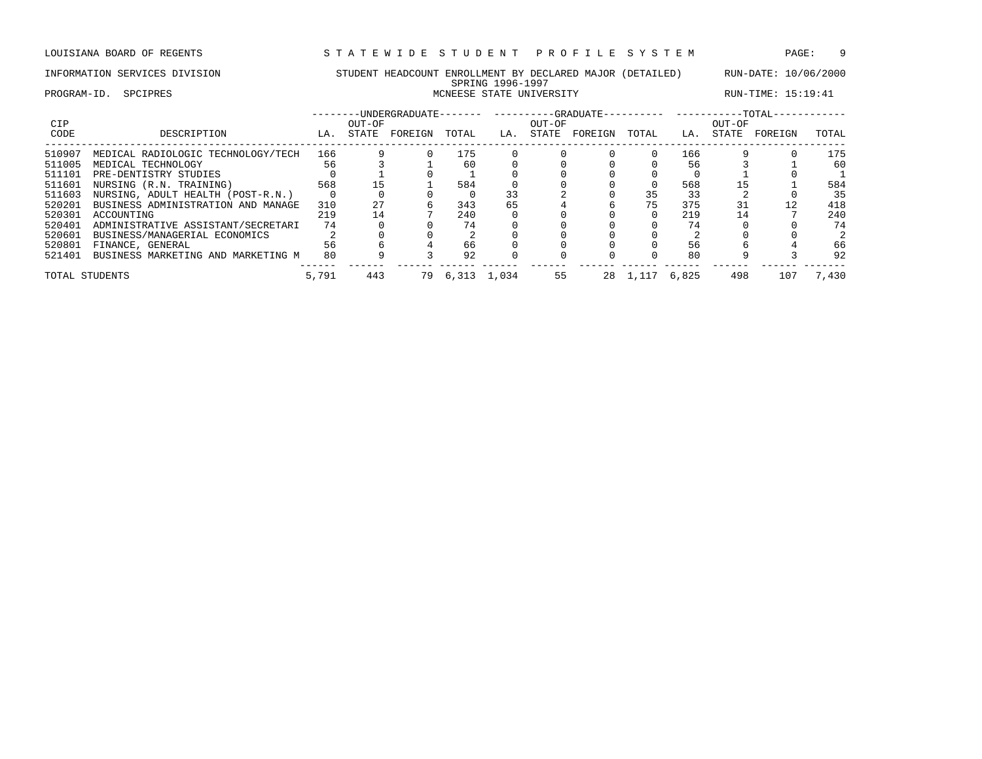PROGRAM-ID. SPCIPRES STATE UNIVERSITY SOLUTION RUN-TIME: 15:19:41

| <b>CIP</b> |                                    | OUT-OF<br>FOREIGN<br>STATE<br>TOTAL<br>LA. |     |    |       |       | OUT-OF |         |          | ---- ---------- | OUT-OF | $-TOTAL-$ |       |
|------------|------------------------------------|--------------------------------------------|-----|----|-------|-------|--------|---------|----------|-----------------|--------|-----------|-------|
| CODE       | DESCRIPTION                        |                                            |     |    |       | LA.   | STATE  | FOREIGN | TOTAL    | LA.             | STATE  | FOREIGN   | TOTAL |
| 510907     | MEDICAL RADIOLOGIC TECHNOLOGY/TECH | 166                                        |     |    | 175   |       |        |         |          | 166             |        |           | 175   |
| 511005     | MEDICAL TECHNOLOGY                 | 56                                         |     |    | 60    |       |        |         |          | 56              |        |           | 60    |
| 511101     | PRE-DENTISTRY STUDIES              |                                            |     |    |       |       |        |         |          |                 |        |           |       |
| 511601     | NURSING (R.N. TRAINING)            | 568                                        | 15  |    | 584   |       |        |         | $\Omega$ | 568             |        |           | 584   |
| 511603     | NURSING, ADULT HEALTH (POST-R.N.)  |                                            |     |    |       | 33    |        |         | 35       | 33              |        |           | 35    |
| 520201     | BUSINESS ADMINISTRATION AND MANAGE | 310                                        | 27  |    | 343   | 65    |        |         | 75       | 375             | 31     | 12        | 418   |
| 520301     | ACCOUNTING                         | 219                                        | 14  |    | 240   |       |        |         | $\Omega$ | 219             | 14     |           | 240   |
| 520401     | ADMINISTRATIVE ASSISTANT/SECRETARI | 74                                         |     |    | 74    |       |        |         |          | 74              |        |           | 74    |
| 520601     | BUSINESS/MANAGERIAL ECONOMICS      |                                            |     |    |       |       |        |         |          |                 |        |           |       |
| 520801     | FINANCE, GENERAL                   | 56                                         |     |    | 66    |       |        |         |          | 56              |        |           | 66    |
| 521401     | BUSINESS MARKETING AND MARKETING M | 80                                         |     |    | 92    |       |        |         |          | 80              |        |           | 92    |
|            | TOTAL STUDENTS                     | 5,791                                      | 443 | 79 | 6,313 | 1,034 | 55     | 28      | 1,117    | 6,825           | 498    | 107       | 7,430 |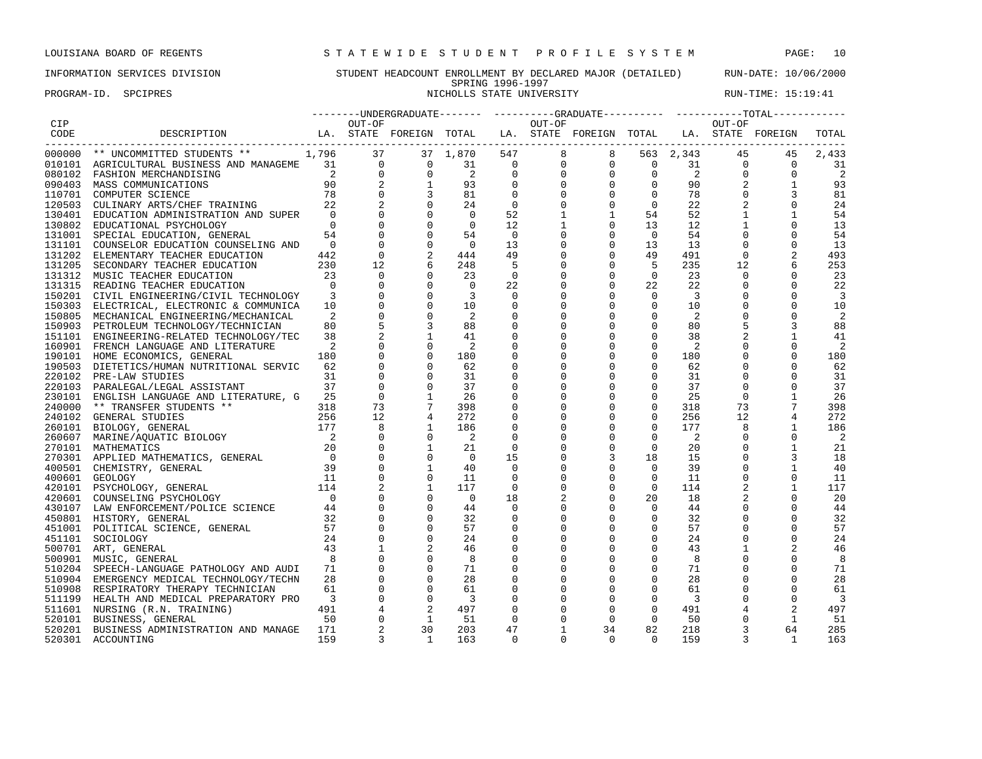### INFORMATION SERVICES DIVISION STUDENT HEADCOUNT ENROLLMENT BY DECLARED MAJOR (DETAILED) RUN-DATE: 10/06/2000 SPRING 1996-1997

PROGRAM-ID. SPCIPRES **NICHOLLS STATE UNIVERSITY** NICHOLLS STATE UNIVERSITY RUN-TIME: 15:19:41

|        |                                           |                          |                |                |                            |                          |                      | --------UNDERGRADUATE------- ---------GRADUATE---------- ----------TOTAL----------- |                |           |                   |              |                |
|--------|-------------------------------------------|--------------------------|----------------|----------------|----------------------------|--------------------------|----------------------|-------------------------------------------------------------------------------------|----------------|-----------|-------------------|--------------|----------------|
|        |                                           |                          |                |                |                            |                          | OUT-OF               |                                                                                     |                |           | OUT-OF            |              |                |
|        | LA. STATE FOREIGN TOTAL                   |                          |                |                |                            |                          |                      | LA. STATE FOREIGN TOTAL LA. STATE FOREIGN                                           |                |           |                   |              | TOTAL          |
|        |                                           |                          |                |                | 37 1,870                   |                          | $547$<br>0<br>0<br>0 |                                                                                     |                | 563 2,343 | 45                | 45           | 2,433          |
|        |                                           |                          |                |                | 31                         |                          |                      |                                                                                     |                |           | $\overline{0}$    | $\Omega$     | 31             |
|        |                                           |                          |                |                | $\overline{a}$             |                          |                      |                                                                                     |                |           | $\mathbf{0}$      | 0            | $\overline{2}$ |
|        |                                           |                          |                |                | 93                         |                          |                      |                                                                                     |                |           | 2                 | $\mathbf{1}$ | 93             |
|        |                                           |                          |                |                | 81                         | $\overline{0}$           |                      |                                                                                     |                |           | $\mathbf 0$       |              | 81             |
|        |                                           |                          |                |                | 24                         | $\overline{0}$           |                      |                                                                                     |                |           | 2                 | $\mathbf 0$  | 24             |
|        |                                           |                          |                |                | $\overline{0}$             | 52                       |                      | $\mathbf{1}$                                                                        | 54             | 52        | $\mathbf{1}$      | 1            | 54             |
|        | 130802 EDUCATIONAL PSYCHOLOGY             | $\bigcap$                |                |                | $\overline{0}$             | 12                       |                      | $\mathbf 0$                                                                         | 13             | 12        | $\mathbf{1}$      |              | 13             |
|        | 131001 SPECIAL EDUCATION, GENERAL         | 54                       |                | $\Omega$       | 54                         | $\overline{\phantom{0}}$ |                      | $\mathbf 0$                                                                         | $\overline{0}$ | 54        |                   | 0            | 54             |
|        | 131101 COUNSELOR EDUCATION COUNSELING AND | $\Omega$                 |                | $\Omega$       | $\Omega$                   | 13                       | 0                    | $\mathbf 0$                                                                         | 13             | 13        | $\Omega$          | $\Omega$     | 13             |
|        | 131202 ELEMENTARY TEACHER EDUCATION       | 442                      | $\overline{0}$ |                | 444                        | 49                       | $\Omega$             | $\mathbf 0$                                                                         | 49             | 491       | $\Omega$          |              | 493            |
|        | 131205 SECONDARY TEACHER EDUCATION        | 230                      | 12             |                | 248                        | 5                        | 0                    | $\mathbf 0$                                                                         | -5             | 235       | 12                |              | 253            |
|        | 131312 MUSIC TEACHER EDUCATION            | 23                       | $\overline{0}$ |                | 23                         | 0                        | 0                    | $\mathbf 0$                                                                         | $\overline{0}$ | 23        | $\mathbf{0}$      |              | 23             |
|        | 131315 READING TEACHER EDUCATION          | $\overline{0}$           |                | $\overline{0}$ | $\overline{0}$             | 22                       |                      | $\mathsf 0$                                                                         | 22             | 22        | $\mathbf 0$       | $\mathbf{0}$ | 22             |
|        | 150201 CIVIL ENGINEERING/CIVIL TECHNOLOGY | $\overline{\phantom{a}}$ | $\overline{0}$ | $\overline{0}$ | $\overline{3}$             | $\overline{0}$           |                      | $\mathbf 0$                                                                         | $\mathbf 0$    | 3         | $\mathbf 0$       | $\mathbf 0$  | $\overline{3}$ |
|        | 150303 ELECTRICAL, ELECTRONIC & COMMUNICA | 10                       |                |                | 10                         | $\mathbf 0$              |                      | $\mathbf 0$                                                                         | $\mathbf 0$    | 10        | $\mathbf 0$       | 0            | 10             |
|        | 150805 MECHANICAL ENGINEERING/MECHANICAL  | 2                        |                |                | $\overline{\phantom{0}}^2$ | $\overline{0}$           |                      | $\mathbf 0$                                                                         | $\mathbf 0$    | 2         | $\mathbf 0$       | 0            | 2              |
|        | 150903 PETROLEUM TECHNOLOGY/TECHNICIAN    | 80                       |                |                | 88                         | $\overline{0}$           | $\Omega$             | $\mathbf 0$                                                                         | $\mathbf 0$    | 80        | 5                 | 3            | 88             |
|        | 151101 ENGINEERING-RELATED TECHNOLOGY/TEC | 38                       |                |                | 41                         | $\mathbf 0$              |                      | $\mathbf 0$                                                                         | $\mathbf 0$    | 38        | 2                 | 1            | 41             |
|        | 160901 FRENCH LANGUAGE AND LITERATURE     | $\overline{2}$           |                |                | $\overline{2}$             | 0                        |                      | $\Omega$                                                                            | $\mathbf 0$    | 2         | $\Omega$          | 0            | 2              |
|        | 190101 HOME ECONOMICS, GENERAL            | 180                      |                |                | 180                        | 0                        |                      | $\mathbf 0$                                                                         | $\mathsf 0$    | 180       | $\mathbf 0$       | 0            | 180            |
|        | 190503 DIETETICS/HUMAN NUTRITIONAL SERVIC | 62                       |                |                | 62                         | 0                        |                      | $\mathbf 0$                                                                         | $\mathbf 0$    | 62        | $\mathbf 0$       | $\Omega$     | 62             |
|        | 220102 PRE-LAW STUDIES                    | 31                       |                |                | 31                         | 0                        | $\Omega$             | $\mathbf 0$                                                                         | $\mathbf 0$    | 31        | $\mathbf 0$       | 0            | 31             |
|        | 220103 PARALEGAL/LEGAL ASSISTANT          | 37                       | $\mathbf 0$    |                | 37                         | $\mathbf 0$              | $\Omega$             | $\mathbf 0$                                                                         | $\mathbf 0$    | 37        | $\mathbf 0$       | $\mathbf{0}$ | 37             |
|        |                                           |                          | $\mathbf{0}$   |                | 26                         | 0                        |                      | $\mathbf 0$                                                                         | $\mathsf{O}$   | 25        | $\mathbf 0$       | 1            | 26             |
|        |                                           |                          | 73             |                | 398                        | 0                        |                      | $\mathbf 0$                                                                         | $\mathbf 0$    | 318       | 73                |              | 398            |
|        |                                           |                          | 12             |                | 272                        | 0                        | 0                    | $\mathbf 0$                                                                         | $\mathbf{0}$   | 256       | $12 \overline{ }$ |              | 272            |
|        |                                           |                          | 8              |                | 186                        | $\overline{0}$           | $\Omega$             | $\Omega$                                                                            | $\Omega$       | 177       | 8                 | 1            | 186            |
|        |                                           |                          | $\Omega$       | $\Omega$       | - 2                        | $\overline{0}$           | $\Omega$             | $\mathbf 0$                                                                         | $\Omega$       | 2         | $\Omega$          | $\Omega$     | -2             |
|        |                                           |                          | $\mathbf 0$    | 1              | 21                         | 0                        | 0                    | $\mathsf 0$                                                                         | $\mathbf 0$    | 20        | $\mathbf 0$       | 1            | 21             |
|        |                                           |                          |                |                | $\overline{0}$             | 15                       | $\Omega$             | 3                                                                                   | 18             | 15        | $\mathbf 0$       | 3            | 18             |
|        |                                           |                          | $\mathbf 0$    |                | 40                         | $\mathbf 0$              |                      | $\mathbf 0$                                                                         | $\mathbf 0$    | 39        | $\mathbf 0$       | $\mathbf{1}$ | 40             |
|        |                                           |                          | $\Omega$       |                | 11                         | $\mathbf 0$              | $\Omega$             | $\mathbf 0$                                                                         | $\mathbf 0$    | 11        | $\mathbf 0$       | $\mathbf 0$  | 11             |
|        |                                           |                          |                | 1              | 117                        | $\mathbf 0$              | $\Omega$             | $\mathbf 0$                                                                         | $\Omega$       | 114       | 2                 | 1            | 117            |
|        | 420601 COUNSELING PSYCHOLOGY              | $\Omega$                 |                |                | $\overline{0}$             | 18                       | 2                    | $\mathbf 0$                                                                         | 20             | 18        | 2                 | $\Omega$     | 20             |
|        | 430107 LAW ENFORCEMENT/POLICE SCIENCE 44  |                          |                | $\overline{0}$ | 44                         | $\overline{0}$           | 0                    | $\mathbf 0$                                                                         | $\mathbf 0$    | 44        | $\mathbf 0$       | $\mathbf 0$  | 44             |
|        | 450801 HISTORY, GENERAL                   | 32                       |                |                | 32                         | $\overline{0}$           | $\Omega$             | $\mathbf 0$                                                                         | $\mathbf 0$    | 32        |                   | $\mathbf 0$  | 32             |
|        | 451001 POLITICAL SCIENCE, GENERAL 57      |                          |                |                | 57                         | $\overline{0}$           |                      | $\Omega$                                                                            | $\mathbf 0$    | 57        | $\Omega$          | $\Omega$     | 57             |
|        | 451101 SOCIOLOGY                          | 24                       |                |                | 24                         | 0                        |                      | 0                                                                                   | $\mathsf{O}$   | 24        | $\mathbf 0$       | $\mathbf 0$  | 24             |
|        | 500701 ART, GENERAL                       | 43                       | $\mathbf{1}$   |                | 46                         | $\overline{0}$           |                      | $\mathbf 0$                                                                         | $\mathsf{O}$   | 43        | $\mathbf{1}$      | 2            | 46             |
|        | 500901 MUSIC, GENERAL                     | 8                        |                |                | 8                          | $\mathbf 0$              |                      | $\mathbf 0$                                                                         | $\mathbf 0$    | 8         | $\mathbf 0$       | $\mathbf 0$  | 8              |
| 510204 | SPEECH-LANGUAGE PATHOLOGY AND AUDI        | 71                       |                |                | 71                         | $\mathbf 0$              | $\Omega$             | 0                                                                                   | $\mathsf{O}$   | 71        | $\mathbf 0$       | 0            | 71             |
|        | 510904 EMERGENCY MEDICAL TECHNOLOGY/TECHN | 28                       |                | $\Omega$       | 28                         | 0                        |                      | $\mathbf 0$                                                                         | $\mathbf 0$    | 28        | $\mathbf 0$       | 0            | 28             |
| 510908 | RESPIRATORY THERAPY TECHNICIAN            | 61                       | $\mathbf 0$    | $\Omega$       | 61                         | $\mathbf 0$              |                      | 0                                                                                   | $\mathbf{0}$   | 61        | 0                 | 0            | 61             |
|        | 511199 HEALTH AND MEDICAL PREPARATORY PRO | $\overline{\mathbf{3}}$  | $\Omega$       | $\overline{0}$ | $\overline{\phantom{a}}$   | $\mathbf 0$              |                      | 0                                                                                   | 0              | 3         | $\mathbf 0$       | $\Omega$     | $\overline{3}$ |
|        | 511601 NURSING (R.N. TRAINING)            | 491                      |                | 2              | 497                        | $\mathbf 0$              |                      | $\Omega$                                                                            | $\Omega$       | 491       | 4                 |              | 497            |
|        | 520101 BUSINESS, GENERAL                  | 50                       | $\Omega$       | $\overline{1}$ | 51                         | $\mathbf 0$              |                      | $\Omega$                                                                            | $\Omega$       | 50        | $\Omega$          | 1            | -51            |
|        | 520201 BUSINESS ADMINISTRATION AND MANAGE | 171                      |                | 30             | 203                        | 47                       |                      | 34                                                                                  | 82             | 218       |                   | 64           | 285            |
| 520301 | ACCOUNTING                                | 159                      | 3              | $\overline{1}$ | 163                        | $\Omega$                 | $\Omega$             | $\Omega$                                                                            | $\Omega$       | 159       | 3                 | $\mathbf{1}$ | 163            |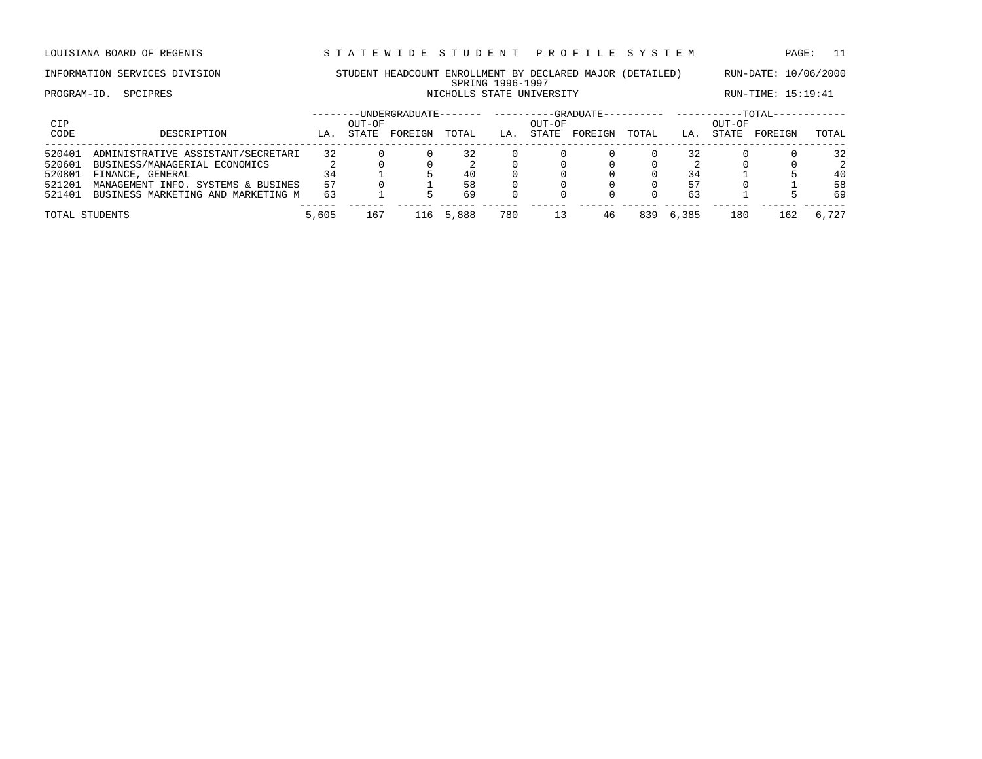LOUISIANA BOARD OF REGENTS STA TEWIDE STUDENT PROFILE SYSTEM PAGE: 11

### INFORMATION SERVICES DIVISION STUDENT HEADCOUNT ENROLLMENT BY DECLARED MAJOR (DETAILED) RUN-DATE: 10/06/2000 SPRING 1996-1997 PROGRAM-ID. SPCIPRES **NICHOLLS STATE UNIVERSITY** NICHOLLS STATE UNIVERSITY RUN-TIME: 15:19:41

| CIP<br>CODE                                    | DESCRIPTION                                                                                                                                                         | LA.                  | OUT-OF<br>STATE | --------UNDERGRADUATE-<br>FOREIGN | TOTAL                | LA. | OUT-OF<br>STATE | --GRADUATE---<br>FOREIGN | TOTAL | LA.                  | OUT-OF<br><b>STATE</b> | --TOTAL-<br>FOREIGN | TOTAL                                  |
|------------------------------------------------|---------------------------------------------------------------------------------------------------------------------------------------------------------------------|----------------------|-----------------|-----------------------------------|----------------------|-----|-----------------|--------------------------|-------|----------------------|------------------------|---------------------|----------------------------------------|
| 520401<br>520601<br>520801<br>521201<br>521401 | ADMINISTRATIVE ASSISTANT/SECRETARI<br>BUSINESS/MANAGERIAL ECONOMICS<br>FINANCE, GENERAL<br>MANAGEMENT INFO. SYSTEMS & BUSINES<br>BUSINESS MARKETING AND MARKETING M | 32<br>34<br>57<br>63 |                 |                                   | 32<br>40<br>58<br>69 |     |                 |                          |       | 32<br>34<br>57<br>63 |                        |                     | 32<br>$\overline{2}$<br>40<br>58<br>69 |
| TOTAL STUDENTS                                 |                                                                                                                                                                     | 5,605                | 167             | 16.                               | 5,888                | 780 | 13              | 46                       | 839   | 6,385                | 180                    | 162                 | 6,727                                  |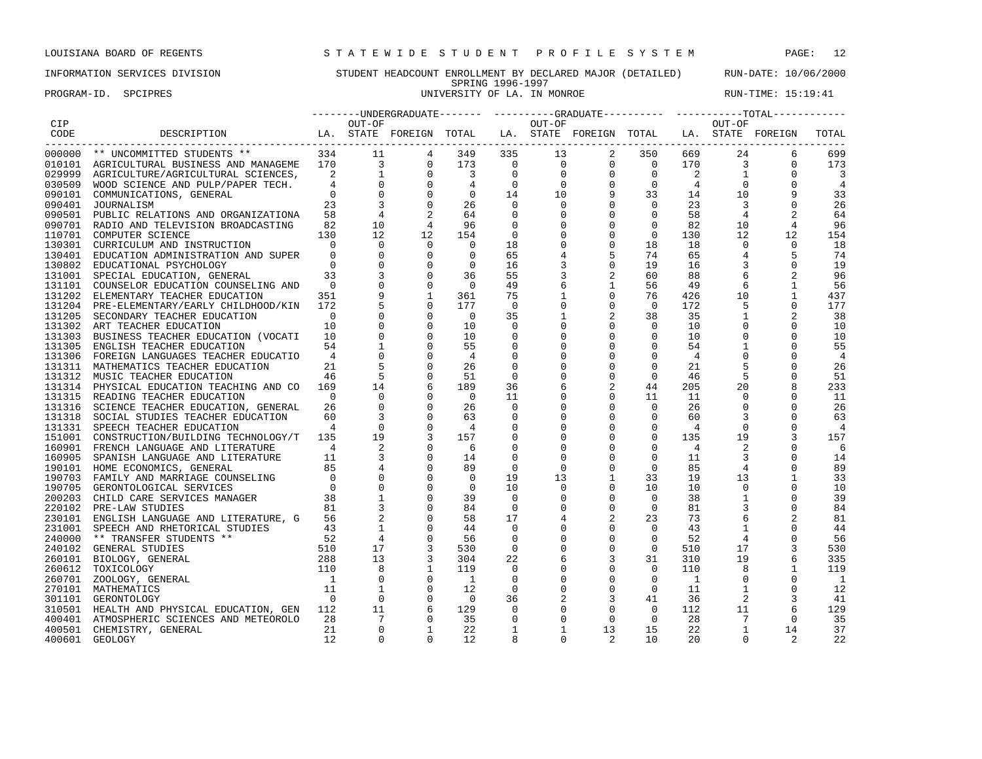PROGRAM-ID. SPCIPRES **EXECUTE:** 15:19:41

|      |                                                                                            |                                  |                         |                                |                                  |                      |                  |                                                 |                                              |                |                         | --------UNDERGRADUATE------- ---------GRADUATE---------- -----------TOTAL------------ |                      |
|------|--------------------------------------------------------------------------------------------|----------------------------------|-------------------------|--------------------------------|----------------------------------|----------------------|------------------|-------------------------------------------------|----------------------------------------------|----------------|-------------------------|---------------------------------------------------------------------------------------|----------------------|
| CIP  |                                                                                            |                                  | OUT-OF                  |                                |                                  |                      | OUT-OF           |                                                 |                                              |                | OUT-OF                  |                                                                                       |                      |
| CODE | DESCRIPTION                                                                                |                                  |                         |                                |                                  |                      |                  | LA. STATE FOREIGN TOTAL LA. STATE FOREIGN TOTAL |                                              |                |                         | LA. STATE FOREIGN                                                                     | TOTAL                |
|      | 000000 ** UNCOMMITTED STUDENTS **                                                          |                                  | 334 11                  |                                | 349                              | 335                  | 13               | $\sim$ 2                                        | 350                                          | 669            | 24                      | 6                                                                                     | 699                  |
|      | 010101 AGRICULTURAL BUSINESS AND MANAGEME 170                                              |                                  | $\sim$ 3                | $\mathbf 0$                    | 173                              | $\overline{0}$       | $\overline{0}$   | $\overline{0}$                                  | $\overline{0}$                               | 170            | 3                       | $\Omega$                                                                              | 173                  |
|      |                                                                                            | $\overline{\phantom{a}}$         |                         |                                | $\overline{\mathbf{3}}$          | $\overline{0}$       | $\overline{0}$   | $\mathbf{0}$                                    | $\mathbf 0$                                  | 2              | $\mathbf{1}$            | $\Omega$                                                                              | 3                    |
|      | 029999 AGRICULTURE/AGRICULTURAL SCIENCES,                                                  |                                  | $\overline{0}$          | $\frac{1}{2}$ 0<br>$\mathbf 0$ |                                  | $\overline{0}$       | $\overline{0}$   |                                                 |                                              | $4^{\circ}$    | $\overline{0}$          |                                                                                       |                      |
|      | 030509 WOOD SCIENCE AND PULP/PAPER TECH.                                                   | $\Omega$                         | $\overline{0}$          |                                | $\mathbf{0}$                     | 14                   |                  |                                                 |                                              | 14             | 10                      |                                                                                       |                      |
|      | 090101 COMMUNICATIONS, GENERAL                                                             |                                  | $\overline{\mathbf{3}}$ | $\mathbf 0$                    |                                  |                      | 10               |                                                 |                                              |                |                         |                                                                                       | 33                   |
|      | 090401 JOURNALISM                                                                          | 23                               | $\overline{4}$          |                                | 26                               | $\overline{0}$       | $\mathbf 0$      |                                                 | $\begin{array}{ccc}\n 9 & & 3\n \end{array}$ | 23             | $\overline{\mathbf{3}}$ | $\mathbf 0$                                                                           | 26                   |
|      | 090501 PUBLIC RELATIONS AND ORGANIZATIONA                                                  | 58                               |                         |                                | 64                               | $\mathbf 0$          | $\mathbf 0$      |                                                 |                                              | 58             | $\overline{4}$          |                                                                                       | 64                   |
|      | 090701 RADIO AND TELEVISION BROADCASTING                                                   | 82                               | 10<br>12                | $\overline{4}$                 | 96                               | $\overline{0}$       | $\Omega$         | $\Omega$                                        | $\Omega$                                     | 82             | 10 <sup>°</sup>         | 4                                                                                     | 96                   |
|      | 110701 COMPUTER SCIENCE                                                                    | 130                              |                         | 12                             | 154                              | $\overline{0}$       | $\mathbf 0$      | $\mathbf 0$                                     | $\circ$                                      | 130            | 12                      | 12                                                                                    | 154                  |
|      | 130301 CURRICULUM AND INSTRUCTION                                                          | $\overline{0}$                   | $\Omega$                | $\mathbf 0$                    | $\overline{0}$                   | 18                   | $\mathbf 0$      | $\mathbf 0$                                     | 18                                           | 18             | $\Omega$                | $\Omega$                                                                              | 18                   |
|      | 130401 EDUCATION ADMINISTRATION AND SUPER                                                  | $\Omega$                         | $\mathbf 0$             | $\overline{0}$                 | $\overline{0}$                   | 65                   | 4                | 5                                               | 74                                           | 65             | $\overline{4}$          | 5                                                                                     | 74                   |
|      | 130802 EDUCATIONAL PSYCHOLOGY                                                              | $\Omega$                         | $\mathbf 0$             | $\mathbf 0$                    | $\overline{0}$                   | 16                   | 3                | $\mathbf 0$                                     | 19                                           | 16             | 3                       | $\mathbf 0$                                                                           | 19                   |
|      | 131001 SPECIAL EDUCATION, GENERAL                                                          | 33                               | $\overline{3}$          | $\mathbf 0$                    | 36                               | 55                   | 3                | 2                                               | 60                                           | 88             | -6                      | 2                                                                                     | 96                   |
|      | 131101 COUNSELOR EDUCATION COUNSELING AND                                                  | $\overline{0}$                   |                         | $\mathbf 0$                    | $\overline{0}$                   | 49                   | 6                | $\mathbf{1}$                                    | 56                                           | 49             | 6                       | $\mathbf{1}$                                                                          | 56                   |
|      | 131202 ELEMENTARY TEACHER EDUCATION                                                        | 351                              |                         | $\mathbf{1}$                   | 361                              | 75                   | 1                | $\mathbf{0}$                                    | 76                                           | 426            | 10                      | $\mathbf{1}$                                                                          | 437                  |
|      | 131204 PRE-ELEMENTARY/EARLY CHILDHOOD/KIN 172                                              |                                  |                         |                                | 177                              | $\overline{0}$       | $\mathbf 0$      | $\overline{0}$                                  | $\Omega$                                     | 172            | 5                       | $\Omega$                                                                              | 177                  |
|      | 131205 SECONDARY TEACHER EDUCATION                                                         | $\Omega$                         |                         | $\mathbf 0$                    | $\overline{0}$                   | 35                   | 1                | 2                                               | 38                                           | 35             | 1                       | 2                                                                                     | 38                   |
|      | 131302 ART TEACHER EDUCATION                                                               | 10                               |                         |                                | 10                               | $\Omega$             | $\mathbf 0$      | $\mathbf 0$                                     | $\circ$                                      | 10             | $\Omega$                | $\Omega$                                                                              | 10                   |
|      | 131303 BUSINESS TEACHER EDUCATION (VOCATI                                                  | 10                               |                         |                                | 10                               | $\Omega$             | $\Omega$         | $\Omega$                                        | $\Omega$                                     | 10             | $\Omega$                | $\Omega$                                                                              | 10                   |
|      | 131305 ENGLISH TEACHER EDUCATION                                                           | 54                               |                         | $\mathbf 0$                    | 55                               | $\mathbf 0$          | $\overline{0}$   | $\mathbf 0$                                     | $\circ$                                      | 54             |                         | $\mathbf 0$                                                                           | 55                   |
|      | 131306 FOREIGN LANGUAGES TEACHER EDUCATIO                                                  | $\overline{4}$                   |                         |                                | $\overline{4}$                   | $\mathbf 0$          | $\mathbf 0$      | 0                                               | $\mathbf{0}$                                 | 4              | $\Omega$                |                                                                                       | $\overline{4}$       |
|      | 131311 MATHEMATICS TEACHER EDUCATION                                                       | 21                               |                         |                                | 26                               | $\mathbf 0$          | 0                | 0                                               | $\mathbf{0}$                                 | 21             |                         |                                                                                       | 26                   |
|      | 131312 MUSIC TEACHER EDUCATION                                                             | 46                               | $5^{\circ}$             | 0                              | 51                               | $\overline{0}$       | 0                | 0                                               | $\circ$                                      | 46             | 5                       | $\Omega$                                                                              | 51                   |
|      | 131314 PHYSICAL EDUCATION TEACHING AND CO                                                  | 169                              | 14                      |                                | 189                              | 36                   | 6                |                                                 | 44                                           | 205            | 20                      | 8                                                                                     | 233                  |
|      | 131315 READING TEACHER EDUCATION                                                           | $\overline{0}$                   | $\Omega$                |                                | $\overline{0}$                   | 11                   | 0                | 0                                               | 11                                           | 11             | $\mathbf{0}$            | $\mathbf 0$                                                                           | 11                   |
|      | 131316 SCIENCE TEACHER EDUCATION, GENERAL                                                  | 26                               | $\mathbf 0$             | $\mathbf 0$                    | 26                               | $\overline{0}$       | $\mathbf 0$      | $\mathbf 0$                                     | $\circ$                                      | 26             | $\mathbf 0$             |                                                                                       | 26                   |
|      | 131318 SOCIAL STUDIES TEACHER EDUCATION                                                    | 60                               | $\overline{3}$          |                                | 63                               | 0                    | $\mathbf 0$      | $\mathbf 0$                                     | $\mathbf{0}$                                 | 60             | 3                       |                                                                                       | 63                   |
|      | 131331 SPEECH TEACHER EDUCATION                                                            | $\overline{4}$                   | $\Omega$<br>19          | $\mathbf 0$                    | $\overline{4}$                   | 0                    | 0                | $\mathbf 0$                                     | $\Omega$<br>$\Omega$                         | $\overline{4}$ | $\Omega$                | $\Omega$                                                                              | $\overline{4}$       |
|      |                                                                                            | 135                              |                         |                                | 157                              | $\mathbf 0$          | $\Omega$         | $\mathbf 0$                                     |                                              | 135            | 19                      |                                                                                       | 157                  |
|      | 160901 FRENCH LANGUAGE AND LITERATURE                                                      | $\sim$ 4                         | 2<br>$\overline{3}$     |                                | - 6                              | $\mathbf 0$          | $\mathbf 0$      | $\mathbf 0$                                     | $\mathbf 0$                                  | 4              | 2                       |                                                                                       | - 6                  |
|      | 160905 SPANISH LANGUAGE AND LITERATURE                                                     | 11                               |                         | $\mathbf 0$                    | 14                               | $\mathbf 0$          | $\overline{0}$   | 0                                               | $\mathbf 0$                                  | 11             | $\overline{3}$          | $\mathbf 0$                                                                           | 14                   |
|      | 190101 HOME ECONOMICS, GENERAL                                                             | 85                               |                         | $\mathbf 0$                    | 89                               | $\overline{0}$       | $\overline{0}$   | $\mathbf 0$                                     | $\circ$                                      | 85             | $\overline{4}$          | $\mathbf 0$                                                                           | 89                   |
|      | 190703 FAMILY AND MARRIAGE COUNSELING                                                      | $\overline{0}$<br>$\overline{0}$ | $\overline{0}$          | $\mathbf 0$                    | $\overline{0}$<br>$\overline{0}$ | 19<br>10             | 13<br>0          | $\mathbf{1}$<br>$\mathbf 0$                     | 33                                           | 19             | 13<br>$\mathbf 0$       |                                                                                       | 33                   |
|      | 190705 GERONTOLOGICAL SERVICES                                                             | 38                               | $\overline{1}$          |                                | 39                               | $\Omega$             | $\mathbf 0$      | $\mathbf 0$                                     | 10<br>$\circ$                                | 10<br>38       | $\mathbf{1}$            | $\Omega$                                                                              | 10<br>39             |
|      | 200203 CHILD CARE SERVICES MANAGER<br>220102 PRE-LAW STUDIES                               | 81                               |                         |                                | 84                               | $\overline{0}$       | $\mathbf 0$      | $\mathbf 0$                                     | $\overline{0}$                               | 81             | 3                       | $\Omega$                                                                              | 84                   |
|      |                                                                                            |                                  |                         |                                | 58                               | 17                   |                  | 2                                               |                                              | 73             | 6                       |                                                                                       |                      |
|      | 230101 ENGLISH LANGUAGE AND LITERATURE, G 56<br>231001 SPEECH AND RHETORICAL STUDIES       | 43                               | $\overline{1}$          |                                | 44                               | $\Omega$             | 4<br>$\mathbf 0$ | $\mathbf 0$                                     | 23<br>$\Omega$                               | 43             | $\mathbf{1}$            |                                                                                       | 81<br>44             |
|      | 240000 ** TRANSFER STUDENTS **                                                             |                                  | $\overline{4}$          |                                | 56                               | 0                    | $\mathbf 0$      | 0                                               | $\circ$                                      | 52             | $\overline{4}$          | 0                                                                                     | 56                   |
|      |                                                                                            |                                  | 17                      |                                | 530                              | $\overline{0}$       | $\mathbf 0$      | $\mathbf 0$                                     | $\Omega$                                     | 510            | 17                      |                                                                                       |                      |
|      | 240102 GENERAL STUDIES                                                                     |                                  | 13                      | 3                              | 304                              |                      |                  |                                                 |                                              | 310            | 19                      | 3                                                                                     | 530<br>335           |
|      | $\begin{array}{r} +3 \\ 52 \\ 510 \\ 288 \\ 110 \\ \end{array}$<br>260101 BIOLOGY, GENERAL |                                  | 8                       | 3<br>1                         | 119                              | 22<br>$\overline{0}$ | 6<br>$\mathbf 0$ | 3<br>$\mathbf 0$                                | 31<br>$\mathbf{0}$                           | 110            | 8                       |                                                                                       | 119                  |
|      | 260612 TOXICOLOGY                                                                          | $\overline{1}$                   | $\mathbf 0$             | $\mathbf 0$                    | $\overline{1}$                   | $\mathbf 0$          | $\overline{0}$   | $\mathbf 0$                                     | $\Omega$                                     | $\overline{1}$ | $\mathbf 0$             |                                                                                       |                      |
|      | 260701 ZOOLOGY, GENERAL                                                                    | 11                               | $\overline{1}$          | $\mathbf 0$                    | 12                               | $\overline{0}$       | $\mathbf 0$      | $\mathbf 0$                                     | $\mathbf 0$                                  | 11             | $\mathbf{1}$            | 0                                                                                     | $\overline{1}$<br>12 |
|      | 270101 MATHEMATICS                                                                         | $\bigcirc$                       | $\overline{0}$          | 0                              | $\overline{\phantom{0}}$         | 36                   |                  | 3                                               | 41                                           |                | 2                       | 3                                                                                     | 41                   |
|      | 301101 GERONTOLOGY<br>310501 HEALTH AND PHYSICAL EDUCATION, GEN 112                        |                                  | 11                      |                                | 129                              | $\mathbf 0$          | 2<br>$\mathbf 0$ | $\mathbf 0$                                     | $\Omega$                                     | 36<br>112      | 11                      | -6                                                                                    | 129                  |
|      | 400401 ATMOSPHERIC SCIENCES AND METEOROLO                                                  | 28                               | 7                       | $\Omega$                       | 35                               | $\mathbf 0$          | $\Omega$         | $\mathbf 0$                                     | $\mathbf{0}$                                 | 28             | $7^{\circ}$             | $\Omega$                                                                              | 35                   |
|      | 400501 CHEMISTRY, GENERAL                                                                  | 21                               | $\Omega$                | $\mathbf{1}$                   | 22                               | $\mathbf{1}$         | -1               | 13                                              | 15                                           | 22             | $\overline{1}$          | 14                                                                                    | 37                   |
|      | 400601 GEOLOGY                                                                             | 12                               | $\Omega$                | $\Omega$                       | 12                               |                      | $\Omega$         | 2                                               | 10                                           | $20^{\circ}$   | $\Omega$                |                                                                                       | 22                   |
|      |                                                                                            |                                  |                         |                                |                                  |                      |                  |                                                 |                                              |                |                         |                                                                                       |                      |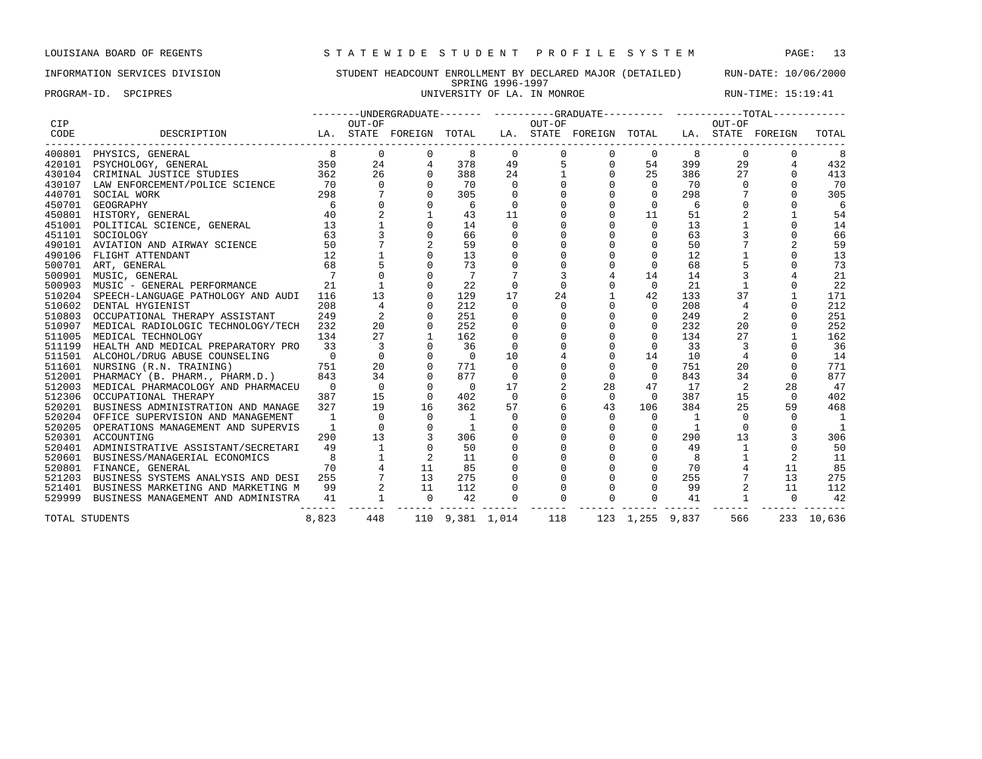### INFORMATION SERVICES DIVISION STUDENT HEADCOUNT ENROLLMENT BY DECLARED MAJOR (DETAILED) RUN-DATE: 10/06/2000 SPRING 1996-1997

PROGRAM-ID. SPCIPRES **EXECUTE:** 15:19:41

|        |                                                                                                 |                |                |          |                 |             |             | --------UNDERGRADUATE------- ---------GRADUATE---------- -----------TOTAL------------ |                 |     |                |          |            |
|--------|-------------------------------------------------------------------------------------------------|----------------|----------------|----------|-----------------|-------------|-------------|---------------------------------------------------------------------------------------|-----------------|-----|----------------|----------|------------|
| CIP    |                                                                                                 |                | OUT-OF         |          |                 |             | OUT-OF      |                                                                                       |                 |     | OUT-OF         |          |            |
| CODE   | DESCRIPTION<br>LA. STATE FOREIGN TOTAL<br>------------------------------<br>------------------- |                |                |          |                 |             |             | LA. STATE FOREIGN TOTAL LA. STATE FOREIGN                                             |                 |     |                |          | TOTAL      |
| 400801 | PHYSICS, GENERAL                                                                                | 8 <sup>8</sup> | $\mathbf 0$    | 0        | 8               | 0           | $\mathbf 0$ | $\circ$                                                                               | $\mathbf{0}$    | -8  | 0              |          | 8          |
| 420101 | 350<br>362<br>PSYCHOLOGY, GENERAL                                                               |                | 24             |          | 378             | 49          | 5           | $\mathsf{O}$                                                                          | 54              | 399 | 29             |          | 432        |
|        | 430104 CRIMINAL JUSTICE STUDIES                                                                 |                | 26             |          | 388             | 24          |             | $\mathbf 0$                                                                           | 25              | 386 | 27             |          | 413        |
| 430107 | LAW ENFORCEMENT/POLICE SCIENCE                                                                  | 70             | $\Omega$       | $\Omega$ | 70              | $\Omega$    |             | $\Omega$                                                                              | $\Omega$        | 70  | $\Omega$       |          | 70         |
| 440701 | SOCIAL WORK                                                                                     | 298            |                |          | 305             | $\Omega$    |             | $\Omega$                                                                              | $\Omega$        | 298 |                |          | 305        |
| 450701 | GEOGRAPHY                                                                                       | -6             |                |          | - 6             | 0           |             | $\Omega$                                                                              | $\Omega$        | 6   |                |          | 6          |
| 450801 | HISTORY, GENERAL                                                                                | 40             | $\overline{a}$ |          | 43              | 11          |             | $\Omega$                                                                              | 11              | 51  | $\overline{2}$ |          | 54         |
| 451001 | POLITICAL SCIENCE, GENERAL                                                                      | 13             |                |          | 14              | $\mathbf 0$ | 0           | $\mathbf 0$                                                                           | $\mathbf{0}$    | 13  |                |          | 14         |
| 451101 | SOCIOLOGY                                                                                       | 63             |                |          | 66              | 0           | $\mathbf 0$ | $\mathbf 0$                                                                           | $\mathbf 0$     | 63  |                |          | 66         |
| 490101 | AVIATION AND AIRWAY SCIENCE                                                                     | 50             |                |          | 59              | $\mathbf 0$ |             | $\Omega$                                                                              | $\mathbf{0}$    | 50  |                |          | 59         |
| 490106 | FLIGHT ATTENDANT                                                                                | 12             |                |          | 13              | 0           |             | $\Omega$                                                                              | $\mathbf 0$     | 12  |                |          | 13         |
| 500701 | ART, GENERAL                                                                                    | 68             |                |          | 73              | $\Omega$    | $\Omega$    | $\Omega$                                                                              | $\Omega$        | 68  |                |          | 73         |
| 500901 | MUSIC, GENERAL                                                                                  |                |                |          |                 |             | 3           | 4                                                                                     | 14              | 14  | 3              |          | 21         |
| 500903 | MUSIC - GENERAL PERFORMANCE                                                                     | 21             |                |          | 22              | $\mathbf 0$ | 0           | 0                                                                                     | $\mathbf 0$     | 21  |                |          | 22         |
| 510204 | SPEECH-LANGUAGE PATHOLOGY AND AUDI                                                              | 116            | 13             | $\Omega$ | 129             | 17          | 24          | $\mathbf 1$                                                                           | 42              | 133 | 37             |          | 171        |
| 510602 | DENTAL HYGIENIST                                                                                | 208            |                |          | 212             | $\Omega$    | 0           | $\mathbf 0$                                                                           | 0               | 208 | $\overline{4}$ |          | 212        |
| 510803 | OCCUPATIONAL THERAPY ASSISTANT                                                                  | 249            |                |          | 251             | $\Omega$    | $\Omega$    | $\Omega$                                                                              | $\Omega$        | 249 | $\overline{2}$ |          | 251        |
| 510907 | MEDICAL RADIOLOGIC TECHNOLOGY/TECH                                                              | 232            | 20             |          | 252             | $\mathbf 0$ | $\Omega$    | $\Omega$                                                                              | $\Omega$        | 232 | 20             |          | 252        |
| 511005 | MEDICAL TECHNOLOGY                                                                              | 134            | 27             |          | 162             | $\mathbf 0$ | 0           | $\mathbf 0$                                                                           | $\mathbf 0$     | 134 | 27             |          | 162        |
| 511199 | HEALTH AND MEDICAL PREPARATORY PRO                                                              | 33             | $\overline{3}$ |          | 36              | $\mathbf 0$ |             | $\mathsf{O}\xspace$                                                                   | $\mathbf 0$     | 33  | 3              |          | 36         |
| 511501 | ALCOHOL/DRUG ABUSE COUNSELING                                                                   | $\overline{0}$ | $\mathbf 0$    | $\Omega$ | $\Omega$        | 10          |             | $\mathbf 0$                                                                           | 14              | 10  | 4              |          | 14         |
| 511601 | NURSING (R.N. TRAINING)                                                                         | 751            | 20             |          | 771             | $\Omega$    |             | $\Omega$                                                                              | $\Omega$        | 751 | 20             |          | 771        |
| 512001 | PHARMACY (B. PHARM., PHARM.D.)                                                                  | 843            | 34             | $\Omega$ | 877             | $\Omega$    | $\Omega$    | $\Omega$                                                                              | $\Omega$        | 843 | 34             | $\Omega$ | 877        |
| 512003 | MEDICAL PHARMACOLOGY AND PHARMACEU                                                              | $\overline{0}$ | $\overline{0}$ | $\Omega$ | $\Omega$        | 17          | 2           | 28                                                                                    | 47              | 17  | 2              | 28       | 47         |
|        | 512306 OCCUPATIONAL THERAPY                                                                     | 387            | 15             | $\Omega$ | 402             | $\mathbf 0$ | 0           | $\mathbf{0}$                                                                          | $\mathbf{0}$    | 387 | 15             | $\Omega$ | 402        |
| 520201 | BUSINESS ADMINISTRATION AND MANAGE                                                              | 327            | 19             | 16       | 362             | 57          |             | 43                                                                                    | 106             | 384 | 25             | 59       | 468        |
| 520204 | OFFICE SUPERVISION AND MANAGEMENT                                                               | $\overline{1}$ | $\Omega$       | $\Omega$ | - 1             | 0           |             | $\mathbf{0}$                                                                          | $\circ$         | 1   | $\Omega$       |          | - 1        |
| 520205 | OPERATIONS MANAGEMENT AND SUPERVIS                                                              | $\overline{1}$ | $\Omega$       |          | $\overline{1}$  | $\Omega$    |             | $\Omega$                                                                              | 0               | 1   | $\Omega$       |          |            |
| 520301 | ACCOUNTING                                                                                      | 290            | 13             |          | 306             | $\Omega$    | $\Omega$    | $\Omega$                                                                              | $\Omega$        | 290 | 13             |          | 306        |
| 520401 | ADMINISTRATIVE ASSISTANT/SECRETARI                                                              | 49             | $\mathbf{1}$   |          | 50              | $\mathbf 0$ | $\Omega$    | $\mathbf 0$                                                                           | $\Omega$        | 49  |                |          | 50         |
| 520601 | BUSINESS/MANAGERIAL ECONOMICS                                                                   | 8              |                |          | 11              | $\mathbf 0$ | $\Omega$    | $\mathsf{O}\xspace$                                                                   | 0               | 8   |                |          | 11         |
| 520801 | FINANCE, GENERAL                                                                                | 70             |                | 11       | 85              | $\mathbf 0$ | 0           | $\mathbf 0$                                                                           | $\mathbf 0$     | 70  |                | 11       | 85         |
| 521203 | BUSINESS SYSTEMS ANALYSIS AND DESI                                                              | 255            |                | 13       | 275             | $\mathbf 0$ | $\Omega$    | 0                                                                                     | $\Omega$        | 255 |                | 13       | 275        |
| 521401 | BUSINESS MARKETING AND MARKETING M                                                              | 99             |                | 11       | 112             | 0           | $\Omega$    | $\Omega$                                                                              | $\Omega$        | 99  |                | 11       | 112        |
| 529999 | BUSINESS MANAGEMENT AND ADMINISTRA                                                              | 41             |                | $\Omega$ | 42              | $\Omega$    | $\Omega$    | $\Omega$                                                                              | $\Omega$        | 41  | $\mathbf{1}$   | $\Omega$ | 42         |
|        | TOTAL STUDENTS                                                                                  | 8,823          | 448            |          | 110 9,381 1,014 |             | 118         |                                                                                       | 123 1,255 9,837 |     | 566            |          | 233 10,636 |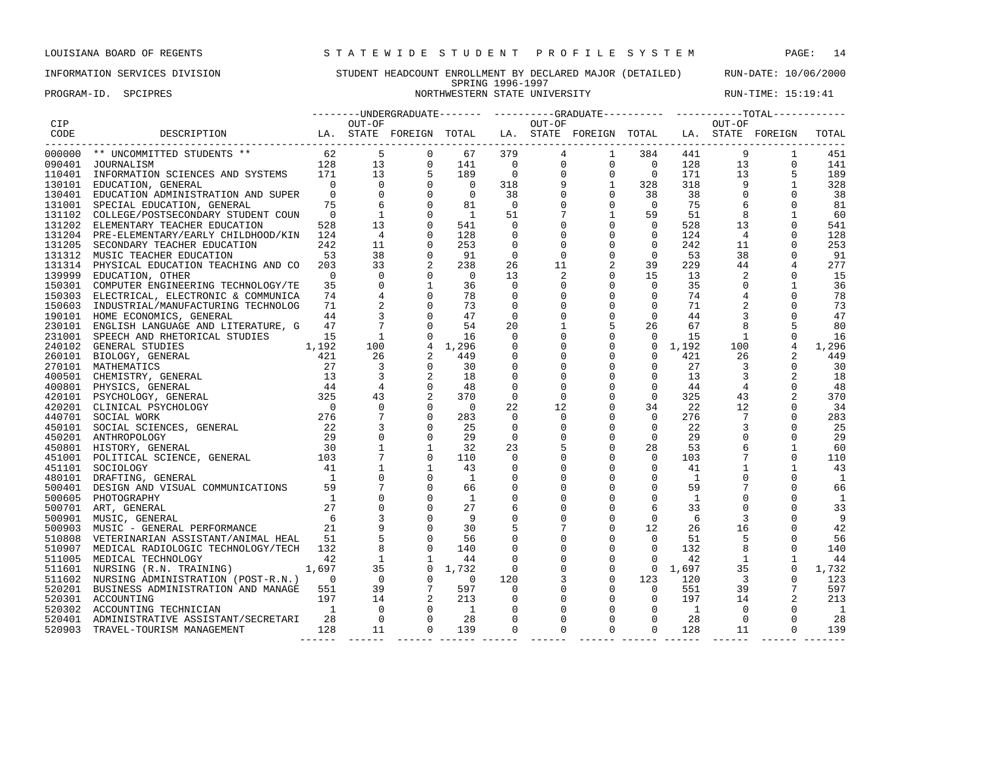### INFORMATION SERVICES DIVISION STUDENT HEADCOUNT ENROLLMENT BY DECLARED MAJOR (DETAILED) RUN-DATE: 10/06/2000 SPRING 1996-1997 PROGRAM-ID. SPCIPRES NORTHWESTERN STATE UNIVERSITY NORTHWESTERN STATE UNIVERSITY

|        |                                                                                                          |                |                 |                 |                |                |                |                     |                                                |                 |                         | --------UNDERGRADUATE------- ----------GRADUATE---------- ------------TOTAL------------ |                |
|--------|----------------------------------------------------------------------------------------------------------|----------------|-----------------|-----------------|----------------|----------------|----------------|---------------------|------------------------------------------------|-----------------|-------------------------|-----------------------------------------------------------------------------------------|----------------|
|        |                                                                                                          |                |                 |                 |                |                | OUT-OF         |                     |                                                |                 | OUT-OF                  |                                                                                         |                |
|        | DESCRIPTION                       LA. STATE FOREIGN TOTAL    LA. STATE FOREIGN TOTAL   LA. STATE FOREIGN |                |                 |                 |                |                |                |                     |                                                |                 |                         |                                                                                         | TOTAL          |
|        |                                                                                                          |                |                 |                 | 67             | 379            | $\overline{4}$ |                     |                                                | 1 384 441       | 9                       | 1                                                                                       | 451            |
|        |                                                                                                          |                |                 |                 | 141            | $\overline{0}$ | $\mathbf 0$    |                     |                                                | 128             | 13                      | $\mathbf 0$                                                                             | 141            |
|        |                                                                                                          |                |                 |                 | 189            | $\overline{0}$ | $\mathbf 0$    |                     | $\begin{matrix} 0 && 0 \\ 0 && 0 \end{matrix}$ | 171             | 13                      | 5                                                                                       | 189            |
|        |                                                                                                          |                |                 |                 | $\overline{0}$ | 318            | 9              |                     | 1 328                                          | 318             | 9                       | 1                                                                                       | 328            |
|        |                                                                                                          |                |                 |                 | $\overline{0}$ | 38             | $\mathbf 0$    | $\mathsf{O}$        | 38                                             | 38              | $\mathbf 0$             | $\mathbf 0$                                                                             | 38             |
|        |                                                                                                          |                |                 |                 | 81             | $\overline{0}$ | $\mathbf 0$    | $\mathbf 0$         | $\overline{0}$                                 | 75              | 6                       |                                                                                         | 81             |
|        |                                                                                                          |                |                 |                 | $\overline{1}$ | 51             | $7\phantom{.}$ | $\mathbf{1}$        | 59                                             | 51              | 8                       | $\mathbf{1}$                                                                            | 60             |
|        |                                                                                                          |                |                 |                 | 541            | $\Omega$       |                | $\mathbf{0}$        | $\Omega$                                       | 528             | 13                      | $\Omega$                                                                                | 541            |
|        | 131204 PRE-ELEMENTARY/EARLY CHILDHOOD/KIN 124                                                            |                | $\overline{4}$  | 0               | 128            | 0              | $\mathbf 0$    | $\mathsf{O}$        | $\mathbf{0}$                                   | 124             | $\overline{4}$          | 0                                                                                       | 128            |
|        | 242<br>131205 SECONDARY TEACHER EDUCATION                                                                |                | 11              | $\mathbf 0$     | 253            | 0              | $\mathbf 0$    | $\mathsf{O}\xspace$ | $\mathbf 0$                                    | 242             | 11                      | $\Omega$                                                                                | 253            |
|        | 131312 MUSIC TEACHER EDUCATION<br>53                                                                     |                | 38              | $\mathsf{O}$    | 91             | $\mathbf 0$    | $\mathbf 0$    | $\mathsf{O}$        | $\overline{0}$                                 | 53              | 38                      | $\mathbf 0$                                                                             | 91             |
|        | 131314 PHYSICAL EDUCATION TEACHING AND CO 203                                                            |                | 33              |                 | 238            | 26             | 11             | $\overline{a}$      | 39                                             | 229             | 44                      |                                                                                         | 277            |
|        | 139999 EDUCATION, OTHER                                                                                  | $\overline{0}$ | $\Omega$        | $\mathbf 0$     | $\Omega$       | 13             | $\overline{2}$ | $\mathbf 0$         | 15                                             | 13              | 2                       |                                                                                         | 15             |
|        | 150301 COMPUTER ENGINEERING TECHNOLOGY/TE                                                                | 35             | $\Omega$        | $\mathbf{1}$    | 36             | $\Omega$       | $\Omega$       | $\mathbf 0$         | $\mathbf{0}$                                   | 35              | $\Omega$                | $\mathbf{1}$                                                                            | 36             |
|        | 150303 ELECTRICAL, ELECTRONIC & COMMUNICA                                                                | 74             |                 |                 | 78             | 0              |                | $\mathbf 0$         | $\mathbf 0$                                    | 74              | 4                       | $\mathbf 0$                                                                             | 78             |
|        | 150603 INDUSTRIAL/MANUFACTURING TECHNOLOG                                                                | 71             |                 |                 | 73             | $\overline{0}$ | $\mathbf 0$    | $\mathbf 0$         | $\mathbf 0$                                    | 71              | $\overline{2}$          | $\mathbf 0$                                                                             | 73             |
|        | 190101 HOME ECONOMICS, GENERAL                                                                           | 44             |                 |                 | 47             | $\overline{0}$ |                | $\mathbf 0$         | $\mathbf 0$                                    | 44              | 3                       | $\mathbf 0$                                                                             | 47             |
|        | 230101 ENGLISH LANGUAGE AND LITERATURE, G                                                                | 47             | $7\overline{ }$ | $\Omega$        | 54             | 20             |                | 5                   | 26                                             | 67              | 8                       |                                                                                         | 80             |
|        | 231001 SPEECH AND RHETORICAL STUDIES                                                                     | 15             | $\overline{1}$  | $\mathbf 0$     | 16             | $\overline{0}$ | 0              | $\mathsf{O}$        | $\overline{0}$                                 | 15              | <sup>1</sup>            | $\Omega$                                                                                | 16             |
|        |                                                                                                          |                | 100             | 4               | 1,296          | $\mathbf 0$    | 0              | $\mathbf 0$         |                                                | $0 \quad 1,192$ | 100                     | 4                                                                                       | 1,296          |
|        |                                                                                                          |                | 26              |                 | 449            | 0              | 0              | $\mathbf 0$         | $\overline{0}$                                 | 421             | 26                      | 2                                                                                       | 449            |
|        |                                                                                                          |                | $\overline{3}$  | $\mathbf 0$     | 30             | $\mathbf 0$    | $\mathbf 0$    | $\mathsf{O}$        | $\mathbf 0$                                    | 27              | 3                       | $\mathbf 0$                                                                             | 30             |
|        |                                                                                                          |                | $\overline{3}$  |                 | 18             | $\mathbf 0$    | $\Omega$       | $\mathbf 0$         | $\mathbf 0$                                    | 13              | 3                       | 2                                                                                       | 18             |
|        |                                                                                                          |                | 4               | $\mathbf 0$     | -48            | $\mathbf 0$    | $\Omega$       | $\mathbf 0$         | $\mathbf 0$                                    | 44              | $\overline{4}$          | $\Omega$                                                                                | 48             |
|        |                                                                                                          |                | 43              |                 | 370            | $\overline{0}$ | $\Omega$       | 0                   | $\circ$                                        | 325             | 43                      | 2                                                                                       | 370            |
|        |                                                                                                          |                | $\overline{0}$  | $\mathbf 0$     | $\overline{0}$ | 22             | 12             | $\mathsf{O}$        | 34                                             | 22              | 12                      | 0                                                                                       | -34            |
|        |                                                                                                          |                | $\overline{7}$  | $\mathsf{O}$    | 283            | $\mathbf 0$    | $\mathbf 0$    | $\mathsf{O}$        | $\mathbf{0}$                                   | 276             | $7\phantom{.0}$         | 0                                                                                       | 283            |
|        |                                                                                                          |                | $\overline{3}$  | $\mathbf 0$     | 25             | $\Omega$       | $\Omega$       | $\mathbf 0$         | $\Omega$                                       | 22              | 3                       | $\Omega$                                                                                | 25             |
|        |                                                                                                          |                | $\overline{0}$  | $\Omega$        | 29             | $\overline{0}$ | $\Omega$       | $\mathbf 0$         | $\Omega$                                       | 29              | $\Omega$                | $\Omega$                                                                                | 29             |
|        |                                                                                                          |                | $\overline{1}$  | $\mathbf{1}$    | 32             | 23             | 5              | $\mathbf 0$         | 28                                             | 53              | 6                       | 1                                                                                       | 60             |
|        |                                                                                                          |                | $7\overline{7}$ | $\mathbf 0$     | 110            | $\overline{0}$ | $\mathbf 0$    | $\mathbf 0$         | $\mathbf 0$                                    | 103             | $7\phantom{.0}$         | $\Omega$                                                                                | 110            |
| 451101 | SOCIOLOGY                                                                                                | 41             |                 |                 | 43             | $\mathbf 0$    | $\mathbf 0$    | 0                   | $\mathbf{0}$                                   | 41              |                         | $\mathbf{1}$                                                                            | 43             |
|        | 480101 DRAFTING, GENERAL                                                                                 | $\sim$ 1       | $\mathbf{0}$    | $\mathbf 0$     | $\overline{1}$ | $\mathbf 0$    |                | $\mathbf 0$         | $\mathbf 0$                                    | <sup>1</sup>    | $\mathbf 0$             | $\mathbf 0$                                                                             | 1              |
| 500401 | DESIGN AND VISUAL COMMUNICATIONS                                                                         | 59             |                 |                 | 66             | $\mathbf 0$    |                | $\mathbf 0$         | $\mathbf{0}$                                   | 59              |                         | 0                                                                                       | 66             |
| 500605 | PHOTOGRAPHY                                                                                              | 1              | $\mathbf 0$     | $\mathbf 0$     | $\mathbf{1}$   | $\mathbf 0$    |                | $\mathbf 0$         | $\mathbf 0$                                    | <sup>1</sup>    | $\mathbf 0$             | $\Omega$                                                                                | -1             |
|        | 500701 ART, GENERAL                                                                                      |                | $\mathsf 0$     |                 | 27             | 6              | $\mathbf 0$    | $\mathbf 0$         | 6                                              | 33              | $\mathbf 0$             | $\mathbf 0$                                                                             | 33             |
|        | 500901 MUSIC, GENERAL                                                                                    | $rac{2}{6}$    |                 | $\mathbf 0$     | - 9            | $\mathsf 0$    | $\Omega$       | $\mathbf 0$         | $\mathbf 0$                                    | - 6             | 3                       | $\mathbf 0$                                                                             | 9              |
|        | 500903 MUSIC - GENERAL PERFORMANCE                                                                       | 21             |                 | $\mathbf 0$     | 30             |                |                | $\mathbf 0$         | 12                                             | 26              | 16                      | $\mathbf 0$                                                                             | 42             |
|        | 510808 VETERINARIAN ASSISTANT/ANIMAL HEAL                                                                | 51             |                 |                 | 56             | $\mathbf 0$    | $\Omega$       | $\mathbf 0$         | $\overline{0}$                                 | 51              | 5                       | $\Omega$                                                                                | 56             |
|        | 510907 MEDICAL RADIOLOGIC TECHNOLOGY/TECH                                                                | 132            |                 | $\mathbf 0$     | 140            | $\mathsf 0$    | $\mathbf 0$    | $\mathbf 0$         | $\Omega$                                       | 132             | 8                       | $\Omega$                                                                                | 140            |
|        | 511005 MEDICAL TECHNOLOGY                                                                                | 42             | $\mathbf{1}$    | $\mathbf{1}$    | 44             | $\overline{0}$ |                | $\mathsf 0$         | $\overline{0}$                                 | 42              | <sup>1</sup>            | 1                                                                                       | 44             |
|        | 511601 NURSING (R.N. TRAINING) 1,697                                                                     |                | 35              | $\mathbf 0$     | 1,732          | $\overline{0}$ | $\mathbf 0$    | $\mathbf 0$         |                                                | $0 \quad 1,697$ | 35                      | $\mathbf 0$                                                                             | 1,732          |
|        | 511602 NURSING ADMINISTRATION (POST-R.N.) 0                                                              |                | $\overline{0}$  | $\mathbf 0$     | $\overline{0}$ | 120            | 3              | $\mathsf{O}\xspace$ | 123                                            | 120             | $\overline{\mathbf{3}}$ | $\mathbf 0$                                                                             | 123            |
|        | 520201 BUSINESS ADMINISTRATION AND MANAGE                                                                | 551            | 39              | $7\overline{ }$ | 597            | $\mathbf 0$    | $\mathbf 0$    | $\mathbf 0$         | $\circ$                                        | 551             | 39                      | 7                                                                                       | 597            |
|        | HNICIAN 197<br>520301 ACCOUNTING                                                                         |                | 14              |                 | 213            | 0              |                | $\mathbf 0$         | $\mathbf{0}$                                   | 197             | 14                      |                                                                                         | 213            |
|        | 520302 ACCOUNTING TECHNICIAN                                                                             | $\overline{1}$ | $\overline{0}$  | $\mathbf 0$     | $\mathbf{1}$   | 0              |                | 0                   | 0                                              | $\overline{1}$  | $\mathbf 0$             | 0                                                                                       | $\overline{1}$ |
|        | 520401 ADMINISTRATIVE ASSISTANT/SECRETARI                                                                | 28             | $\mathbf{0}$    | $\mathbf 0$     | 28             | $\mathbf 0$    |                | $\mathbf 0$         | $\mathbf 0$                                    | 28              | $\mathbf 0$             | $\Omega$                                                                                | 28             |
| 520903 | TRAVEL-TOURISM MANAGEMENT                                                                                | 128            | 11              | $\Omega$        | 139            | $\Omega$       | $\Omega$       | $\Omega$            | $\Omega$                                       | 128             | 11                      | $\Omega$                                                                                | 139            |

------ ------ ------ ------ ------ ------ ------ ------ ------ ------ ------ -------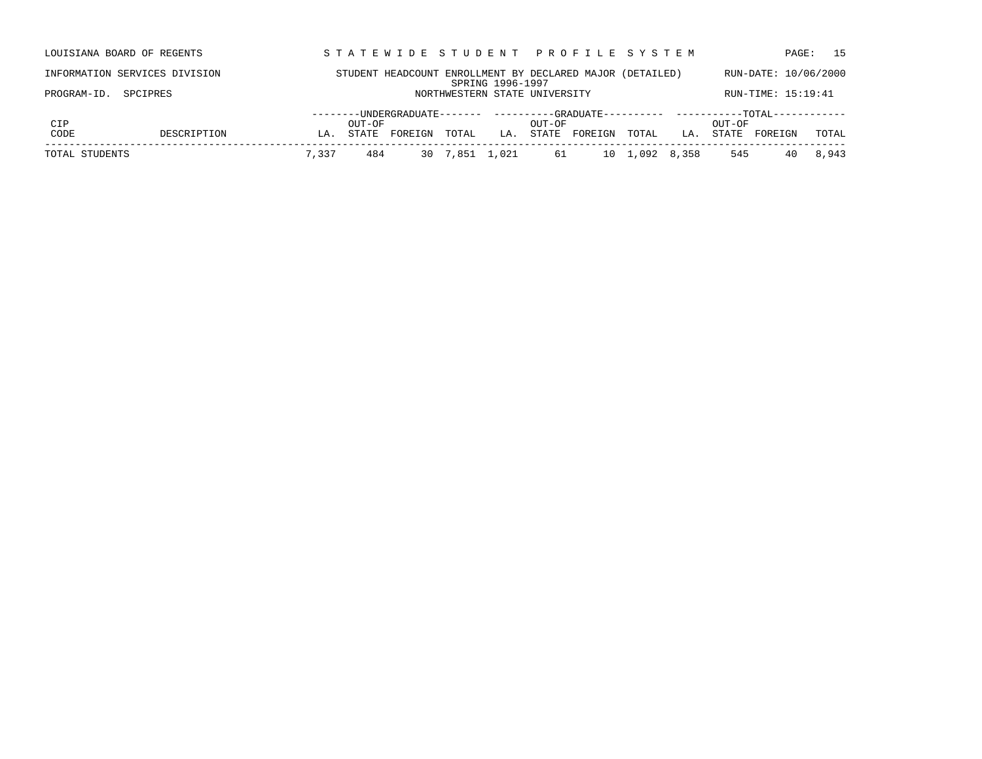|             | LOUISIANA BOARD OF REGENTS    |     |        |         |       |                  | STATEWIDE STUDENT PROFILE SYSTEM                          |         |       |     |        | PAGE:                | 15    |
|-------------|-------------------------------|-----|--------|---------|-------|------------------|-----------------------------------------------------------|---------|-------|-----|--------|----------------------|-------|
|             | INFORMATION SERVICES DIVISION |     |        |         |       | SPRING 1996-1997 | STUDENT HEADCOUNT ENROLLMENT BY DECLARED MAJOR (DETAILED) |         |       |     |        | RUN-DATE: 10/06/2000 |       |
| PROGRAM-ID. | SPCIPRES                      |     |        |         |       |                  | NORTHWESTERN STATE UNIVERSITY                             |         |       |     |        | RUN-TIME: 15:19:41   |       |
|             |                               |     |        |         |       |                  |                                                           |         |       |     |        |                      |       |
| CIP         |                               |     | OUT-OF |         |       |                  | OUT-OF                                                    |         |       |     | OUT-OF |                      |       |
| CODE        | DESCRIPTION                   | LA. | STATE  | FOREIGN | TOTAL | LA.              | STATE                                                     | FOREIGN | TOTAL | LA. | STATE  | FOREIGN              | TOTAL |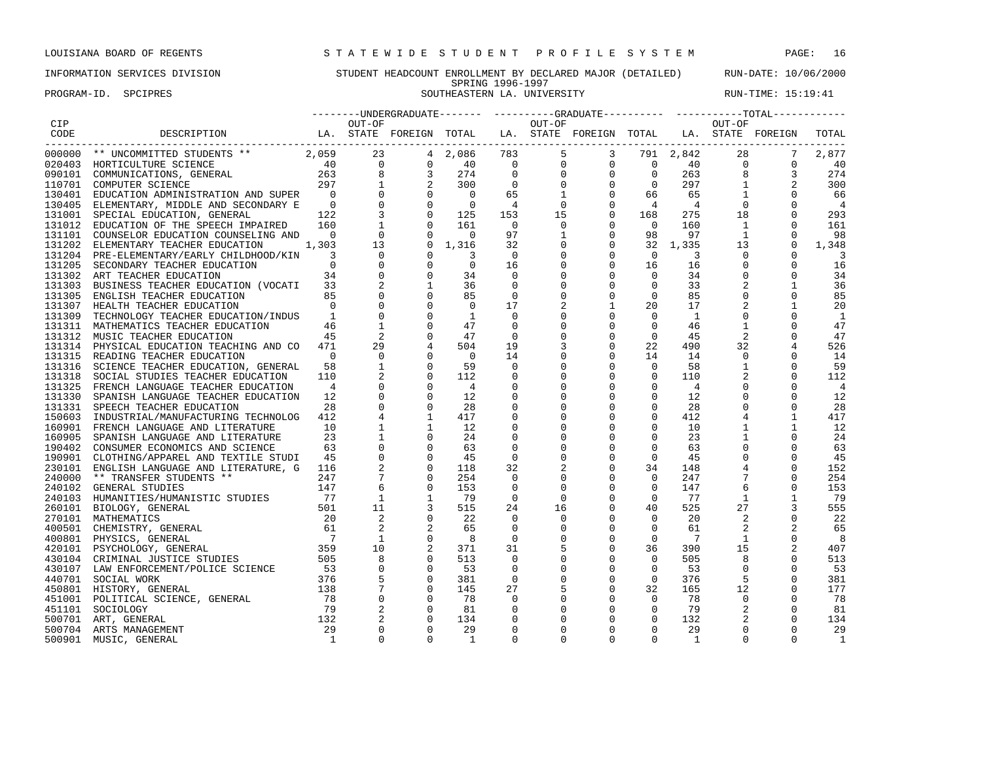### INFORMATION SERVICES DIVISION STUDENT HEADCOUNT ENROLLMENT BY DECLARED MAJOR (DETAILED) RUN-DATE: 10/06/2000 SPRING 1996-1997

PROGRAM-ID. SPCIPRES SOUTHEASTERN LA. UNIVERSITY SOUTHEASTERN AUNTERS RUN-TIME: 15:19:41

|      |                                                                                                  |        |  |             |              |                                                                                                                                                                                                                                                                                                              |                                          |                                                                                                                   |                 | ---------UNDERGRADUATE------- ---------GRADUATE---------- ----------TOTAL----------- |                         |
|------|--------------------------------------------------------------------------------------------------|--------|--|-------------|--------------|--------------------------------------------------------------------------------------------------------------------------------------------------------------------------------------------------------------------------------------------------------------------------------------------------------------|------------------------------------------|-------------------------------------------------------------------------------------------------------------------|-----------------|--------------------------------------------------------------------------------------|-------------------------|
| CIP  |                                                                                                  | OUT-OF |  |             | OUT-OF       |                                                                                                                                                                                                                                                                                                              |                                          |                                                                                                                   | OUT-OF          |                                                                                      |                         |
| CODE | DESCRIPTION                LA. STATE FOREIGN TOTAL   LA. STATE FOREIGN TOTAL   LA. STATE FOREIGN |        |  |             |              |                                                                                                                                                                                                                                                                                                              |                                          |                                                                                                                   |                 |                                                                                      | TOTAL                   |
|      |                                                                                                  |        |  |             |              | $\begin{array}{cccccccccccc} 783 & 5 & 3 & 791 & 2,842 & 28 & 7\\ 0 & 0 & 0 & 0 & 40 & 0 & 0\\ 0 & 0 & 0 & 0 & 263 & 8 & 3\\ 0 & 0 & 0 & 0 & 297 & 1 & 2\\ 65 & 1 & 0 & 66 & 65 & 1 & 0\\ 4 & 0 & 0 & 4 & 4 & 0 & 0\\ 153 & 15 & 0 & 168 & 275 & 18 & 0\\ 97 & 1 & 0 & 98 & 97 & 1 & 0\\ 32 & 0 & 0 & 32 & $ |                                          |                                                                                                                   |                 |                                                                                      |                         |
|      |                                                                                                  |        |  |             |              |                                                                                                                                                                                                                                                                                                              |                                          |                                                                                                                   |                 |                                                                                      | 2,877                   |
|      |                                                                                                  |        |  |             |              |                                                                                                                                                                                                                                                                                                              |                                          |                                                                                                                   |                 |                                                                                      | 40                      |
|      |                                                                                                  |        |  |             |              |                                                                                                                                                                                                                                                                                                              |                                          |                                                                                                                   |                 |                                                                                      | 274                     |
|      |                                                                                                  |        |  |             |              |                                                                                                                                                                                                                                                                                                              |                                          |                                                                                                                   |                 |                                                                                      | 300                     |
|      |                                                                                                  |        |  |             |              |                                                                                                                                                                                                                                                                                                              |                                          |                                                                                                                   |                 |                                                                                      | 66                      |
|      |                                                                                                  |        |  |             |              |                                                                                                                                                                                                                                                                                                              |                                          |                                                                                                                   |                 |                                                                                      | $\overline{4}$          |
|      |                                                                                                  |        |  |             |              |                                                                                                                                                                                                                                                                                                              |                                          |                                                                                                                   |                 |                                                                                      | 293                     |
|      |                                                                                                  |        |  |             |              |                                                                                                                                                                                                                                                                                                              |                                          |                                                                                                                   |                 |                                                                                      |                         |
|      |                                                                                                  |        |  |             |              |                                                                                                                                                                                                                                                                                                              |                                          | $\begin{array}{ccc} 0 & 160 \ 98 & 97 \ 32 & 1,335 \ 0 & 3 & 16 \ 0 & 34 \ 0 & 33 \ 0 & 85 \ 20 & 17 \end{array}$ |                 |                                                                                      | 161                     |
|      |                                                                                                  |        |  |             |              |                                                                                                                                                                                                                                                                                                              |                                          |                                                                                                                   |                 |                                                                                      | 98                      |
|      |                                                                                                  |        |  |             |              |                                                                                                                                                                                                                                                                                                              |                                          |                                                                                                                   |                 |                                                                                      | 1,348                   |
|      |                                                                                                  |        |  |             |              |                                                                                                                                                                                                                                                                                                              |                                          |                                                                                                                   |                 |                                                                                      | $\overline{\mathbf{3}}$ |
|      |                                                                                                  |        |  |             |              |                                                                                                                                                                                                                                                                                                              |                                          |                                                                                                                   |                 |                                                                                      | 16                      |
|      |                                                                                                  |        |  |             |              |                                                                                                                                                                                                                                                                                                              |                                          |                                                                                                                   |                 |                                                                                      | 34                      |
|      |                                                                                                  |        |  |             |              |                                                                                                                                                                                                                                                                                                              |                                          |                                                                                                                   |                 |                                                                                      | 36                      |
|      |                                                                                                  |        |  | $\mathbf 0$ | $\mathbf 0$  | $\mathsf{O}$                                                                                                                                                                                                                                                                                                 |                                          |                                                                                                                   | $\mathbf 0$     | $\mathbf 0$                                                                          | 85                      |
|      |                                                                                                  |        |  | 17          |              | $\mathbf{1}$                                                                                                                                                                                                                                                                                                 |                                          |                                                                                                                   | 2               | 1                                                                                    | 20                      |
|      |                                                                                                  |        |  | $\Omega$    |              | $\mathbf 0$                                                                                                                                                                                                                                                                                                  | $\Omega$                                 | 1                                                                                                                 | $\Omega$        | $\Omega$                                                                             | 1                       |
|      |                                                                                                  |        |  | 0           | $\mathbf 0$  | $\mathbf 0$                                                                                                                                                                                                                                                                                                  | $\overline{0}$                           | 46                                                                                                                | $\mathbf{1}$    | $\Omega$                                                                             | 47                      |
|      |                                                                                                  |        |  | $\mathbf 0$ | $\mathbf 0$  | $\mathbf 0$                                                                                                                                                                                                                                                                                                  | $\overline{0}$                           | 45                                                                                                                | 2               | $\Omega$                                                                             | 47                      |
|      |                                                                                                  |        |  | 19          | 3            | $\mathbf 0$                                                                                                                                                                                                                                                                                                  | 22                                       | 490                                                                                                               | 32              | $\overline{4}$                                                                       | 526                     |
|      |                                                                                                  |        |  | 14          | $\mathbf 0$  | $\mathbf{0}$                                                                                                                                                                                                                                                                                                 | 14                                       | 14                                                                                                                | $\mathbf{0}$    | $\mathbf 0$                                                                          | 14                      |
|      |                                                                                                  |        |  | $\mathbf 0$ | $\mathbf 0$  | $\mathbf 0$                                                                                                                                                                                                                                                                                                  | $\overline{0}$                           | 58                                                                                                                | $\overline{1}$  | $\mathbf 0$                                                                          | 59                      |
|      |                                                                                                  |        |  | $\mathbf 0$ | $\mathbf 0$  | $\mathsf{O}\xspace$                                                                                                                                                                                                                                                                                          | $\overline{0}$                           | 110                                                                                                               | 2               | $\Omega$                                                                             | 112                     |
|      |                                                                                                  |        |  | $\mathbf 0$ | $\mathbf 0$  | $\mathbf 0$                                                                                                                                                                                                                                                                                                  | $\overline{0}$                           | $\overline{4}$                                                                                                    | $\mathbf 0$     | $\Omega$                                                                             | $\overline{4}$          |
|      |                                                                                                  |        |  |             |              | 0                                                                                                                                                                                                                                                                                                            |                                          |                                                                                                                   | $\mathbf 0$     |                                                                                      |                         |
|      |                                                                                                  |        |  | 0           | $\mathbf 0$  |                                                                                                                                                                                                                                                                                                              | $\overline{0}$                           | 12                                                                                                                |                 | $\mathbf 0$                                                                          | 12                      |
|      |                                                                                                  |        |  | $\mathbf 0$ |              | 0                                                                                                                                                                                                                                                                                                            | $\overline{0}$                           | 28                                                                                                                | $\mathbf 0$     | $\Omega$                                                                             | 28                      |
|      |                                                                                                  |        |  | $\mathbf 0$ | $\mathbf 0$  | $\mathbf 0$                                                                                                                                                                                                                                                                                                  | $\circ$                                  | 412                                                                                                               | $\overline{4}$  | $\mathbf{1}$                                                                         | 417                     |
|      |                                                                                                  |        |  | 0           | $\Omega$     | $\mathbf 0$                                                                                                                                                                                                                                                                                                  | $\Omega$                                 | 10                                                                                                                | $\mathbf{1}$    | 1                                                                                    | 12                      |
|      |                                                                                                  |        |  | $\mathbf 0$ | $\Omega$     | $\mathbf 0$                                                                                                                                                                                                                                                                                                  | $\Omega$                                 | 23                                                                                                                | $\mathbf{1}$    | $\Omega$                                                                             | 24                      |
|      |                                                                                                  |        |  | $\mathbf 0$ | $\mathbf 0$  | $\mathbf 0$                                                                                                                                                                                                                                                                                                  | $\mathbf{0}$                             | 63                                                                                                                | $\mathbf 0$     | $\mathbf 0$                                                                          | 63                      |
|      |                                                                                                  |        |  | $\mathsf 0$ | $\mathbf 0$  | $\mathsf 0$                                                                                                                                                                                                                                                                                                  | $\mathbf{0}$                             | 45                                                                                                                | $\mathbb O$     | $\mathbf 0$                                                                          | 45                      |
|      |                                                                                                  |        |  | 32          | 2            | $\mathsf{O}$                                                                                                                                                                                                                                                                                                 |                                          | 148                                                                                                               | $\overline{4}$  | $\mathbf 0$                                                                          | 152                     |
|      |                                                                                                  |        |  | $\mathbf 0$ | $\mathbf 0$  | $\mathbf 0$                                                                                                                                                                                                                                                                                                  |                                          | 247                                                                                                               | $7\overline{ }$ | $\Omega$                                                                             | 254                     |
|      |                                                                                                  |        |  | 0           | $\mathbf 0$  | $\mathbf 0$                                                                                                                                                                                                                                                                                                  |                                          | 147                                                                                                               | -6              | $\Omega$                                                                             | 153                     |
|      |                                                                                                  |        |  | $\Omega$    | $\Omega$     | $\mathbf 0$                                                                                                                                                                                                                                                                                                  | $34$<br>0<br>0<br>0<br>0<br>40<br>0<br>0 | 77                                                                                                                | $\mathbf{1}$    | $\mathbf{1}$                                                                         | 79                      |
|      |                                                                                                  |        |  | 24          | 16           | $\mathbf{0}$                                                                                                                                                                                                                                                                                                 |                                          | 525                                                                                                               | 27              |                                                                                      | 555                     |
|      |                                                                                                  |        |  | $\mathbf 0$ | $\Omega$     | $\mathbf 0$                                                                                                                                                                                                                                                                                                  |                                          | 20                                                                                                                | 2               | $\Omega$                                                                             | 22                      |
|      |                                                                                                  |        |  | $\Omega$    | $\Omega$     | $\mathbf 0$                                                                                                                                                                                                                                                                                                  |                                          | 61                                                                                                                | 2               | $\overline{2}$                                                                       | 65                      |
|      |                                                                                                  |        |  | $\mathbf 0$ | $\mathbf{0}$ | 0                                                                                                                                                                                                                                                                                                            | $\overline{0}$                           | $\overline{7}$                                                                                                    | $\overline{1}$  | $\mathbf 0$                                                                          | - 8                     |
|      |                                                                                                  |        |  | 31          |              | $\mathbf 0$                                                                                                                                                                                                                                                                                                  | 36                                       | 390                                                                                                               | 15              | 2                                                                                    | 407                     |
|      |                                                                                                  |        |  | $\Omega$    | $\mathbf 0$  | $\mathbf 0$                                                                                                                                                                                                                                                                                                  | $\Omega$                                 | 505                                                                                                               | 8               | $\Omega$                                                                             | 513                     |
|      |                                                                                                  |        |  | $\mathbf 0$ | $\mathbf 0$  | $\mathbf 0$                                                                                                                                                                                                                                                                                                  | $\overline{0}$                           | 53                                                                                                                | $\overline{0}$  | $\mathbf 0$                                                                          | 53                      |
|      |                                                                                                  |        |  | $\mathbf 0$ | $\mathbf 0$  | $\mathbf 0$                                                                                                                                                                                                                                                                                                  | $\circ$                                  | 376                                                                                                               | 5               | $\mathbf 0$                                                                          |                         |
|      |                                                                                                  |        |  |             |              |                                                                                                                                                                                                                                                                                                              |                                          |                                                                                                                   |                 |                                                                                      | 381                     |
|      |                                                                                                  |        |  | 27          | 5            | $\mathbf 0$                                                                                                                                                                                                                                                                                                  | 32                                       | 165                                                                                                               | 12              | $\mathbf 0$                                                                          | 177                     |
|      |                                                                                                  |        |  | $\mathbf 0$ | $\Omega$     | 0                                                                                                                                                                                                                                                                                                            | $\overline{0}$                           | 78                                                                                                                | $\overline{0}$  | $\Omega$                                                                             | 78                      |
|      |                                                                                                  |        |  | 0           | $\mathbf 0$  | $\mathbf 0$                                                                                                                                                                                                                                                                                                  | $\mathbf 0$                              | 79                                                                                                                | 2               | $\Omega$                                                                             | 81                      |
|      |                                                                                                  |        |  | $\Omega$    |              | $\mathsf 0$                                                                                                                                                                                                                                                                                                  | $\Omega$                                 | 132                                                                                                               | 2               | $\Omega$                                                                             | 134                     |
|      |                                                                                                  |        |  | $\mathbf 0$ | 0            | $\mathbf 0$                                                                                                                                                                                                                                                                                                  | $\mathbf 0$                              | 29                                                                                                                | $\mathbf 0$     | $\mathbf 0$                                                                          | 29                      |
|      |                                                                                                  |        |  | $\Omega$    | $\Omega$     | $\Omega$                                                                                                                                                                                                                                                                                                     | $\Omega$                                 | $\overline{1}$                                                                                                    | $\Omega$        | $\Omega$                                                                             | 1                       |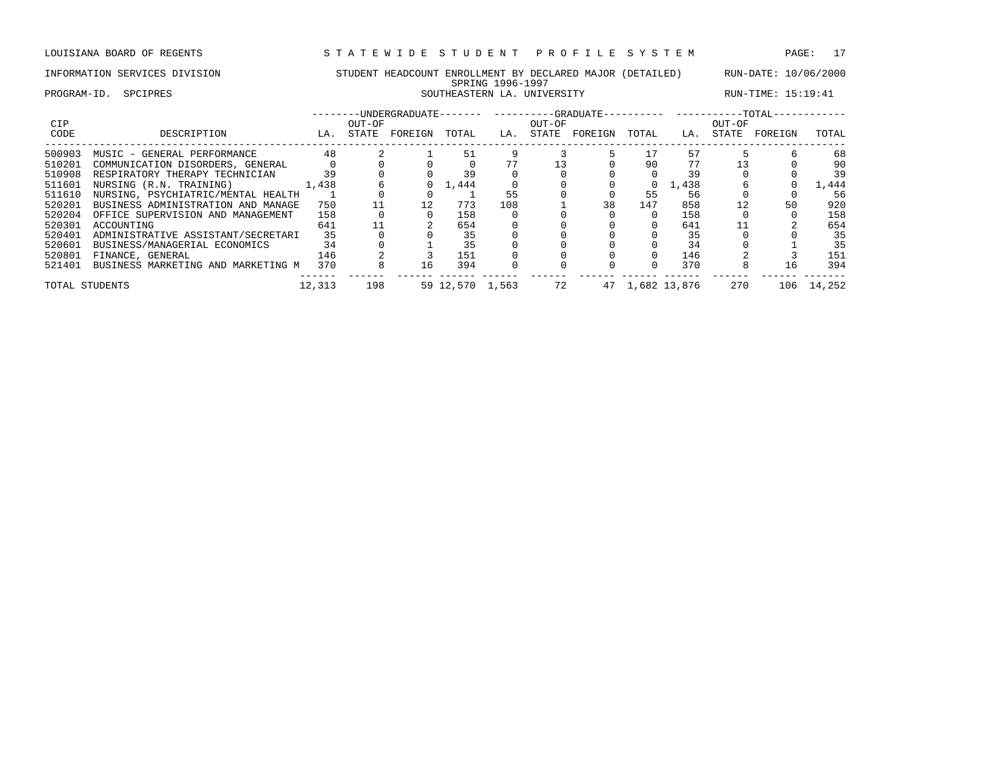PROGRAM-ID. SPCIPRES SOUTHEASTERN LA. UNIVERSITY RUN-TIME: 15:19:41

| CIP            |                                    |        | OUT-OF |         |                 |     | OUT-OF |         |          |              | OUT-OF |         |        |
|----------------|------------------------------------|--------|--------|---------|-----------------|-----|--------|---------|----------|--------------|--------|---------|--------|
| CODE           | DESCRIPTION                        | LA.    | STATE  | FOREIGN | TOTAL           | LA. | STATE  | FOREIGN | TOTAL    | LA.          | STATE  | FOREIGN | TOTAL  |
| 500903         | MUSIC - GENERAL PERFORMANCE        | 48     |        |         | 51              |     |        |         | 17       | 57           |        |         | 68     |
| 510201         | COMMUNICATION DISORDERS, GENERAL   |        |        |         |                 |     | 13     |         | 90       | 77           |        |         | 90     |
| 510908         | RESPIRATORY THERAPY TECHNICIAN     | 39     |        |         | 39              |     |        |         |          | 39           |        |         | 39     |
| 511601         | NURSING (R.N. TRAINING)            | 1,438  |        |         | ,444            |     |        |         | $\Omega$ | 1,438        |        |         | 1,444  |
| 511610         | NURSING, PSYCHIATRIC/MENTAL HEALTH |        |        |         |                 | 55  |        |         | 55       | 56           |        |         | 56     |
| 520201         | BUSINESS ADMINISTRATION AND MANAGE | 750    |        |         | 773             | 108 |        | 38      | 147      | 858          | 12     | 50      | 920    |
| 520204         | OFFICE SUPERVISION AND MANAGEMENT  | 158    |        |         | 158             |     |        |         | $\Omega$ | 158          |        |         | 158    |
| 520301         | ACCOUNTING                         | 641    |        |         | 654             |     |        |         |          | 641          |        |         | 654    |
| 520401         | ADMINISTRATIVE ASSISTANT/SECRETARI | 35     |        |         | 35              |     |        |         |          | 35           |        |         | 35     |
| 520601         | BUSINESS/MANAGERIAL ECONOMICS      | 34     |        |         | 35              |     |        |         |          | 34           |        |         | 35     |
| 520801         | FINANCE, GENERAL                   | 146    |        |         | 151             |     |        |         | $\Omega$ | 146          |        |         | 151    |
| 521401         | BUSINESS MARKETING AND MARKETING M | 370    |        | 16      | 394             |     |        |         |          | 370          |        | 16      | 394    |
| TOTAL STUDENTS |                                    | 12,313 | 198    |         | 59 12,570 1,563 |     | 72     | 47      |          | 1,682 13,876 | 270    | 106     | 14,252 |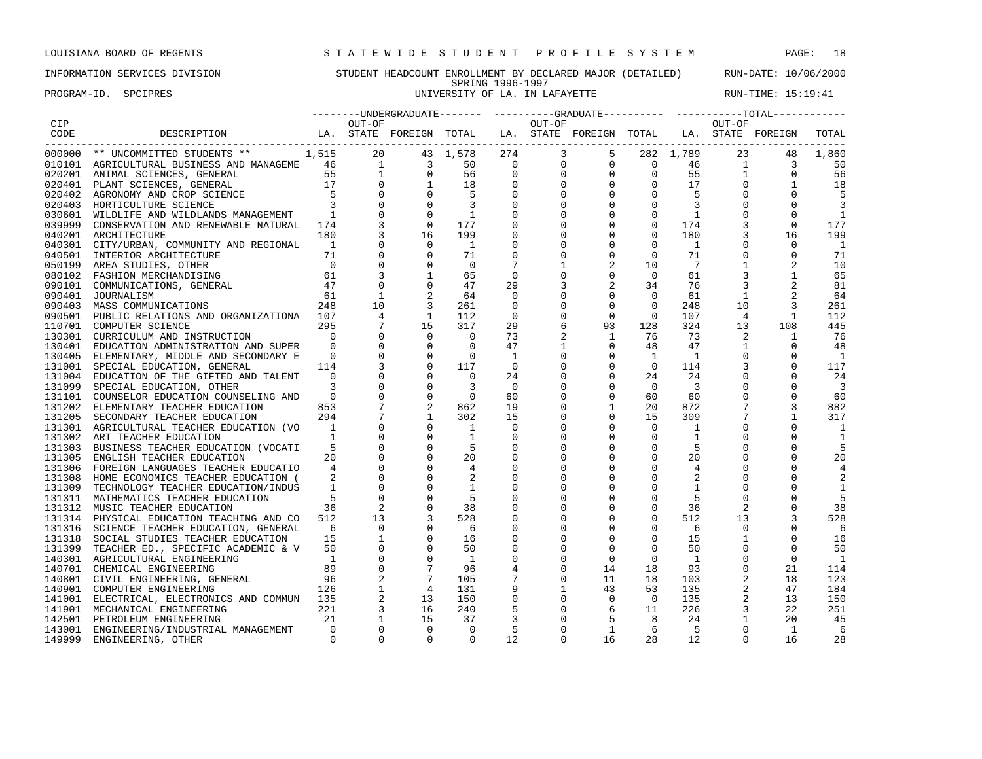PROGRAM-ID. SPCIPRES **EXAM-ID.** SPCIPRES UNIVERSITY OF LA. IN LAFAYETTE RUN-TIME: 15:19:41

### INFORMATION SERVICES DIVISION STUDENT HEADCOUNT ENROLLMENT BY DECLARED MAJOR (DETAILED) RUN-DATE: 10/06/2000 SPRING 1996-1997

| CIP    |                                                                                                                                                                                                                                           |                            |                 |                                                                                           |                            |                      |                             | $\begin{array}{cccccccc} \texttt{1} & \texttt{1} & \texttt{1} & \texttt{1} & \texttt{1} & \texttt{1} & \texttt{1} & \texttt{1} & \texttt{1} & \texttt{1} & \texttt{1} & \texttt{1} & \texttt{1} & \texttt{1} & \texttt{1} & \texttt{1} & \texttt{1} & \texttt{1} & \texttt{1} & \texttt{1} & \texttt{1} & \texttt{1} & \texttt{1} & \texttt{1} & \texttt{1} & \texttt{1} & \texttt{1} & \texttt{1} & \texttt{1} & \texttt{1} & \text$ |                    |                      |                          | $\begin{tabular}{ccc} \texttt{-----} \texttt{UNDERGRAPH} \texttt{---} \texttt{---} \texttt{---} \texttt{---} \texttt{---} \texttt{---} \texttt{---} \texttt{---} \texttt{---} \texttt{---} \texttt{---} \texttt{---} \texttt{---} \texttt{---} \texttt{---} \texttt{---} \texttt{---} \texttt{---} \texttt{---} \texttt{---} \texttt{---} \texttt{---} \texttt{---} \texttt{---} \texttt{---} \texttt{---} \texttt{---} \texttt{---} \texttt{---} \texttt{---} \texttt{---} \texttt{---} \texttt{---}$ |            |
|--------|-------------------------------------------------------------------------------------------------------------------------------------------------------------------------------------------------------------------------------------------|----------------------------|-----------------|-------------------------------------------------------------------------------------------|----------------------------|----------------------|-----------------------------|---------------------------------------------------------------------------------------------------------------------------------------------------------------------------------------------------------------------------------------------------------------------------------------------------------------------------------------------------------------------------------------------------------------------------------------|--------------------|----------------------|--------------------------|--------------------------------------------------------------------------------------------------------------------------------------------------------------------------------------------------------------------------------------------------------------------------------------------------------------------------------------------------------------------------------------------------------------------------------------------------------------------------------------------------------|------------|
| CODE   | DESCRIPTION LA. STATE FOREIGN TOTAL                                                                                                                                                                                                       |                            |                 |                                                                                           |                            |                      |                             | LA. STATE FOREIGN TOTAL LA. STATE FOREIGN                                                                                                                                                                                                                                                                                                                                                                                             |                    |                      |                          |                                                                                                                                                                                                                                                                                                                                                                                                                                                                                                        | TOTAL      |
|        | 000000 ** UNCOMMITTED STUDENTS ** 1,515 20 43 1,578<br>010101 AGRICULTURAL BUSINESS AND MANAGEME 46 1 3 50<br>020201 ANIMAL SCIENCES, GENERAL 55 1 0 56<br>020401 PLANT SCIENCES, GENERAL 17 0 1 18<br>020402 AGRONOMY AND CROP SCIENCE 5 |                            |                 |                                                                                           | 43 1,578 274               |                      |                             |                                                                                                                                                                                                                                                                                                                                                                                                                                       |                    |                      |                          | 23<br>48                                                                                                                                                                                                                                                                                                                                                                                                                                                                                               | 1,860      |
|        |                                                                                                                                                                                                                                           |                            |                 |                                                                                           |                            |                      |                             |                                                                                                                                                                                                                                                                                                                                                                                                                                       |                    |                      |                          | 3                                                                                                                                                                                                                                                                                                                                                                                                                                                                                                      | 50         |
|        |                                                                                                                                                                                                                                           |                            |                 |                                                                                           |                            |                      |                             |                                                                                                                                                                                                                                                                                                                                                                                                                                       |                    |                      |                          | $\mathbf 0$                                                                                                                                                                                                                                                                                                                                                                                                                                                                                            | 56         |
|        |                                                                                                                                                                                                                                           |                            |                 |                                                                                           |                            |                      |                             |                                                                                                                                                                                                                                                                                                                                                                                                                                       |                    |                      |                          | 1                                                                                                                                                                                                                                                                                                                                                                                                                                                                                                      | 18         |
|        |                                                                                                                                                                                                                                           |                            |                 |                                                                                           |                            |                      |                             |                                                                                                                                                                                                                                                                                                                                                                                                                                       |                    |                      |                          |                                                                                                                                                                                                                                                                                                                                                                                                                                                                                                        | 5          |
|        |                                                                                                                                                                                                                                           |                            |                 |                                                                                           |                            |                      |                             |                                                                                                                                                                                                                                                                                                                                                                                                                                       |                    |                      |                          |                                                                                                                                                                                                                                                                                                                                                                                                                                                                                                        |            |
|        | 030601 WILDLIFE AND WILDLANDS MANAGEMENT                                                                                                                                                                                                  | $\sim$ 1                   |                 | $\overline{0}$                                                                            |                            |                      |                             |                                                                                                                                                                                                                                                                                                                                                                                                                                       |                    |                      |                          |                                                                                                                                                                                                                                                                                                                                                                                                                                                                                                        | 1          |
|        | 039999 CONSERVATION AND RENEWABLE NATURAL 174                                                                                                                                                                                             |                            |                 | $\overline{0}$                                                                            |                            |                      |                             |                                                                                                                                                                                                                                                                                                                                                                                                                                       |                    |                      |                          | 0                                                                                                                                                                                                                                                                                                                                                                                                                                                                                                      | 177        |
|        | 040201 ARCHITECTURE                                                                                                                                                                                                                       | 180                        |                 | 16                                                                                        |                            |                      |                             |                                                                                                                                                                                                                                                                                                                                                                                                                                       |                    |                      |                          | 16                                                                                                                                                                                                                                                                                                                                                                                                                                                                                                     | 199        |
|        | 040301 CITY/URBAN, COMMUNITY AND REGIONAL                                                                                                                                                                                                 | $\overline{\phantom{a}}$   |                 | $\overline{0}$                                                                            | $\overline{1}$             | 0                    | $\Omega$                    | 0                                                                                                                                                                                                                                                                                                                                                                                                                                     | $\mathbf 0$        | 1                    |                          | $\mathbf 0$                                                                                                                                                                                                                                                                                                                                                                                                                                                                                            | -1         |
|        | 040501 INTERIOR ARCHITECTURE<br>$\begin{array}{cc} \cdot \cdot \cdot & -1 \\ \hline 71 \\ 0 \\ 61 \\ 47 \end{array}$                                                                                                                      |                            |                 | $\overline{0}$                                                                            | 71                         | $\mathbf 0$          | $\Omega$                    | $\mathbf 0$                                                                                                                                                                                                                                                                                                                                                                                                                           | $\overline{0}$     | 71                   | $\mathbf 0$              | $\mathbf 0$                                                                                                                                                                                                                                                                                                                                                                                                                                                                                            | 71         |
| 050199 | AREA STUDIES, OTHER                                                                                                                                                                                                                       |                            |                 | $\mathbf 0$                                                                               | $\overline{0}$             | $7\phantom{.0}$      |                             | $\overline{c}$                                                                                                                                                                                                                                                                                                                                                                                                                        | 10                 | 7                    |                          |                                                                                                                                                                                                                                                                                                                                                                                                                                                                                                        | 10         |
|        | 080102 FASHION MERCHANDISING                                                                                                                                                                                                              |                            |                 | $\mathbf{1}$                                                                              | 65                         | $\overline{0}$       | 0                           | $\mathbf 0$                                                                                                                                                                                                                                                                                                                                                                                                                           | $\overline{0}$     | 61                   |                          |                                                                                                                                                                                                                                                                                                                                                                                                                                                                                                        | 65         |
|        | 090101 COMMUNICATIONS, GENERAL                                                                                                                                                                                                            |                            |                 | $\mathbf 0$                                                                               | 47                         | 29                   |                             | 2                                                                                                                                                                                                                                                                                                                                                                                                                                     | 34                 | 76                   |                          |                                                                                                                                                                                                                                                                                                                                                                                                                                                                                                        | 81         |
| 090401 | JOURNALISM<br>248                                                                                                                                                                                                                         | 61                         | $\overline{1}$  |                                                                                           | 64                         | $\mathbf 0$          |                             | $\mathbf 0$                                                                                                                                                                                                                                                                                                                                                                                                                           | $\mathbf 0$        | 61                   | $\mathbf{1}$             |                                                                                                                                                                                                                                                                                                                                                                                                                                                                                                        | 64         |
| 090403 | MASS COMMUNICATIONS                                                                                                                                                                                                                       |                            | 10              |                                                                                           | 261                        | $\mathbf 0$          | $\mathbf 0$                 | $\overline{0}$                                                                                                                                                                                                                                                                                                                                                                                                                        | $\mathbf 0$        | 248                  | 10                       |                                                                                                                                                                                                                                                                                                                                                                                                                                                                                                        | 261        |
| 090501 | PUBLIC RELATIONS AND ORGANIZATIONA 107                                                                                                                                                                                                    |                            | $4\overline{ }$ | 1                                                                                         | 112                        | $\mathbf 0$          | 0                           | $\mathbf 0$                                                                                                                                                                                                                                                                                                                                                                                                                           | $\overline{0}$     | 107                  | $\overline{4}$           | 1                                                                                                                                                                                                                                                                                                                                                                                                                                                                                                      | 112        |
| 110701 | COMPUTER SCIENCE                                                                                                                                                                                                                          | 295                        | $7^{\circ}$     | 15                                                                                        | 317                        | 29                   | 6                           | 93                                                                                                                                                                                                                                                                                                                                                                                                                                    | 128                | 324                  | 13                       | 108                                                                                                                                                                                                                                                                                                                                                                                                                                                                                                    | 445        |
|        | 130301 CURRICULUM AND INSTRUCTION                                                                                                                                                                                                         | $\Omega$                   |                 | $\overline{0}$                                                                            | $\Omega$                   | 73                   |                             | $\mathbf{1}$                                                                                                                                                                                                                                                                                                                                                                                                                          | 76                 | 73                   | 2                        | 1                                                                                                                                                                                                                                                                                                                                                                                                                                                                                                      | 76         |
|        | 130401 EDUCATION ADMINISTRATION AND SUPER                                                                                                                                                                                                 | $\Omega$<br>$\overline{0}$ |                 |                                                                                           | $\Omega$<br>$\overline{0}$ | 47<br>$\overline{1}$ | $\mathbf{1}$<br>$\mathbf 0$ | $\Omega$<br>$\mathbf 0$                                                                                                                                                                                                                                                                                                                                                                                                               | 48<br><sup>1</sup> | 47<br>$\overline{1}$ | $\mathbf{1}$<br>$\Omega$ | $\Omega$                                                                                                                                                                                                                                                                                                                                                                                                                                                                                               | 48         |
| 131001 | 130405 ELEMENTARY, MIDDLE AND SECONDARY E                                                                                                                                                                                                 | 114                        |                 | $\begin{bmatrix} 0 & 0 & 0 \ 0 & 0 & 0 \ 3 & 0 & 0 \ 0 & 0 & 0 \ 0 & 0 & 0 \end{bmatrix}$ | 117                        | $\mathbf{0}$         |                             | $\mathbf{0}$                                                                                                                                                                                                                                                                                                                                                                                                                          | $\mathbf{0}$       | 114                  |                          | $\Omega$                                                                                                                                                                                                                                                                                                                                                                                                                                                                                               | - 1<br>117 |
|        | SPECIAL EDUCATION, GENERAL                                                                                                                                                                                                                | $\Omega$                   |                 |                                                                                           | $\overline{0}$             | 24                   | $\Omega$                    | $\mathbf{0}$                                                                                                                                                                                                                                                                                                                                                                                                                          | 24                 | 24                   |                          | $\Omega$                                                                                                                                                                                                                                                                                                                                                                                                                                                                                               | 24         |
|        | 131004 EDUCATION OF THE GIFTED AND TALENT                                                                                                                                                                                                 |                            |                 |                                                                                           |                            | $\overline{0}$       | $\Omega$                    | $\mathbf 0$                                                                                                                                                                                                                                                                                                                                                                                                                           | $\mathbf{0}$       | 3                    |                          |                                                                                                                                                                                                                                                                                                                                                                                                                                                                                                        |            |
| 131099 | SPECIAL EDUCATION, OTHER<br>131101 COUNSELOR EDUCATION COUNSELING AND                                                                                                                                                                     | $\Omega$                   |                 |                                                                                           | $\overline{0}$             | 60                   | $\Omega$                    | $\mathbf 0$                                                                                                                                                                                                                                                                                                                                                                                                                           | 60                 | 60                   | $\Omega$                 |                                                                                                                                                                                                                                                                                                                                                                                                                                                                                                        | 3<br>60    |
|        | 131202 ELEMENTARY TEACHER EDUCATION                                                                                                                                                                                                       | 853                        |                 |                                                                                           | 862                        | 19                   | $\Omega$                    | $\mathbf{1}$                                                                                                                                                                                                                                                                                                                                                                                                                          | 20                 | 872                  |                          |                                                                                                                                                                                                                                                                                                                                                                                                                                                                                                        | 882        |
| 131205 | SECONDARY TEACHER EDUCATION                                                                                                                                                                                                               | 294                        |                 |                                                                                           | 302                        | 15                   | 0                           | $\mathbf 0$                                                                                                                                                                                                                                                                                                                                                                                                                           | 15                 | 309                  |                          |                                                                                                                                                                                                                                                                                                                                                                                                                                                                                                        | 317        |
|        | 131301 AGRICULTURAL TEACHER EDUCATION (VO                                                                                                                                                                                                 | -1                         |                 |                                                                                           | $\overline{1}$             | $\mathbf 0$          |                             | $\mathbf 0$                                                                                                                                                                                                                                                                                                                                                                                                                           | $\mathbf 0$        | 1                    |                          |                                                                                                                                                                                                                                                                                                                                                                                                                                                                                                        | -1         |
| 131302 | ART TEACHER EDUCATION                                                                                                                                                                                                                     |                            |                 |                                                                                           | <sup>1</sup>               | $\mathbf 0$          | $\Omega$                    | 0                                                                                                                                                                                                                                                                                                                                                                                                                                     | $\mathbf{0}$       | 1                    |                          |                                                                                                                                                                                                                                                                                                                                                                                                                                                                                                        | -1         |
| 131303 | BUSINESS TEACHER EDUCATION (VOCATI                                                                                                                                                                                                        | 5                          |                 | $\Omega$                                                                                  | $\overline{5}$             | $\mathbf 0$          | $\Omega$                    | $\mathbf 0$                                                                                                                                                                                                                                                                                                                                                                                                                           | 0                  | 5                    |                          | n                                                                                                                                                                                                                                                                                                                                                                                                                                                                                                      | 5          |
| 131305 | ENGLISH TEACHER EDUCATION                                                                                                                                                                                                                 | 20                         |                 |                                                                                           | 20                         |                      |                             | $\Omega$                                                                                                                                                                                                                                                                                                                                                                                                                              | $\mathbf{0}$       | 20                   |                          |                                                                                                                                                                                                                                                                                                                                                                                                                                                                                                        | 20         |
|        | 131306 FOREIGN LANGUAGES TEACHER EDUCATIO                                                                                                                                                                                                 | $\overline{4}$             |                 |                                                                                           | $\overline{4}$             | 0                    |                             | $\Omega$                                                                                                                                                                                                                                                                                                                                                                                                                              | $\mathbf{0}$       | $\overline{4}$       | $\Omega$                 |                                                                                                                                                                                                                                                                                                                                                                                                                                                                                                        |            |
|        | 131308 HOME ECONOMICS TEACHER EDUCATION (                                                                                                                                                                                                 |                            |                 |                                                                                           |                            | $\mathbf 0$          |                             | $\Omega$                                                                                                                                                                                                                                                                                                                                                                                                                              | $\Omega$           |                      | $\Omega$                 |                                                                                                                                                                                                                                                                                                                                                                                                                                                                                                        |            |
|        | 131309 TECHNOLOGY TEACHER EDUCATION/INDUS                                                                                                                                                                                                 | $\mathbf{1}$               |                 |                                                                                           | 1                          |                      |                             | 0                                                                                                                                                                                                                                                                                                                                                                                                                                     |                    | 1                    |                          |                                                                                                                                                                                                                                                                                                                                                                                                                                                                                                        |            |
|        | 131311 MATHEMATICS TEACHER EDUCATION                                                                                                                                                                                                      | $5^{\circ}$                |                 |                                                                                           | 5                          | $\mathbf 0$          |                             | $\mathbf 0$                                                                                                                                                                                                                                                                                                                                                                                                                           | $\mathbf 0$        | -5                   | $\Omega$                 |                                                                                                                                                                                                                                                                                                                                                                                                                                                                                                        | 5          |
| 131312 | MUSIC TEACHER EDUCATION                                                                                                                                                                                                                   | 36                         |                 |                                                                                           | 38                         | 0                    | $\Omega$                    | 0                                                                                                                                                                                                                                                                                                                                                                                                                                     | $\mathsf{O}$       | 36                   |                          |                                                                                                                                                                                                                                                                                                                                                                                                                                                                                                        | 38         |
|        | 131314 PHYSICAL EDUCATION TEACHING AND CO                                                                                                                                                                                                 | 512                        | 13              |                                                                                           | 528                        | 0                    | $\Omega$                    | $\mathbf 0$                                                                                                                                                                                                                                                                                                                                                                                                                           | $\mathbf{0}$       | 512                  | 13                       |                                                                                                                                                                                                                                                                                                                                                                                                                                                                                                        | 528        |
| 131316 | SCIENCE TEACHER EDUCATION, GENERAL                                                                                                                                                                                                        | 6                          | $\Omega$        |                                                                                           | - 6                        | $\mathbf 0$          |                             | $\Omega$                                                                                                                                                                                                                                                                                                                                                                                                                              | $\Omega$           | 6                    | $\Omega$                 |                                                                                                                                                                                                                                                                                                                                                                                                                                                                                                        | 6          |
|        | 131318 SOCIAL STUDIES TEACHER EDUCATION                                                                                                                                                                                                   | 15                         | 1               | $\overline{0}$                                                                            | 16                         | $\mathbf 0$          | $\Omega$                    | $\mathbf 0$                                                                                                                                                                                                                                                                                                                                                                                                                           | $\mathbf 0$        | 15                   |                          | $\Omega$                                                                                                                                                                                                                                                                                                                                                                                                                                                                                               | 16         |
|        | 131399 TEACHER ED., SPECIFIC ACADEMIC & V                                                                                                                                                                                                 | 50                         |                 | $\mathbf 0$                                                                               | 50                         | 0                    |                             | $\mathbf 0$                                                                                                                                                                                                                                                                                                                                                                                                                           | $\mathbf 0$        | 50                   |                          | $\Omega$                                                                                                                                                                                                                                                                                                                                                                                                                                                                                               | 50         |
|        | 140301 AGRICULTURAL ENGINEERING                                                                                                                                                                                                           |                            |                 |                                                                                           | $\overline{1}$             | 0                    |                             | $\mathbf 0$                                                                                                                                                                                                                                                                                                                                                                                                                           | $\circ$            | <sup>1</sup>         | 0                        | $\Omega$                                                                                                                                                                                                                                                                                                                                                                                                                                                                                               | -1         |
|        | 140701 CHEMICAL ENGINEERING                                                                                                                                                                                                               | 89                         | $\overline{0}$  |                                                                                           | 96                         |                      | $\Omega$                    | 14                                                                                                                                                                                                                                                                                                                                                                                                                                    | 18                 | 93                   | 0                        | 21                                                                                                                                                                                                                                                                                                                                                                                                                                                                                                     | 114        |
|        | 140801 CIVIL ENGINEERING, GENERAL                                                                                                                                                                                                         |                            |                 |                                                                                           | 105                        | 7                    | $\mathbf{0}$                | 11                                                                                                                                                                                                                                                                                                                                                                                                                                    | 18                 | 103                  |                          | 18                                                                                                                                                                                                                                                                                                                                                                                                                                                                                                     | 123        |
|        | AL 96<br>126<br>140901 COMPUTER ENGINEERING                                                                                                                                                                                               |                            | $\frac{2}{1}$   | $\overline{4}$                                                                            | 131                        | 9                    | $\mathbf{1}$                | 43                                                                                                                                                                                                                                                                                                                                                                                                                                    | 53                 | 135                  |                          | 47                                                                                                                                                                                                                                                                                                                                                                                                                                                                                                     | 184        |
| 141001 | ELECTRICAL, ELECTRONICS AND COMMUN 135                                                                                                                                                                                                    |                            |                 | $\begin{array}{c} 13 \\ 16 \end{array}$                                                   | 150                        | $\mathbf 0$          | $\mathbf 0$                 | $\mathbf 0$                                                                                                                                                                                                                                                                                                                                                                                                                           | $\overline{0}$     | 135                  |                          | 13                                                                                                                                                                                                                                                                                                                                                                                                                                                                                                     | 150        |
|        | $\frac{221}{21}$<br>141901 MECHANICAL ENGINEERING                                                                                                                                                                                         |                            |                 |                                                                                           | 240                        | 5                    | $\mathbf{0}$                | 6                                                                                                                                                                                                                                                                                                                                                                                                                                     | 11                 | 226                  |                          | 22                                                                                                                                                                                                                                                                                                                                                                                                                                                                                                     | 251        |
|        | 142501 PETROLEUM ENGINEERING                                                                                                                                                                                                              | 21                         |                 | 15                                                                                        | 37                         | 3                    |                             | 5                                                                                                                                                                                                                                                                                                                                                                                                                                     | 8                  | 24                   |                          | 20                                                                                                                                                                                                                                                                                                                                                                                                                                                                                                     | 45         |
| 143001 | ENGINEERING/INDUSTRIAL MANAGEMENT                                                                                                                                                                                                         | $\bigcap$                  |                 | $\Omega$                                                                                  | $\Omega$                   |                      | $\Omega$                    | $\mathbf{1}$                                                                                                                                                                                                                                                                                                                                                                                                                          | 6                  | 5                    | $\Omega$                 | $\overline{1}$                                                                                                                                                                                                                                                                                                                                                                                                                                                                                         | 6          |

149999 ENGINEERING, OTHER 0 0 0 0 12 0 16 28 12 0 16 28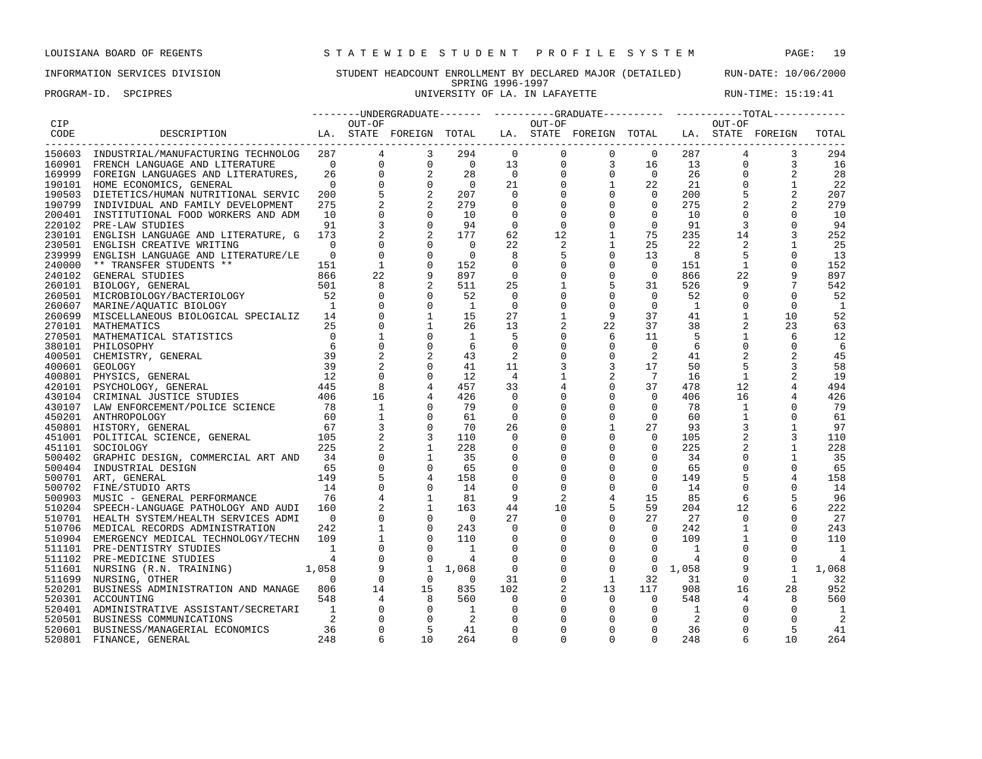## INFORMATION SERVICES DIVISION STUDENT HEADCOUNT ENROLLMENT BY DECLARED MAJOR (DETAILED) RUN-DATE: 10/06/2000 SPRING 1996-1997<br>UNIVERSITY OF LA. IN LAFAYETTE

PROGRAM-ID. SPCIPRES **EXAM-ID.** SPCIPRES SERVICE SERVICE SERVICE SERVICE SERVICE SERVICE SERVICE SERVICE: 15:19:41

|            |                                                                                                                                                                                                                                                                                                                                                                                                                                    |                 |                |                                                            |                          |                |                | --------UNDERGRADUATE------- ---------GRADUATE---------- ----------TOTAL---------- |                 |              |                |                |                |
|------------|------------------------------------------------------------------------------------------------------------------------------------------------------------------------------------------------------------------------------------------------------------------------------------------------------------------------------------------------------------------------------------------------------------------------------------|-----------------|----------------|------------------------------------------------------------|--------------------------|----------------|----------------|------------------------------------------------------------------------------------|-----------------|--------------|----------------|----------------|----------------|
| <b>CIP</b> |                                                                                                                                                                                                                                                                                                                                                                                                                                    |                 | OUT-OF         |                                                            |                          |                | OUT-OF         |                                                                                    |                 |              | OUT-OF         |                |                |
| CODE       | LA. STATE FOREIGN TOTAL LA. STATE FOREIGN TOTAL LA. STATE FOREIGN<br>DESCRIPTION                                                                                                                                                                                                                                                                                                                                                   |                 |                |                                                            |                          |                |                |                                                                                    |                 |              |                |                | TOTAL          |
|            |                                                                                                                                                                                                                                                                                                                                                                                                                                    |                 |                |                                                            |                          |                |                |                                                                                    |                 |              |                |                |                |
|            | 150603 INDUSTRIAL/MANUFACTURING TECHNOLOG                                                                                                                                                                                                                                                                                                                                                                                          |                 | 287            | 3                                                          | 294                      | $\overline{0}$ | $\overline{0}$ | $\overline{0}$                                                                     | $\overline{0}$  | 287          | $\overline{4}$ | 3              | 294            |
|            | 160901 FRENCH LANGUAGE AND LITERATURE                                                                                                                                                                                                                                                                                                                                                                                              | $\overline{0}$  |                | $\begin{array}{c} 4 \\ 0 \\ 0 \\ 0 \end{array}$<br>$\circ$ | $\overline{0}$           | 13             |                |                                                                                    | 16              | 13           | $\mathbf 0$    | 3              | 16             |
|            | 169999 FOREIGN LANGUAGES AND LITERATURES,                                                                                                                                                                                                                                                                                                                                                                                          | 26              |                | 2                                                          | 28                       | $\overline{0}$ |                |                                                                                    | $\overline{0}$  | 26           | $\mathbf{0}$   |                | 28             |
|            | 190101 HOME ECONOMICS, GENERAL                                                                                                                                                                                                                                                                                                                                                                                                     | $\bigcap$       |                | $\Omega$                                                   | $\overline{0}$           | 21             |                |                                                                                    | 22              | 21           | $\Omega$       | $\mathbf{1}$   | 22             |
|            | 190503 DIETETICS/HUMAN NUTRITIONAL SERVIC                                                                                                                                                                                                                                                                                                                                                                                          | 200             |                | 2                                                          | 207                      | $\overline{0}$ |                | $\begin{bmatrix} 0 & 0 & 0 \ 0 & 0 & 1 \ 0 & 0 & 0 \ 0 & 0 & 0 \end{bmatrix}$      | $\mathbf{0}$    | 200          |                | $\overline{2}$ | 207            |
| 190799     | INDIVIDUAL AND FAMILY DEVELOPMENT                                                                                                                                                                                                                                                                                                                                                                                                  | 275             |                |                                                            | 279                      | $\mathbf 0$    |                |                                                                                    | $\mathbf{0}$    | 275          |                | 2              | 279            |
|            |                                                                                                                                                                                                                                                                                                                                                                                                                                    | 10              | $\mathbf 0$    | $\Omega$                                                   | 10                       | $\Omega$       | $\Omega$       | $\Omega$                                                                           | $\circ$         | 10           | $\Omega$       | $\Omega$       |                |
| 200401     | INSTITUTIONAL FOOD WORKERS AND ADM                                                                                                                                                                                                                                                                                                                                                                                                 |                 |                | $\Omega$                                                   |                          | $\Omega$       |                |                                                                                    |                 |              |                |                | 10             |
| 220102     | PRE-LAW STUDIES                                                                                                                                                                                                                                                                                                                                                                                                                    | 91              |                |                                                            | 94                       |                | $\Omega$       | $\mathbf 0$                                                                        | $\mathbf 0$     | 91           | 3              | $\mathbf 0$    | 94             |
|            | 230101 ENGLISH LANGUAGE AND LITERATURE, G                                                                                                                                                                                                                                                                                                                                                                                          | 173             | 2              | 2                                                          | 177                      | 62             | 12             | $\mathbf{1}$                                                                       | 75              | 235          | 14             | 3              | 252            |
|            | 230501 ENGLISH CREATIVE WRITING                                                                                                                                                                                                                                                                                                                                                                                                    | $\Omega$        | $\mathbf 0$    | $\Omega$                                                   | $\overline{0}$           | 22             |                | $\mathbf{1}$                                                                       | 25              | 22           | 2              | $\mathbf{1}$   | 25             |
| 239999     | ENGLISH LANGUAGE AND LITERATURE/LE                                                                                                                                                                                                                                                                                                                                                                                                 | $\overline{0}$  | $\mathbf 0$    | $\mathbf 0$                                                | $\overline{0}$           | 8              | 5              | $\mathbf 0$                                                                        | 13              | 8            | 5              | $\mathbf 0$    | 13             |
| 240000     | ** TRANSFER STUDENTS **                                                                                                                                                                                                                                                                                                                                                                                                            | 151             | $\mathbf{1}$   | $\Omega$                                                   | 152                      | $\overline{0}$ | $\Omega$       | $\mathbf 0$                                                                        | $\overline{0}$  | 151          | 1              | $\Omega$       | 152            |
| 240102     | GENERAL STUDIES                                                                                                                                                                                                                                                                                                                                                                                                                    | 866             | 22             | 9                                                          | 897                      | $\overline{0}$ | $\Omega$       | $\mathbf 0$                                                                        | $\mathbf{0}$    | 866          | 22             | 9              | 897            |
|            | 260101 BIOLOGY, GENERAL                                                                                                                                                                                                                                                                                                                                                                                                            | 501             | 8              | 2                                                          | 511                      | 25             | 1              | 5                                                                                  | 31              | 526          | 9              |                | 542            |
| 260501     | MICROBIOLOGY/BACTERIOLOGY                                                                                                                                                                                                                                                                                                                                                                                                          | $\overline{52}$ | $\mathbf 0$    | $\Omega$                                                   | 52                       | $\Omega$       | $\Omega$       | $\mathbf 0$                                                                        | $\Omega$        | 52           | $\Omega$       | $\Omega$       | 52             |
| 260607     | MARINE/AQUATIC BIOLOGY                                                                                                                                                                                                                                                                                                                                                                                                             | $\overline{1}$  | $\mathbf 0$    | $\Omega$                                                   | $\overline{1}$           | $\Omega$       | $\Omega$       | $\mathbf 0$                                                                        | $\mathbf 0$     | 1            | $\Omega$       | $\Omega$       | $\mathbf{1}$   |
|            | 260699 MISCELLANEOUS BIOLOGICAL SPECIALIZ 14                                                                                                                                                                                                                                                                                                                                                                                       |                 | $\mathbf 0$    | $\mathbf{1}$                                               | 15                       | 27             | 1              | 9                                                                                  | 37              | 41           | $\mathbf{1}$   | 10             | 52             |
| 270101     | MATHEMATICS                                                                                                                                                                                                                                                                                                                                                                                                                        | 25              | $\mathbf 0$    |                                                            | 26                       | 13             | $\overline{a}$ | 22                                                                                 | 37              | 38           | 2              | 23             | 63             |
|            | 270501 MATHEMATICAL STATISTICS                                                                                                                                                                                                                                                                                                                                                                                                     | $\overline{0}$  | $\mathbf 1$    | $\mathbf 0$                                                | $\mathbf{1}$             | 5              | $\mathbf{0}$   | 6                                                                                  | 11              | 5            | $\mathbf{1}$   | 6              | 12             |
|            | 380101 PHILOSOPHY                                                                                                                                                                                                                                                                                                                                                                                                                  | 6               | $\mathbf 0$    | $\Omega$                                                   | 6                        | $\overline{0}$ | $\mathbf 0$    | $\mathbf 0$                                                                        | $\mathbf{0}$    | 6            | $\Omega$       | 0              | 6              |
|            | 400501 CHEMISTRY, GENERAL                                                                                                                                                                                                                                                                                                                                                                                                          | 39              | $\overline{2}$ |                                                            | 43                       | 2              | $\Omega$       | $\mathbf 0$                                                                        | 2               | 41           |                |                | 45             |
|            | 400601 GEOLOGY                                                                                                                                                                                                                                                                                                                                                                                                                     | 39              |                | $\Omega$                                                   | 41                       | 11             |                | 3                                                                                  | 17              | 50           | 5              |                | 58             |
|            |                                                                                                                                                                                                                                                                                                                                                                                                                                    |                 | $\mathbf 0$    | $\Omega$                                                   |                          |                |                | 2                                                                                  | $7\phantom{.0}$ |              | $\mathbf{1}$   |                | 19             |
| 400801     | $\begin{array}{@{}c@{\hspace{1em}}c@{\hspace{1em}}c@{\hspace{1em}}c@{\hspace{1em}}c@{\hspace{1em}}c@{\hspace{1em}}c@{\hspace{1em}}c@{\hspace{1em}}c@{\hspace{1em}}c@{\hspace{1em}}c@{\hspace{1em}}c@{\hspace{1em}}c@{\hspace{1em}}c@{\hspace{1em}}c@{\hspace{1em}}c@{\hspace{1em}}c@{\hspace{1em}}c@{\hspace{1em}}c@{\hspace{1em}}c@{\hspace{1em}}c@{\hspace{1em}}c@{\hspace{1em}}c@{\hspace{1em}}c@{\hspace{$<br>PHYSICS, GENERAL |                 |                |                                                            | 12                       | $\overline{4}$ |                |                                                                                    |                 | 16           |                |                |                |
|            | 420101 PSYCHOLOGY, GENERAL                                                                                                                                                                                                                                                                                                                                                                                                         |                 |                | $\overline{4}$                                             | 457                      | 33             |                | $\mathbf 0$                                                                        | 37              | 478          | 12             | 4              | 494            |
|            | 430104 CRIMINAL JUSTICE STUDIES                                                                                                                                                                                                                                                                                                                                                                                                    |                 | 16             | $\overline{4}$                                             | 426                      | $\mathbf 0$    | 0              | $\mathbf 0$                                                                        | $\Omega$        | 406          | 16             |                | 426            |
|            | 430107 LAW ENFORCEMENT/POLICE SCIENCE 78                                                                                                                                                                                                                                                                                                                                                                                           |                 | 1              |                                                            | 79                       | $\Omega$       | $\Omega$       | $\Omega$                                                                           | $\Omega$        | 78           | $\mathbf{1}$   | $\Omega$       | 79             |
|            | 450201 ANTHROPOLOGY                                                                                                                                                                                                                                                                                                                                                                                                                | 60              | $\mathbf{1}$   | $\Omega$                                                   | 61                       | $\overline{0}$ | $\Omega$       | $\mathbf 0$                                                                        | $\Omega$        | 60           | $\mathbf{1}$   | $\Omega$       | 61             |
|            | 450801 HISTORY, GENERAL                                                                                                                                                                                                                                                                                                                                                                                                            | 67              | 3              | $\Omega$                                                   | 70                       | 26             | $\Omega$       | $\mathbf{1}$                                                                       | 27              | 93           | 3              | $\mathbf{1}$   | 97             |
|            | 451001 POLITICAL SCIENCE, GENERAL 105                                                                                                                                                                                                                                                                                                                                                                                              |                 |                | 3                                                          | 110                      | $\mathbf 0$    | $\Omega$       | $\mathbf 0$                                                                        | $\mathbf 0$     | 105          | $\overline{2}$ | 3              | 110            |
| 451101     | SOCIOLOGY                                                                                                                                                                                                                                                                                                                                                                                                                          | 225             |                | $\mathbf{1}$                                               | 228                      | 0              | 0              | $\mathbf 0$                                                                        | $\mathbf{0}$    | 225          |                | $\mathbf{1}$   | 228            |
|            | 500402 GRAPHIC DESIGN, COMMERCIAL ART AND                                                                                                                                                                                                                                                                                                                                                                                          | 34              | $\mathbf 0$    | 1                                                          | 35                       | 0              | $\Omega$       | $\mathbf 0$                                                                        | $\mathbf 0$     | 34           | $\Omega$       | 1              | 35             |
| 500404     | INDUSTRIAL DESIGN                                                                                                                                                                                                                                                                                                                                                                                                                  | 65              | $\mathbf 0$    | $\Omega$                                                   | 65                       | $\Omega$       | $\Omega$       | $\Omega$                                                                           | $\Omega$        | 65           | $\Omega$       | $\Omega$       | 65             |
|            | 500701 ART, GENERAL                                                                                                                                                                                                                                                                                                                                                                                                                | 149             | 5              | $\overline{4}$                                             | 158                      | $\Omega$       | $\Omega$       | $\Omega$                                                                           | $\Omega$        | 149          | 5              | 4              | 158            |
|            | 500702 FINE/STUDIO ARTS                                                                                                                                                                                                                                                                                                                                                                                                            | 14              | $\mathsf 0$    |                                                            | 14                       | $\mathbf 0$    | $\Omega$       | $\mathbf 0$                                                                        | $\mathbf 0$     | 14           | $\mathbf 0$    | $\Omega$       | 14             |
| 500903     | MUSIC - GENERAL PERFORMANCE                                                                                                                                                                                                                                                                                                                                                                                                        | 76              | 4              | 1                                                          | 81                       | 9              | 2              | $\overline{4}$                                                                     | 15              | 85           | 6              | 5              | 96             |
|            | 510204 SPEECH-LANGUAGE PATHOLOGY AND AUDI                                                                                                                                                                                                                                                                                                                                                                                          | 160             |                | 1                                                          | 163                      | 44             | 10             | 5                                                                                  | 59              | 204          | 12             | 6              | 222            |
|            | 510701 HEALTH SYSTEM/HEALTH SERVICES ADMI                                                                                                                                                                                                                                                                                                                                                                                          | $\overline{0}$  | $\mathbf 0$    | $\Omega$                                                   | $\bigcirc$               | 27             | $\Omega$       | $\Omega$                                                                           | 27              | 27           | $\Omega$       | $\Omega$       | 27             |
|            | 510706 MEDICAL RECORDS ADMINISTRATION                                                                                                                                                                                                                                                                                                                                                                                              | 242             | $\mathbf{1}$   | $\mathbf 0$                                                | 243                      | $\overline{0}$ | 0              | $\mathbf 0$                                                                        | $\mathbf 0$     | 242          | $\mathbf{1}$   | $\mathbf 0$    | 243            |
|            |                                                                                                                                                                                                                                                                                                                                                                                                                                    |                 | $\mathbf{1}$   | $\Omega$                                                   | 110                      | $\mathbf 0$    |                | $\mathsf 0$                                                                        | $\mathbf 0$     | 109          | $\mathbf{1}$   | $\Omega$       |                |
|            | 510904 EMERGENCY MEDICAL TECHNOLOGY/TECHN 109                                                                                                                                                                                                                                                                                                                                                                                      |                 |                |                                                            |                          |                | 0              |                                                                                    |                 |              |                |                | 110            |
|            | 511101 PRE-DENTISTRY STUDIES                                                                                                                                                                                                                                                                                                                                                                                                       | $\sim$ 1        | $\mathbf 0$    | $\Omega$                                                   | $\overline{1}$           | $\mathbf 0$    | $\Omega$       | $\mathbf 0$                                                                        | $\mathbf 0$     | $\mathbf{1}$ | $\Omega$       | $\Omega$       | $\overline{1}$ |
|            |                                                                                                                                                                                                                                                                                                                                                                                                                                    |                 | $\mathbf 0$    | $\Omega$                                                   | $\overline{4}$           | $\Omega$       | $\Omega$       | $\mathbf 0$                                                                        | $\mathbf 0$     | 4            | $\Omega$       | $\Omega$       | $\overline{4}$ |
|            | 4<br>511601 NURSING (R.N. TRAINING)<br>511699 NURSING OTHER<br>511699 NURSING OTHER                                                                                                                                                                                                                                                                                                                                                |                 | 9              | $\mathbf{1}$                                               | 1,068                    | $\overline{0}$ | $\Omega$       | $\mathbf 0$                                                                        |                 | 0, 1, 058    | 9              | $\mathbf{1}$   | 1,068          |
|            |                                                                                                                                                                                                                                                                                                                                                                                                                                    |                 | $\mathbf{0}$   | $\Omega$                                                   | $\bigcirc$               | 31             | 0              | $\mathbf{1}$                                                                       | 32              | 31           | $\Omega$       | $\mathbf{1}$   | 32             |
| 520201     | BUSINESS ADMINISTRATION AND MANAGE 806                                                                                                                                                                                                                                                                                                                                                                                             |                 | 14             | 15                                                         | 835                      | 102            |                | 13                                                                                 | 117             | 908          | 16             | 28             | 952            |
| 520301     | ACCOUNTING                                                                                                                                                                                                                                                                                                                                                                                                                         | 548             | 4              | 8                                                          | 560                      | $\overline{0}$ | 0              | $\overline{0}$                                                                     | $\overline{0}$  | 548          |                | 8              | 560            |
| 520401     | ADMINISTRATIVE ASSISTANT/SECRETARI 1                                                                                                                                                                                                                                                                                                                                                                                               |                 | $\overline{0}$ | $\overline{0}$                                             | $\overline{\phantom{a}}$ | 0              | $\Omega$       | $\overline{0}$                                                                     | $\mathbf{0}$    | 1            | $\Omega$       | $\Omega$       | - 1            |
| 520501     | BUSINESS COMMUNICATIONS                                                                                                                                                                                                                                                                                                                                                                                                            |                 | $\mathbf 0$    | $\Omega$                                                   | $\overline{2}$           | $\mathbf 0$    | 0              | 0                                                                                  | $\mathbf{0}$    | 2            | $\Omega$       | $\Omega$       | -2             |
| 520601     | BUSINESS/MANAGERIAL ECONOMICS                                                                                                                                                                                                                                                                                                                                                                                                      | 36              | $\mathbf 0$    | 5                                                          | 41                       | $\Omega$       | $\Omega$       | $\Omega$                                                                           | $\mathbf 0$     | 36           | $\Omega$       | 5              | 41             |
| 520801     | FINANCE, GENERAL                                                                                                                                                                                                                                                                                                                                                                                                                   | 248             | 6              | 10                                                         | 264                      | $\Omega$       | $\Omega$       | $\Omega$                                                                           | $\Omega$        | 248          | 6              | 10             | 264            |
|            |                                                                                                                                                                                                                                                                                                                                                                                                                                    |                 |                |                                                            |                          |                |                |                                                                                    |                 |              |                |                |                |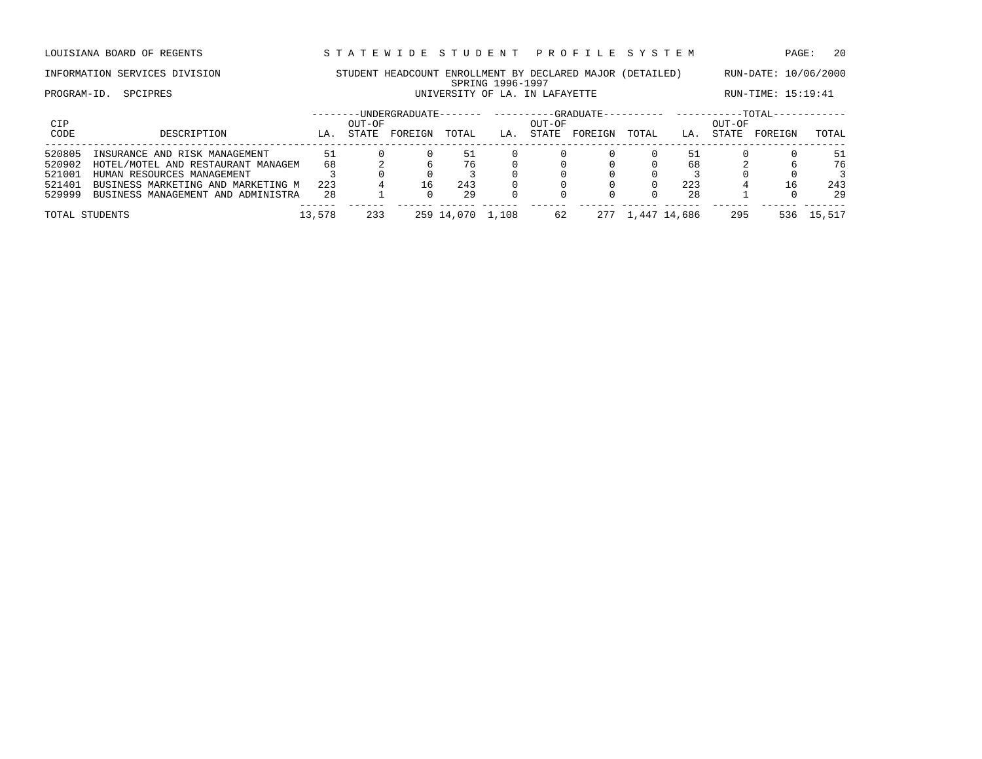LOUISIANA BOARD OF REGENTS STA TEWIDE STUDENT PROFILE SYSTEM PAGE: 20

### INFORMATION SERVICES DIVISION STUDENT HEADCOUNT ENROLLMENT BY DECLARED MAJOR (DETAILED) RUN-DATE: 10/06/2000 SPRING 1996-1997 PROGRAM-ID. SPCIPRES **EXECUTE:** 15:19:41 UNIVERSITY OF LA. IN LAFAYETTE RUN-TIME: 15:19:41

| CIP            |                                    |        | OUT-OF | -UNDERGRADUATE- |            |       | OUT-OF | -GRADUATE- |       |              | OUT-OF       | $-TOTAL-$ |        |
|----------------|------------------------------------|--------|--------|-----------------|------------|-------|--------|------------|-------|--------------|--------------|-----------|--------|
| CODE           | DESCRIPTION                        | LA.    | STATE  | FOREIGN         | TOTAL      | LA    | STATE  | FOREIGN    | TOTAL | LA.          | <b>STATE</b> | FOREIGN   | TOTAL  |
| 520805         | INSURANCE AND RISK MANAGEMENT      | 51     |        |                 | 51         |       |        |            |       | 51           |              |           | 51     |
| 520902         | HOTEL/MOTEL AND RESTAURANT MANAGEM | 68     |        |                 | 76         |       |        |            |       | 68           |              |           | 76     |
| 521001         | HUMAN RESOURCES MANAGEMENT         |        |        |                 |            |       |        |            |       |              |              |           |        |
| 521401         | BUSINESS MARKETING AND MARKETING M | 223    |        | 16              | 243        |       |        |            |       | 223          |              | 16        | 243    |
| 529999         | BUSINESS MANAGEMENT AND ADMINISTRA | 28     |        |                 | 29         |       |        |            |       | 28           |              |           | 29     |
| TOTAL STUDENTS |                                    | 13,578 | 233    |                 | 259 14,070 | 1,108 | 62     | 277        |       | 1,447 14,686 | 295          | 536       | 15,517 |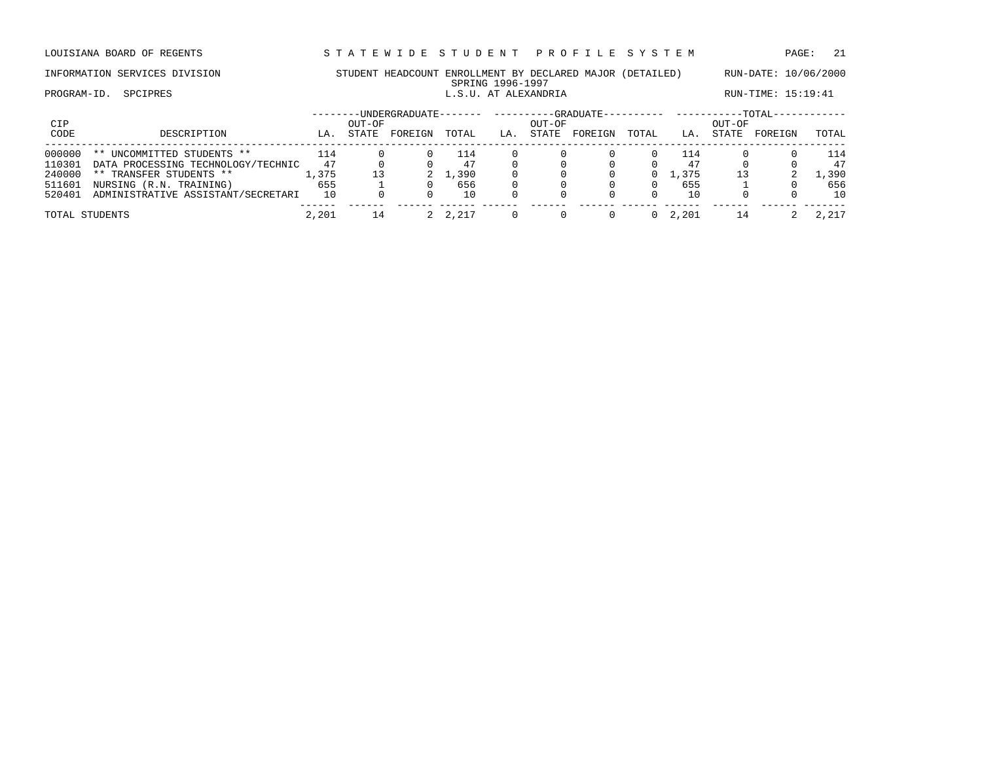LOUISIANA BOARD OF REGENTS STA TEWIDE STUDENT PROFILE SYSTEM PAGE: 21

### INFORMATION SERVICES DIVISION STUDENT HEADCOUNT ENROLLMENT BY DECLARED MAJOR (DETAILED) RUN-DATE: 10/06/2000 SPRING 1996-1997<br>L.S.U. AT ALEXANDRIA PROGRAM-ID. SPCIPRES **EXECUTE:** 15:19:41

| CIP<br>CODE | DESCRIPTION                        | LA.    | OUT-OF<br>STATE | -UNDERGRADUATE-<br>FOREIGN | TOTAL | LA. | OUT-OF<br><b>STATE</b> | --GRADUATE---<br>FOREIGN | --------- ---------<br>TOTAL | LA.   | OUT-OF<br><b>STATE</b> | $-TOTAL-$<br>FOREIGN | TOTAL         |
|-------------|------------------------------------|--------|-----------------|----------------------------|-------|-----|------------------------|--------------------------|------------------------------|-------|------------------------|----------------------|---------------|
| 000000      | UNCOMMITTED STUDENTS **<br>$***$   | 114    |                 |                            | 114   |     |                        |                          |                              | ⊥14   |                        |                      | 114           |
| 110301      | DATA PROCESSING TECHNOLOGY/TECHNIC | 47     |                 |                            |       |     |                        |                          |                              | 47    |                        |                      | 47            |
| 240000      | ** TRANSFER STUDENTS **            | ., 375 |                 |                            | L,390 |     |                        |                          | 0                            | 1,375 | 13                     |                      | $\perp$ , 390 |
| 511601      | NURSING (R.N. TRAINING)            | 655    |                 |                            | 656   |     |                        |                          |                              | 655   |                        |                      | 656           |
| 520401      | ADMINISTRATIVE ASSISTANT/SECRETARI | 10     |                 |                            | 10    |     |                        |                          |                              | 10    |                        |                      | 10            |
|             | TOTAL STUDENTS                     | 2,201  | 14              |                            | 2.217 |     |                        |                          | $\Omega$                     | 2,201 |                        |                      | 2,217         |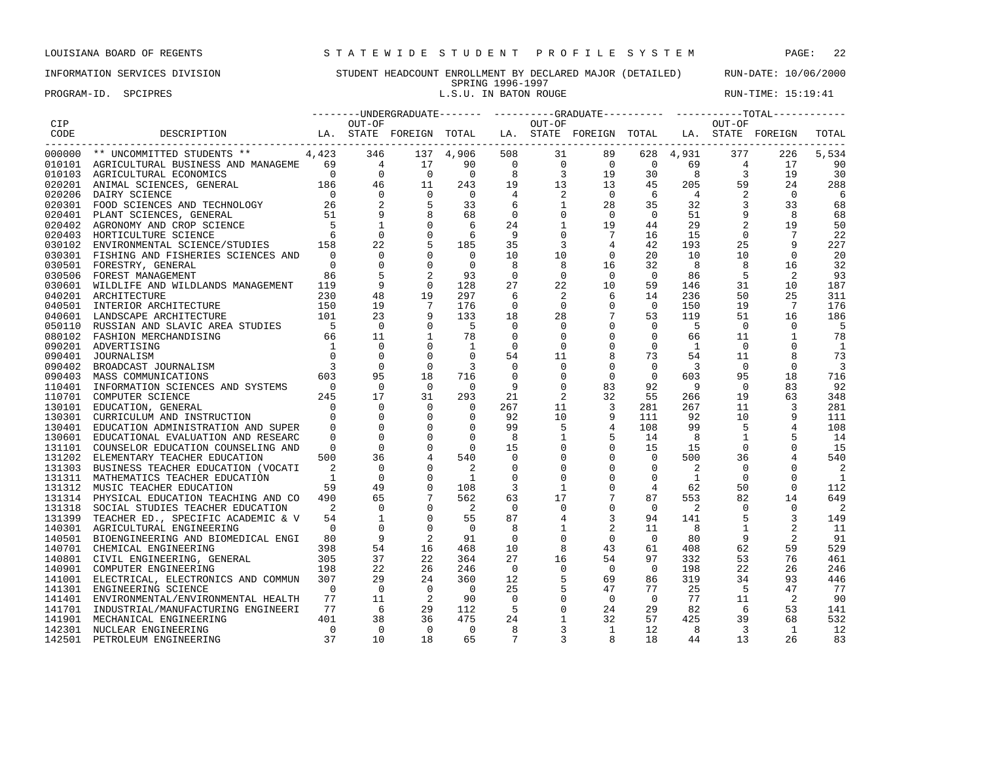PROGRAM-ID. SPCIPRES **EXECUTE:** 15:19:41

|        |                                                                                                                                                                            |                                           |                                                  |                                       |                            |                                        |                                                 |                         |                |                            |                          | --------UNDERGRADUATE------- ---------GRADUATE---------- -----------TOTAL----------- |                            |
|--------|----------------------------------------------------------------------------------------------------------------------------------------------------------------------------|-------------------------------------------|--------------------------------------------------|---------------------------------------|----------------------------|----------------------------------------|-------------------------------------------------|-------------------------|----------------|----------------------------|--------------------------|--------------------------------------------------------------------------------------|----------------------------|
| CIP    |                                                                                                                                                                            |                                           | OUT-OF                                           |                                       |                            |                                        | OUT-OF                                          |                         |                |                            | OUT-OF                   |                                                                                      |                            |
| CODE   | DESCRIPTION<br>-----------------------                                                                                                                                     |                                           |                                                  | LA. STATE FOREIGN TOTAL               |                            |                                        |                                                 | LA. STATE FOREIGN TOTAL |                |                            |                          | LA. STATE FOREIGN                                                                    | TOTAL                      |
|        | 000000 ** UNCOMMITTED STUDENTS ** 4,423                                                                                                                                    |                                           | 346                                              |                                       | 137 4,906                  | 508                                    | 31                                              | 89                      |                | 628 4,931                  | 377                      | 226                                                                                  | 5,534                      |
|        |                                                                                                                                                                            |                                           |                                                  |                                       | 90                         |                                        |                                                 |                         |                | 69                         | $\overline{4}$           | 17                                                                                   | 90                         |
|        |                                                                                                                                                                            |                                           |                                                  |                                       | $\overline{0}$             | $\begin{array}{c} 8 \\ 19 \end{array}$ |                                                 |                         |                | 8 <sup>8</sup>             | $\overline{\phantom{a}}$ | 19                                                                                   | 30                         |
|        |                                                                                                                                                                            |                                           |                                                  |                                       | 243                        |                                        |                                                 |                         |                | 205                        | 59                       | 24                                                                                   | 288                        |
|        |                                                                                                                                                                            |                                           |                                                  |                                       | $\overline{0}$             |                                        |                                                 | $\overline{0}$          | 6              | $4\overline{4}$            | 2                        | $\Omega$                                                                             | -6                         |
|        |                                                                                                                                                                            |                                           |                                                  |                                       | 33                         | 6                                      |                                                 | 28                      | 35             | 32                         | $\sim$ 3                 | 33                                                                                   | 68                         |
|        |                                                                                                                                                                            |                                           |                                                  |                                       | 68                         | $\overline{0}$                         |                                                 | $\Omega$                | $\bigcirc$     | 51                         | $\overline{9}$           | 8                                                                                    | 68                         |
|        |                                                                                                                                                                            |                                           |                                                  |                                       | 6                          | 24                                     | $\begin{array}{c} 2 \\ 1 \\ 0 \\ 1 \end{array}$ | 19                      | 44             | 29                         | 2                        | 19                                                                                   | 50                         |
|        |                                                                                                                                                                            |                                           |                                                  |                                       | 6                          | - 9                                    | $\mathbf 0$                                     | $7\overline{ }$         | 16             | 15                         | $\overline{0}$           | 7                                                                                    | 22                         |
| 030102 | ENVIRONMENTAL SCIENCE/STUDIES 158                                                                                                                                          |                                           | 22                                               | 5                                     | 185                        | 35                                     | 3                                               | 4                       | 42             | 193                        | 25                       | 9                                                                                    | 227                        |
| 030301 | FISHING AND FISHERIES SCIENCES AND                                                                                                                                         | $\overline{a}$                            | $\Omega$                                         |                                       | $\overline{0}$             | 10                                     | 10                                              | $\Omega$                | 20             | 10                         | 10                       | $\Omega$                                                                             | 20                         |
|        | 030501 FORESTRY, GENERAL                                                                                                                                                   | $\overline{0}$                            | $\mathbf{0}$                                     | $\overline{0}$                        | $\overline{0}$             | 8                                      |                                                 | 16                      | 32             | 8                          | 8                        | 16                                                                                   | 32                         |
| 030506 | FOREST MANAGEMENT                                                                                                                                                          | 86                                        |                                                  |                                       | 93                         | $\overline{0}$                         | $\Omega$                                        | $\overline{0}$          | $\overline{0}$ | 86                         | 5                        | 2                                                                                    | 93                         |
| 030601 | WILDLIFE AND WILDLANDS MANAGEMENT                                                                                                                                          | 119                                       |                                                  | $\Omega$                              | 128                        | 27                                     | 22                                              | 10                      | 59             | 146                        | 31                       | 10                                                                                   | 187                        |
|        | $\begin{array}{c} 230 \\ 150 \\ 101 \end{array}$<br>040201 ARCHITECTURE                                                                                                    |                                           | 48                                               | 19                                    | 297                        | 6                                      |                                                 | 6                       | 14             | 236                        | 50                       | 25                                                                                   | 311                        |
| 040501 | INTERIOR ARCHITECTURE                                                                                                                                                      |                                           | 19                                               | $\begin{array}{c} 7 \\ 9 \end{array}$ | 176                        | $\overline{0}$                         | $\overline{0}$                                  | $\mathbf{0}$            | $\Omega$       | 150                        | 19                       | 7                                                                                    | 176                        |
|        | 040601 LANDSCAPE ARCHITECTURE                                                                                                                                              |                                           | 23                                               |                                       | 133                        | 18                                     | 28                                              | $7\overline{ }$         | 53             | 119                        | 51                       | 16                                                                                   | 186                        |
| 050110 |                                                                                                                                                                            |                                           | $\overline{\phantom{0}}$                         | $\overline{0}$                        | $-5$                       | $\overline{0}$                         | $\Omega$                                        | $\mathbf 0$             | $\circ$        | 5                          | $\bigcirc$               | 0                                                                                    | - 5                        |
| 080102 | NUSSIAN AND SLAVIC AREA STUDIES<br>FASHION MERCHANDISING 66<br>ADVERTISING 1<br>JOURNALISM 1<br>BROADCAST JOURNALISM 3<br>MASS COMMUNICATIONS 603<br>FASHION MERCHANDISING |                                           | 11                                               | $\mathbf{1}$                          | 78                         | $\overline{0}$                         | $\Omega$                                        | $\mathbf 0$             | $\circ$        | 66                         | 11                       | 1                                                                                    | 78                         |
| 090201 |                                                                                                                                                                            |                                           | $\mathbf{0}$                                     |                                       | <sup>1</sup>               | $\mathbf 0$                            | $\mathbf 0$                                     | $\mathbf 0$             | $\circ$        | $\overline{1}$             | $\overline{0}$           | 0                                                                                    | <sup>1</sup>               |
| 090401 |                                                                                                                                                                            |                                           | $\Omega$                                         |                                       | $\Omega$                   | 54                                     | 11                                              | 8                       | 73             | 54                         | 11                       | 8                                                                                    | 73                         |
| 090402 |                                                                                                                                                                            |                                           | $\Omega$                                         | $\Omega$                              | $\overline{3}$             | $\Omega$                               | 0                                               | $\mathbf 0$             | $\mathbf 0$    | $\overline{3}$             | $\Omega$                 | $\Omega$                                                                             | $\overline{\mathbf{3}}$    |
| 090403 |                                                                                                                                                                            |                                           | 95                                               | 18                                    | 716                        | $\mathbf 0$                            | $\Omega$                                        | $\mathbf 0$             | $\overline{0}$ | 603                        | 95                       | 18                                                                                   | 716                        |
| 110401 | INFORMATION SCIENCES AND SYSTEMS                                                                                                                                           | $\overline{0}$                            | $\overline{0}$                                   | $\bigcirc$                            | $\overline{0}$             | 9                                      | $\mathbf 0$                                     | 83                      | 92             | 9                          | $\bigcirc$               | 83                                                                                   | 92                         |
| 110701 | COMPUTER SCIENCE                                                                                                                                                           | 245                                       | $\begin{array}{c} 17 \\ 0 \\ 0 \\ 0 \end{array}$ | 31                                    | 293                        | 21                                     | 2                                               | 32                      | 55             | 266                        | 19                       | 63                                                                                   | 348                        |
|        | 130101 EDUCATION, GENERAL                                                                                                                                                  |                                           |                                                  | $\Omega$                              | $\overline{0}$             | 267                                    | 11                                              | $\frac{3}{2}$           | 281            | 267                        | 11                       | 3                                                                                    | 281                        |
|        | 130301 CURRICULUM AND INSTRUCTION                                                                                                                                          | $\begin{matrix}0\\0\end{matrix}$          |                                                  | $\Omega$                              | $\Omega$                   | 92                                     | 10                                              | 9                       | 111            | 92                         | 10                       | 9                                                                                    | 111                        |
| 130401 | EDUCATION ADMINISTRATION AND SUPER                                                                                                                                         | $\overline{0}$                            |                                                  | $\overline{0}$                        | $\overline{0}$             | 99                                     | 5                                               |                         | 108            | 99                         | 5                        |                                                                                      | 108                        |
| 130601 | EDUCATIONAL EVALUATION AND RESEARC                                                                                                                                         | $\overline{0}$                            |                                                  | $\overline{0}$                        | $\overline{0}$             | $_{\rm 8}$                             |                                                 | 5                       | 14             | 8                          | $\mathbf{1}$             |                                                                                      | 14                         |
| 131101 | COUNSELOR EDUCATION COUNSELING AND                                                                                                                                         | $\overline{0}$                            | $\Omega$                                         | $\mathbf 0$                           | $\overline{0}$             | 15                                     |                                                 | $\mathbf 0$             | 15             | 15                         | $\mathbf 0$              | $\mathbf 0$                                                                          | 15                         |
|        | 131202 ELEMENTARY TEACHER EDUCATION                                                                                                                                        | 500                                       | 36                                               |                                       | 540                        | $\mathbf 0$                            |                                                 | $\mathbf 0$             | $\Omega$       | 500                        | 36                       |                                                                                      | 540                        |
|        | 131303 BUSINESS TEACHER EDUCATION (VOCATI                                                                                                                                  | $\overline{\phantom{a}}$                  | $\Omega$                                         |                                       | 2                          | $\mathbf 0$                            |                                                 |                         | $\mathbf 0$    | 2                          | $\Omega$                 |                                                                                      | 2                          |
|        | 131311 MATHEMATICS TEACHER EDUCATION                                                                                                                                       | $\sim$ 1                                  | $\Omega$                                         |                                       | $\overline{1}$             | $\mathbf 0$                            |                                                 |                         | $\mathbf 0$    | <sup>1</sup>               | $\Omega$                 | $\Omega$                                                                             | $\overline{1}$             |
|        | 131312 MUSIC TEACHER EDUCATION                                                                                                                                             | 59                                        | 49                                               |                                       | 108                        | 3                                      | 1                                               | $\mathbf 0$             | 4              | 62                         | 50                       | 0                                                                                    | 112                        |
|        | 131314 PHYSICAL EDUCATION TEACHING AND CO 490                                                                                                                              |                                           | 65                                               |                                       | 562                        | 63                                     | 17                                              | $7\phantom{.0}$         | 87             | 553                        | 82                       | 14                                                                                   | 649                        |
|        | 131318 SOCIAL STUDIES TEACHER EDUCATION                                                                                                                                    | $\overline{2}$                            | $\overline{0}$                                   |                                       | $\overline{\phantom{0}}^2$ | $\mathbf{0}$                           | 0                                               | $\mathbf 0$             | $\overline{0}$ | 2                          | $\mathbf 0$              | $\mathbf 0$                                                                          | $\overline{\phantom{0}}^2$ |
|        | 131399 TEACHER ED., SPECIFIC ACADEMIC & V                                                                                                                                  | 54                                        | $\mathbf{1}$                                     | $\mathbf 0$                           | 55                         | 87                                     |                                                 | 3                       | 94             | 141                        | 5                        | 3                                                                                    | 149                        |
|        | 140301 AGRICULTURAL ENGINEERING                                                                                                                                            | $\bigcirc$                                |                                                  | $\overline{0}$                        | $\overline{\phantom{0}}$   | 8                                      |                                                 | 2                       | 11             | 8                          | $\mathbf{1}$             | 2                                                                                    | 11                         |
|        | 140501 BIOENGINEERING AND BIOMEDICAL ENGI                                                                                                                                  | 80                                        | 9                                                |                                       | 91                         | $\overline{0}$                         | $\mathbf 0$                                     | $\mathbf 0$             | $\Omega$       | 80                         | 9                        | 2                                                                                    | 91                         |
|        | 140701 CHEMICAL ENGINEERING                                                                                                                                                | 398                                       | 54                                               | 16                                    | 468                        | 10                                     | 8                                               | 43                      | 61             | 408                        | 62                       | 59                                                                                   | 529                        |
|        | 140801 CIVIL ENGINEERING, GENERAL                                                                                                                                          |                                           | 37                                               | 22                                    | 364                        | 27                                     | 16                                              | 54                      | 97             | 332                        | 53                       | 76                                                                                   | 461                        |
| 140901 | COMPUTER ENGINEERING                                                                                                                                                       | $\begin{array}{r} 305 \\ 198 \end{array}$ | 22                                               | 26                                    | 246                        | $\overline{0}$                         | $\Omega$                                        | $\mathbf{0}$            | $\Omega$       | 198                        | 22                       | 26                                                                                   | 246                        |
|        | 141001 ELECTRICAL, ELECTRONICS AND COMMUN                                                                                                                                  | 307                                       | 29                                               | 24                                    | 360                        | 12                                     | 5                                               | 69                      | 86             | 319                        | 34                       | 93                                                                                   | 446                        |
|        | 141301 ENGINEERING SCIENCE                                                                                                                                                 | $\overline{0}$                            | $\overline{0}$                                   | $\overline{0}$                        | $\overline{0}$             | 25                                     | 5                                               | 47                      | 77             | 25                         | $-5$                     | 47                                                                                   | 77                         |
| 141401 | ENVIRONMENTAL/ENVIRONMENTAL HEALTH                                                                                                                                         | 77                                        | 11                                               | $\overline{\phantom{0}}^2$            | 90                         | $\overline{0}$                         | $\mathbf 0$                                     | $\overline{0}$          | $\overline{0}$ | 77                         | 11                       | -2                                                                                   | 90                         |
| 141701 | INDUSTRIAL/MANUFACTURING ENGINEERI                                                                                                                                         | 77                                        | $6^{\circ}$                                      | 29                                    | 112                        | 5                                      | 0                                               | 24                      | 29             | 82                         | 6                        | 53                                                                                   | 141                        |
| 141901 | MECHANICAL ENGINEERING                                                                                                                                                     | 401                                       | 38                                               | 36                                    | 475                        | 24                                     | 1                                               | 32                      | 57             | 425                        | 39                       | 68                                                                                   | 532                        |
|        | 142301 NUCLEAR ENGINEERING                                                                                                                                                 | $\overline{0}$                            | $\Omega$                                         | $\bigcirc$                            | $\overline{0}$             | 8                                      | 3                                               | 1                       | 12             | $\overline{\phantom{0}}$ 8 | $\overline{\mathbf{3}}$  | $\overline{1}$                                                                       | 12                         |
|        | 142501 PETROLEUM ENGINEERING                                                                                                                                               | 37                                        | 10                                               | 18                                    | 65                         | $7\phantom{.0}$                        | 3                                               | 8                       | 18             | 44                         | 13                       | 26                                                                                   | 83                         |
|        |                                                                                                                                                                            |                                           |                                                  |                                       |                            |                                        |                                                 |                         |                |                            |                          |                                                                                      |                            |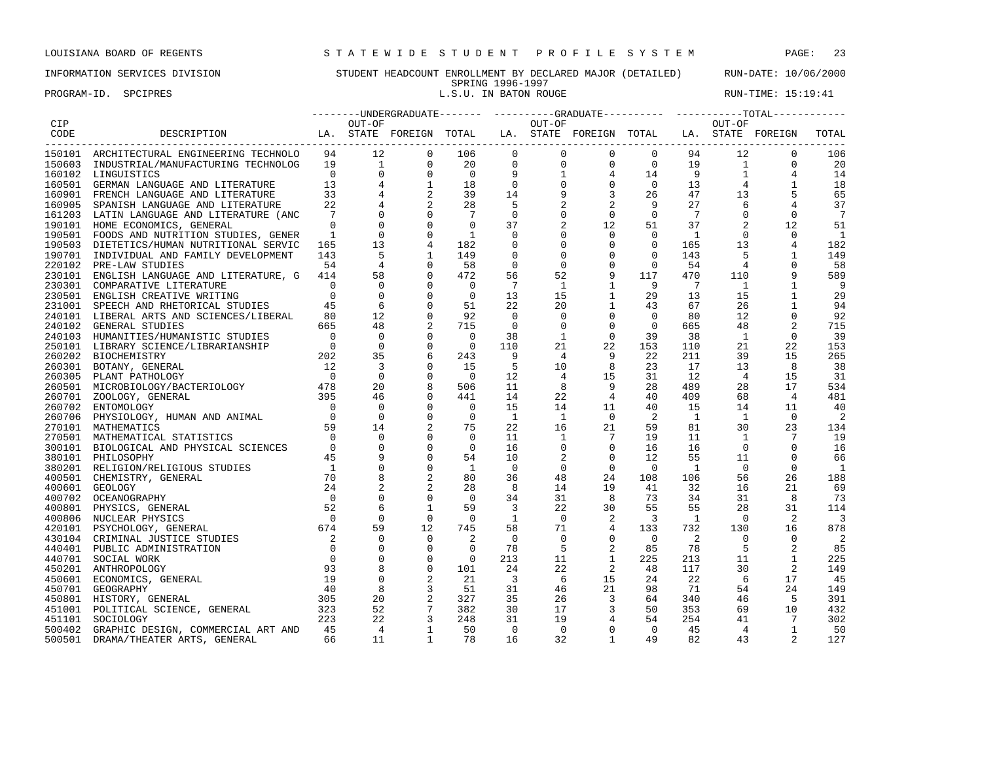PROGRAM-ID. SPCIPRES **EXECUTE:** 15:19:41

## INFORMATION SERVICES DIVISION STUDENT HEADCOUNT ENROLLMENT BY DECLARED MAJOR (DETAILED) RUN-DATE: 10/06/2000 SPRING 1996-1997<br>L.S.U. IN BATON ROUGE

|            |                                                                                                              |                          |                |                                                                   |                |                                       |                                                       |                          |                                                                                           |                 |                | --------UNDERGRADUATE------- ---------GRADUATE---------- -----------TOTAL----------- |                          |
|------------|--------------------------------------------------------------------------------------------------------------|--------------------------|----------------|-------------------------------------------------------------------|----------------|---------------------------------------|-------------------------------------------------------|--------------------------|-------------------------------------------------------------------------------------------|-----------------|----------------|--------------------------------------------------------------------------------------|--------------------------|
| <b>CIP</b> |                                                                                                              |                          | OUT-OF         |                                                                   |                |                                       | OUT-OF                                                |                          |                                                                                           |                 | OUT-OF         |                                                                                      |                          |
| CODE       | DESCRIPTION LA. STATE FOREIGN TOTAL LA. STATE FOREIGN TOTAL LA. STATE FOREIGN<br>___________________________ |                          |                |                                                                   |                |                                       |                                                       |                          |                                                                                           |                 |                |                                                                                      | TOTAL                    |
|            | 150101 ARCHITECTURAL ENGINEERING TECHNOLO                                                                    | 94                       |                |                                                                   | 106            | $\mathbf{0}$                          | $\mathbf 0$                                           | $\mathbf{0}$             | $\Omega$                                                                                  | 94              | 12             | $\mathbf 0$                                                                          | 106                      |
| 150603     | INDUSTRIAL/MANUFACTURING TECHNOLOG                                                                           | 19                       |                |                                                                   | 20             |                                       |                                                       | $\overline{0}$           | $0$ 19                                                                                    |                 | $\mathbf{1}$   | $\mathbf 0$                                                                          | 20                       |
|            | 160102 LINGUISTICS                                                                                           | $\overline{0}$           |                |                                                                   | $\overline{0}$ | $\begin{array}{c} 0 \\ 9 \end{array}$ | $\begin{bmatrix} 0 \\ 1 \\ 0 \\ 9 \\ 2 \end{bmatrix}$ | $4\overline{ }$          | $\begin{smallmatrix}1 & 4\\&0\end{smallmatrix}$<br>$\begin{array}{c} 14 \\ 0 \end{array}$ | 9               |                | $\begin{array}{c}\n1 \\ 1\n\end{array}$                                              | 14                       |
|            | 160501 GERMAN LANGUAGE AND LITERATURE                                                                        | 13                       |                |                                                                   | 18             | $\overline{0}$                        |                                                       | $\overline{0}$           |                                                                                           | 13              |                | $\mathbf{1}$                                                                         | 18                       |
| 160901     | FRENCH LANGUAGE AND LITERATURE                                                                               | 33                       |                |                                                                   | 39             | 14                                    |                                                       | $\mathbf{3}$             | 26                                                                                        | 47              | 13             |                                                                                      | 65                       |
| 160905     | SPANISH LANGUAGE AND LITERATURE                                                                              | 22                       |                |                                                                   | 28             | $-5$                                  |                                                       | 2                        | 9                                                                                         | 27              | 6              | 4                                                                                    | 37                       |
|            | 161203 LATIN LANGUAGE AND LITERATURE (ANC                                                                    | $7\phantom{.0}$          |                |                                                                   | $\overline{7}$ | $\mathbf 0$                           | 0                                                     | $\mathbf 0$              | $\Omega$                                                                                  | $7\phantom{.0}$ | $\Omega$       | $\mathbf 0$                                                                          | $7\phantom{.0}$          |
|            | 190101 HOME ECONOMICS, GENERAL                                                                               | $\Omega$                 |                | $\Omega$                                                          | $\Omega$       | 37                                    | 2                                                     | 12                       | 51                                                                                        | 37              | 2              | 12                                                                                   | 51                       |
|            | 190501 FOODS AND NUTRITION STUDIES, GENER                                                                    | $\mathbf{1}$             | $\Omega$       | $\Omega$                                                          | $\mathbf{1}$   | $\mathbf 0$                           | $\mathbf 0$                                           | $\mathbf 0$              | $\Omega$                                                                                  | $\overline{1}$  | $\Omega$       | $\Omega$                                                                             | $\overline{1}$           |
|            | 190503 DIETETICS/HUMAN NUTRITIONAL SERVIC                                                                    | 165                      | 13             | 4                                                                 | 182            | 0                                     | $\mathbf{0}$                                          | $\mathbf{0}$             | $\mathbf{0}$                                                                              | 165             | 13             | 4                                                                                    | 182                      |
| 190701     | INDIVIDUAL AND FAMILY DEVELOPMENT                                                                            | 143                      | - 5            |                                                                   | 149            | $\mathbf 0$                           | $\mathbf 0$                                           | $\mathbf 0$              | $\mathbf{0}$                                                                              | 143             | 5              | 1                                                                                    | 149                      |
| 220102     | PRE-LAW STUDIES                                                                                              | 54                       | $\overline{4}$ |                                                                   | 58             | $\mathbf 0$                           | $\mathbf{0}$                                          | $\mathbf 0$              | $\mathbf{0}$                                                                              | 54              | $\overline{4}$ | $\Omega$                                                                             | 58                       |
| 230101     | ENGLISH LANGUAGE AND LITERATURE, G                                                                           | 414                      | 58             | $\mathbf 0$                                                       | 472            | 56                                    | 52                                                    | 9                        | 117                                                                                       | 470             | 110            | 9                                                                                    | 589                      |
|            | 230301 COMPARATIVE LITERATURE                                                                                | $\overline{0}$           | $\mathbf 0$    | $\overline{0}$                                                    | $\overline{0}$ | 7                                     | 1                                                     | $\mathbf{1}$             | $\overline{9}$                                                                            | $\overline{7}$  | 1              | 1                                                                                    | - 9                      |
| 230501     | ENGLISH CREATIVE WRITING                                                                                     | $\Omega$                 | $\overline{0}$ | $\Omega$                                                          | $\overline{0}$ | 13                                    | 15                                                    | $\mathbf{1}$             | 29                                                                                        | 13              | 15             | 1                                                                                    | 29                       |
|            | 231001 SPEECH AND RHETORICAL STUDIES                                                                         | 45                       | 6              | $\Omega$                                                          | 51             | 22                                    | 20                                                    | $\mathbf{1}$             | 43                                                                                        | 67              | 26             | 1                                                                                    | 94                       |
|            | 240101 LIBERAL ARTS AND SCIENCES/LIBERAL                                                                     | 80                       | 12             | $\Omega$                                                          | 92             | $\Omega$                              | $\Omega$                                              | $\mathbf 0$              | $\Omega$                                                                                  | 80              | 12             | 0                                                                                    | 92                       |
| 240102     | <b>GENERAL STUDIES</b>                                                                                       | 665                      | 48             |                                                                   | 715            | $\overline{\phantom{0}}$              | $\mathbf 0$                                           | $\mathbf 0$              | $\mathbf{0}$                                                                              | 665             | 48             | $\overline{2}$                                                                       | 715                      |
|            | 240103 HUMANITIES/HUMANISTIC STUDIES                                                                         | $\overline{0}$           | $\mathbf 0$    | $\mathbf 0$                                                       | $\overline{0}$ | 38                                    | 1                                                     | $\mathbf 0$              | 39                                                                                        | 38              | <sup>1</sup>   | $\mathbf 0$                                                                          | 39                       |
|            |                                                                                                              | $\overline{0}$           | $\overline{0}$ | $\mathbf 0$                                                       | $\overline{0}$ | 110                                   | 21                                                    | 22                       | 153                                                                                       | 110             | 21             | 22                                                                                   | 153                      |
|            |                                                                                                              |                          | 35             | 6                                                                 | 243            | - 9                                   | $\overline{4}$                                        | 9                        | 22                                                                                        | 211             | 39             | 15                                                                                   | 265                      |
|            |                                                                                                              |                          | 3              | $\Omega$                                                          | 15             | -5                                    | 10                                                    | 8                        | 23                                                                                        | 17              | 13             | 8                                                                                    | 38                       |
|            |                                                                                                              |                          | $\Omega$       | $\Omega$                                                          | $\overline{0}$ | 12                                    | 4                                                     | 15                       | 31                                                                                        | 12              | $\overline{4}$ | 15                                                                                   | 31                       |
|            |                                                                                                              |                          | 20             | 8                                                                 | 506            | 11                                    | 8                                                     | 9                        | 28                                                                                        | 489             | 28             | 17                                                                                   | 534                      |
|            |                                                                                                              |                          | 46             | $\mathbf 0$                                                       | 441            | 14                                    | 22                                                    | $\overline{4}$           | 40                                                                                        | 409             | 68             | $\overline{4}$                                                                       | 481                      |
| 260702     | ENTOMOLOGY                                                                                                   | $\overline{0}$           | $\overline{0}$ | $\mathbf 0$                                                       | $\overline{0}$ | 15                                    | 14                                                    | 11                       | 40                                                                                        | 15              | 14             | 11                                                                                   | 40                       |
| 260706     | PHYSIOLOGY, HUMAN AND ANIMAL                                                                                 |                          | $\overline{0}$ | $\mathbf 0$                                                       | $\overline{0}$ | <sup>1</sup>                          | $\mathbf{1}$                                          | $\overline{0}$           | 2                                                                                         | <sup>1</sup>    | $\overline{1}$ | $\overline{0}$                                                                       | $\overline{2}$           |
|            | $\begin{array}{c} 0 \\ 59 \end{array}$<br>270101 MATHEMATICS                                                 | 59                       | 14             | 2                                                                 | 75             | 22                                    | 16                                                    | 21                       | 59                                                                                        | 81              | 30             | 23                                                                                   | 134                      |
|            | 270501 MATHEMATICAL STATISTICS                                                                               | $\overline{0}$           |                |                                                                   | $\Omega$       | 11                                    | 1                                                     | $7\phantom{.0}$          | 19                                                                                        | 11              | <sup>1</sup>   |                                                                                      | 19                       |
|            | 300101 BIOLOGICAL AND PHYSICAL SCIENCES                                                                      | $\overline{0}$           | $\mathbf 0$    | $\Omega$                                                          | $\overline{0}$ | 16                                    | 0                                                     | $\mathbf 0$              | 16                                                                                        | 16              | $\Omega$       | $\Omega$                                                                             | 16                       |
|            | 380101 PHILOSOPHY                                                                                            | 45                       |                | $\mathbf 0$                                                       | 54             | 10                                    | 2                                                     | $\mathbf 0$              | 12                                                                                        | 55              | 11             | $\Omega$                                                                             | 66                       |
|            | 380201 RELIGION/RELIGIOUS STUDIES                                                                            | $\overline{1}$           |                | $\mathbf 0$                                                       | $\mathbf{1}$   | $\overline{0}$                        | $\mathbf 0$                                           | $\mathbf 0$              | $\Omega$                                                                                  | 1               | $\Omega$       | $\Omega$                                                                             | $\overline{1}$           |
| 400501     | CHEMISTRY, GENERAL                                                                                           | 70                       |                | 2                                                                 | 80             | 36                                    | 48                                                    | 24                       | 108                                                                                       | 106             | 56             | 26                                                                                   | 188                      |
| 400601     | <b>GEOLOGY</b>                                                                                               | 24                       |                |                                                                   | 28             | 8                                     | 14                                                    | 19                       | 41                                                                                        | 32              | 16             | 21                                                                                   | 69                       |
| 400702     | OCEANOGRAPHY                                                                                                 | $\Omega$                 |                | $\mathbf 0$                                                       | $\Omega$       | 34                                    | 31                                                    | 8                        | 73                                                                                        | 34              | 31             | 8                                                                                    | 73                       |
| 400801     | PHYSICS, GENERAL                                                                                             | 52                       |                | 1                                                                 | 59             | $\overline{3}$                        | 22                                                    | 30                       | 55                                                                                        | 55              | 28             | 31                                                                                   | 114                      |
| 400806     | NUCLEAR PHYSICS                                                                                              | $\bigcirc$               | 0              | $\overline{0}$                                                    | $\overline{0}$ | 1                                     | $\overline{0}$                                        | 2                        | 3                                                                                         | 1               | $\overline{0}$ | 2                                                                                    | $\overline{\phantom{a}}$ |
| 420101     | PSYCHOLOGY, GENERAL                                                                                          | 674                      | 59             | 12                                                                | 745            | 58                                    | 71                                                    | $\overline{4}$           | 133                                                                                       | 732             | 130            | 16                                                                                   | 878                      |
|            | 430104 CRIMINAL JUSTICE STUDIES                                                                              | $\overline{\phantom{a}}$ | $\mathbf{0}$   | $\Omega$                                                          | 2              | $\mathbf 0$                           | $\Omega$                                              | $\mathsf{O}$             | $\Omega$                                                                                  | 2               | $\Omega$       | 0                                                                                    | - 2                      |
|            | 440401 PUBLIC ADMINISTRATION                                                                                 | $\Omega$                 | $\Omega$       | $\Omega$                                                          | $\Omega$       | 78                                    | 5                                                     | $\overline{2}$           | 85                                                                                        | 78              | 5              | $\overline{2}$                                                                       | 85                       |
| 440701     | SOCIAL WORK                                                                                                  | $\overline{0}$           | $\mathbf 0$    | $\mathbf 0$                                                       | $\overline{0}$ | 213                                   | 11                                                    | $\mathbf{1}$             | 225                                                                                       | 213             | 11             | $\mathbf 1$                                                                          | 225                      |
|            | 450201 ANTHROPOLOGY                                                                                          | 93                       | 8              | $\mathbf 0$                                                       | 101            | 24                                    | 22                                                    | 2                        | 48                                                                                        | 117             | 30             | 2                                                                                    | 149                      |
|            | 450601 ECONOMICS, GENERAL                                                                                    | 19                       | $\mathbf 0$    |                                                                   | 21             | $\overline{\mathbf{3}}$               | 6                                                     | 15                       | 24                                                                                        | 22              | 6              | 17                                                                                   | 45                       |
| 450701     | GEOGRAPHY                                                                                                    | 40                       | 8              | 3                                                                 | 51             | 31                                    | 46                                                    | 21                       | 98                                                                                        | 71              | 54             | 24                                                                                   | 149                      |
|            | $\frac{40}{305}$<br>450801 HISTORY, GENERAL                                                                  |                          |                |                                                                   | 327            | 35                                    | 26                                                    | $\overline{\phantom{a}}$ | 64                                                                                        | 340             | 46             | - 5                                                                                  | 391                      |
| 451001     | POLITICAL SCIENCE, GENERAL                                                                                   |                          |                | $\begin{array}{ccc} 20 & & 2 \\ 52 & & 7 \\ 22 & & 3 \end{array}$ | 382            | 30                                    | 17                                                    | $\overline{3}$           | 50                                                                                        | 353             | 69             | 10                                                                                   | 432                      |
| 451101     | SOCIOLOGY                                                                                                    | 223                      |                |                                                                   | 248            | 31                                    | 19                                                    | $\overline{4}$           | 54                                                                                        | 254             | 41             | 7                                                                                    | 302                      |
|            | 500402 GRAPHIC DESIGN, COMMERCIAL ART AND                                                                    | 45                       | $\overline{4}$ | $\overline{1}$                                                    | 50             | $\overline{0}$                        | $\overline{0}$                                        | $\mathbf 0$              | $\overline{0}$                                                                            | 45              | $\overline{4}$ | $\mathbf{1}$                                                                         | 50                       |
| 500501     | DRAMA/THEATER ARTS, GENERAL                                                                                  | 66                       | 11             | $\overline{1}$                                                    | 78             | 16                                    | 32                                                    | $\overline{1}$           | 49                                                                                        | 82              | 43             | $\overline{a}$                                                                       | 127                      |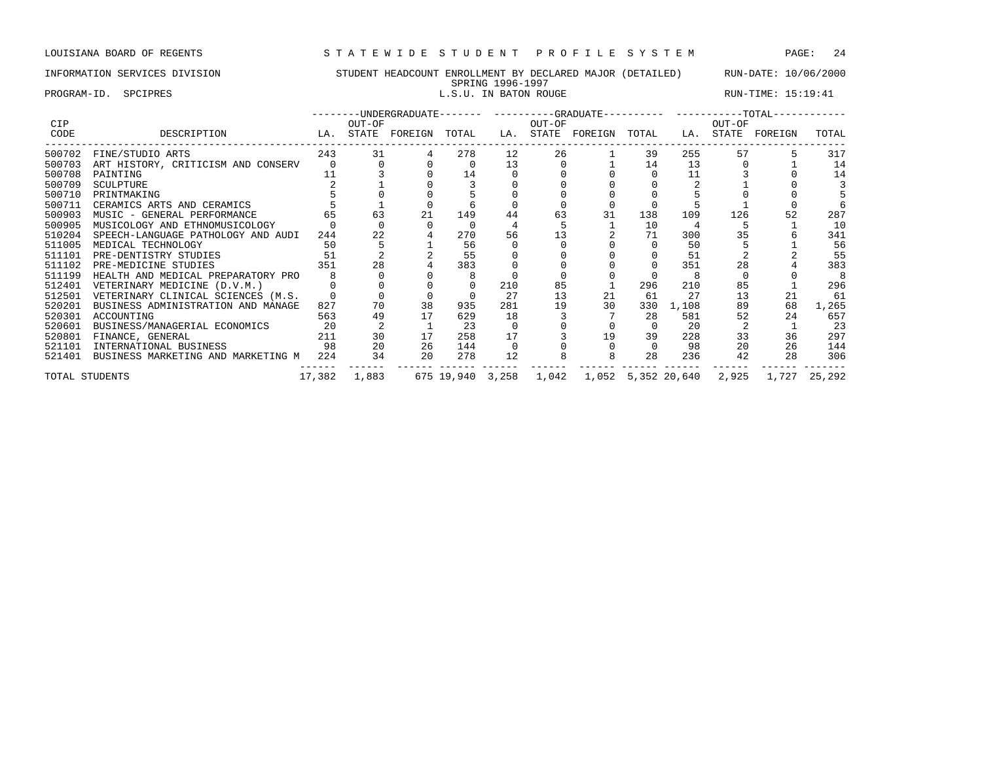## INFORMATION SERVICES DIVISION STUDENT HEADCOUNT ENROLLMENT BY DECLARED MAJOR (DETAILED) RUN-DATE: 10/06/2000

SPRING 1996-1997<br>L.S.U. IN BATON ROUGE PROGRAM-ID. SPCIPRES **EXECUTE:** 15:19:41

| <b>CIP</b>     |                                        |        | OUT-OF       |                         |     |                   | OUT-OF |                                           |          |       | OUT-OF | --------UNDERGRADUATE------- ---------GRADUATE---------- -----------TOTAL----------- |       |
|----------------|----------------------------------------|--------|--------------|-------------------------|-----|-------------------|--------|-------------------------------------------|----------|-------|--------|--------------------------------------------------------------------------------------|-------|
| CODE           | DESCRIPTION                            |        |              | LA. STATE FOREIGN TOTAL |     |                   |        | LA. STATE FOREIGN TOTAL                   |          |       |        | LA. STATE FOREIGN                                                                    | TOTAL |
| 500702         | FINE/STUDIO ARTS                       | 243    | 31           |                         | 278 | $12 \overline{ }$ | 26     |                                           | 39       | 255   | 57     |                                                                                      | 317   |
| 500703         | ART HISTORY, CRITICISM AND CONSERV     | $\cap$ |              |                         |     | 13                |        |                                           | 14       | 13    |        |                                                                                      | 14    |
| 500708         | PAINTING                               |        |              |                         | 14  |                   |        |                                           |          | 11    |        |                                                                                      | 14    |
| 500709         | SCULPTURE                              |        |              |                         |     |                   |        |                                           |          |       |        |                                                                                      |       |
| 500710         | PRINTMAKING                            |        |              |                         |     |                   |        |                                           |          |       |        |                                                                                      |       |
| 500711         | CERAMICS ARTS AND CERAMICS             |        |              |                         |     |                   |        |                                           |          |       |        |                                                                                      |       |
| 500903         | MUSIC - GENERAL PERFORMANCE            | 65     | 63           | 21                      | 149 | 44                | 63     | 31                                        | 138      | 109   | 126    | 52                                                                                   | 287   |
| 500905         | MUSICOLOGY AND ETHNOMUSICOLOGY         |        |              |                         |     |                   |        |                                           | 10       |       |        |                                                                                      | 10    |
| 510204         | SPEECH-LANGUAGE PATHOLOGY AND AUDI     | 244    | 22           |                         | 270 | 56                | 13     |                                           | 71       | 300   | 35     |                                                                                      | 341   |
| 511005         | MEDICAL TECHNOLOGY                     | 50     |              |                         | 56  |                   |        |                                           |          | 50    |        |                                                                                      | 56    |
| 511101         | PRE-DENTISTRY STUDIES                  | 51     |              |                         | 55  |                   |        |                                           |          | 51    |        |                                                                                      | 55    |
| 511102         | PRE-MEDICINE STUDIES                   | 351    | 28           |                         | 383 |                   |        |                                           |          | 351   | 2.8    |                                                                                      | 383   |
| 511199         | HEALTH AND MEDICAL PREPARATORY PRO     |        |              |                         |     |                   |        |                                           |          |       |        |                                                                                      |       |
| 512401         | VETERINARY MEDICINE (D.V.M.)           |        |              |                         |     | 210               | 85     |                                           | 296      | 210   | 85     |                                                                                      | 296   |
| 512501         | VETERINARY CLINICAL SCIENCES (M.S.     |        |              |                         |     | 27                | 13     | 21                                        | 61       | 27    | 13     | 21                                                                                   | 61    |
| 520201         | BUSINESS ADMINISTRATION AND MANAGE     | 827    | 70           | 38                      | 935 | 281               | 19     | 30                                        | 330      | 1,108 | 89     | 68                                                                                   | 1,265 |
| 520301         | ACCOUNTING                             | 563    | 49           |                         | 629 | 18                |        |                                           | 28       | 581   | 52     | 2.4                                                                                  | 657   |
| 520601         | BUSINESS/MANAGERIAL ECONOMICS          | 20     |              |                         | -23 |                   |        |                                           | $\Omega$ | 20    |        |                                                                                      | 23    |
| 520801         | FINANCE, GENERAL                       | 211    | 30           | 17                      | 258 | 17                |        | 19                                        | 39       | 228   | 33     | 36                                                                                   | 297   |
| 521101         | INTERNATIONAL BUSINESS                 | 98     | 20           | 26                      | 144 |                   |        |                                           | $\Omega$ | 98    | 20     | 26                                                                                   | 144   |
| 521401         | BUSINESS MARKETING AND MARKETING M 224 |        | 34           | 20                      | 278 | 12                |        |                                           | 28       | 236   | 42     | 28                                                                                   | 306   |
| TOTAL STUDENTS |                                        |        | 17,382 1,883 |                         |     |                   |        | 675 19,940 3,258 1,042 1,052 5,352 20,640 |          |       |        | 2,925 1,727 25,292                                                                   |       |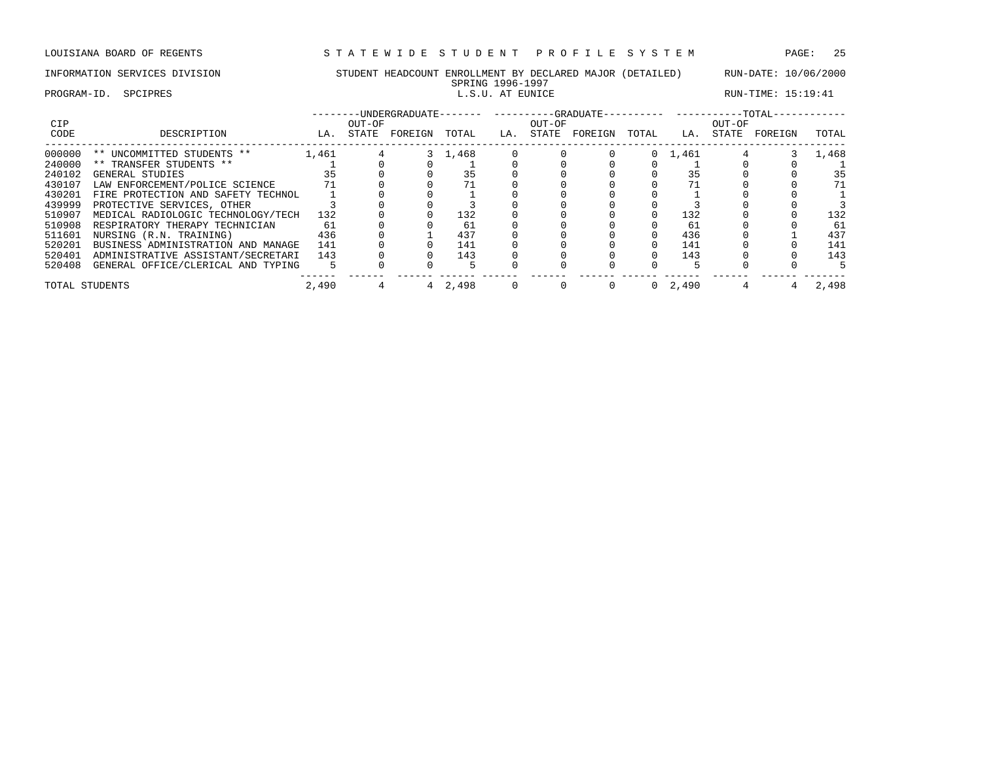## INFORMATION SERVICES DIVISION STUDENT HEADCOUNT ENROLLMENT BY DECLARED MAJOR (DETAILED) RUN-DATE: 10/06/2000

### PROGRAM-ID. SPCIPRES **EXECUTE:** 15:19:41

# SPRING 1996-1997<br>L.S.U. AT EUNICE

| <b>CIP</b>     |                                    |       | OUT-OF |         |         |     | OUT-OF |         | OUT-OF |                 |       |         |       |
|----------------|------------------------------------|-------|--------|---------|---------|-----|--------|---------|--------|-----------------|-------|---------|-------|
| CODE           | DESCRIPTION                        | LA.   | STATE  | FOREIGN | TOTAL   | LA. | STATE  | FOREIGN | TOTAL  | LA.             | STATE | FOREIGN | TOTAL |
| 000000         | ** UNCOMMITTED STUDENTS **         | 1,461 |        |         | 3 1,468 |     |        |         |        | $0 \quad 1,461$ |       |         | 1,468 |
| 240000         | ** TRANSFER STUDENTS **            |       |        |         |         |     |        |         |        |                 |       |         |       |
| 240102         | GENERAL STUDIES                    |       |        |         |         |     |        |         |        | 35              |       |         | 35    |
| 430107         | LAW ENFORCEMENT/POLICE SCIENCE     |       |        |         |         |     |        |         |        |                 |       |         |       |
| 430201         | FIRE PROTECTION AND SAFETY TECHNOL |       |        |         |         |     |        |         |        |                 |       |         |       |
| 439999         | PROTECTIVE SERVICES, OTHER         |       |        |         |         |     |        |         |        |                 |       |         |       |
| 510907         | MEDICAL RADIOLOGIC TECHNOLOGY/TECH | 132   |        |         | 132     |     |        |         |        | 132             |       |         | 132   |
| 510908         | RESPIRATORY THERAPY TECHNICIAN     | 61    |        |         | 61      |     |        |         |        | 61              |       |         | -61   |
| 511601         | NURSING (R.N. TRAINING)            | 436   |        |         | 437     |     |        |         |        | 436             |       |         | 437   |
| 520201         | BUSINESS ADMINISTRATION AND MANAGE | 141   |        |         | 141     |     |        |         |        | 141             |       |         | 141   |
| 520401         | ADMINISTRATIVE ASSISTANT/SECRETARI | 143   |        |         | 143     |     |        |         |        | 143             |       |         | 143   |
| 520408         | GENERAL OFFICE/CLERICAL AND TYPING |       |        |         |         |     |        |         |        |                 |       |         |       |
| TOTAL STUDENTS |                                    | 2,490 |        |         | 4 2,498 |     |        |         |        | $0 \quad 2.490$ |       |         | 2,498 |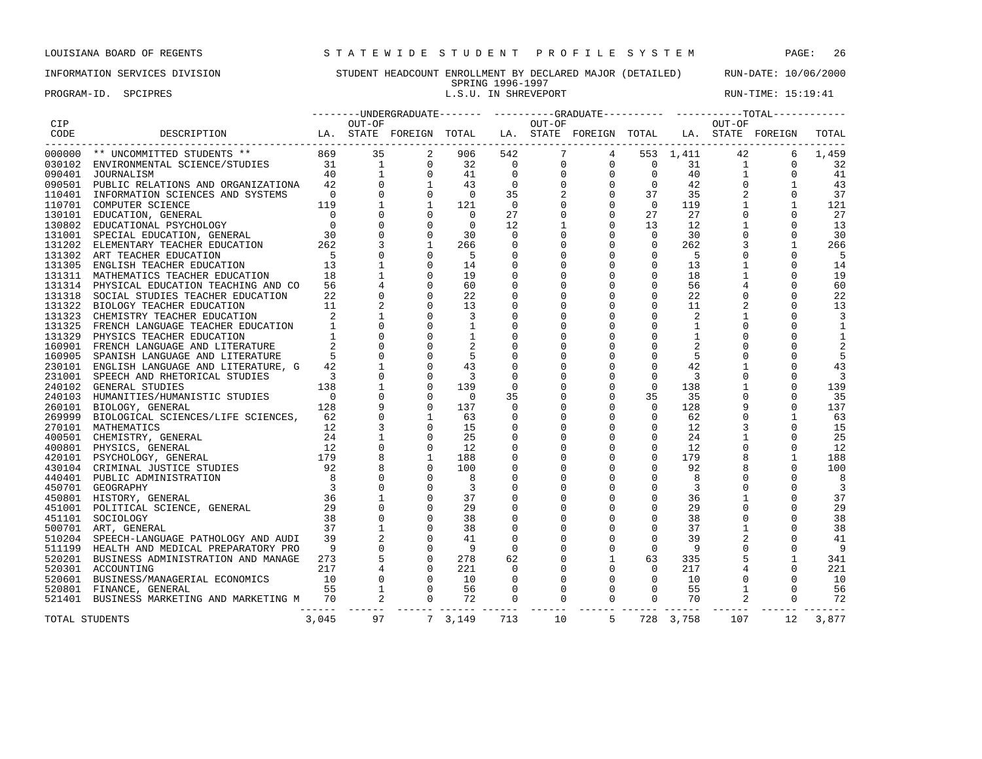PROGRAM-ID. SPCIPRES **EXECUTE:** 15:19:41

## INFORMATION SERVICES DIVISION STUDENT HEADCOUNT ENROLLMENT BY DECLARED MAJOR (DETAILED) RUN-DATE: 10/06/2000 SPRING 1996-1997<br>L.S.U. IN SHREVEPORT

|            |                                                                                                                                                                                                                                              |       | --------UNDERGRADUATE------- ---------GRADUATE---------- ----------TOTAL----------- |                |                         |                |              |                                                                                               |                                        |                      |                                                       |              |                         |  |
|------------|----------------------------------------------------------------------------------------------------------------------------------------------------------------------------------------------------------------------------------------------|-------|-------------------------------------------------------------------------------------|----------------|-------------------------|----------------|--------------|-----------------------------------------------------------------------------------------------|----------------------------------------|----------------------|-------------------------------------------------------|--------------|-------------------------|--|
| <b>CIP</b> |                                                                                                                                                                                                                                              |       | OUT-OF                                                                              |                |                         |                | OUT-OF       |                                                                                               |                                        |                      | OUT-OF                                                |              |                         |  |
| CODE       | -----------------------------                                                                                                                                                                                                                |       |                                                                                     |                |                         |                |              |                                                                                               |                                        |                      |                                                       |              | TOTAL                   |  |
|            | 000000 ** UNCOMMITTED STUDENTS ** 869                                                                                                                                                                                                        |       | 35                                                                                  | 2              | 906                     | 542            | $7^{\circ}$  |                                                                                               | $4\degree$                             | 553 1,411            | 42                                                    | -6           | 1,459                   |  |
|            |                                                                                                                                                                                                                                              |       |                                                                                     |                | 32 0                    |                | $\mathbf 0$  |                                                                                               |                                        |                      |                                                       | $\Omega$     | 32                      |  |
|            |                                                                                                                                                                                                                                              |       |                                                                                     |                | 41                      | $\overline{0}$ | $\mathbf 0$  |                                                                                               |                                        |                      | $\begin{array}{ccc} 31 & & 1 \\ 40 & & 1 \end{array}$ | $\Omega$     | 41                      |  |
|            |                                                                                                                                                                                                                                              |       |                                                                                     |                | 43                      | $\overline{0}$ | $\mathbf 0$  |                                                                                               |                                        | 42                   | $\overline{0}$                                        | $\mathbf{1}$ | 43                      |  |
|            |                                                                                                                                                                                                                                              |       |                                                                                     |                | $\overline{0}$          | 35             | 2            |                                                                                               |                                        | 37 35                | 2                                                     | $\Omega$     | 37                      |  |
|            |                                                                                                                                                                                                                                              |       |                                                                                     |                | 121                     | $\overline{0}$ | $\Omega$     |                                                                                               |                                        | 119                  | $\overline{1}$                                        | $\mathbf{1}$ | 121                     |  |
|            |                                                                                                                                                                                                                                              |       |                                                                                     |                | $\overline{0}$          | 27             | $\Omega$     | $\begin{bmatrix} 0 & 0 & 0 \\ 0 & 0 & 0 \\ 0 & 0 & 0 \\ 0 & 0 & 1 \\ 0 & 0 & 1 \end{bmatrix}$ |                                        | 27                   | $\Omega$                                              | $\Omega$     | 27                      |  |
|            |                                                                                                                                                                                                                                              |       |                                                                                     |                | $\Omega$                | 12             |              |                                                                                               |                                        | 12                   | $\mathbf{1}$                                          | $\Omega$     | 13                      |  |
|            |                                                                                                                                                                                                                                              |       |                                                                                     |                | 30                      | $\overline{0}$ |              | $\mathbf 0$                                                                                   | $\overline{0}$                         | 30                   | $\mathbf 0$                                           | 0            | 30                      |  |
|            |                                                                                                                                                                                                                                              |       |                                                                                     |                | 266                     | $\mathbf 0$    |              | $\mathbf 0$                                                                                   | $\overline{0}$                         | 262                  | $\overline{3}$                                        | $\mathbf{1}$ | 266                     |  |
|            |                                                                                                                                                                                                                                              |       |                                                                                     |                | $5^{\circ}$             | $\mathbf 0$    | $\mathbf 0$  | $\mathbf 0$                                                                                   | $\mathbf 0$                            | 5                    | $\Omega$                                              |              | - 5                     |  |
|            |                                                                                                                                                                                                                                              |       |                                                                                     |                | 14                      | $\mathbf 0$    |              | $\Omega$                                                                                      | $\Omega$                               | 13                   | $\mathbf{1}$                                          |              | 14                      |  |
|            |                                                                                                                                                                                                                                              |       |                                                                                     |                | 19                      | $\mathbf 0$    |              | 0                                                                                             | $\mathsf{O}$                           | 18                   |                                                       | 0            | 19                      |  |
|            |                                                                                                                                                                                                                                              |       |                                                                                     |                | 60                      | $\mathbf 0$    |              | $\mathbf 0$                                                                                   | $\mathbf{0}$                           | 56                   | $\overline{4}$                                        | $\Omega$     | 60                      |  |
|            |                                                                                                                                                                                                                                              |       |                                                                                     |                | 22                      | $\mathsf 0$    | $\mathbf{0}$ | $\mathbf 0$                                                                                   | $\mathbf{0}$                           | 22                   | $\mathbf 0$                                           | $\mathbf 0$  | 22                      |  |
|            |                                                                                                                                                                                                                                              |       | $\begin{array}{c}\n 22 \\  11 \\  2\n \end{array}$                                  |                | 13                      | $\mathbf 0$    | $\Omega$     | $\Omega$                                                                                      | $\Omega$                               | 11                   | $\overline{2}$                                        | $\Omega$     | 13                      |  |
|            |                                                                                                                                                                                                                                              |       |                                                                                     |                | $\overline{\mathbf{3}}$ |                | $\Omega$     |                                                                                               | $\Omega$                               | 2                    | $\mathbf{1}$                                          |              | 3                       |  |
|            | 131323 CHEMISTRY TEACHER EDUCATION 1<br>131325 FRENCH LANGUAGE TEACHER EDUCATION 1<br>1 ELECTRO FRACUER EDUCATION 1                                                                                                                          |       |                                                                                     |                | $\mathbf{1}$            |                |              | $\mathbf 0$                                                                                   | $\mathbf 0$                            | 1                    | $\mathbf 0$                                           |              | 1                       |  |
|            |                                                                                                                                                                                                                                              |       |                                                                                     |                | $\mathbf{1}$            |                |              |                                                                                               | $\mathbf 0$                            | $\mathbf{1}$         | $\Omega$                                              |              | 1                       |  |
|            | 160901 FRENCH LANGUAGE AND LITERATURE                                                                                                                                                                                                        |       |                                                                                     |                | $\sqrt{2}$              |                |              |                                                                                               | $\Omega$                               | 2                    | $\Omega$                                              |              | 2                       |  |
|            | 160905 SPANISH LANGUAGE AND LITERATURE                                                                                                                                                                                                       | -5    |                                                                                     |                |                         |                |              |                                                                                               | $\Omega$                               | 5                    | $\Omega$                                              |              | .5                      |  |
|            | 230101 ENGLISH LANGUAGE AND LITERATURE, G                                                                                                                                                                                                    | 42    |                                                                                     | $\overline{0}$ | 43                      | $\mathbf 0$    |              | $\mathbf 0$                                                                                   | $\mathbf 0$                            | 42                   | $\mathbf{1}$                                          | $\Omega$     | 43                      |  |
|            | 231001 SPEECH AND RHETORICAL STUDIES                                                                                                                                                                                                         |       |                                                                                     | $\Omega$       | $\overline{\mathbf{3}}$ | $\mathbf 0$    |              | $\Omega$                                                                                      | $\mathbf 0$                            | $\overline{3}$       | $\Omega$                                              | $\Omega$     | $\overline{\mathbf{3}}$ |  |
|            | STUDIES<br>STUDIES 138<br>STUDIES 128<br>240102 GENERAL STUDIES                                                                                                                                                                              |       |                                                                                     | $\mathbf 0$    | 139                     | $\mathbf 0$    | $\Omega$     | $\mathbf 0$                                                                                   | $\Omega$                               | 138                  | $\mathbf{1}$                                          | $\Omega$     | 139                     |  |
|            | 240103 HUMANITIES/HUMANISTIC STUDIES                                                                                                                                                                                                         |       |                                                                                     | $\mathbf 0$    | $\overline{0}$          | 35             | $\mathbf 0$  | $\Omega$                                                                                      | 35                                     | 35                   | $\Omega$                                              | $\Omega$     | 35                      |  |
|            | 260101 BIOLOGY, GENERAL                                                                                                                                                                                                                      |       |                                                                                     | $\mathbf 0$    | 137                     | $\Omega$       | $\Omega$     | $\Omega$                                                                                      | $\overline{0}$                         | 128                  | 9                                                     | $\Omega$     | 137                     |  |
|            |                                                                                                                                                                                                                                              |       |                                                                                     | <sup>1</sup>   | 63                      | $\mathbf 0$    |              | $\mathbf 0$                                                                                   | $\overline{0}$                         | 62                   | $\mathsf 0$                                           | $\mathbf{1}$ | 63                      |  |
|            |                                                                                                                                                                                                                                              |       |                                                                                     | $\overline{0}$ | 15                      | $\mathbf 0$    |              | $\mathbf 0$                                                                                   | $\mathbf 0$                            | 12                   | 3                                                     | $\Omega$     | 15                      |  |
|            |                                                                                                                                                                                                                                              |       |                                                                                     |                | 25                      | $\mathsf 0$    |              | $\mathbf 0$                                                                                   | $\overline{0}$                         | 24                   |                                                       | $\Omega$     | 25                      |  |
|            |                                                                                                                                                                                                                                              |       |                                                                                     | $\overline{0}$ | 12                      | $\mathbf 0$    | $\Omega$     | $\mathbf 0$                                                                                   | $\circ$                                | 12                   | $\Omega$                                              | $\Omega$     | 12                      |  |
|            |                                                                                                                                                                                                                                              |       |                                                                                     | 1              |                         | $\mathbf 0$    | $\Omega$     | $\Omega$                                                                                      | $\Omega$                               | 179                  |                                                       | $\mathbf{1}$ | 188                     |  |
|            |                                                                                                                                                                                                                                              |       |                                                                                     |                | 188                     |                |              | $\mathbf 0$                                                                                   |                                        | 92                   |                                                       | $\Omega$     |                         |  |
|            |                                                                                                                                                                                                                                              |       |                                                                                     | $\Omega$       | 100                     |                | $\mathbf 0$  | $\mathbf 0$                                                                                   | $\circ$<br>$\mathbf{0}$                |                      | $\Omega$                                              | $\Omega$     | 100                     |  |
|            |                                                                                                                                                                                                                                              |       | $\overline{0}$                                                                      | $\mathbf 0$    | $_{\rm 8}$              | $\mathbf 0$    |              |                                                                                               | $\mathbf 0$                            | 8                    | $\Omega$                                              | $\mathbf 0$  | 8<br>$\overline{3}$     |  |
|            | 160101 BIOLOGICAL SCIENCES/LIFE SCIENCES, CANADIO PRIDIDENTICS<br>170101 MATHEMATICS<br>1700501 CHEMISTRY, GENERAL 24<br>1700501 PHYSICS, GENERAL 12<br>120101 PSYCHOLOGY, GENERAL 179<br>179<br>1790501 PENININAL JUSTICE STUDIES 92<br>179 |       |                                                                                     |                | $\overline{3}$<br>37    |                |              | $\Omega$                                                                                      | $\mathbf 0$                            | $\overline{3}$<br>36 | $\mathbf{1}$                                          | $\Omega$     | 37                      |  |
|            |                                                                                                                                                                                                                                              |       |                                                                                     |                | 29                      |                |              |                                                                                               | $\mathbf 0$                            | 29                   | $\mathbf 0$                                           |              | 29                      |  |
|            |                                                                                                                                                                                                                                              |       |                                                                                     |                |                         |                |              | $\Omega$                                                                                      |                                        |                      | $\Omega$                                              |              |                         |  |
|            |                                                                                                                                                                                                                                              |       |                                                                                     |                | 38                      |                |              |                                                                                               | $\mathbf 0$                            | 38<br>37             |                                                       | $\Omega$     | 38                      |  |
|            |                                                                                                                                                                                                                                              |       |                                                                                     |                | 38                      |                |              |                                                                                               | $\mathbf{0}$                           |                      | $\mathbf{1}$                                          |              | 38                      |  |
|            |                                                                                                                                                                                                                                              |       |                                                                                     |                | 41                      | $\Omega$       | $\Omega$     | $\Omega$                                                                                      | $\Omega$                               | 39                   | 2                                                     | $\Omega$     | 41                      |  |
|            |                                                                                                                                                                                                                                              |       |                                                                                     |                | - 9                     | $\Omega$       |              | $\Omega$                                                                                      | $\Omega$                               | 9                    | $\Omega$                                              | $\Omega$     | - 9                     |  |
|            |                                                                                                                                                                                                                                              |       |                                                                                     |                | 278                     | 62             | 0            | $\mathbf{1}$                                                                                  | 63                                     | 335                  | 5                                                     | $\mathbf{1}$ | 341                     |  |
|            |                                                                                                                                                                                                                                              |       |                                                                                     |                | 221                     | $\mathbf 0$    | $\mathbf 0$  | $\mathbf{0}$                                                                                  | $\overline{0}$                         | 217                  | $\overline{4}$                                        | $\Omega$     | 221                     |  |
|            |                                                                                                                                                                                                                                              |       |                                                                                     |                | 10                      | $\overline{0}$ | $\Omega$     | $\mathbf 0$                                                                                   | $\overline{0}$                         | 10                   | $\mathbf 0$                                           | $\Omega$     | 10                      |  |
|            |                                                                                                                                                                                                                                              |       |                                                                                     |                | 56                      | $\mathbf 0$    | $\Omega$     | $\mathbf 0$                                                                                   | $\circ$                                | 55                   | <sup>1</sup>                                          | $\Omega$     | 56                      |  |
|            |                                                                                                                                                                                                                                              |       |                                                                                     |                | 72                      |                |              | $\overline{0}$                                                                                | $\overline{0}$<br>------ ------ ------ | 70                   | $\overline{\phantom{a}}$ 2                            | $\Omega$     | 72                      |  |
|            | TOTAL STUDENTS                                                                                                                                                                                                                               | 3,045 | 97                                                                                  |                | 7 3,149                 | 713            | 10           | 5 <sup>5</sup>                                                                                |                                        | 728 3,758            | 107                                                   | 12           | 3,877                   |  |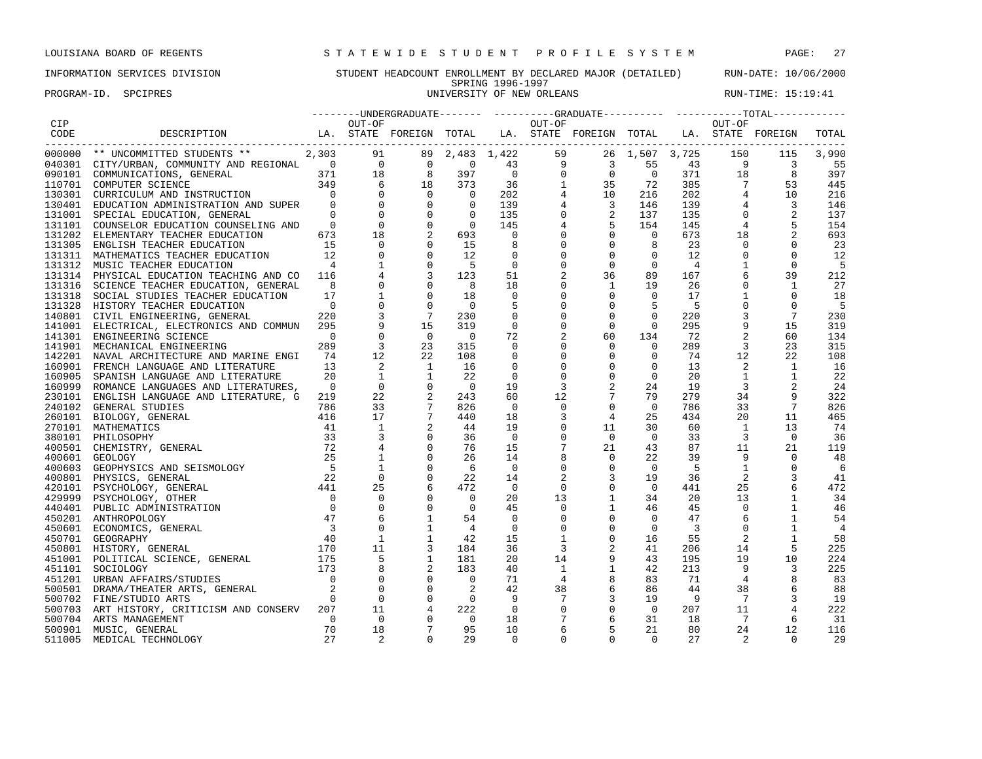PROGRAM-ID. SPCIPRES **EXECUTE:** 15:19:41

## INFORMATION SERVICES DIVISION STUDENT HEADCOUNT ENROLLMENT BY DECLARED MAJOR (DETAILED) RUN-DATE: 10/06/2000 SPRING 1996-1997<br>UNIVERSITY OF NEW ORLEANS

| CIP<br>OUT-OF<br>OUT-OF<br>OUT-OF<br>DESCRIPTION                      LA. STATE FOREIGN TOTAL   LA. STATE FOREIGN TOTAL  LA. STATE FOREIGN<br>CODE<br>TOTAL<br>--------<br>$\begin{tabular}{cccccccc} \texttt{C}-\texttt{C}-\texttt{C}-\texttt{C}-\texttt{C}-\texttt{C}-\texttt{C}-\texttt{C}-\texttt{C}-\texttt{C}-\texttt{C}-\texttt{C}-\texttt{C}-\texttt{C}-\texttt{C}-\texttt{C}-\texttt{C}-\texttt{C}-\texttt{C}-\texttt{C}-\texttt{C}-\texttt{C}-\texttt{C}-\texttt{C}-\texttt{C}-\texttt{C}-\texttt{C}-\texttt{C}-\texttt{C}-\texttt{C}-\texttt{C}-\texttt{C}-\texttt{C}-\texttt{C}-\texttt{C}-\$<br>3,990<br>115<br>$\overline{\phantom{a}}$<br>55<br>8<br>397<br>445<br>53<br>10<br>216<br>$\overline{3}$<br>146<br>$\overline{2}$<br>137<br>154<br>693<br>23<br>$\mathbf 0$<br>$\mathbf 0$<br>12<br>$\overline{0}$<br>12<br>$\mathbf{0}$<br>$\mathbf 0$<br>$\mathbf{1}$<br>$\mathbf 0$<br>$\overline{0}$<br>$\overline{4}$<br>$\overline{0}$<br>$-5$<br>89<br>39<br>212<br>36<br>167<br>$\Omega$<br>$\mathbf{1}$<br>19<br>26<br>1<br>27<br>$\Omega$<br>$\mathbf{0}$<br>$\mathbf{1}$<br>$\Omega$<br>$\Omega$<br>17<br>18<br>$\Omega$<br>$\mathbf 0$<br>$\mathbf 0$<br>$\begin{array}{c}0\\220\end{array}$<br>$\mathbf 0$<br>5<br>$\Omega$<br>5<br>- 5<br>131328 HISTORY TEACHER EDUCATION<br>$\overline{\phantom{0}}$<br>$\Omega$<br>- 5<br>$7\overline{ }$<br>$\mathbf 0$<br>3<br>$\mathbf 0$<br>$\mathbf{0}$<br>7<br>230<br>220<br>230<br>140801 CIVIL ENGINEERING, GENERAL<br>15<br>141001 ELECTRICAL, ELECTRONICS AND COMMUN 295<br>319<br>$\overline{0}$<br>$\mathbf 0$<br>295<br>9<br>15<br>319<br>$\mathbf{0}$<br>$\overline{0}$<br>$\overline{0}$<br>72<br>$\overline{a}$<br>60<br>$\overline{0}$<br>$\overline{0}$<br>134<br>72<br>60<br>134<br>141301 ENGINEERING SCIENCE<br>$\overline{3}$<br>23<br>$\mathbf{0}$<br>$\overline{\mathbf{3}}$<br>289<br>315<br>$\overline{0}$<br>$\Omega$<br>289<br>23<br>315<br>141901 MECHANICAL ENGINEERING<br>12<br>$\mathbf{0}$<br>12<br>22<br>$\mathbf 0$<br>$\circ$<br>22<br>108<br>142201 NAVAL ARCHITECTURE AND MARINE ENGI<br>74<br>108<br>$\mathbf 0$<br>74<br>2<br>$\mathbf 0$<br>$\overline{2}$<br>13<br><sup>1</sup><br>16<br>$\mathbf 0$<br>$\mathbf 0$<br>13<br>$\mathbf{1}$<br>16<br>160901 FRENCH LANGUAGE AND LITERATURE<br>$\overline{0}$<br>$\begin{array}{c} 1 \\ 1 \\ 0 \\ 2 \\ 7 \\ 7 \\ 2 \\ 1 \\ 2 \\ 1 \\ 1 \\ 2 \\ 1 \\ 1 \\ 2 \\ 1 \\ 2 \\ 3 \\ 4 \\ 5 \\ 6 \\ 7 \\ 9 \\ 1 \\ 2 \\ 4 \\ 1 \\ 4 \\ 1 \\ 2 \\ 3 \\ 4 \\ 5 \\ 4 \\ 6 \\ 7 \\ 9 \\ 1 \\ 1 \\ 2 \\ 4 \\ 1 \\ 4 \\ 1 \\ 2 \\ 3 \\ 4 \\ 4 \\ 5 \\ 4 \\ 5 \\ 4 \\ 6 \\ 7 \\ 9 \\ 1 \\ 1 \\ 1 \\ 2 \\ 3 \\ 4 \\ 4 \\ 5 \\ 4 \\ 5 \\ 5 \\ 6 \\ 7 \\ 9 \\ 1 \\ 1 \\$<br>$\overline{1}$<br>$\mathbf 0$<br>20<br>$\mathbf 0$<br>$\overline{0}$<br>20<br>$\mathbf{1}$<br>$\mathbf{1}$<br>22<br>160905 SPANISH LANGUAGE AND LITERATURE<br>22<br>$\overline{0}$<br>2<br>$\overline{0}$<br>$\overline{\mathbf{3}}$<br>24<br>$\overline{0}$<br>$\overline{0}$<br>19<br>3<br>19<br>24<br>160999 ROMANCE LANGUAGES AND LITERATURES,<br>22<br>$7\overline{ }$<br>79<br>230101 ENGLISH LANGUAGE AND LITERATURE, G 219<br>243<br>60<br>12<br>279<br>34<br>9<br>322<br>33<br>$\mathbf 0$<br>33<br>$\begin{array}{r} 2416 \\ 786 \\ 416 \\ 33 \\ 72\n\end{array}$<br>826<br>$\overline{0}$<br>$\Omega$<br>$\Omega$<br>786<br>7<br>826<br>240102 GENERAL STUDIES<br>17<br>20<br>440<br>18<br>3<br>4<br>25<br>434<br>11<br>465<br>260101 BIOLOGY, GENERAL<br>1<br>44<br>$\overline{1}$<br>19<br>$\mathbf 0$<br>11<br>30<br>60<br>13<br>74<br>270101 MATHEMATICS<br>36<br>$\mathbf 0$<br>$\mathbf 0$<br>$\Omega$<br>33<br>$\overline{3}$<br>$\overline{0}$<br>$\overline{0}$<br>36<br>380101 PHILOSOPHY<br>$7\phantom{.0}$<br>76<br>21<br>43<br>87<br>11<br>400501 CHEMISTRY, GENERAL<br>15<br>21<br>119<br>$\overline{1}$<br>$\mathbf 0$<br>$\overline{9}$<br>22<br>26<br>14<br>39<br>$\Omega$<br>48<br>400601 GEOLOGY<br>400603 GEOPHYSICS AND SEISMOLOGY 5<br>400603 GEOPHYSICS, GENERAL 22<br>420101 PSYCHOLOGY, GENERAL 4441<br>$\mathbf 0$<br>$\mathbf{1}$<br>$\mathbf 0$<br>6<br>$\mathbf 0$<br>$\overline{0}$<br>-5<br>$\overline{0}$<br>$\Omega$<br>-6<br>$\overline{0}$<br>$\mathbf 0$<br>2<br>$\mathbf{3}$<br>2<br>22<br>19<br>36<br>3<br>14<br>41<br>25<br>6<br>472<br>$\mathbf 0$<br>$\overline{0}$<br>441<br>25<br>472<br>$\overline{0}$<br>$\mathbf 0$<br>$\overline{0}$<br>$\mathbf 0$<br>$\mathbf{1}$<br>34<br>13<br>$\begin{array}{c}\n 1 \\  0 \\  47 \\  3\n \end{array}$<br>$\overline{0}$<br>20<br>13<br>20<br>1<br>34<br>429999 PSYCHOLOGY, OTHER<br>$\mathbf 0$<br>$\mathsf{O}$<br>$\mathbf{1}$<br>$\mathbf 0$<br>$\overline{0}$<br>45<br>$\mathbf 0$<br>46<br>45<br>46<br>440401 PUBLIC ADMINISTRATION<br>1<br>$\mathbf 0$<br>6<br>$\mathbf{1}$<br>$\overline{0}$<br>6<br>54<br>$\overline{0}$<br>47<br>$\mathbf{1}$<br>54<br>450201 ANTHROPOLOGY<br>$\mathbf 0$<br>$\Omega$<br>$\Omega$<br>$\overline{4}$<br>$\overline{0}$<br>$\overline{0}$<br>$\overline{3}$<br>$\mathbf{1}$<br>450601 ECONOMICS, GENERAL<br>$\mathbf 0$<br>4<br>$\mathbf 0$<br>$\overline{1}$<br>2<br>$\mathbf{1}$<br>15<br>$\mathbf{1}$<br>55<br>$\mathbf{1}$<br>58<br>450701 GEOGRAPHY<br>42<br>16<br>$\frac{170}{175}$<br>2<br>11<br>36<br>3<br>41<br>14<br>5<br>225<br>184<br>206<br>450801 HISTORY, GENERAL<br>450801 HISTORY, GENERAL<br>451001 POLITICAL SCIENCE, GENERAL (175)<br>151101 SOCIOLOGY (173)<br>$\frac{5}{8}$<br>9<br>19<br>$\mathbf{1}$<br>20<br>14<br>43<br>195<br>224<br>181<br>10<br>$\mathbf{1}$<br>9<br>183<br>40<br>$\overline{1}$<br>42<br>213<br>3<br>225<br>$\overline{0}$<br>8<br>$\bigcirc$<br>$\mathbf 0$<br>$4\overline{4}$<br>71<br>4<br>83<br>71<br>83<br>451201 URBAN AFFAIRS/STUDIES<br>$\overline{0}$<br>$\overline{0}$<br>6<br>$\mathbf 0$<br>42<br>38<br>$\frac{2}{0}$<br>38<br>86<br>44<br>6<br>88<br>500501 DRAMA/THEATER ARTS, GENERAL<br>$\overline{0}$<br>$\mathbf 0$<br>3<br>$7^{\circ}$<br>- 9<br>7<br>19<br>9<br>19<br>500702 FINE/STUDIO ARTS<br>$\bigcap$<br>500703 ART HISTORY, CRITICISM AND CONSERV 207<br>11<br>$\overline{4}$<br>$\mathbf 0$<br>222<br>$\overline{0}$<br>$\mathbf 0$<br>11<br>222<br>$\overline{0}$<br>207<br>6<br>$\overline{0}$<br>$\mathbf 0$<br>$\overline{0}$<br>7<br>$7\phantom{.0}$<br>6<br>18<br>31<br>$\Omega$<br>18<br>-31<br>500704 ARTS MANAGEMENT<br>$7\phantom{.0}$<br>70<br>18<br>95<br>10<br>5<br>21<br>24<br>12<br>500901 MUSIC, GENERAL<br>6<br>80<br>116 |  |  |  |  |  |  | --------UNDERGRADUATE------- -----------GRADUATE---------- -----------TOTAL----------- |  |  |  |  |
|-----------------------------------------------------------------------------------------------------------------------------------------------------------------------------------------------------------------------------------------------------------------------------------------------------------------------------------------------------------------------------------------------------------------------------------------------------------------------------------------------------------------------------------------------------------------------------------------------------------------------------------------------------------------------------------------------------------------------------------------------------------------------------------------------------------------------------------------------------------------------------------------------------------------------------------------------------------------------------------------------------------------------------------------------------------------------------------------------------------------------------------------------------------------------------------------------------------------------------------------------------------------------------------------------------------------------------------------------------------------------------------------------------------------------------------------------------------------------------------------------------------------------------------------------------------------------------------------------------------------------------------------------------------------------------------------------------------------------------------------------------------------------------------------------------------------------------------------------------------------------------------------------------------------------------------------------------------------------------------------------------------------------------------------------------------------------------------------------------------------------------------------------------------------------------------------------------------------------------------------------------------------------------------------------------------------------------------------------------------------------------------------------------------------------------------------------------------------------------------------------------------------------------------------------------------------------------------------------------------------------------------------------------------------------------------------------------------------------------------------------------------------------------------------------------------------------------------------------------------------------------------------------------------------------------------------------------------------------------------------------------------------------------------------------------------------------------------------------------------------------------------------------------------------------------------------------------------------------------------------------------------------------------------------------------------------------------------------------------------------------------------------------------------------------------------------------------------------------------------------------------------------------------------------------------------------------------------------------------------------------------------------------------------------------------------------------------------------------------------------------------------------------------------------------------------------------------------------------------------------------------------------------------------------------------------------------------------------------------------------------------------------------------------------------------------------------------------------------------------------------------------------------------------------------------------------------------------------------------------------------------------------------------------------------------------------------------------------------------------------------------------------------------------------------------------------------------------------------------------------------------------------------------------------------------------------------------------------------------------------------------------------------------------------------------------------------------------------------------------------------------------------------------------------------------------------------------------------------------------------------------------------------------------------------------------------------------------------------------------------------------------------------------------------------------------------------------------------------------------------------------------------------------------------------------------------------------------------------------------------------------------------------------------------------------------------------------------------------------------------------------------------------------------------------------------------------------------------------------------------------------------------------------------------------------------------------------------------------------------------------------------------------------------------------------------------------------------------------------------------------------------------------------------------------------------------------------------------------------------------------------------------------------------------------------------------------------------------------------------------------------------------------------------------------------------------------------------------------------------------------------------------------------------------------------------------------------------------------------------------------------------------------------------------------------------------------------------------------------------------------------------------------------------------------------------------------------------------------|--|--|--|--|--|--|----------------------------------------------------------------------------------------|--|--|--|--|
|                                                                                                                                                                                                                                                                                                                                                                                                                                                                                                                                                                                                                                                                                                                                                                                                                                                                                                                                                                                                                                                                                                                                                                                                                                                                                                                                                                                                                                                                                                                                                                                                                                                                                                                                                                                                                                                                                                                                                                                                                                                                                                                                                                                                                                                                                                                                                                                                                                                                                                                                                                                                                                                                                                                                                                                                                                                                                                                                                                                                                                                                                                                                                                                                                                                                                                                                                                                                                                                                                                                                                                                                                                                                                                                                                                                                                                                                                                                                                                                                                                                                                                                                                                                                                                                                                                                                                                                                                                                                                                                                                                                                                                                                                                                                                                                                                                                                                                                                                                                                                                                                                                                                                                                                                                                                                                                                                                                                                                                                                                                                                                                                                                                                                                                                                                                                                                                                                                                                                                                                                                                                                                                                                                                                                                                                                                                                                                                                                                                                       |  |  |  |  |  |  |                                                                                        |  |  |  |  |
|                                                                                                                                                                                                                                                                                                                                                                                                                                                                                                                                                                                                                                                                                                                                                                                                                                                                                                                                                                                                                                                                                                                                                                                                                                                                                                                                                                                                                                                                                                                                                                                                                                                                                                                                                                                                                                                                                                                                                                                                                                                                                                                                                                                                                                                                                                                                                                                                                                                                                                                                                                                                                                                                                                                                                                                                                                                                                                                                                                                                                                                                                                                                                                                                                                                                                                                                                                                                                                                                                                                                                                                                                                                                                                                                                                                                                                                                                                                                                                                                                                                                                                                                                                                                                                                                                                                                                                                                                                                                                                                                                                                                                                                                                                                                                                                                                                                                                                                                                                                                                                                                                                                                                                                                                                                                                                                                                                                                                                                                                                                                                                                                                                                                                                                                                                                                                                                                                                                                                                                                                                                                                                                                                                                                                                                                                                                                                                                                                                                                       |  |  |  |  |  |  |                                                                                        |  |  |  |  |
|                                                                                                                                                                                                                                                                                                                                                                                                                                                                                                                                                                                                                                                                                                                                                                                                                                                                                                                                                                                                                                                                                                                                                                                                                                                                                                                                                                                                                                                                                                                                                                                                                                                                                                                                                                                                                                                                                                                                                                                                                                                                                                                                                                                                                                                                                                                                                                                                                                                                                                                                                                                                                                                                                                                                                                                                                                                                                                                                                                                                                                                                                                                                                                                                                                                                                                                                                                                                                                                                                                                                                                                                                                                                                                                                                                                                                                                                                                                                                                                                                                                                                                                                                                                                                                                                                                                                                                                                                                                                                                                                                                                                                                                                                                                                                                                                                                                                                                                                                                                                                                                                                                                                                                                                                                                                                                                                                                                                                                                                                                                                                                                                                                                                                                                                                                                                                                                                                                                                                                                                                                                                                                                                                                                                                                                                                                                                                                                                                                                                       |  |  |  |  |  |  |                                                                                        |  |  |  |  |
|                                                                                                                                                                                                                                                                                                                                                                                                                                                                                                                                                                                                                                                                                                                                                                                                                                                                                                                                                                                                                                                                                                                                                                                                                                                                                                                                                                                                                                                                                                                                                                                                                                                                                                                                                                                                                                                                                                                                                                                                                                                                                                                                                                                                                                                                                                                                                                                                                                                                                                                                                                                                                                                                                                                                                                                                                                                                                                                                                                                                                                                                                                                                                                                                                                                                                                                                                                                                                                                                                                                                                                                                                                                                                                                                                                                                                                                                                                                                                                                                                                                                                                                                                                                                                                                                                                                                                                                                                                                                                                                                                                                                                                                                                                                                                                                                                                                                                                                                                                                                                                                                                                                                                                                                                                                                                                                                                                                                                                                                                                                                                                                                                                                                                                                                                                                                                                                                                                                                                                                                                                                                                                                                                                                                                                                                                                                                                                                                                                                                       |  |  |  |  |  |  |                                                                                        |  |  |  |  |
|                                                                                                                                                                                                                                                                                                                                                                                                                                                                                                                                                                                                                                                                                                                                                                                                                                                                                                                                                                                                                                                                                                                                                                                                                                                                                                                                                                                                                                                                                                                                                                                                                                                                                                                                                                                                                                                                                                                                                                                                                                                                                                                                                                                                                                                                                                                                                                                                                                                                                                                                                                                                                                                                                                                                                                                                                                                                                                                                                                                                                                                                                                                                                                                                                                                                                                                                                                                                                                                                                                                                                                                                                                                                                                                                                                                                                                                                                                                                                                                                                                                                                                                                                                                                                                                                                                                                                                                                                                                                                                                                                                                                                                                                                                                                                                                                                                                                                                                                                                                                                                                                                                                                                                                                                                                                                                                                                                                                                                                                                                                                                                                                                                                                                                                                                                                                                                                                                                                                                                                                                                                                                                                                                                                                                                                                                                                                                                                                                                                                       |  |  |  |  |  |  |                                                                                        |  |  |  |  |
|                                                                                                                                                                                                                                                                                                                                                                                                                                                                                                                                                                                                                                                                                                                                                                                                                                                                                                                                                                                                                                                                                                                                                                                                                                                                                                                                                                                                                                                                                                                                                                                                                                                                                                                                                                                                                                                                                                                                                                                                                                                                                                                                                                                                                                                                                                                                                                                                                                                                                                                                                                                                                                                                                                                                                                                                                                                                                                                                                                                                                                                                                                                                                                                                                                                                                                                                                                                                                                                                                                                                                                                                                                                                                                                                                                                                                                                                                                                                                                                                                                                                                                                                                                                                                                                                                                                                                                                                                                                                                                                                                                                                                                                                                                                                                                                                                                                                                                                                                                                                                                                                                                                                                                                                                                                                                                                                                                                                                                                                                                                                                                                                                                                                                                                                                                                                                                                                                                                                                                                                                                                                                                                                                                                                                                                                                                                                                                                                                                                                       |  |  |  |  |  |  |                                                                                        |  |  |  |  |
|                                                                                                                                                                                                                                                                                                                                                                                                                                                                                                                                                                                                                                                                                                                                                                                                                                                                                                                                                                                                                                                                                                                                                                                                                                                                                                                                                                                                                                                                                                                                                                                                                                                                                                                                                                                                                                                                                                                                                                                                                                                                                                                                                                                                                                                                                                                                                                                                                                                                                                                                                                                                                                                                                                                                                                                                                                                                                                                                                                                                                                                                                                                                                                                                                                                                                                                                                                                                                                                                                                                                                                                                                                                                                                                                                                                                                                                                                                                                                                                                                                                                                                                                                                                                                                                                                                                                                                                                                                                                                                                                                                                                                                                                                                                                                                                                                                                                                                                                                                                                                                                                                                                                                                                                                                                                                                                                                                                                                                                                                                                                                                                                                                                                                                                                                                                                                                                                                                                                                                                                                                                                                                                                                                                                                                                                                                                                                                                                                                                                       |  |  |  |  |  |  |                                                                                        |  |  |  |  |
|                                                                                                                                                                                                                                                                                                                                                                                                                                                                                                                                                                                                                                                                                                                                                                                                                                                                                                                                                                                                                                                                                                                                                                                                                                                                                                                                                                                                                                                                                                                                                                                                                                                                                                                                                                                                                                                                                                                                                                                                                                                                                                                                                                                                                                                                                                                                                                                                                                                                                                                                                                                                                                                                                                                                                                                                                                                                                                                                                                                                                                                                                                                                                                                                                                                                                                                                                                                                                                                                                                                                                                                                                                                                                                                                                                                                                                                                                                                                                                                                                                                                                                                                                                                                                                                                                                                                                                                                                                                                                                                                                                                                                                                                                                                                                                                                                                                                                                                                                                                                                                                                                                                                                                                                                                                                                                                                                                                                                                                                                                                                                                                                                                                                                                                                                                                                                                                                                                                                                                                                                                                                                                                                                                                                                                                                                                                                                                                                                                                                       |  |  |  |  |  |  |                                                                                        |  |  |  |  |
|                                                                                                                                                                                                                                                                                                                                                                                                                                                                                                                                                                                                                                                                                                                                                                                                                                                                                                                                                                                                                                                                                                                                                                                                                                                                                                                                                                                                                                                                                                                                                                                                                                                                                                                                                                                                                                                                                                                                                                                                                                                                                                                                                                                                                                                                                                                                                                                                                                                                                                                                                                                                                                                                                                                                                                                                                                                                                                                                                                                                                                                                                                                                                                                                                                                                                                                                                                                                                                                                                                                                                                                                                                                                                                                                                                                                                                                                                                                                                                                                                                                                                                                                                                                                                                                                                                                                                                                                                                                                                                                                                                                                                                                                                                                                                                                                                                                                                                                                                                                                                                                                                                                                                                                                                                                                                                                                                                                                                                                                                                                                                                                                                                                                                                                                                                                                                                                                                                                                                                                                                                                                                                                                                                                                                                                                                                                                                                                                                                                                       |  |  |  |  |  |  |                                                                                        |  |  |  |  |
|                                                                                                                                                                                                                                                                                                                                                                                                                                                                                                                                                                                                                                                                                                                                                                                                                                                                                                                                                                                                                                                                                                                                                                                                                                                                                                                                                                                                                                                                                                                                                                                                                                                                                                                                                                                                                                                                                                                                                                                                                                                                                                                                                                                                                                                                                                                                                                                                                                                                                                                                                                                                                                                                                                                                                                                                                                                                                                                                                                                                                                                                                                                                                                                                                                                                                                                                                                                                                                                                                                                                                                                                                                                                                                                                                                                                                                                                                                                                                                                                                                                                                                                                                                                                                                                                                                                                                                                                                                                                                                                                                                                                                                                                                                                                                                                                                                                                                                                                                                                                                                                                                                                                                                                                                                                                                                                                                                                                                                                                                                                                                                                                                                                                                                                                                                                                                                                                                                                                                                                                                                                                                                                                                                                                                                                                                                                                                                                                                                                                       |  |  |  |  |  |  |                                                                                        |  |  |  |  |
|                                                                                                                                                                                                                                                                                                                                                                                                                                                                                                                                                                                                                                                                                                                                                                                                                                                                                                                                                                                                                                                                                                                                                                                                                                                                                                                                                                                                                                                                                                                                                                                                                                                                                                                                                                                                                                                                                                                                                                                                                                                                                                                                                                                                                                                                                                                                                                                                                                                                                                                                                                                                                                                                                                                                                                                                                                                                                                                                                                                                                                                                                                                                                                                                                                                                                                                                                                                                                                                                                                                                                                                                                                                                                                                                                                                                                                                                                                                                                                                                                                                                                                                                                                                                                                                                                                                                                                                                                                                                                                                                                                                                                                                                                                                                                                                                                                                                                                                                                                                                                                                                                                                                                                                                                                                                                                                                                                                                                                                                                                                                                                                                                                                                                                                                                                                                                                                                                                                                                                                                                                                                                                                                                                                                                                                                                                                                                                                                                                                                       |  |  |  |  |  |  |                                                                                        |  |  |  |  |
|                                                                                                                                                                                                                                                                                                                                                                                                                                                                                                                                                                                                                                                                                                                                                                                                                                                                                                                                                                                                                                                                                                                                                                                                                                                                                                                                                                                                                                                                                                                                                                                                                                                                                                                                                                                                                                                                                                                                                                                                                                                                                                                                                                                                                                                                                                                                                                                                                                                                                                                                                                                                                                                                                                                                                                                                                                                                                                                                                                                                                                                                                                                                                                                                                                                                                                                                                                                                                                                                                                                                                                                                                                                                                                                                                                                                                                                                                                                                                                                                                                                                                                                                                                                                                                                                                                                                                                                                                                                                                                                                                                                                                                                                                                                                                                                                                                                                                                                                                                                                                                                                                                                                                                                                                                                                                                                                                                                                                                                                                                                                                                                                                                                                                                                                                                                                                                                                                                                                                                                                                                                                                                                                                                                                                                                                                                                                                                                                                                                                       |  |  |  |  |  |  |                                                                                        |  |  |  |  |
|                                                                                                                                                                                                                                                                                                                                                                                                                                                                                                                                                                                                                                                                                                                                                                                                                                                                                                                                                                                                                                                                                                                                                                                                                                                                                                                                                                                                                                                                                                                                                                                                                                                                                                                                                                                                                                                                                                                                                                                                                                                                                                                                                                                                                                                                                                                                                                                                                                                                                                                                                                                                                                                                                                                                                                                                                                                                                                                                                                                                                                                                                                                                                                                                                                                                                                                                                                                                                                                                                                                                                                                                                                                                                                                                                                                                                                                                                                                                                                                                                                                                                                                                                                                                                                                                                                                                                                                                                                                                                                                                                                                                                                                                                                                                                                                                                                                                                                                                                                                                                                                                                                                                                                                                                                                                                                                                                                                                                                                                                                                                                                                                                                                                                                                                                                                                                                                                                                                                                                                                                                                                                                                                                                                                                                                                                                                                                                                                                                                                       |  |  |  |  |  |  |                                                                                        |  |  |  |  |
|                                                                                                                                                                                                                                                                                                                                                                                                                                                                                                                                                                                                                                                                                                                                                                                                                                                                                                                                                                                                                                                                                                                                                                                                                                                                                                                                                                                                                                                                                                                                                                                                                                                                                                                                                                                                                                                                                                                                                                                                                                                                                                                                                                                                                                                                                                                                                                                                                                                                                                                                                                                                                                                                                                                                                                                                                                                                                                                                                                                                                                                                                                                                                                                                                                                                                                                                                                                                                                                                                                                                                                                                                                                                                                                                                                                                                                                                                                                                                                                                                                                                                                                                                                                                                                                                                                                                                                                                                                                                                                                                                                                                                                                                                                                                                                                                                                                                                                                                                                                                                                                                                                                                                                                                                                                                                                                                                                                                                                                                                                                                                                                                                                                                                                                                                                                                                                                                                                                                                                                                                                                                                                                                                                                                                                                                                                                                                                                                                                                                       |  |  |  |  |  |  |                                                                                        |  |  |  |  |
|                                                                                                                                                                                                                                                                                                                                                                                                                                                                                                                                                                                                                                                                                                                                                                                                                                                                                                                                                                                                                                                                                                                                                                                                                                                                                                                                                                                                                                                                                                                                                                                                                                                                                                                                                                                                                                                                                                                                                                                                                                                                                                                                                                                                                                                                                                                                                                                                                                                                                                                                                                                                                                                                                                                                                                                                                                                                                                                                                                                                                                                                                                                                                                                                                                                                                                                                                                                                                                                                                                                                                                                                                                                                                                                                                                                                                                                                                                                                                                                                                                                                                                                                                                                                                                                                                                                                                                                                                                                                                                                                                                                                                                                                                                                                                                                                                                                                                                                                                                                                                                                                                                                                                                                                                                                                                                                                                                                                                                                                                                                                                                                                                                                                                                                                                                                                                                                                                                                                                                                                                                                                                                                                                                                                                                                                                                                                                                                                                                                                       |  |  |  |  |  |  |                                                                                        |  |  |  |  |
|                                                                                                                                                                                                                                                                                                                                                                                                                                                                                                                                                                                                                                                                                                                                                                                                                                                                                                                                                                                                                                                                                                                                                                                                                                                                                                                                                                                                                                                                                                                                                                                                                                                                                                                                                                                                                                                                                                                                                                                                                                                                                                                                                                                                                                                                                                                                                                                                                                                                                                                                                                                                                                                                                                                                                                                                                                                                                                                                                                                                                                                                                                                                                                                                                                                                                                                                                                                                                                                                                                                                                                                                                                                                                                                                                                                                                                                                                                                                                                                                                                                                                                                                                                                                                                                                                                                                                                                                                                                                                                                                                                                                                                                                                                                                                                                                                                                                                                                                                                                                                                                                                                                                                                                                                                                                                                                                                                                                                                                                                                                                                                                                                                                                                                                                                                                                                                                                                                                                                                                                                                                                                                                                                                                                                                                                                                                                                                                                                                                                       |  |  |  |  |  |  |                                                                                        |  |  |  |  |
|                                                                                                                                                                                                                                                                                                                                                                                                                                                                                                                                                                                                                                                                                                                                                                                                                                                                                                                                                                                                                                                                                                                                                                                                                                                                                                                                                                                                                                                                                                                                                                                                                                                                                                                                                                                                                                                                                                                                                                                                                                                                                                                                                                                                                                                                                                                                                                                                                                                                                                                                                                                                                                                                                                                                                                                                                                                                                                                                                                                                                                                                                                                                                                                                                                                                                                                                                                                                                                                                                                                                                                                                                                                                                                                                                                                                                                                                                                                                                                                                                                                                                                                                                                                                                                                                                                                                                                                                                                                                                                                                                                                                                                                                                                                                                                                                                                                                                                                                                                                                                                                                                                                                                                                                                                                                                                                                                                                                                                                                                                                                                                                                                                                                                                                                                                                                                                                                                                                                                                                                                                                                                                                                                                                                                                                                                                                                                                                                                                                                       |  |  |  |  |  |  |                                                                                        |  |  |  |  |
|                                                                                                                                                                                                                                                                                                                                                                                                                                                                                                                                                                                                                                                                                                                                                                                                                                                                                                                                                                                                                                                                                                                                                                                                                                                                                                                                                                                                                                                                                                                                                                                                                                                                                                                                                                                                                                                                                                                                                                                                                                                                                                                                                                                                                                                                                                                                                                                                                                                                                                                                                                                                                                                                                                                                                                                                                                                                                                                                                                                                                                                                                                                                                                                                                                                                                                                                                                                                                                                                                                                                                                                                                                                                                                                                                                                                                                                                                                                                                                                                                                                                                                                                                                                                                                                                                                                                                                                                                                                                                                                                                                                                                                                                                                                                                                                                                                                                                                                                                                                                                                                                                                                                                                                                                                                                                                                                                                                                                                                                                                                                                                                                                                                                                                                                                                                                                                                                                                                                                                                                                                                                                                                                                                                                                                                                                                                                                                                                                                                                       |  |  |  |  |  |  |                                                                                        |  |  |  |  |
|                                                                                                                                                                                                                                                                                                                                                                                                                                                                                                                                                                                                                                                                                                                                                                                                                                                                                                                                                                                                                                                                                                                                                                                                                                                                                                                                                                                                                                                                                                                                                                                                                                                                                                                                                                                                                                                                                                                                                                                                                                                                                                                                                                                                                                                                                                                                                                                                                                                                                                                                                                                                                                                                                                                                                                                                                                                                                                                                                                                                                                                                                                                                                                                                                                                                                                                                                                                                                                                                                                                                                                                                                                                                                                                                                                                                                                                                                                                                                                                                                                                                                                                                                                                                                                                                                                                                                                                                                                                                                                                                                                                                                                                                                                                                                                                                                                                                                                                                                                                                                                                                                                                                                                                                                                                                                                                                                                                                                                                                                                                                                                                                                                                                                                                                                                                                                                                                                                                                                                                                                                                                                                                                                                                                                                                                                                                                                                                                                                                                       |  |  |  |  |  |  |                                                                                        |  |  |  |  |
|                                                                                                                                                                                                                                                                                                                                                                                                                                                                                                                                                                                                                                                                                                                                                                                                                                                                                                                                                                                                                                                                                                                                                                                                                                                                                                                                                                                                                                                                                                                                                                                                                                                                                                                                                                                                                                                                                                                                                                                                                                                                                                                                                                                                                                                                                                                                                                                                                                                                                                                                                                                                                                                                                                                                                                                                                                                                                                                                                                                                                                                                                                                                                                                                                                                                                                                                                                                                                                                                                                                                                                                                                                                                                                                                                                                                                                                                                                                                                                                                                                                                                                                                                                                                                                                                                                                                                                                                                                                                                                                                                                                                                                                                                                                                                                                                                                                                                                                                                                                                                                                                                                                                                                                                                                                                                                                                                                                                                                                                                                                                                                                                                                                                                                                                                                                                                                                                                                                                                                                                                                                                                                                                                                                                                                                                                                                                                                                                                                                                       |  |  |  |  |  |  |                                                                                        |  |  |  |  |
|                                                                                                                                                                                                                                                                                                                                                                                                                                                                                                                                                                                                                                                                                                                                                                                                                                                                                                                                                                                                                                                                                                                                                                                                                                                                                                                                                                                                                                                                                                                                                                                                                                                                                                                                                                                                                                                                                                                                                                                                                                                                                                                                                                                                                                                                                                                                                                                                                                                                                                                                                                                                                                                                                                                                                                                                                                                                                                                                                                                                                                                                                                                                                                                                                                                                                                                                                                                                                                                                                                                                                                                                                                                                                                                                                                                                                                                                                                                                                                                                                                                                                                                                                                                                                                                                                                                                                                                                                                                                                                                                                                                                                                                                                                                                                                                                                                                                                                                                                                                                                                                                                                                                                                                                                                                                                                                                                                                                                                                                                                                                                                                                                                                                                                                                                                                                                                                                                                                                                                                                                                                                                                                                                                                                                                                                                                                                                                                                                                                                       |  |  |  |  |  |  |                                                                                        |  |  |  |  |
|                                                                                                                                                                                                                                                                                                                                                                                                                                                                                                                                                                                                                                                                                                                                                                                                                                                                                                                                                                                                                                                                                                                                                                                                                                                                                                                                                                                                                                                                                                                                                                                                                                                                                                                                                                                                                                                                                                                                                                                                                                                                                                                                                                                                                                                                                                                                                                                                                                                                                                                                                                                                                                                                                                                                                                                                                                                                                                                                                                                                                                                                                                                                                                                                                                                                                                                                                                                                                                                                                                                                                                                                                                                                                                                                                                                                                                                                                                                                                                                                                                                                                                                                                                                                                                                                                                                                                                                                                                                                                                                                                                                                                                                                                                                                                                                                                                                                                                                                                                                                                                                                                                                                                                                                                                                                                                                                                                                                                                                                                                                                                                                                                                                                                                                                                                                                                                                                                                                                                                                                                                                                                                                                                                                                                                                                                                                                                                                                                                                                       |  |  |  |  |  |  |                                                                                        |  |  |  |  |
|                                                                                                                                                                                                                                                                                                                                                                                                                                                                                                                                                                                                                                                                                                                                                                                                                                                                                                                                                                                                                                                                                                                                                                                                                                                                                                                                                                                                                                                                                                                                                                                                                                                                                                                                                                                                                                                                                                                                                                                                                                                                                                                                                                                                                                                                                                                                                                                                                                                                                                                                                                                                                                                                                                                                                                                                                                                                                                                                                                                                                                                                                                                                                                                                                                                                                                                                                                                                                                                                                                                                                                                                                                                                                                                                                                                                                                                                                                                                                                                                                                                                                                                                                                                                                                                                                                                                                                                                                                                                                                                                                                                                                                                                                                                                                                                                                                                                                                                                                                                                                                                                                                                                                                                                                                                                                                                                                                                                                                                                                                                                                                                                                                                                                                                                                                                                                                                                                                                                                                                                                                                                                                                                                                                                                                                                                                                                                                                                                                                                       |  |  |  |  |  |  |                                                                                        |  |  |  |  |
|                                                                                                                                                                                                                                                                                                                                                                                                                                                                                                                                                                                                                                                                                                                                                                                                                                                                                                                                                                                                                                                                                                                                                                                                                                                                                                                                                                                                                                                                                                                                                                                                                                                                                                                                                                                                                                                                                                                                                                                                                                                                                                                                                                                                                                                                                                                                                                                                                                                                                                                                                                                                                                                                                                                                                                                                                                                                                                                                                                                                                                                                                                                                                                                                                                                                                                                                                                                                                                                                                                                                                                                                                                                                                                                                                                                                                                                                                                                                                                                                                                                                                                                                                                                                                                                                                                                                                                                                                                                                                                                                                                                                                                                                                                                                                                                                                                                                                                                                                                                                                                                                                                                                                                                                                                                                                                                                                                                                                                                                                                                                                                                                                                                                                                                                                                                                                                                                                                                                                                                                                                                                                                                                                                                                                                                                                                                                                                                                                                                                       |  |  |  |  |  |  |                                                                                        |  |  |  |  |
|                                                                                                                                                                                                                                                                                                                                                                                                                                                                                                                                                                                                                                                                                                                                                                                                                                                                                                                                                                                                                                                                                                                                                                                                                                                                                                                                                                                                                                                                                                                                                                                                                                                                                                                                                                                                                                                                                                                                                                                                                                                                                                                                                                                                                                                                                                                                                                                                                                                                                                                                                                                                                                                                                                                                                                                                                                                                                                                                                                                                                                                                                                                                                                                                                                                                                                                                                                                                                                                                                                                                                                                                                                                                                                                                                                                                                                                                                                                                                                                                                                                                                                                                                                                                                                                                                                                                                                                                                                                                                                                                                                                                                                                                                                                                                                                                                                                                                                                                                                                                                                                                                                                                                                                                                                                                                                                                                                                                                                                                                                                                                                                                                                                                                                                                                                                                                                                                                                                                                                                                                                                                                                                                                                                                                                                                                                                                                                                                                                                                       |  |  |  |  |  |  |                                                                                        |  |  |  |  |
|                                                                                                                                                                                                                                                                                                                                                                                                                                                                                                                                                                                                                                                                                                                                                                                                                                                                                                                                                                                                                                                                                                                                                                                                                                                                                                                                                                                                                                                                                                                                                                                                                                                                                                                                                                                                                                                                                                                                                                                                                                                                                                                                                                                                                                                                                                                                                                                                                                                                                                                                                                                                                                                                                                                                                                                                                                                                                                                                                                                                                                                                                                                                                                                                                                                                                                                                                                                                                                                                                                                                                                                                                                                                                                                                                                                                                                                                                                                                                                                                                                                                                                                                                                                                                                                                                                                                                                                                                                                                                                                                                                                                                                                                                                                                                                                                                                                                                                                                                                                                                                                                                                                                                                                                                                                                                                                                                                                                                                                                                                                                                                                                                                                                                                                                                                                                                                                                                                                                                                                                                                                                                                                                                                                                                                                                                                                                                                                                                                                                       |  |  |  |  |  |  |                                                                                        |  |  |  |  |
|                                                                                                                                                                                                                                                                                                                                                                                                                                                                                                                                                                                                                                                                                                                                                                                                                                                                                                                                                                                                                                                                                                                                                                                                                                                                                                                                                                                                                                                                                                                                                                                                                                                                                                                                                                                                                                                                                                                                                                                                                                                                                                                                                                                                                                                                                                                                                                                                                                                                                                                                                                                                                                                                                                                                                                                                                                                                                                                                                                                                                                                                                                                                                                                                                                                                                                                                                                                                                                                                                                                                                                                                                                                                                                                                                                                                                                                                                                                                                                                                                                                                                                                                                                                                                                                                                                                                                                                                                                                                                                                                                                                                                                                                                                                                                                                                                                                                                                                                                                                                                                                                                                                                                                                                                                                                                                                                                                                                                                                                                                                                                                                                                                                                                                                                                                                                                                                                                                                                                                                                                                                                                                                                                                                                                                                                                                                                                                                                                                                                       |  |  |  |  |  |  |                                                                                        |  |  |  |  |
|                                                                                                                                                                                                                                                                                                                                                                                                                                                                                                                                                                                                                                                                                                                                                                                                                                                                                                                                                                                                                                                                                                                                                                                                                                                                                                                                                                                                                                                                                                                                                                                                                                                                                                                                                                                                                                                                                                                                                                                                                                                                                                                                                                                                                                                                                                                                                                                                                                                                                                                                                                                                                                                                                                                                                                                                                                                                                                                                                                                                                                                                                                                                                                                                                                                                                                                                                                                                                                                                                                                                                                                                                                                                                                                                                                                                                                                                                                                                                                                                                                                                                                                                                                                                                                                                                                                                                                                                                                                                                                                                                                                                                                                                                                                                                                                                                                                                                                                                                                                                                                                                                                                                                                                                                                                                                                                                                                                                                                                                                                                                                                                                                                                                                                                                                                                                                                                                                                                                                                                                                                                                                                                                                                                                                                                                                                                                                                                                                                                                       |  |  |  |  |  |  |                                                                                        |  |  |  |  |
|                                                                                                                                                                                                                                                                                                                                                                                                                                                                                                                                                                                                                                                                                                                                                                                                                                                                                                                                                                                                                                                                                                                                                                                                                                                                                                                                                                                                                                                                                                                                                                                                                                                                                                                                                                                                                                                                                                                                                                                                                                                                                                                                                                                                                                                                                                                                                                                                                                                                                                                                                                                                                                                                                                                                                                                                                                                                                                                                                                                                                                                                                                                                                                                                                                                                                                                                                                                                                                                                                                                                                                                                                                                                                                                                                                                                                                                                                                                                                                                                                                                                                                                                                                                                                                                                                                                                                                                                                                                                                                                                                                                                                                                                                                                                                                                                                                                                                                                                                                                                                                                                                                                                                                                                                                                                                                                                                                                                                                                                                                                                                                                                                                                                                                                                                                                                                                                                                                                                                                                                                                                                                                                                                                                                                                                                                                                                                                                                                                                                       |  |  |  |  |  |  |                                                                                        |  |  |  |  |
|                                                                                                                                                                                                                                                                                                                                                                                                                                                                                                                                                                                                                                                                                                                                                                                                                                                                                                                                                                                                                                                                                                                                                                                                                                                                                                                                                                                                                                                                                                                                                                                                                                                                                                                                                                                                                                                                                                                                                                                                                                                                                                                                                                                                                                                                                                                                                                                                                                                                                                                                                                                                                                                                                                                                                                                                                                                                                                                                                                                                                                                                                                                                                                                                                                                                                                                                                                                                                                                                                                                                                                                                                                                                                                                                                                                                                                                                                                                                                                                                                                                                                                                                                                                                                                                                                                                                                                                                                                                                                                                                                                                                                                                                                                                                                                                                                                                                                                                                                                                                                                                                                                                                                                                                                                                                                                                                                                                                                                                                                                                                                                                                                                                                                                                                                                                                                                                                                                                                                                                                                                                                                                                                                                                                                                                                                                                                                                                                                                                                       |  |  |  |  |  |  |                                                                                        |  |  |  |  |
|                                                                                                                                                                                                                                                                                                                                                                                                                                                                                                                                                                                                                                                                                                                                                                                                                                                                                                                                                                                                                                                                                                                                                                                                                                                                                                                                                                                                                                                                                                                                                                                                                                                                                                                                                                                                                                                                                                                                                                                                                                                                                                                                                                                                                                                                                                                                                                                                                                                                                                                                                                                                                                                                                                                                                                                                                                                                                                                                                                                                                                                                                                                                                                                                                                                                                                                                                                                                                                                                                                                                                                                                                                                                                                                                                                                                                                                                                                                                                                                                                                                                                                                                                                                                                                                                                                                                                                                                                                                                                                                                                                                                                                                                                                                                                                                                                                                                                                                                                                                                                                                                                                                                                                                                                                                                                                                                                                                                                                                                                                                                                                                                                                                                                                                                                                                                                                                                                                                                                                                                                                                                                                                                                                                                                                                                                                                                                                                                                                                                       |  |  |  |  |  |  |                                                                                        |  |  |  |  |
|                                                                                                                                                                                                                                                                                                                                                                                                                                                                                                                                                                                                                                                                                                                                                                                                                                                                                                                                                                                                                                                                                                                                                                                                                                                                                                                                                                                                                                                                                                                                                                                                                                                                                                                                                                                                                                                                                                                                                                                                                                                                                                                                                                                                                                                                                                                                                                                                                                                                                                                                                                                                                                                                                                                                                                                                                                                                                                                                                                                                                                                                                                                                                                                                                                                                                                                                                                                                                                                                                                                                                                                                                                                                                                                                                                                                                                                                                                                                                                                                                                                                                                                                                                                                                                                                                                                                                                                                                                                                                                                                                                                                                                                                                                                                                                                                                                                                                                                                                                                                                                                                                                                                                                                                                                                                                                                                                                                                                                                                                                                                                                                                                                                                                                                                                                                                                                                                                                                                                                                                                                                                                                                                                                                                                                                                                                                                                                                                                                                                       |  |  |  |  |  |  |                                                                                        |  |  |  |  |
|                                                                                                                                                                                                                                                                                                                                                                                                                                                                                                                                                                                                                                                                                                                                                                                                                                                                                                                                                                                                                                                                                                                                                                                                                                                                                                                                                                                                                                                                                                                                                                                                                                                                                                                                                                                                                                                                                                                                                                                                                                                                                                                                                                                                                                                                                                                                                                                                                                                                                                                                                                                                                                                                                                                                                                                                                                                                                                                                                                                                                                                                                                                                                                                                                                                                                                                                                                                                                                                                                                                                                                                                                                                                                                                                                                                                                                                                                                                                                                                                                                                                                                                                                                                                                                                                                                                                                                                                                                                                                                                                                                                                                                                                                                                                                                                                                                                                                                                                                                                                                                                                                                                                                                                                                                                                                                                                                                                                                                                                                                                                                                                                                                                                                                                                                                                                                                                                                                                                                                                                                                                                                                                                                                                                                                                                                                                                                                                                                                                                       |  |  |  |  |  |  |                                                                                        |  |  |  |  |
|                                                                                                                                                                                                                                                                                                                                                                                                                                                                                                                                                                                                                                                                                                                                                                                                                                                                                                                                                                                                                                                                                                                                                                                                                                                                                                                                                                                                                                                                                                                                                                                                                                                                                                                                                                                                                                                                                                                                                                                                                                                                                                                                                                                                                                                                                                                                                                                                                                                                                                                                                                                                                                                                                                                                                                                                                                                                                                                                                                                                                                                                                                                                                                                                                                                                                                                                                                                                                                                                                                                                                                                                                                                                                                                                                                                                                                                                                                                                                                                                                                                                                                                                                                                                                                                                                                                                                                                                                                                                                                                                                                                                                                                                                                                                                                                                                                                                                                                                                                                                                                                                                                                                                                                                                                                                                                                                                                                                                                                                                                                                                                                                                                                                                                                                                                                                                                                                                                                                                                                                                                                                                                                                                                                                                                                                                                                                                                                                                                                                       |  |  |  |  |  |  |                                                                                        |  |  |  |  |
|                                                                                                                                                                                                                                                                                                                                                                                                                                                                                                                                                                                                                                                                                                                                                                                                                                                                                                                                                                                                                                                                                                                                                                                                                                                                                                                                                                                                                                                                                                                                                                                                                                                                                                                                                                                                                                                                                                                                                                                                                                                                                                                                                                                                                                                                                                                                                                                                                                                                                                                                                                                                                                                                                                                                                                                                                                                                                                                                                                                                                                                                                                                                                                                                                                                                                                                                                                                                                                                                                                                                                                                                                                                                                                                                                                                                                                                                                                                                                                                                                                                                                                                                                                                                                                                                                                                                                                                                                                                                                                                                                                                                                                                                                                                                                                                                                                                                                                                                                                                                                                                                                                                                                                                                                                                                                                                                                                                                                                                                                                                                                                                                                                                                                                                                                                                                                                                                                                                                                                                                                                                                                                                                                                                                                                                                                                                                                                                                                                                                       |  |  |  |  |  |  |                                                                                        |  |  |  |  |
|                                                                                                                                                                                                                                                                                                                                                                                                                                                                                                                                                                                                                                                                                                                                                                                                                                                                                                                                                                                                                                                                                                                                                                                                                                                                                                                                                                                                                                                                                                                                                                                                                                                                                                                                                                                                                                                                                                                                                                                                                                                                                                                                                                                                                                                                                                                                                                                                                                                                                                                                                                                                                                                                                                                                                                                                                                                                                                                                                                                                                                                                                                                                                                                                                                                                                                                                                                                                                                                                                                                                                                                                                                                                                                                                                                                                                                                                                                                                                                                                                                                                                                                                                                                                                                                                                                                                                                                                                                                                                                                                                                                                                                                                                                                                                                                                                                                                                                                                                                                                                                                                                                                                                                                                                                                                                                                                                                                                                                                                                                                                                                                                                                                                                                                                                                                                                                                                                                                                                                                                                                                                                                                                                                                                                                                                                                                                                                                                                                                                       |  |  |  |  |  |  |                                                                                        |  |  |  |  |
|                                                                                                                                                                                                                                                                                                                                                                                                                                                                                                                                                                                                                                                                                                                                                                                                                                                                                                                                                                                                                                                                                                                                                                                                                                                                                                                                                                                                                                                                                                                                                                                                                                                                                                                                                                                                                                                                                                                                                                                                                                                                                                                                                                                                                                                                                                                                                                                                                                                                                                                                                                                                                                                                                                                                                                                                                                                                                                                                                                                                                                                                                                                                                                                                                                                                                                                                                                                                                                                                                                                                                                                                                                                                                                                                                                                                                                                                                                                                                                                                                                                                                                                                                                                                                                                                                                                                                                                                                                                                                                                                                                                                                                                                                                                                                                                                                                                                                                                                                                                                                                                                                                                                                                                                                                                                                                                                                                                                                                                                                                                                                                                                                                                                                                                                                                                                                                                                                                                                                                                                                                                                                                                                                                                                                                                                                                                                                                                                                                                                       |  |  |  |  |  |  |                                                                                        |  |  |  |  |
|                                                                                                                                                                                                                                                                                                                                                                                                                                                                                                                                                                                                                                                                                                                                                                                                                                                                                                                                                                                                                                                                                                                                                                                                                                                                                                                                                                                                                                                                                                                                                                                                                                                                                                                                                                                                                                                                                                                                                                                                                                                                                                                                                                                                                                                                                                                                                                                                                                                                                                                                                                                                                                                                                                                                                                                                                                                                                                                                                                                                                                                                                                                                                                                                                                                                                                                                                                                                                                                                                                                                                                                                                                                                                                                                                                                                                                                                                                                                                                                                                                                                                                                                                                                                                                                                                                                                                                                                                                                                                                                                                                                                                                                                                                                                                                                                                                                                                                                                                                                                                                                                                                                                                                                                                                                                                                                                                                                                                                                                                                                                                                                                                                                                                                                                                                                                                                                                                                                                                                                                                                                                                                                                                                                                                                                                                                                                                                                                                                                                       |  |  |  |  |  |  |                                                                                        |  |  |  |  |
|                                                                                                                                                                                                                                                                                                                                                                                                                                                                                                                                                                                                                                                                                                                                                                                                                                                                                                                                                                                                                                                                                                                                                                                                                                                                                                                                                                                                                                                                                                                                                                                                                                                                                                                                                                                                                                                                                                                                                                                                                                                                                                                                                                                                                                                                                                                                                                                                                                                                                                                                                                                                                                                                                                                                                                                                                                                                                                                                                                                                                                                                                                                                                                                                                                                                                                                                                                                                                                                                                                                                                                                                                                                                                                                                                                                                                                                                                                                                                                                                                                                                                                                                                                                                                                                                                                                                                                                                                                                                                                                                                                                                                                                                                                                                                                                                                                                                                                                                                                                                                                                                                                                                                                                                                                                                                                                                                                                                                                                                                                                                                                                                                                                                                                                                                                                                                                                                                                                                                                                                                                                                                                                                                                                                                                                                                                                                                                                                                                                                       |  |  |  |  |  |  |                                                                                        |  |  |  |  |
|                                                                                                                                                                                                                                                                                                                                                                                                                                                                                                                                                                                                                                                                                                                                                                                                                                                                                                                                                                                                                                                                                                                                                                                                                                                                                                                                                                                                                                                                                                                                                                                                                                                                                                                                                                                                                                                                                                                                                                                                                                                                                                                                                                                                                                                                                                                                                                                                                                                                                                                                                                                                                                                                                                                                                                                                                                                                                                                                                                                                                                                                                                                                                                                                                                                                                                                                                                                                                                                                                                                                                                                                                                                                                                                                                                                                                                                                                                                                                                                                                                                                                                                                                                                                                                                                                                                                                                                                                                                                                                                                                                                                                                                                                                                                                                                                                                                                                                                                                                                                                                                                                                                                                                                                                                                                                                                                                                                                                                                                                                                                                                                                                                                                                                                                                                                                                                                                                                                                                                                                                                                                                                                                                                                                                                                                                                                                                                                                                                                                       |  |  |  |  |  |  |                                                                                        |  |  |  |  |
|                                                                                                                                                                                                                                                                                                                                                                                                                                                                                                                                                                                                                                                                                                                                                                                                                                                                                                                                                                                                                                                                                                                                                                                                                                                                                                                                                                                                                                                                                                                                                                                                                                                                                                                                                                                                                                                                                                                                                                                                                                                                                                                                                                                                                                                                                                                                                                                                                                                                                                                                                                                                                                                                                                                                                                                                                                                                                                                                                                                                                                                                                                                                                                                                                                                                                                                                                                                                                                                                                                                                                                                                                                                                                                                                                                                                                                                                                                                                                                                                                                                                                                                                                                                                                                                                                                                                                                                                                                                                                                                                                                                                                                                                                                                                                                                                                                                                                                                                                                                                                                                                                                                                                                                                                                                                                                                                                                                                                                                                                                                                                                                                                                                                                                                                                                                                                                                                                                                                                                                                                                                                                                                                                                                                                                                                                                                                                                                                                                                                       |  |  |  |  |  |  |                                                                                        |  |  |  |  |
|                                                                                                                                                                                                                                                                                                                                                                                                                                                                                                                                                                                                                                                                                                                                                                                                                                                                                                                                                                                                                                                                                                                                                                                                                                                                                                                                                                                                                                                                                                                                                                                                                                                                                                                                                                                                                                                                                                                                                                                                                                                                                                                                                                                                                                                                                                                                                                                                                                                                                                                                                                                                                                                                                                                                                                                                                                                                                                                                                                                                                                                                                                                                                                                                                                                                                                                                                                                                                                                                                                                                                                                                                                                                                                                                                                                                                                                                                                                                                                                                                                                                                                                                                                                                                                                                                                                                                                                                                                                                                                                                                                                                                                                                                                                                                                                                                                                                                                                                                                                                                                                                                                                                                                                                                                                                                                                                                                                                                                                                                                                                                                                                                                                                                                                                                                                                                                                                                                                                                                                                                                                                                                                                                                                                                                                                                                                                                                                                                                                                       |  |  |  |  |  |  |                                                                                        |  |  |  |  |
|                                                                                                                                                                                                                                                                                                                                                                                                                                                                                                                                                                                                                                                                                                                                                                                                                                                                                                                                                                                                                                                                                                                                                                                                                                                                                                                                                                                                                                                                                                                                                                                                                                                                                                                                                                                                                                                                                                                                                                                                                                                                                                                                                                                                                                                                                                                                                                                                                                                                                                                                                                                                                                                                                                                                                                                                                                                                                                                                                                                                                                                                                                                                                                                                                                                                                                                                                                                                                                                                                                                                                                                                                                                                                                                                                                                                                                                                                                                                                                                                                                                                                                                                                                                                                                                                                                                                                                                                                                                                                                                                                                                                                                                                                                                                                                                                                                                                                                                                                                                                                                                                                                                                                                                                                                                                                                                                                                                                                                                                                                                                                                                                                                                                                                                                                                                                                                                                                                                                                                                                                                                                                                                                                                                                                                                                                                                                                                                                                                                                       |  |  |  |  |  |  |                                                                                        |  |  |  |  |
|                                                                                                                                                                                                                                                                                                                                                                                                                                                                                                                                                                                                                                                                                                                                                                                                                                                                                                                                                                                                                                                                                                                                                                                                                                                                                                                                                                                                                                                                                                                                                                                                                                                                                                                                                                                                                                                                                                                                                                                                                                                                                                                                                                                                                                                                                                                                                                                                                                                                                                                                                                                                                                                                                                                                                                                                                                                                                                                                                                                                                                                                                                                                                                                                                                                                                                                                                                                                                                                                                                                                                                                                                                                                                                                                                                                                                                                                                                                                                                                                                                                                                                                                                                                                                                                                                                                                                                                                                                                                                                                                                                                                                                                                                                                                                                                                                                                                                                                                                                                                                                                                                                                                                                                                                                                                                                                                                                                                                                                                                                                                                                                                                                                                                                                                                                                                                                                                                                                                                                                                                                                                                                                                                                                                                                                                                                                                                                                                                                                                       |  |  |  |  |  |  |                                                                                        |  |  |  |  |
|                                                                                                                                                                                                                                                                                                                                                                                                                                                                                                                                                                                                                                                                                                                                                                                                                                                                                                                                                                                                                                                                                                                                                                                                                                                                                                                                                                                                                                                                                                                                                                                                                                                                                                                                                                                                                                                                                                                                                                                                                                                                                                                                                                                                                                                                                                                                                                                                                                                                                                                                                                                                                                                                                                                                                                                                                                                                                                                                                                                                                                                                                                                                                                                                                                                                                                                                                                                                                                                                                                                                                                                                                                                                                                                                                                                                                                                                                                                                                                                                                                                                                                                                                                                                                                                                                                                                                                                                                                                                                                                                                                                                                                                                                                                                                                                                                                                                                                                                                                                                                                                                                                                                                                                                                                                                                                                                                                                                                                                                                                                                                                                                                                                                                                                                                                                                                                                                                                                                                                                                                                                                                                                                                                                                                                                                                                                                                                                                                                                                       |  |  |  |  |  |  |                                                                                        |  |  |  |  |
|                                                                                                                                                                                                                                                                                                                                                                                                                                                                                                                                                                                                                                                                                                                                                                                                                                                                                                                                                                                                                                                                                                                                                                                                                                                                                                                                                                                                                                                                                                                                                                                                                                                                                                                                                                                                                                                                                                                                                                                                                                                                                                                                                                                                                                                                                                                                                                                                                                                                                                                                                                                                                                                                                                                                                                                                                                                                                                                                                                                                                                                                                                                                                                                                                                                                                                                                                                                                                                                                                                                                                                                                                                                                                                                                                                                                                                                                                                                                                                                                                                                                                                                                                                                                                                                                                                                                                                                                                                                                                                                                                                                                                                                                                                                                                                                                                                                                                                                                                                                                                                                                                                                                                                                                                                                                                                                                                                                                                                                                                                                                                                                                                                                                                                                                                                                                                                                                                                                                                                                                                                                                                                                                                                                                                                                                                                                                                                                                                                                                       |  |  |  |  |  |  |                                                                                        |  |  |  |  |
|                                                                                                                                                                                                                                                                                                                                                                                                                                                                                                                                                                                                                                                                                                                                                                                                                                                                                                                                                                                                                                                                                                                                                                                                                                                                                                                                                                                                                                                                                                                                                                                                                                                                                                                                                                                                                                                                                                                                                                                                                                                                                                                                                                                                                                                                                                                                                                                                                                                                                                                                                                                                                                                                                                                                                                                                                                                                                                                                                                                                                                                                                                                                                                                                                                                                                                                                                                                                                                                                                                                                                                                                                                                                                                                                                                                                                                                                                                                                                                                                                                                                                                                                                                                                                                                                                                                                                                                                                                                                                                                                                                                                                                                                                                                                                                                                                                                                                                                                                                                                                                                                                                                                                                                                                                                                                                                                                                                                                                                                                                                                                                                                                                                                                                                                                                                                                                                                                                                                                                                                                                                                                                                                                                                                                                                                                                                                                                                                                                                                       |  |  |  |  |  |  |                                                                                        |  |  |  |  |
|                                                                                                                                                                                                                                                                                                                                                                                                                                                                                                                                                                                                                                                                                                                                                                                                                                                                                                                                                                                                                                                                                                                                                                                                                                                                                                                                                                                                                                                                                                                                                                                                                                                                                                                                                                                                                                                                                                                                                                                                                                                                                                                                                                                                                                                                                                                                                                                                                                                                                                                                                                                                                                                                                                                                                                                                                                                                                                                                                                                                                                                                                                                                                                                                                                                                                                                                                                                                                                                                                                                                                                                                                                                                                                                                                                                                                                                                                                                                                                                                                                                                                                                                                                                                                                                                                                                                                                                                                                                                                                                                                                                                                                                                                                                                                                                                                                                                                                                                                                                                                                                                                                                                                                                                                                                                                                                                                                                                                                                                                                                                                                                                                                                                                                                                                                                                                                                                                                                                                                                                                                                                                                                                                                                                                                                                                                                                                                                                                                                                       |  |  |  |  |  |  |                                                                                        |  |  |  |  |
|                                                                                                                                                                                                                                                                                                                                                                                                                                                                                                                                                                                                                                                                                                                                                                                                                                                                                                                                                                                                                                                                                                                                                                                                                                                                                                                                                                                                                                                                                                                                                                                                                                                                                                                                                                                                                                                                                                                                                                                                                                                                                                                                                                                                                                                                                                                                                                                                                                                                                                                                                                                                                                                                                                                                                                                                                                                                                                                                                                                                                                                                                                                                                                                                                                                                                                                                                                                                                                                                                                                                                                                                                                                                                                                                                                                                                                                                                                                                                                                                                                                                                                                                                                                                                                                                                                                                                                                                                                                                                                                                                                                                                                                                                                                                                                                                                                                                                                                                                                                                                                                                                                                                                                                                                                                                                                                                                                                                                                                                                                                                                                                                                                                                                                                                                                                                                                                                                                                                                                                                                                                                                                                                                                                                                                                                                                                                                                                                                                                                       |  |  |  |  |  |  |                                                                                        |  |  |  |  |

511005 MEDICAL TECHNOLOGY 27 2 0 29 0 0 0 0 27 2 0 29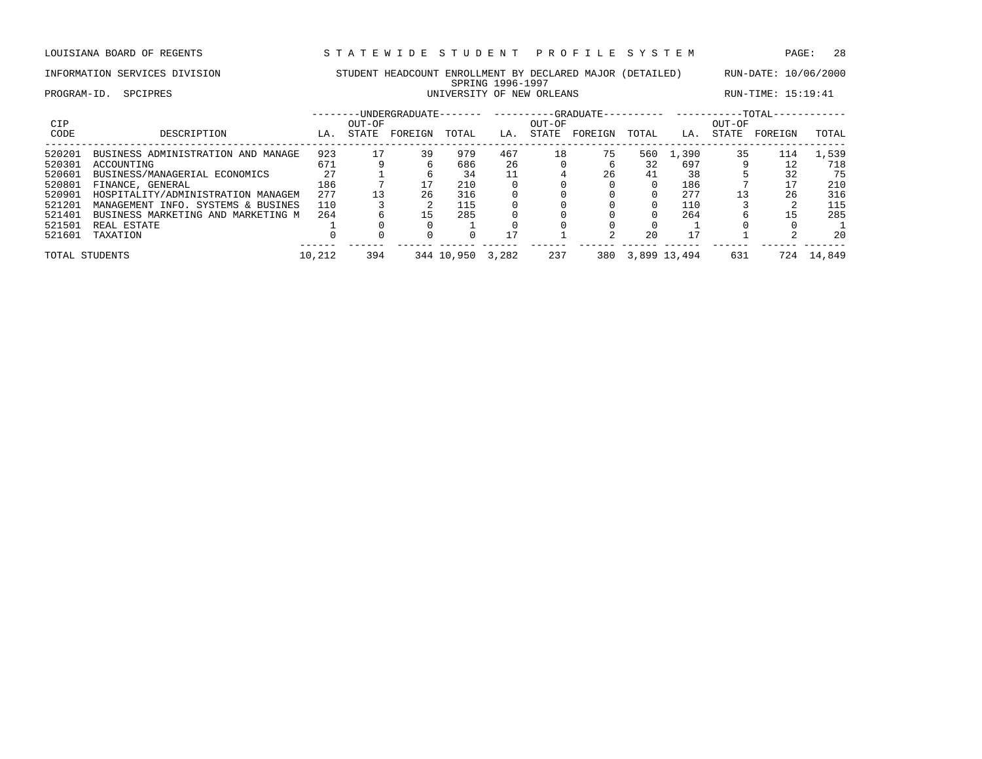LOUISIANA BOARD OF REGENTS STA TEWIDE STUDENT PROFILE SYSTEM PAGE: 28

PROGRAM-ID. SPCIPRES **EXECUTE:** 15:19:41

## INFORMATION SERVICES DIVISION STUDENT HEADCOUNT ENROLLMENT BY DECLARED MAJOR (DETAILED) RUN-DATE: 10/06/2000 SPRING 1996-1997<br>UNIVERSITY OF NEW ORLEANS

| <b>CIP</b>     |                                    |        | OUT-OF | --UNDERGRADUATE------- |            |       | OUT-OF | ----------GRADUATE-- |          | $-TOTAL-$<br>OUT-OF |       |         |        |  |
|----------------|------------------------------------|--------|--------|------------------------|------------|-------|--------|----------------------|----------|---------------------|-------|---------|--------|--|
| CODE           | DESCRIPTION                        | LA.    | STATE  | FOREIGN                | TOTAL      | LA.   | STATE  | FOREIGN              | TOTAL    | LA.                 | STATE | FOREIGN | TOTAL  |  |
| 520201         | BUSINESS ADMINISTRATION AND MANAGE | 923    | 17     | 39                     | 979        | 467   | 18     | 75                   | 560      | 1,390               | 35    | 114     | 1,539  |  |
| 520301         | ACCOUNTING                         | 671    |        |                        | 686        | 26    |        |                      | 32       | 697                 |       | 12      | 718    |  |
| 520601         | BUSINESS/MANAGERIAL ECONOMICS      | 27     |        |                        | 34         |       |        | 26                   | 41       | 38                  |       | 32      | 75     |  |
| 520801         | FINANCE, GENERAL                   | 186    |        |                        | 210        |       |        |                      |          | 186                 |       | 17      | 210    |  |
| 520901         | HOSPITALITY/ADMINISTRATION MANAGEM | 277    |        | 26                     | 316        |       |        |                      |          | 277                 | 13    | 26      | 316    |  |
| 521201         | MANAGEMENT INFO. SYSTEMS & BUSINES | 110    |        |                        | 115        |       |        |                      | $\Omega$ | 110                 |       |         | 115    |  |
| 521401         | BUSINESS MARKETING AND MARKETING M | 264    |        | 15                     | 285        |       |        |                      |          | 264                 |       | 15      | 285    |  |
| 521501         | REAL ESTATE                        |        |        |                        |            |       |        |                      |          |                     |       |         |        |  |
| 521601         | TAXATION                           |        |        |                        |            | 17    |        |                      | 20       | 17                  |       |         | 20     |  |
| TOTAL STUDENTS |                                    | 10,212 | 394    |                        | 344 10,950 | 3,282 | 237    | 380                  |          | 3,899 13,494        | 631   | 724     | 14,849 |  |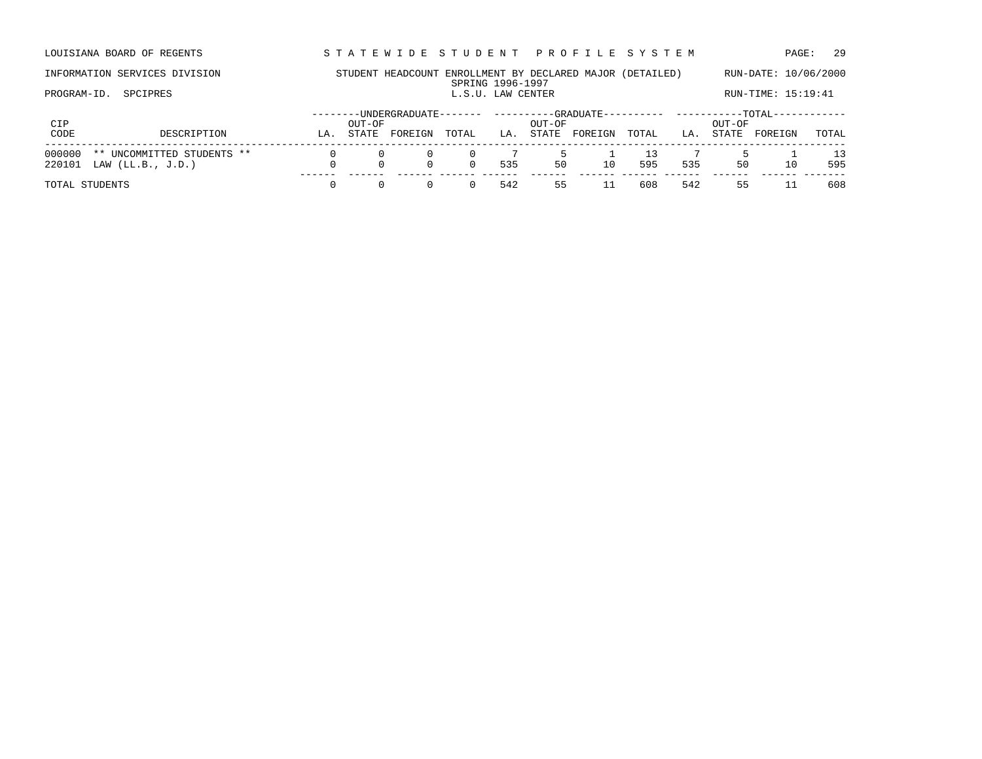LOUISIANA BOARD OF REGENTS STA TEWIDE STUDENT PROFILE SYSTEM PAGE: 29

### INFORMATION SERVICES DIVISION STUDENT HEADCOUNT ENROLLMENT BY DECLARED MAJOR (DETAILED) RUN-DATE: 10/06/2000 SPRING 1996-1997<br>L.S.U. LAW CENTER PROGRAM-ID. SPCIPRES **EXECUTER** L.S.U. LAW CENTER L.S.U. LAW CENTER RUN-TIME: 15:19:41

| CIP                                                                   |    | OUT-OF       | -UNDERGRADUATE- |       |     | OUT-OF | -GRADUATE- |       | -TOTAL-<br>OUT-OF |       |         |       |  |
|-----------------------------------------------------------------------|----|--------------|-----------------|-------|-----|--------|------------|-------|-------------------|-------|---------|-------|--|
| CODE<br>DESCRIPTION                                                   | LA | <b>STATE</b> | FOREIGN         | TOTAL | LA  | STATE  | FOREIGN    | TOTAL | LA.               | STATE | FOREIGN | TOTAL |  |
| 000000<br>** UNCOMMITTED STUDENTS **<br>220101<br>LAW $(LL.B., J.D.)$ |    |              |                 |       | 535 | 50     | 10         | 595   | 535               | 50    | 10      | 595   |  |
| TOTAL STUDENTS                                                        |    |              |                 |       | 542 | לל     |            | 608   | 542               | לל    |         | 608   |  |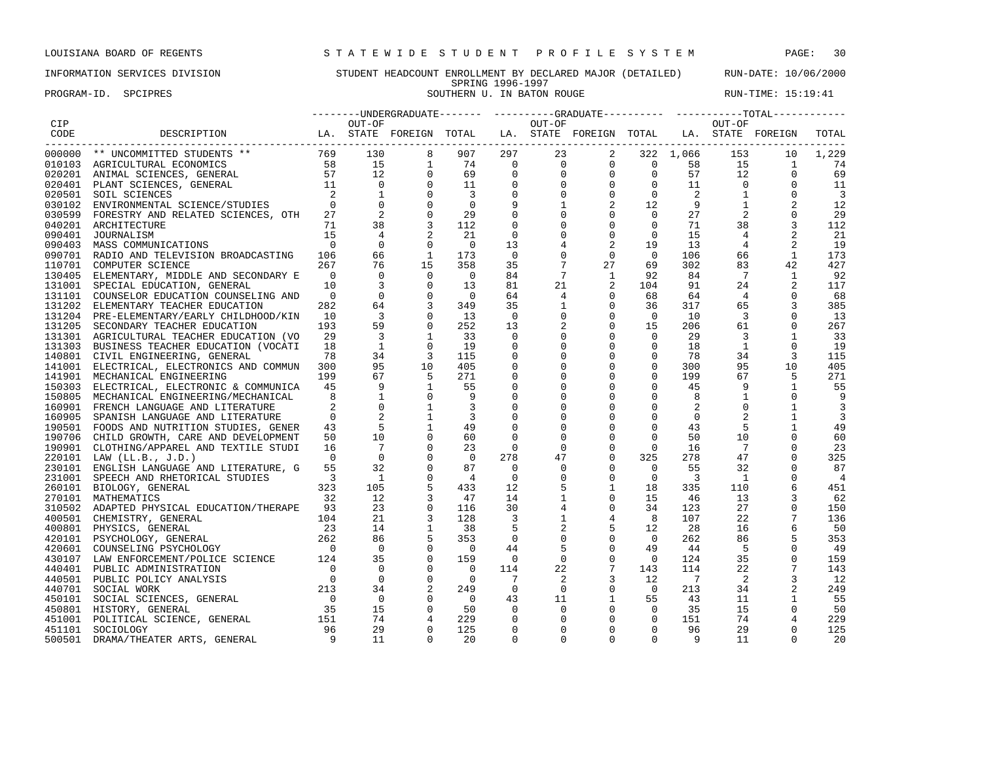PROGRAM-ID. SPCIPRES SOUTHERN U. IN BATON ROUGE SOUTHERN U. IN BATON ROUGE RUN-TIME: 15:19:41

|            |                                                                                                                                                                                                                                            |                            |                                |                                                            |                          |                | --------UNDERGRADUATE------- ---------GRADUATE---------- -----------TOTAL----------- |                                                                                  |                                                                       |                |                 |                |                |
|------------|--------------------------------------------------------------------------------------------------------------------------------------------------------------------------------------------------------------------------------------------|----------------------------|--------------------------------|------------------------------------------------------------|--------------------------|----------------|--------------------------------------------------------------------------------------|----------------------------------------------------------------------------------|-----------------------------------------------------------------------|----------------|-----------------|----------------|----------------|
| <b>CIP</b> |                                                                                                                                                                                                                                            |                            | OUT-OF                         |                                                            |                          |                | OUT-OF                                                                               |                                                                                  |                                                                       |                | OUT-OF          |                |                |
| CODE       | DESCRIPTION                      LA. STATE FOREIGN TOTAL   LA. STATE FOREIGN TOTAL   LA. STATE FOREIGN                                                                                                                                     |                            |                                |                                                            |                          |                |                                                                                      |                                                                                  |                                                                       |                |                 |                | TOTAL          |
| 000000     | ** UNCOMMITTED STUDENTS **<br>AGRICULTURAL ECONOMICS 58 15<br>ANIMAL SCIENCES, GENERAL 57 12<br>PLANT SCIENCES, GENERAL 11 0                                                                                                               |                            |                                | 8                                                          | 907                      | 297            | 23                                                                                   | $\overline{\mathbf{a}}$                                                          |                                                                       | 322 1,066      | 153             | 10             | 1,229          |
|            | 010103 AGRICULTURAL ECONOMICS                                                                                                                                                                                                              |                            |                                | $\mathbf{1}$                                               | 74                       | $\overline{0}$ |                                                                                      | $\begin{matrix} 0 & 0 & 0 & 58 \\ 0 & 0 & 0 & 57 \\ 0 & 0 & 0 & 11 \end{matrix}$ |                                                                       |                | 15              | $\overline{1}$ | 74             |
|            | 020201 ANIMAL SCIENCES, GENERAL                                                                                                                                                                                                            |                            |                                | $\mathbf 0$                                                | 69                       | $\mathbf{0}$   |                                                                                      |                                                                                  | $\begin{bmatrix} 0 & 0 & 57 \\ 0 & 0 & 11 \\ 0 & 0 & 2 \end{bmatrix}$ | 57             | 12              | $\mathbf 0$    | 69             |
|            | 020401 PLANT SCIENCES, GENERAL                                                                                                                                                                                                             |                            | $\overline{0}$                 | $\mathbf 0$                                                | 11                       | $\mathbf 0$    |                                                                                      |                                                                                  |                                                                       |                | $\overline{0}$  | $\Omega$       | 11             |
|            | 020501 SOIL SCIENCES                                                                                                                                                                                                                       | $\overline{2}$             | $\overline{1}$                 | $\overline{0}$                                             | $\overline{3}$           | $\mathbf 0$    | $\Omega$                                                                             |                                                                                  |                                                                       |                | $\overline{1}$  | 0              | $\overline{3}$ |
|            | 030102 ENVIRONMENTAL SCIENCE/STUDIES                                                                                                                                                                                                       |                            | $\overline{0}$                 | $\mathbf 0$                                                | $\overline{0}$           |                |                                                                                      | $\overline{a}$                                                                   | 12                                                                    | 9              | <sup>1</sup>    |                | 12             |
|            | 030599 FORESTRY AND RELATED SCIENCES, OTH                                                                                                                                                                                                  | 27                         | $\overline{\phantom{a}}$       | $\mathbf 0$                                                | 29                       |                | $\mathbf 0$                                                                          | $\mathbf 0$                                                                      | $\overline{0}$                                                        | 27             | 2               |                | 29             |
|            | 040201 ARCHITECTURE                                                                                                                                                                                                                        | 71                         | 38                             |                                                            | 112                      | $\mathbf 0$    | $\Omega$                                                                             | $\mathbf 0$                                                                      | $\overline{0}$                                                        | 71             | 38              | 3              | 112            |
|            | 090401 JOURNALISM                                                                                                                                                                                                                          | 15                         | $\overline{4}$                 |                                                            | -21                      | $\mathbf 0$    |                                                                                      | $\mathbf 0$                                                                      | $\overline{0}$                                                        | 15             | 4               | 2              | -21            |
|            | 090403 MASS COMMUNICATIONS                                                                                                                                                                                                                 | $\overline{0}$             | $\Omega$                       | $\Omega$                                                   | $\overline{0}$           | 13             |                                                                                      | 2                                                                                | 19                                                                    | 13             | $4\overline{ }$ | 2              | 19             |
|            | 090701 RADIO AND TELEVISION BROADCASTING 106                                                                                                                                                                                               |                            | 66                             | <sup>1</sup>                                               | 173                      | $\overline{0}$ | $\Omega$                                                                             | $\mathbf 0$                                                                      | $\bigcirc$                                                            | 106            | 66              | 1              | 173            |
|            | 110701 COMPUTER SCIENCE                                                                                                                                                                                                                    | 267                        | 76                             | 15                                                         | 358                      | 35             | $7\phantom{.0}$                                                                      | 27                                                                               | 69                                                                    | 302            | 83              | 42             | 427            |
|            | 130405 ELEMENTARY, MIDDLE AND SECONDARY E                                                                                                                                                                                                  | $\overline{0}$             | $\Omega$                       |                                                            | $\overline{0}$           | 84             | $7\phantom{.0}\phantom{.0}7$                                                         | $\mathbf{1}$                                                                     | 92                                                                    | 84             | $7\overline{ }$ | 1              | 92             |
|            | 131001 SPECIAL EDUCATION, GENERAL                                                                                                                                                                                                          | 10                         | $\overline{3}$                 | $\begin{bmatrix} 0 \\ 0 \\ 0 \\ 0 \\ \vdots \end{bmatrix}$ | 13                       | 81             | 21                                                                                   | 2                                                                                | 104                                                                   | 91             | 24              | 2              | 117            |
|            | 131101 COUNSELOR EDUCATION COUNSELING AND                                                                                                                                                                                                  | $\overline{0}$             | $\overline{0}$                 |                                                            | $\overline{0}$           | 64             | 4                                                                                    | $\mathbf 0$                                                                      | 68                                                                    | 64             | $\overline{4}$  | $\mathbf 0$    | 68             |
|            | 131202 ELEMENTARY TEACHER EDUCATION                                                                                                                                                                                                        | 282                        | 64                             |                                                            | 349                      | 35             | $\mathbf{1}$                                                                         | $\overline{0}$                                                                   | 36                                                                    | 317            | 65              |                | 385            |
|            | 131204 PRE-ELEMENTARY/EARLY CHILDHOOD/KIN                                                                                                                                                                                                  | 10                         | $\overline{3}$                 | $\mathbf 0$                                                | 13                       | $\overline{0}$ | $\mathbf 0$                                                                          | $\mathbf 0$                                                                      | $\overline{0}$                                                        | 10             | $\overline{3}$  | 0              | 13             |
|            | 131205 SECONDARY TEACHER EDUCATION                                                                                                                                                                                                         | 193                        | 59                             | $\mathbf 0$                                                | 252                      | 13             | 2                                                                                    | $\mathbf 0$                                                                      | 15                                                                    | 206            | 61              | $\mathbf 0$    | 267            |
|            | 131301 AGRICULTURAL TEACHER EDUCATION (VO                                                                                                                                                                                                  | 29                         | $\overline{3}$                 | 1                                                          | 33                       | $\mathbf 0$    | $\mathbf 0$                                                                          | $\mathbf 0$                                                                      | $\mathbf 0$                                                           | 29             | 3               | $\mathbf{1}$   | 33             |
|            | 131303 BUSINESS TEACHER EDUCATION (VOCATI                                                                                                                                                                                                  | 18                         | 1                              | $\overline{0}$                                             | 19                       | $\mathbf 0$    | $\Omega$                                                                             | $\mathbf 0$                                                                      | $\circ$                                                               | 18             | $\mathbf{1}$    | $\mathbf 0$    | 19             |
|            | 140801 CIVIL ENGINEERING, GENERAL                                                                                                                                                                                                          | 78                         | 34                             |                                                            | 115                      | $\mathbf 0$    |                                                                                      | $\mathbf 0$                                                                      | $\mathbf{0}$                                                          | 78             | 34              | 3              | 115            |
|            | 141001 ELECTRICAL, ELECTRONICS AND COMMUN 300                                                                                                                                                                                              |                            | 95                             | 10                                                         | 405                      | $\mathsf 0$    | $\mathbf 0$                                                                          | $\mathsf{O}$                                                                     | $\mathsf{O}$                                                          | 300            | 95              | 10             | 405            |
|            | 141901 MECHANICAL ENGINEERING                                                                                                                                                                                                              | 199                        | 67                             | $\overline{5}$                                             | 271                      | 0              | $\Omega$                                                                             | $\mathsf{O}$                                                                     | $\mathbf{0}$                                                          | 199            | 67              | 5              | 271            |
|            | 150303 ELECTRICAL, ELECTRONIC & COMMUNICA 45                                                                                                                                                                                               |                            | 9                              | $\mathbf{1}$                                               | 55                       |                | $\Omega$                                                                             | $\mathbf 0$                                                                      | $\Omega$                                                              | 45             | 9               | $\mathbf{1}$   | 55             |
|            | 150805 MECHANICAL ENGINEERING/MECHANICAL                                                                                                                                                                                                   | 8                          |                                | $\overline{0}$                                             | 9                        | $\mathbf 0$    | $\Omega$                                                                             | 0                                                                                | $\mathbf 0$                                                           | 8              | $\mathbf{1}$    | $\Omega$       |                |
|            | 160901 FRENCH LANGUAGE AND LITERATURE                                                                                                                                                                                                      |                            | $\mathbf{0}$                   | 1                                                          | $\overline{3}$           | $\mathbf 0$    |                                                                                      | $\mathbf 0$                                                                      | $\mathbf 0$                                                           | 2              | $\mathbf 0$     |                | 3              |
| 160905     | SPANISH LANGUAGE AND LITERATURE                                                                                                                                                                                                            |                            | $\Omega$                       | $\mathbf{1}$                                               | $\overline{3}$           |                |                                                                                      | $\mathbf 0$                                                                      | $\mathbf 0$                                                           | $\mathbf 0$    | 2               | $\mathbf{1}$   | 3              |
|            | 190501 FOODS AND NUTRITION STUDIES, GENER                                                                                                                                                                                                  |                            | $\frac{43}{50}$<br>$5^{\circ}$ | $\mathbf{1}$                                               | 49                       | $\mathbf 0$    | $\Omega$                                                                             | $\mathbf 0$                                                                      | $\mathbf 0$                                                           | 43             | 5               | 1              | 49             |
|            | 190706 CHILD GROWTH, CARE AND DEVELOPMENT                                                                                                                                                                                                  |                            | 10                             |                                                            | 60                       | $\Omega$       | $\Omega$                                                                             | $\mathbf 0$                                                                      | $\mathbf 0$                                                           | 50             | 10              |                | 60             |
|            | 190901 CLOTHING/APPAREL AND TEXTILE STUDI                                                                                                                                                                                                  | 16                         | $7\phantom{0}$                 | $\mathbf 0$                                                | 23                       | $\Omega$       | $\Omega$                                                                             | $\mathbf 0$                                                                      | $\Omega$                                                              | 16             | $\overline{7}$  | $\Omega$       | 23             |
|            | 220101 LAW (LL.B., J.D.)                                                                                                                                                                                                                   | $\overline{0}$             | $\mathbf{0}$                   | $\mathbf 0$                                                | $\overline{0}$           | 278            | 47                                                                                   | $\mathbf{0}$                                                                     | 325                                                                   | 278            | 47              | $\Omega$       | 325            |
|            | 230101 ENGLISH LANGUAGE AND LITERATURE, G                                                                                                                                                                                                  | 55                         | 32                             | $\mathbf 0$                                                | 87                       | $\Omega$       | 0                                                                                    | $\mathbf 0$                                                                      | $\overline{0}$                                                        | 55             | 32              | $\mathbf 0$    | 87             |
|            | 231001 SPEECH AND RHETORICAL STUDIES                                                                                                                                                                                                       | $\overline{\phantom{a}}$ 3 | $\overline{1}$                 | $\mathbf 0$                                                | $\overline{4}$           | $\overline{0}$ | $\mathbf 0$                                                                          | $\mathbf 0$                                                                      | $\overline{0}$                                                        | $\overline{3}$ | $\overline{1}$  | 0              | $\overline{4}$ |
|            | 260101 BIOLOGY, GENERAL                                                                                                                                                                                                                    |                            | 105                            | 5                                                          | 433                      | 12             | 5                                                                                    | $\mathbf{1}$                                                                     | 18                                                                    | 335            | 110             | 6              | 451            |
|            | $\frac{32}{32}$<br>270101 MATHEMATICS                                                                                                                                                                                                      |                            | 12                             | 3                                                          | 47                       | 14             | 1                                                                                    | $\mathbf 0$                                                                      | 15                                                                    | - 46           | 13              | 3              | 62             |
|            | 310502 ADAPTED PHYSICAL EDUCATION/THERAPE 93                                                                                                                                                                                               |                            | 23                             | $\mathbf 0$                                                | 116                      | 30             | 4                                                                                    | $\mathbf{0}$                                                                     | 34                                                                    | 123            | 27              | $\Omega$       | 150            |
|            |                                                                                                                                                                                                                                            |                            | 21                             |                                                            | 128                      | $\overline{3}$ | $\mathbf{1}$                                                                         | $\overline{4}$                                                                   | 8 <sup>8</sup>                                                        | 107            | 22              |                | 136            |
|            |                                                                                                                                                                                                                                            |                            | 14                             | $\mathbf{1}$                                               | 38                       | 5              | 2                                                                                    | 5                                                                                | 12                                                                    | 28             | 16              |                | 50             |
|            |                                                                                                                                                                                                                                            |                            | 86                             | 5                                                          | 353                      | $\mathbf 0$    | $\mathbf 0$                                                                          | $\mathsf{O}\xspace$                                                              | $\overline{0}$                                                        | 262            | 86              |                | 353            |
|            |                                                                                                                                                                                                                                            |                            | $\overline{0}$                 | $\mathbf 0$                                                | $\overline{0}$           | 44             | 5                                                                                    | $\mathbf 0$                                                                      | 49                                                                    | 44             | 5               | $\mathbf 0$    | -49            |
|            |                                                                                                                                                                                                                                            |                            | 35                             | $\mathbf 0$                                                | 159                      | $\overline{0}$ | $\mathbf 0$                                                                          | $\mathbf 0$                                                                      | $\bigcirc$                                                            | 124            | 35              | $\Omega$       | 159            |
|            |                                                                                                                                                                                                                                            |                            | $\overline{0}$                 | $\mathbf 0$                                                | $\overline{0}$           | 114            | 22                                                                                   | $7\overline{ }$                                                                  | 143                                                                   | 114            | 22              | 7              | 143            |
|            |                                                                                                                                                                                                                                            |                            | $\overline{0}$                 | $\mathbf 0$                                                | $\overline{\phantom{0}}$ | $\overline{7}$ | 2                                                                                    | 3                                                                                | 12                                                                    | $\overline{7}$ | 2               | 3              | 12             |
|            |                                                                                                                                                                                                                                            |                            | 34                             | 2                                                          |                          | $\overline{0}$ | $\mathbf 0$                                                                          | $\mathbf 0$                                                                      | $\overline{0}$                                                        |                |                 |                |                |
|            | 310502 ADAPTED PHYSICAL EDUCATION/THERAPE 93<br>400801 CHEMISTRY, GENERAL 104<br>400801 PHYSICS, GENERAL 23<br>420101 PSYCHOLOGY, GENERAL 262<br>420101 PSYCHOLOGY, GENERAL 262<br>430107 LAW ENFORCEMENT/POLICE SCIENCE 124<br>440401 PUB |                            | $\overline{0}$                 | $\mathbf 0$                                                | 249<br>$\overline{0}$    |                |                                                                                      |                                                                                  |                                                                       | 213            | 34              | 2              | 249            |
|            |                                                                                                                                                                                                                                            |                            | 15                             | $\mathbf 0$                                                | 50                       | 43<br>$\Omega$ | 11<br>$\Omega$                                                                       | $\mathbf{1}$<br>$\mathbf 0$                                                      | 55<br>$\overline{0}$                                                  | 43<br>35       | 11<br>15        | 1<br>0         | 55<br>50       |
|            |                                                                                                                                                                                                                                            |                            | 74                             |                                                            | 229                      |                | $\Omega$                                                                             | $\mathbf{0}$                                                                     | $\overline{0}$                                                        |                | 74              |                |                |
|            |                                                                                                                                                                                                                                            |                            | 29                             | $\overline{4}$                                             |                          | 0              |                                                                                      | $\mathbf 0$                                                                      | $\mathbf 0$                                                           | 151            |                 | 4              | 229            |
| 451101     | SOCIOLOGY                                                                                                                                                                                                                                  | 96<br>$\overline{9}$       |                                | $\mathbf 0$                                                | 125                      | $\mathbf 0$    | 0                                                                                    |                                                                                  |                                                                       | 96             | 29              | $\mathbf 0$    | 125            |
| 500501     | DRAMA/THEATER ARTS, GENERAL                                                                                                                                                                                                                |                            | 11                             | $\Omega$                                                   | 20                       | $\Omega$       | $\Omega$                                                                             | $\Omega$                                                                         | $\Omega$                                                              | 9              | 11              | $\Omega$       | 20             |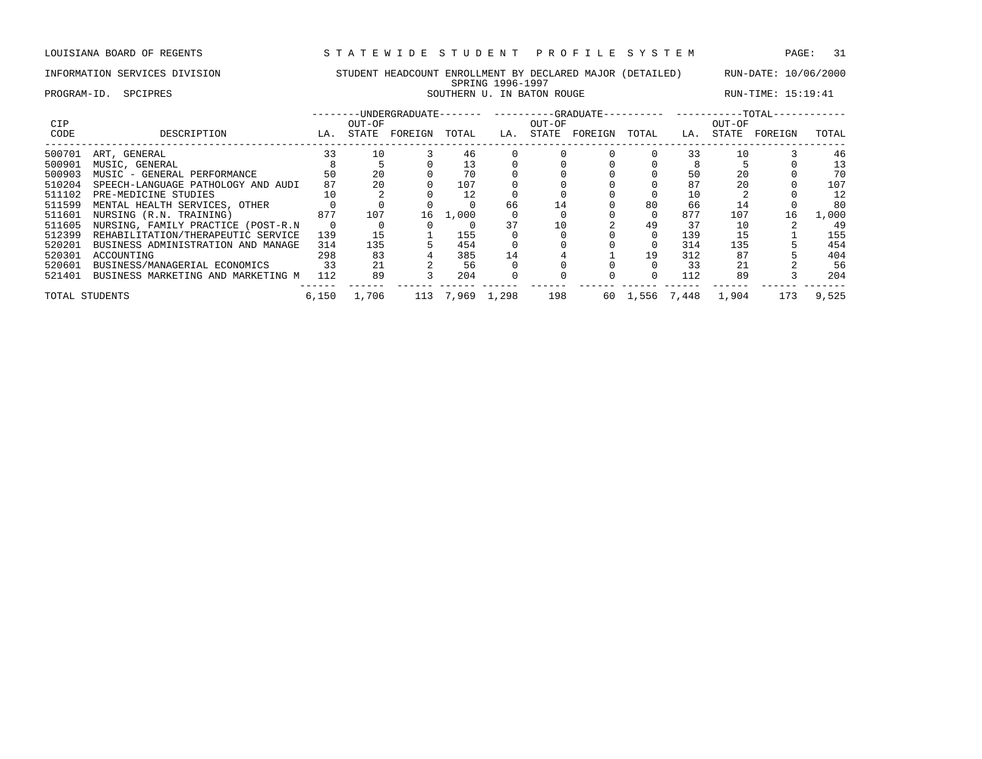PROGRAM-ID. SPCIPRES SOUTHERN U. IN BATON ROUGE SOUTHERN U. IN BATON ROUGE RUN-TIME: 15:19:41

| <b>CIP</b> |                                    |       | OUT-OF |         |             |     | OUT-OF | -UNDERGRADUATE-------    ---------GRADUATE---------    ---------TOTAL- |             |     | OUT-OF |         |       |
|------------|------------------------------------|-------|--------|---------|-------------|-----|--------|------------------------------------------------------------------------|-------------|-----|--------|---------|-------|
| CODE       | DESCRIPTION                        | LA.   | STATE  | FOREIGN | TOTAL       | LA. | STATE  | FOREIGN                                                                | TOTAL       | LA. | STATE  | FOREIGN | TOTAL |
| 500701     | ART, GENERAL                       | 33    | 10     |         | 46          |     |        |                                                                        |             | 33  | 10     |         | 46    |
| 500901     | MUSIC, GENERAL                     |       |        |         | 13          |     |        |                                                                        |             |     |        |         | 13    |
| 500903     | MUSIC - GENERAL PERFORMANCE        | 50    | 20     |         | 70          |     |        |                                                                        |             | 50  | 20     |         | 70    |
| 510204     | SPEECH-LANGUAGE PATHOLOGY AND AUDI | 87    | 20     |         | 107         |     |        |                                                                        |             | 87  | 20     |         | 107   |
| 511102     | PRE-MEDICINE STUDIES               | 10    |        |         | 12          |     |        |                                                                        |             | 10  |        |         | 12    |
| 511599     | MENTAL HEALTH SERVICES, OTHER      |       |        |         |             | 66  | 14     |                                                                        | 80          | 66  | 14     |         | 80    |
| 511601     | NURSING (R.N. TRAINING)            | 877   | 107    | 16      | 1,000       |     |        |                                                                        | $\Omega$    | 877 | 107    | 16      | 1,000 |
| 511605     | NURSING, FAMILY PRACTICE (POST-R.N |       |        |         |             | 37  | 10     |                                                                        | 49          | 37  | 10     |         | 49    |
| 512399     | REHABILITATION/THERAPEUTIC SERVICE | 139   | 15     |         | 155         |     |        |                                                                        |             | 139 | 15     |         | 155   |
| 520201     | BUSINESS ADMINISTRATION AND MANAGE | 314   | 135    |         | 454         |     |        |                                                                        |             | 314 | 135    |         | 454   |
| 520301     | ACCOUNTING                         | 298   | 83     |         | 385         | 14  |        |                                                                        | 19          | 312 | 87     |         | 404   |
| 520601     | BUSINESS/MANAGERIAL ECONOMICS      | 33    | 21     |         | 56          |     |        |                                                                        |             | 33  | 21     |         | 56    |
| 521401     | BUSINESS MARKETING AND MARKETING M | 112   | 89     |         | 204         |     |        |                                                                        |             | 112 | 89     |         | 204   |
|            | TOTAL STUDENTS                     | 6,150 | 1,706  | 113     | 7,969 1,298 |     | 198    | 60                                                                     | 1,556 7,448 |     | 1,904  | 173     | 9,525 |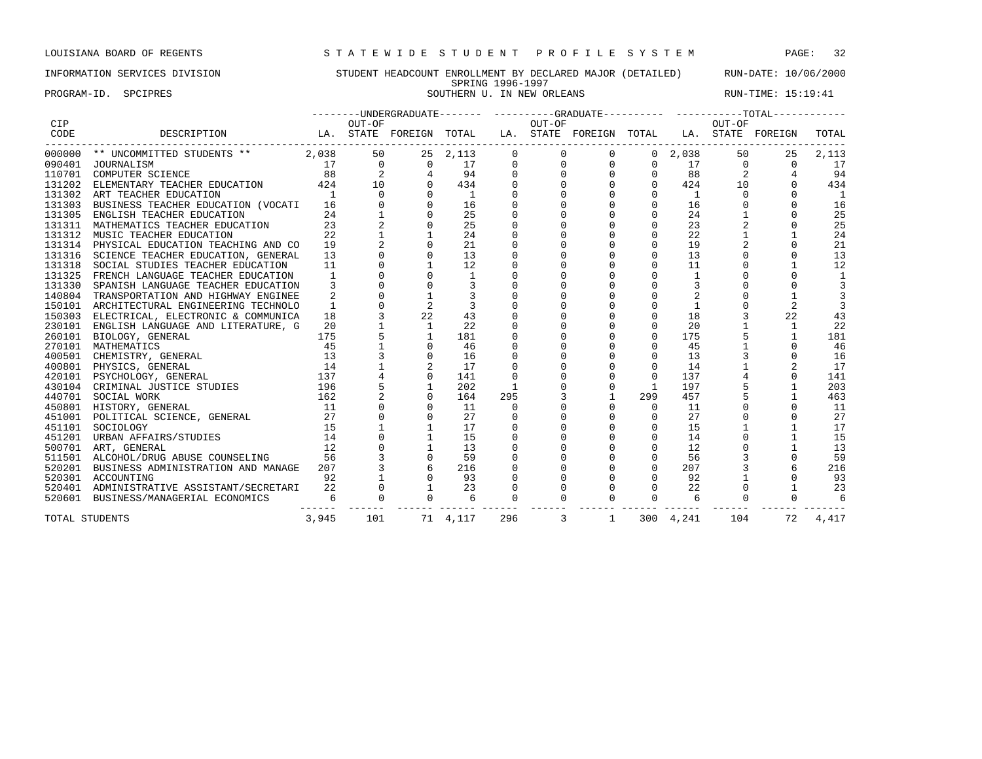PROGRAM-ID. SPCIPRES SOUTHERN U. IN NEW ORLEANS RUN-TIME: 15:19:41

## INFORMATION SERVICES DIVISION STUDENT HEADCOUNT ENROLLMENT BY DECLARED MAJOR (DETAILED) RUN-DATE: 10/06/2000 SPRING 1996-1997<br>SOUTHERN U. IN NEW ORLEANS

| <b>CIP</b>     |                                                                                  |                 | OUT-OF                                                  |                |                |                | OUT-OF      |              |                | --------UNDERGRADUATE------- ---------GRADUATE---------- -----------TOTAL-----------<br>OUT-OF |                |          |                |  |
|----------------|----------------------------------------------------------------------------------|-----------------|---------------------------------------------------------|----------------|----------------|----------------|-------------|--------------|----------------|------------------------------------------------------------------------------------------------|----------------|----------|----------------|--|
| CODE           | LA. STATE FOREIGN TOTAL LA. STATE FOREIGN TOTAL LA. STATE FOREIGN<br>DESCRIPTION |                 |                                                         |                |                |                |             |              |                |                                                                                                |                |          | TOTAL          |  |
|                | 2,038<br>000000 ** UNCOMMITTED STUDENTS **                                       |                 | 50                                                      |                | 25 2,113       | $\overline{0}$ | $\mathbf 0$ | 0            |                | $0\quad 2,038$                                                                                 | 50             | 25       | 2,113          |  |
| 090401         | JOURNALISM                                                                       |                 | 17 0                                                    | $\overline{0}$ | 17             |                | $\mathbf 0$ | $\mathbf{0}$ | $\overline{0}$ | 17                                                                                             | $\overline{0}$ | $\Omega$ | 17             |  |
| 110701         | COMPUTER SCIENCE                                                                 |                 |                                                         |                | 94             | $\Omega$       |             | $\mathbf 0$  | $\overline{0}$ | 88                                                                                             | 2              |          | 94             |  |
| 131202         | ELEMENTARY TEACHER EDUCATION                                                     |                 | $\begin{array}{c cc}\n 88 & 2 \\ 424 & 10\n\end{array}$ | $\Omega$       | 434            | $\mathbf 0$    |             | $\mathbf 0$  | $\overline{0}$ | 424                                                                                            | 10             |          | 434            |  |
|                | 131302 ART TEACHER EDUCATION                                                     | $\overline{1}$  | $\mathbf 0$                                             |                | $\overline{1}$ |                |             | $\mathbf 0$  | 0              | $\mathbf{1}$                                                                                   | $\circ$        |          | $\overline{1}$ |  |
| 131303         | BUSINESS TEACHER EDUCATION (VOCATI                                               | 16              | $\mathbf{0}$                                            | $\Omega$       | 16             | $\mathbf 0$    |             | $\mathbf 0$  | $\mathbf{0}$   | 16                                                                                             | $\mathbf 0$    | $\Omega$ | 16             |  |
| 131305         | ENGLISH TEACHER EDUCATION                                                        | 24              |                                                         |                | 25             |                |             |              | $\Omega$       | 2.4                                                                                            |                |          | 25             |  |
| 131311         | MATHEMATICS TEACHER EDUCATION                                                    | 23              |                                                         |                | 25             |                |             |              | $\Omega$       | 23                                                                                             |                |          | 25             |  |
| 131312         | MUSIC TEACHER EDUCATION                                                          | 22              |                                                         |                | 24             | $\mathbf 0$    |             |              | $\mathbf{0}$   | 22                                                                                             |                |          | 24             |  |
|                | 131314 PHYSICAL EDUCATION TEACHING AND CO                                        | 19              |                                                         |                | 21             |                |             |              | $\mathbf 0$    | 19                                                                                             |                |          | 21             |  |
|                | 131316 SCIENCE TEACHER EDUCATION, GENERAL                                        | 13              |                                                         |                | 13             | $\mathbf 0$    |             |              | $\mathbf 0$    | 13                                                                                             |                |          | 13             |  |
|                | 131318 SOCIAL STUDIES TEACHER EDUCATION                                          | 11              |                                                         |                | 12             | $\Omega$       |             |              | $\Omega$       | 11                                                                                             |                |          | 12             |  |
| 131325         | FRENCH LANGUAGE TEACHER EDUCATION                                                | <sup>1</sup>    |                                                         |                | $\mathbf{1}$   |                |             |              | $\Omega$       | 1                                                                                              |                |          | -1             |  |
| 131330         | SPANISH LANGUAGE TEACHER EDUCATION                                               | 3               |                                                         |                | $\overline{3}$ |                |             |              | $\Omega$       |                                                                                                |                |          |                |  |
| 140804         | TRANSPORTATION AND HIGHWAY ENGINEE                                               |                 |                                                         |                | $\overline{3}$ | $\mathbf 0$    |             |              | $\Omega$       |                                                                                                |                |          |                |  |
|                | 150101 ARCHITECTURAL ENGINEERING TECHNOLO                                        | $\mathbf{1}$    |                                                         | 2              |                |                |             |              | $\mathbf 0$    | $\mathbf{1}$                                                                                   |                |          |                |  |
|                | 150303 ELECTRICAL, ELECTRONIC & COMMUNICA                                        | 18              |                                                         | 22             | 43             | 0              |             | $\mathbf 0$  | $\mathbf 0$    | 18                                                                                             |                | 22       | 43             |  |
| 230101         | ENGLISH LANGUAGE AND LITERATURE, G                                               | 20              |                                                         |                | 22             |                |             |              | $\mathbf{0}$   | 20                                                                                             |                |          | 22             |  |
| 260101         | BIOLOGY, GENERAL                                                                 | 175             | 5                                                       |                | 181            |                |             |              | $\Omega$       | 175                                                                                            |                |          | 181            |  |
| 270101         | MATHEMATICS                                                                      | 45              |                                                         | $\Omega$       | 46             | 0              |             | $\Omega$     | $\Omega$       | 45                                                                                             |                |          | 46             |  |
| 400501         | $\begin{array}{c} 13 \\ 14 \end{array}$<br>CHEMISTRY, GENERAL                    |                 |                                                         |                | 16             |                |             |              | 0              | 13                                                                                             |                |          | 16             |  |
| 400801         | PHYSICS, GENERAL                                                                 |                 |                                                         | 2              | 17             |                |             | $\Omega$     | $\mathbf{0}$   | 14                                                                                             |                |          | 17             |  |
| 420101         | $\frac{1}{137}$<br>PSYCHOLOGY, GENERAL                                           |                 |                                                         | $\Omega$       | 141            | $\Omega$       |             |              | $\Omega$       | 137                                                                                            |                |          | 141            |  |
|                | 430104 CRIMINAL JUSTICE STUDIES 196                                              |                 |                                                         |                | 202            |                |             | $\mathbf{0}$ | 1              | 197                                                                                            |                |          | 203            |  |
| 440701         | 162<br>SOCIAL WORK                                                               |                 |                                                         | $\Omega$       | 164            | 295            |             |              | 299            | 457                                                                                            |                |          | 463            |  |
| 450801         | GENERAL<br>HISTORY, GENERAL                                                      | $\frac{11}{27}$ |                                                         | $\mathbf 0$    | 11             | $\overline{0}$ |             | $\mathsf{O}$ | $\overline{0}$ | 11                                                                                             |                |          | 11             |  |
| 451001         | POLITICAL SCIENCE, GENERAL                                                       |                 |                                                         |                | 27             |                |             | $\mathbf 0$  | $\circ$        | 27                                                                                             | $\mathbf 0$    |          | 27             |  |
| 451101         | SOCIOLOGY                                                                        | 15              |                                                         |                | 17             | $\Omega$       |             | $\Omega$     | $\Omega$       | 15                                                                                             | $\mathbf{1}$   |          | 17             |  |
| 451201         | URBAN AFFAIRS/STUDIES                                                            | 14              |                                                         |                | 15             |                |             |              | $\mathbf{0}$   | 14                                                                                             |                |          | 15             |  |
| 500701         | ART, GENERAL                                                                     | 12              |                                                         |                | 13             |                |             |              | $\Omega$       | 12                                                                                             |                |          | 13             |  |
| 511501         | ALCOHOL/DRUG ABUSE COUNSELING                                                    | 56              |                                                         |                | 59             | $\mathbf 0$    |             | $\mathbf 0$  | $\mathbf{0}$   | 56                                                                                             |                |          | 59             |  |
| 520201         | BUSINESS ADMINISTRATION AND MANAGE                                               | 207             | 3                                                       | 6              | 216            | $\mathbf 0$    |             |              | $\overline{0}$ | 207                                                                                            |                |          | 216            |  |
|                | 520301 ACCOUNTING                                                                | 92              |                                                         | $\Omega$       | 93             | $\mathbf 0$    |             |              | $\mathbf{0}$   | 92                                                                                             |                |          | 93             |  |
|                | 520401 ADMINISTRATIVE ASSISTANT/SECRETARI                                        | 22              |                                                         |                | 23             | $\overline{0}$ |             |              | $\overline{0}$ | 22                                                                                             |                |          | 23             |  |
| 520601         | BUSINESS/MANAGERIAL ECONOMICS                                                    | $6\overline{6}$ | $\mathbf 0$                                             | $\overline{0}$ | 6              |                |             |              | $\overline{0}$ | $6\overline{6}$                                                                                | $\Omega$       | $\Omega$ | 6              |  |
| TOTAL STUDENTS |                                                                                  | 3,945           | 101                                                     |                | 71 4,117       | 296            | 3           | 1            |                | 300 4,241                                                                                      | 104            | 72       | 4,417          |  |